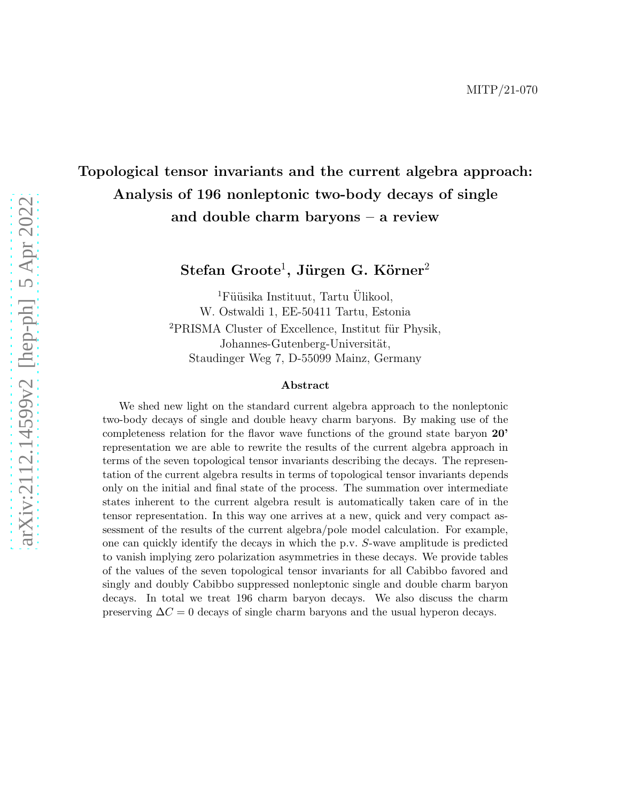## Topological tensor invariants and the current algebra approach: Analysis of 196 nonleptonic two-body decays of single and double charm baryons – a review

 ${\rm Stefan\ Groote^1, Jürgen\ G.~Körner^2}$ 

<sup>1</sup>Füüsika Instituut, Tartu Ülikool, W. Ostwaldi 1, EE-50411 Tartu, Estonia <sup>2</sup>PRISMA Cluster of Excellence, Institut für Physik, Johannes-Gutenberg-Universität, Staudinger Weg 7, D-55099 Mainz, Germany

#### Abstract

We shed new light on the standard current algebra approach to the nonleptonic two-body decays of single and double heavy charm baryons. By making use of the completeness relation for the flavor wave functions of the ground state baryon 20' representation we are able to rewrite the results of the current algebra approach in terms of the seven topological tensor invariants describing the decays. The representation of the current algebra results in terms of topological tensor invariants depends only on the initial and final state of the process. The summation over intermediate states inherent to the current algebra result is automatically taken care of in the tensor representation. In this way one arrives at a new, quick and very compact assessment of the results of the current algebra/pole model calculation. For example, one can quickly identify the decays in which the p.v. S-wave amplitude is predicted to vanish implying zero polarization asymmetries in these decays. We provide tables of the values of the seven topological tensor invariants for all Cabibbo favored and singly and doubly Cabibbo suppressed nonleptonic single and double charm baryon decays. In total we treat 196 charm baryon decays. We also discuss the charm preserving  $\Delta C = 0$  decays of single charm baryons and the usual hyperon decays.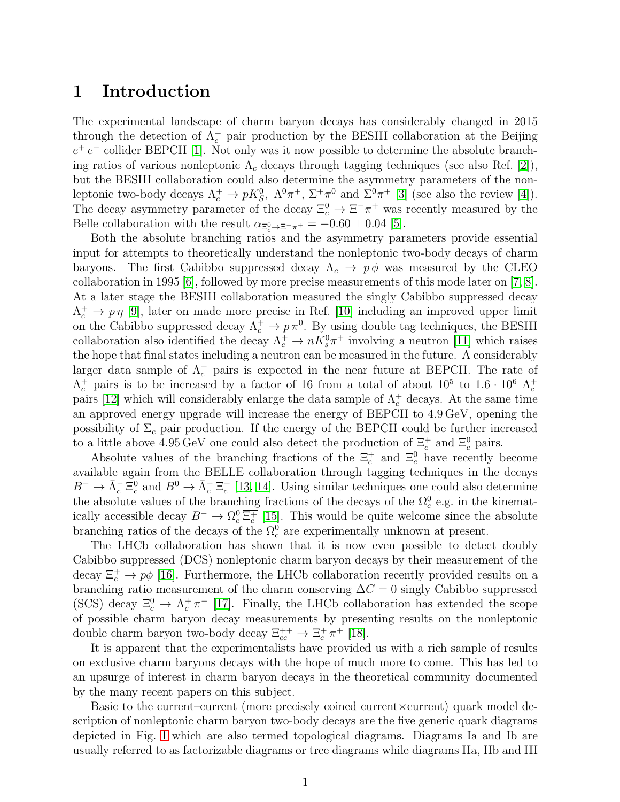### 1 Introduction

The experimental landscape of charm baryon decays has considerably changed in 2015 through the detection of  $\Lambda_c^+$  pair production by the BESIII collaboration at the Beijing  $e^+e^-$  collider BEPCII [\[1\]](#page-59-0). Not only was it now possible to determine the absolute branching ratios of various nonleptonic  $\Lambda_c$  decays through tagging techniques (see also Ref. [\[2\]](#page-59-1)), but the BESIII collaboration could also determine the asymmetry parameters of the nonleptonic two-body decays  $\Lambda_c^+ \to pK_S^0$ ,  $\Lambda^0 \pi^+$ ,  $\Sigma^+ \pi^0$  and  $\Sigma^0 \pi^+$  [\[3\]](#page-59-2) (see also the review [\[4\]](#page-59-3)). The decay asymmetry parameter of the decay  $\Xi_c^0 \to \Xi^- \pi^+$  was recently measured by the Belle collaboration with the result  $\alpha_{\Xi_c^0 \to \Xi^- \pi^+} = -0.60 \pm 0.04$  [\[5\]](#page-59-4).

Both the absolute branching ratios and the asymmetry parameters provide essential input for attempts to theoretically understand the nonleptonic two-body decays of charm baryons. The first Cabibbo suppressed decay  $\Lambda_c \to p\phi$  was measured by the CLEO collaboration in 1995 [\[6\]](#page-59-5), followed by more precise measurements of this mode later on [\[7,](#page-59-6) [8\]](#page-59-7). At a later stage the BESIII collaboration measured the singly Cabibbo suppressed decay  $\Lambda_c^+ \to p \eta$  [\[9\]](#page-59-8), later on made more precise in Ref. [\[10\]](#page-59-9) including an improved upper limit on the Cabibbo suppressed decay  $\Lambda_c^+ \to p \pi^0$ . By using double tag techniques, the BESIII collaboration also identified the decay  $\Lambda_c^+ \to nK_s^0\pi^+$  involving a neutron [\[11\]](#page-59-10) which raises the hope that final states including a neutron can be measured in the future. A considerably larger data sample of  $\Lambda_c^+$  pairs is expected in the near future at BEPCII. The rate of  $\Lambda_c^+$  pairs is to be increased by a factor of 16 from a total of about  $10^5$  to  $1.6 \cdot 10^6$   $\Lambda_c^+$ pairs [\[12\]](#page-59-11) which will considerably enlarge the data sample of  $\Lambda_c^+$  decays. At the same time an approved energy upgrade will increase the energy of BEPCII to 4.9 GeV, opening the possibility of  $\Sigma_c$  pair production. If the energy of the BEPCII could be further increased to a little above  $4.95 \,\text{GeV}$  one could also detect the production of  $\Xi_c^+$  and  $\Xi_c^0$  pairs.

Absolute values of the branching fractions of the  $\Xi_c^+$  and  $\Xi_c^0$  have recently become available again from the BELLE collaboration through tagging techniques in the decays  $B^{-} \to \bar{\Lambda}_{c}^{-} \Xi_{c}^{0}$  and  $B^{0} \to \bar{\Lambda}_{c}^{-} \Xi_{c}^{+}$  [\[13,](#page-59-12) [14\]](#page-59-13). Using similar techniques one could also determine the absolute values of the branching fractions of the decays of the  $\Omega_c^0$  e.g. in the kinematically accessible decay  $B^- \to \Omega_c^0 \overline{\Xi_c^+}$  [\[15\]](#page-59-14). This would be quite welcome since the absolute branching ratios of the decays of the  $\Omega_c^0$  are experimentally unknown at present.

The LHCb collaboration has shown that it is now even possible to detect doubly Cabibbo suppressed (DCS) nonleptonic charm baryon decays by their measurement of the decay  $\Xi_c^+ \to p\phi$  [\[16\]](#page-60-0). Furthermore, the LHCb collaboration recently provided results on a branching ratio measurement of the charm conserving  $\Delta C = 0$  singly Cabibbo suppressed (SCS) decay  $\Xi_c^0 \to \Lambda_c^+ \pi^-$  [\[17\]](#page-60-1). Finally, the LHCb collaboration has extended the scope of possible charm baryon decay measurements by presenting results on the nonleptonic double charm baryon two-body decay  $\Xi_{cc}^{++} \to \Xi_c^+ \pi^+$  [\[18\]](#page-60-2).

It is apparent that the experimentalists have provided us with a rich sample of results on exclusive charm baryons decays with the hope of much more to come. This has led to an upsurge of interest in charm baryon decays in the theoretical community documented by the many recent papers on this subject.

Basic to the current–current (more precisely coined current×current) quark model description of nonleptonic charm baryon two-body decays are the five generic quark diagrams depicted in Fig. [1](#page-2-0) which are also termed topological diagrams. Diagrams Ia and Ib are usually referred to as factorizable diagrams or tree diagrams while diagrams IIa, IIb and III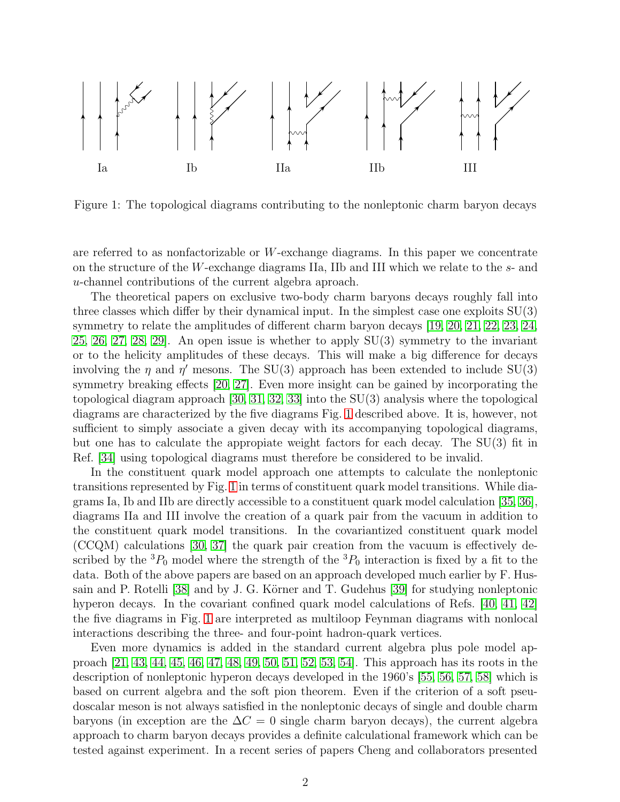

<span id="page-2-0"></span>Figure 1: The topological diagrams contributing to the nonleptonic charm baryon decays

are referred to as nonfactorizable or  $W$ -exchange diagrams. In this paper we concentrate on the structure of the W-exchange diagrams IIa, IIb and III which we relate to the s- and u-channel contributions of the current algebra aproach.

The theoretical papers on exclusive two-body charm baryons decays roughly fall into three classes which differ by their dynamical input. In the simplest case one exploits SU(3) symmetry to relate the amplitudes of different charm baryon decays [\[19,](#page-60-3) [20,](#page-60-4) [21,](#page-60-5) [22,](#page-60-6) [23,](#page-60-7) [24,](#page-60-8) [25,](#page-60-9) [26,](#page-60-10) [27,](#page-60-11) [28,](#page-60-12) [29\]](#page-60-13). An open issue is whether to apply SU(3) symmetry to the invariant or to the helicity amplitudes of these decays. This will make a big difference for decays involving the  $\eta$  and  $\eta'$  mesons. The SU(3) approach has been extended to include SU(3) symmetry breaking effects [\[20,](#page-60-4) [27\]](#page-60-11). Even more insight can be gained by incorporating the topological diagram approach [\[30,](#page-60-14) [31,](#page-60-15) [32,](#page-60-16) [33\]](#page-61-0) into the SU(3) analysis where the topological diagrams are characterized by the five diagrams Fig. [1](#page-2-0) described above. It is, however, not sufficient to simply associate a given decay with its accompanying topological diagrams, but one has to calculate the appropiate weight factors for each decay. The SU(3) fit in Ref. [\[34\]](#page-61-1) using topological diagrams must therefore be considered to be invalid.

In the constituent quark model approach one attempts to calculate the nonleptonic transitions represented by Fig. [1](#page-2-0) in terms of constituent quark model transitions. While diagrams Ia, Ib and IIb are directly accessible to a constituent quark model calculation [\[35,](#page-61-2) [36\]](#page-61-3), diagrams IIa and III involve the creation of a quark pair from the vacuum in addition to the constituent quark model transitions. In the covariantized constituent quark model (CCQM) calculations [\[30,](#page-60-14) [37\]](#page-61-4) the quark pair creation from the vacuum is effectively described by the  ${}^{3}P_{0}$  model where the strength of the  ${}^{3}P_{0}$  interaction is fixed by a fit to the data. Both of the above papers are based on an approach developed much earlier by F. Hus-sain and P. Rotelli [\[38\]](#page-61-5) and by J. G. Körner and T. Gudehus [\[39\]](#page-61-6) for studying nonleptonic hyperon decays. In the covariant confined quark model calculations of Refs. [\[40,](#page-61-7) [41,](#page-61-8) [42\]](#page-61-9) the five diagrams in Fig. [1](#page-2-0) are interpreted as multiloop Feynman diagrams with nonlocal interactions describing the three- and four-point hadron-quark vertices.

Even more dynamics is added in the standard current algebra plus pole model approach [\[21,](#page-60-5) [43,](#page-61-10) [44,](#page-61-11) [45,](#page-61-12) [46,](#page-61-13) [47,](#page-61-14) [48,](#page-61-15) [49,](#page-62-0) [50,](#page-62-1) [51,](#page-62-2) [52,](#page-62-3) [53,](#page-62-4) [54\]](#page-62-5). This approach has its roots in the description of nonleptonic hyperon decays developed in the 1960's [\[55,](#page-62-6) [56,](#page-62-7) [57,](#page-62-8) [58\]](#page-62-9) which is based on current algebra and the soft pion theorem. Even if the criterion of a soft pseudoscalar meson is not always satisfied in the nonleptonic decays of single and double charm baryons (in exception are the  $\Delta C = 0$  single charm baryon decays), the current algebra approach to charm baryon decays provides a definite calculational framework which can be tested against experiment. In a recent series of papers Cheng and collaborators presented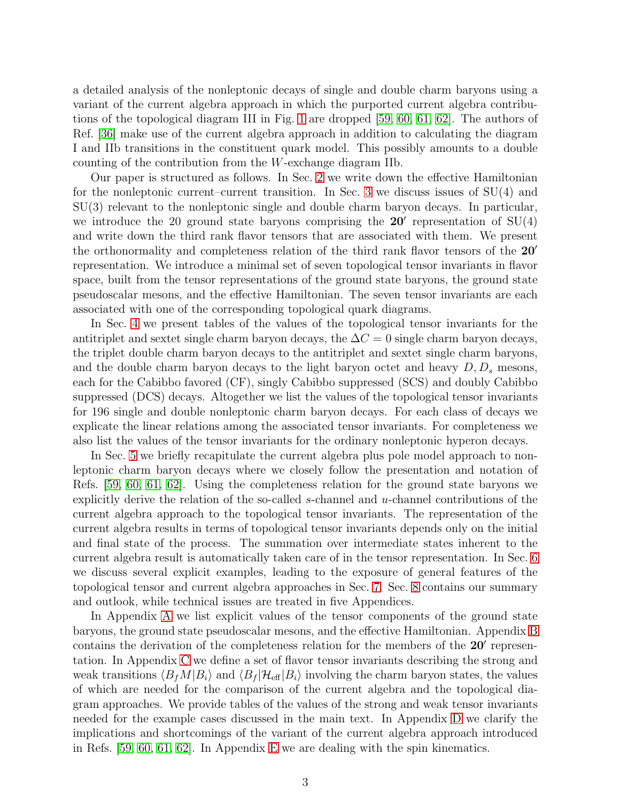a detailed analysis of the nonleptonic decays of single and double charm baryons using a variant of the current algebra approach in which the purported current algebra contributions of the topological diagram III in Fig. [1](#page-2-0) are dropped [\[59,](#page-62-10) [60,](#page-62-11) [61,](#page-62-12) [62\]](#page-62-13). The authors of Ref. [\[36\]](#page-61-3) make use of the current algebra approach in addition to calculating the diagram I and IIb transitions in the constituent quark model. This possibly amounts to a double counting of the contribution from the W-exchange diagram IIb.

Our paper is structured as follows. In Sec. [2](#page-4-0) we write down the effective Hamiltonian for the nonleptonic current–current transition. In Sec. [3](#page-5-0) we discuss issues of SU(4) and SU(3) relevant to the nonleptonic single and double charm baryon decays. In particular, we introduce the 20 ground state baryons comprising the  $20'$  representation of  $SU(4)$ and write down the third rank flavor tensors that are associated with them. We present the orthonormality and completeness relation of the third rank flavor tensors of the 20′ representation. We introduce a minimal set of seven topological tensor invariants in flavor space, built from the tensor representations of the ground state baryons, the ground state pseudoscalar mesons, and the effective Hamiltonian. The seven tensor invariants are each associated with one of the corresponding topological quark diagrams.

In Sec. [4](#page-11-0) we present tables of the values of the topological tensor invariants for the antitriplet and sextet single charm baryon decays, the  $\Delta C = 0$  single charm baryon decays, the triplet double charm baryon decays to the antitriplet and sextet single charm baryons, and the double charm baryon decays to the light baryon octet and heavy  $D, D_s$  mesons, each for the Cabibbo favored (CF), singly Cabibbo suppressed (SCS) and doubly Cabibbo suppressed (DCS) decays. Altogether we list the values of the topological tensor invariants for 196 single and double nonleptonic charm baryon decays. For each class of decays we explicate the linear relations among the associated tensor invariants. For completeness we also list the values of the tensor invariants for the ordinary nonleptonic hyperon decays.

In Sec. [5](#page-26-0) we briefly recapitulate the current algebra plus pole model approach to nonleptonic charm baryon decays where we closely follow the presentation and notation of Refs. [\[59,](#page-62-10) [60,](#page-62-11) [61,](#page-62-12) [62\]](#page-62-13). Using the completeness relation for the ground state baryons we explicitly derive the relation of the so-called s-channel and  $u$ -channel contributions of the current algebra approach to the topological tensor invariants. The representation of the current algebra results in terms of topological tensor invariants depends only on the initial and final state of the process. The summation over intermediate states inherent to the current algebra result is automatically taken care of in the tensor representation. In Sec. [6](#page-31-0) we discuss several explicit examples, leading to the exposure of general features of the topological tensor and current algebra approaches in Sec. [7.](#page-38-0) Sec. [8](#page-45-0) contains our summary and outlook, while technical issues are treated in five Appendices.

In Appendix [A](#page-46-0) we list explicit values of the tensor components of the ground state baryons, the ground state pseudoscalar mesons, and the effective Hamiltonian. Appendix [B](#page-49-0) contains the derivation of the completeness relation for the members of the 20' representation. In Appendix [C](#page-49-1) we define a set of flavor tensor invariants describing the strong and weak transitions  $\langle B_f M | B_i \rangle$  and  $\langle B_f | H_{\text{eff}} | B_i \rangle$  involving the charm baryon states, the values of which are needed for the comparison of the current algebra and the topological diagram approaches. We provide tables of the values of the strong and weak tensor invariants needed for the example cases discussed in the main text. In Appendix [D](#page-55-0) we clarify the implications and shortcomings of the variant of the current algebra approach introduced in Refs. [\[59,](#page-62-10) [60,](#page-62-11) [61,](#page-62-12) [62\]](#page-62-13). In Appendix [E](#page-58-0) we are dealing with the spin kinematics.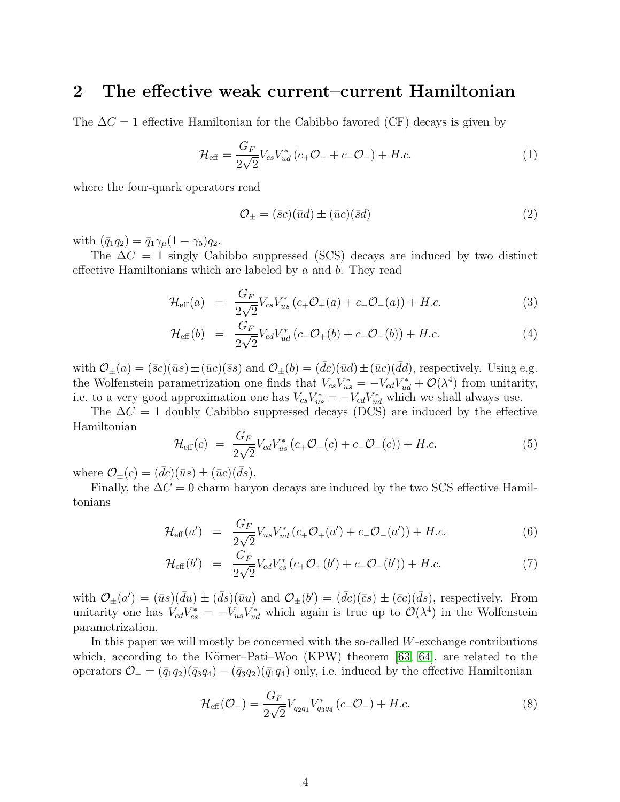### <span id="page-4-0"></span>2 The effective weak current–current Hamiltonian

The  $\Delta C = 1$  effective Hamiltonian for the Cabibbo favored (CF) decays is given by

$$
\mathcal{H}_{\text{eff}} = \frac{G_F}{2\sqrt{2}} V_{cs} V_{ud}^* (c_+ \mathcal{O}_+ + c_- \mathcal{O}_-) + H.c.
$$
 (1)

where the four-quark operators read

$$
\mathcal{O}_{\pm} = (\bar{s}c)(\bar{u}d) \pm (\bar{u}c)(\bar{s}d)
$$
\n<sup>(2)</sup>

with  $(\bar{q}_1q_2) = \bar{q}_1\gamma_{\mu}(1-\gamma_5)q_2$ .

The  $\Delta C = 1$  singly Cabibbo suppressed (SCS) decays are induced by two distinct effective Hamiltonians which are labeled by  $a$  and  $b$ . They read

$$
\mathcal{H}_{\text{eff}}(a) = \frac{G_F}{2\sqrt{2}} V_{cs} V_{us}^* (c_+ \mathcal{O}_+(a) + c_- \mathcal{O}_-(a)) + H.c.
$$
 (3)

$$
\mathcal{H}_{\text{eff}}(b) = \frac{G_F}{2\sqrt{2}} V_{cd} V_{ud}^* (c_+ \mathcal{O}_+(b) + c_- \mathcal{O}_-(b)) + H.c.
$$
 (4)

with  $\mathcal{O}_{\pm}(a) = (\bar{s}c)(\bar{u}s) \pm (\bar{u}c)(\bar{s}s)$  and  $\mathcal{O}_{\pm}(b) = (dc)(\bar{u}d) \pm (\bar{u}c)(dd)$ , respectively. Using e.g. the Wolfenstein parametrization one finds that  $V_{cs}V_{us}^* = -V_{cd}V_{ud}^* + \mathcal{O}(\lambda^4)$  from unitarity, i.e. to a very good approximation one has  $V_{cs}V_{us}^* = -V_{cd}V_{ud}^*$  which we shall always use.

The  $\Delta C = 1$  doubly Cabibbo suppressed decays (DCS) are induced by the effective Hamiltonian

<span id="page-4-2"></span>
$$
\mathcal{H}_{\text{eff}}(c) = \frac{G_F}{2\sqrt{2}} V_{cd} V_{us}^* (c_+ \mathcal{O}_+(c) + c_- \mathcal{O}_-(c)) + H.c.
$$
 (5)

where  $\mathcal{O}_{\pm}(c) = (dc)(\bar{u}s) \pm (\bar{u}c)(ds)$ .

Finally, the  $\Delta C = 0$  charm baryon decays are induced by the two SCS effective Hamiltonians

$$
\mathcal{H}_{\text{eff}}(a') = \frac{G_F}{2\sqrt{2}} V_{us} V_{ud}^* (c_+ \mathcal{O}_+(a') + c_- \mathcal{O}_-(a')) + H.c.
$$
 (6)

$$
\mathcal{H}_{\text{eff}}(b') = \frac{G_F}{2\sqrt{2}} V_{cd} V_{cs}^* (c_+ \mathcal{O}_+(b') + c_- \mathcal{O}_-(b')) + H.c.
$$
 (7)

with  $\mathcal{O}_{\pm}(a') = (\bar{u}s)(\bar{d}u) \pm (\bar{d}s)(\bar{u}u)$  and  $\mathcal{O}_{\pm}(b') = (\bar{d}c)(\bar{c}s) \pm (\bar{c}c)(\bar{d}s)$ , respectively. From unitarity one has  $V_{cd}V_{cs}^* = -V_{us}V_{ud}^*$  which again is true up to  $\mathcal{O}(\lambda^4)$  in the Wolfenstein parametrization.

In this paper we will mostly be concerned with the so-called  $W$ -exchange contributions which, according to the Körner–Pati–Woo  $(KPW)$  theorem [\[63,](#page-62-14) [64\]](#page-62-15), are related to the operators  $\mathcal{O}_- = (\bar{q}_1 q_2)(\bar{q}_3 q_4) - (\bar{q}_3 q_2)(\bar{q}_1 q_4)$  only, i.e. induced by the effective Hamiltonian

<span id="page-4-1"></span>
$$
\mathcal{H}_{\text{eff}}(\mathcal{O}_{-}) = \frac{G_F}{2\sqrt{2}} V_{q_2 q_1} V_{q_3 q_4}^* (c_- \mathcal{O}_{-}) + H.c.
$$
\n(8)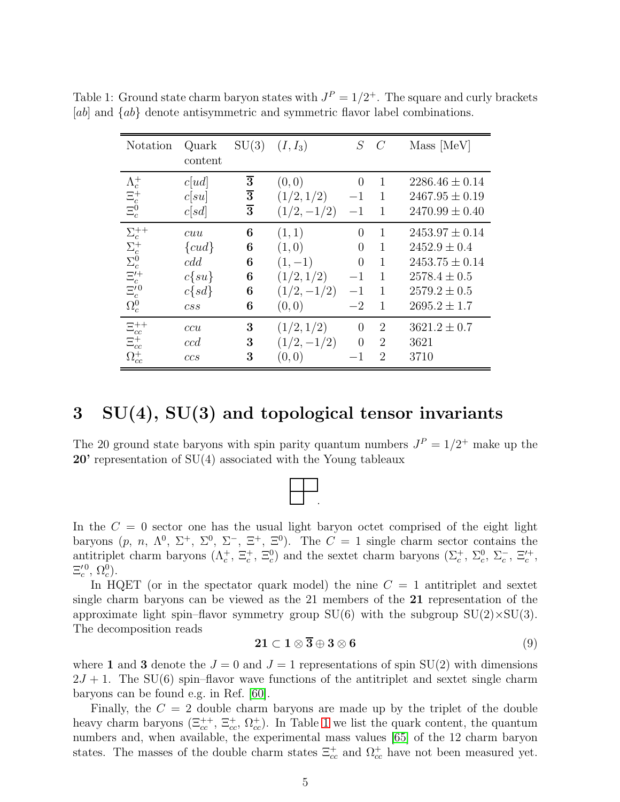<span id="page-5-1"></span>

| Notation                                                                                                              | Quark                               | SU(3)            | $(I, I_3)$    | S              | $\mathcal{C}_{0}^{(n)}$ | Mass [MeV]         |
|-----------------------------------------------------------------------------------------------------------------------|-------------------------------------|------------------|---------------|----------------|-------------------------|--------------------|
|                                                                                                                       | content                             |                  |               |                |                         |                    |
|                                                                                                                       | c[ud]                               | $\overline{3}$   | (0,0)         | $\theta$       | $\mathbf{1}$            | $2286.46 \pm 0.14$ |
|                                                                                                                       | c[su]                               | $\frac{1}{3}$    | (1/2, 1/2)    | $-1$           | $\mathbf{1}$            | $2467.95 \pm 0.19$ |
| $\begin{array}{l} \Lambda_c^+ \\ \Xi_c^+ \\ \Xi_c^0 \\ \end{array}$                                                   | c[sd]                               |                  | $(1/2, -1/2)$ | $-1$           | 1                       | $2470.99 \pm 0.40$ |
| $\begin{array}{l} \Sigma_c^{++}\\ \Sigma_c^{+}\\ \Sigma_c^{0}\\ \Xi_c^{'+}\\ \Xi_c^{'}0\\ \Omega_c^{0}\\ \end{array}$ | cuu                                 | $\boldsymbol{6}$ | (1, 1)        | $\Omega$       | 1                       | $2453.97 \pm 0.14$ |
|                                                                                                                       | $\{cud\}$                           | 6                | (1,0)         | $\overline{0}$ | 1                       | $2452.9 \pm 0.4$   |
|                                                                                                                       | cdd                                 | 6                | $(1,-1)$      | $\overline{0}$ | $\mathbf{1}$            | $2453.75 \pm 0.14$ |
|                                                                                                                       | $c\{su\}$                           | $\boldsymbol{6}$ | (1/2, 1/2)    | $-1$           | 1                       | $2578.4 \pm 0.5$   |
|                                                                                                                       | $c\{sd\}$                           | 6                | $(1/2,-1/2)$  | $-1$           | 1                       | $2579.2 \pm 0.5$   |
|                                                                                                                       | $\mathcal{C}\mathcal{S}\mathcal{S}$ | 6                | (0,0)         | $-2$           | 1                       | $2695.2 \pm 1.7$   |
|                                                                                                                       | ccu                                 | 3                | (1/2, 1/2)    | $\overline{0}$ | $\overline{2}$          | $3621.2 \pm 0.7$   |
| $\begin{array}{l} \Xi_{cc}^{++}\\ \Xi_{cc}^{+}\\ \Xi_{cc}^{+}\\ \end{array}$                                          | ccd                                 | 3                | $(1/2,-1/2)$  | $\theta$       | $\overline{2}$          | 3621               |
| $\Omega_{cc}^{+}$                                                                                                     | ccs                                 | 3                | (0, 0)        | $-1$           | 2                       | 3710               |

Table 1: Ground state charm baryon states with  $J^P = 1/2^+$ . The square and curly brackets [ab] and  $\{ab\}$  denote antisymmetric and symmetric flavor label combinations.

## <span id="page-5-0"></span> $3 \quad SU(4), SU(3)$  and topological tensor invariants

The 20 ground state baryons with spin parity quantum numbers  $J<sup>P</sup> = 1/2<sup>+</sup>$  make up the 20' representation of SU(4) associated with the Young tableaux

In the  $C = 0$  sector one has the usual light baryon octet comprised of the eight light baryons  $(p, n, \Lambda^0, \Sigma^+, \Sigma^0, \Sigma^-, \Xi^+, \Xi^0)$ . The  $C = 1$  single charm sector contains the antitriplet charm baryons  $(\Lambda_c^+, \Xi_c^+, \Xi_c^0)$  and the sextet charm baryons  $(\Sigma_c^+, \Sigma_c^0, \Sigma_c^-, \Xi_c^{\prime+},$  $\Xi_c^{\prime\,0},\,\Omega_c^0$ ).

In HQET (or in the spectator quark model) the nine  $C = 1$  antitriplet and sextet single charm baryons can be viewed as the 21 members of the 21 representation of the approximate light spin–flavor symmetry group  $SU(6)$  with the subgroup  $SU(2)\times SU(3)$ . The decomposition reads

$$
21 \subset 1 \otimes \overline{3} \oplus 3 \otimes 6 \tag{9}
$$

where 1 and 3 denote the  $J = 0$  and  $J = 1$  representations of spin  $SU(2)$  with dimensions  $2J + 1$ . The SU(6) spin–flavor wave functions of the antitriplet and sextet single charm baryons can be found e.g. in Ref. [\[60\]](#page-62-11).

Finally, the  $C = 2$  double charm baryons are made up by the triplet of the double heavy charm baryons  $(\Xi_{cc}^{++}, \Xi_{cc}^+, \Omega_{cc}^+)$ . In Table [1](#page-5-1) we list the quark content, the quantum numbers and, when available, the experimental mass values [\[65\]](#page-62-16) of the 12 charm baryon states. The masses of the double charm states  $\Xi_{cc}^{+}$  and  $\Omega_{cc}^{+}$  have not been measured yet.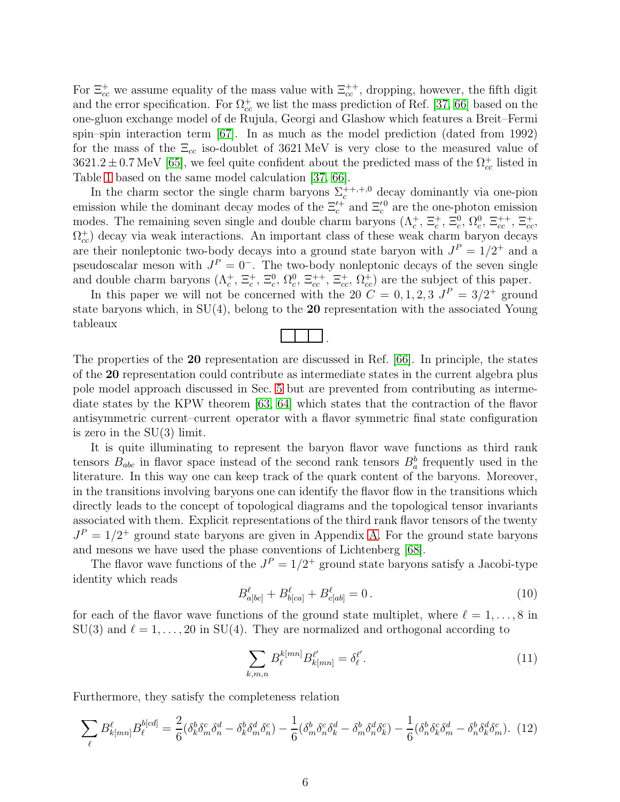For  $\Xi_{cc}^+$  we assume equality of the mass value with  $\Xi_{cc}^{++}$ , dropping, however, the fifth digit and the error specification. For  $\Omega_{cc}^+$  we list the mass prediction of Ref. [\[37,](#page-61-4) [66\]](#page-63-0) based on the one-gluon exchange model of de Rujula, Georgi and Glashow which features a Breit–Fermi spin–spin interaction term [\[67\]](#page-63-1). In as much as the model prediction (dated from 1992) for the mass of the  $\Xi_{cc}$  iso-doublet of 3621 MeV is very close to the measured value of  $3621.2 \pm 0.7$  MeV [\[65\]](#page-62-16), we feel quite confident about the predicted mass of the  $\Omega_{cc}^{+}$  listed in Table [1](#page-5-1) based on the same model calculation [\[37,](#page-61-4) [66\]](#page-63-0).

In the charm sector the single charm baryons  $\Sigma_c^{++,+,0}$  decay dominantly via one-pion emission while the dominant decay modes of the  $\Xi_c^{\prime+}$  and  $\Xi_c^{\prime0}$  are the one-photon emission modes. The remaining seven single and double charm baryons  $(\Lambda_c^+, \Xi_c^+, \Xi_c^0, \Omega_c^0, \Xi_{cc}^{++}, \Xi_{cc}^+, \Xi_{cc}^+)$  $\Omega_{cc}^{\dagger}$ ) decay via weak interactions. An important class of these weak charm baryon decays are their nonleptonic two-body decays into a ground state baryon with  $J<sup>P</sup> = 1/2<sup>+</sup>$  and a pseudoscalar meson with  $J^P = 0^-$ . The two-body nonleptonic decays of the seven single and double charm baryons  $(\Lambda_c^+, \Xi_c^+, \Xi_c^0, \Omega_c^0, \Xi_{cc}^{++}, \Xi_{cc}^+, \Omega_{cc}^+)$  are the subject of this paper.

In this paper we will not be concerned with the 20  $C = 0, 1, 2, 3$   $J<sup>P</sup> = 3/2<sup>+</sup>$  ground state baryons which, in  $SU(4)$ , belong to the 20 representation with the associated Young tableaux

The properties of the 20 representation are discussed in Ref. [\[66\]](#page-63-0). In principle, the states of the 20 representation could contribute as intermediate states in the current algebra plus pole model approach discussed in Sec. [5](#page-26-0) but are prevented from contributing as intermediate states by the KPW theorem [\[63,](#page-62-14) [64\]](#page-62-15) which states that the contraction of the flavor antisymmetric current–current operator with a flavor symmetric final state configuration is zero in the SU(3) limit.

It is quite illuminating to represent the baryon flavor wave functions as third rank tensors  $B_{abc}$  in flavor space instead of the second rank tensors  $B_a^b$  frequently used in the literature. In this way one can keep track of the quark content of the baryons. Moreover, in the transitions involving baryons one can identify the flavor flow in the transitions which directly leads to the concept of topological diagrams and the topological tensor invariants associated with them. Explicit representations of the third rank flavor tensors of the twenty  $J<sup>P</sup> = 1/2$ <sup>+</sup> ground state baryons are given in Appendix [A.](#page-46-0) For the ground state baryons and mesons we have used the phase conventions of Lichtenberg [\[68\]](#page-63-2).

The flavor wave functions of the  $J^P = 1/2^+$  ground state baryons satisfy a Jacobi-type identity which reads

<span id="page-6-1"></span>
$$
B^{\ell}_{a[bc]} + B^{\ell}_{b[ca]} + B^{\ell}_{c[ab]} = 0.
$$
\n(10)

for each of the flavor wave functions of the ground state multiplet, where  $\ell = 1, \ldots, 8$  in  $SU(3)$  and  $\ell = 1, \ldots, 20$  in  $SU(4)$ . They are normalized and orthogonal according to

<span id="page-6-2"></span>
$$
\sum_{k,m,n} B_{\ell}^{k[mn]} B_{k[mn]}^{\ell'} = \delta_{\ell}^{\ell'}.
$$
\n(11)

Furthermore, they satisfy the completeness relation

<span id="page-6-0"></span>
$$
\sum_{\ell} B_{k[mn]}^{\ell} B_{\ell}^{b[cd]} = \frac{2}{6} (\delta_{k}^{b} \delta_{m}^{c} \delta_{n}^{d} - \delta_{k}^{b} \delta_{m}^{d} \delta_{n}^{c}) - \frac{1}{6} (\delta_{m}^{b} \delta_{n}^{c} \delta_{k}^{d} - \delta_{m}^{b} \delta_{n}^{d} \delta_{k}^{c}) - \frac{1}{6} (\delta_{n}^{b} \delta_{k}^{c} \delta_{m}^{d} - \delta_{n}^{b} \delta_{k}^{d} \delta_{m}^{c}).
$$
 (12)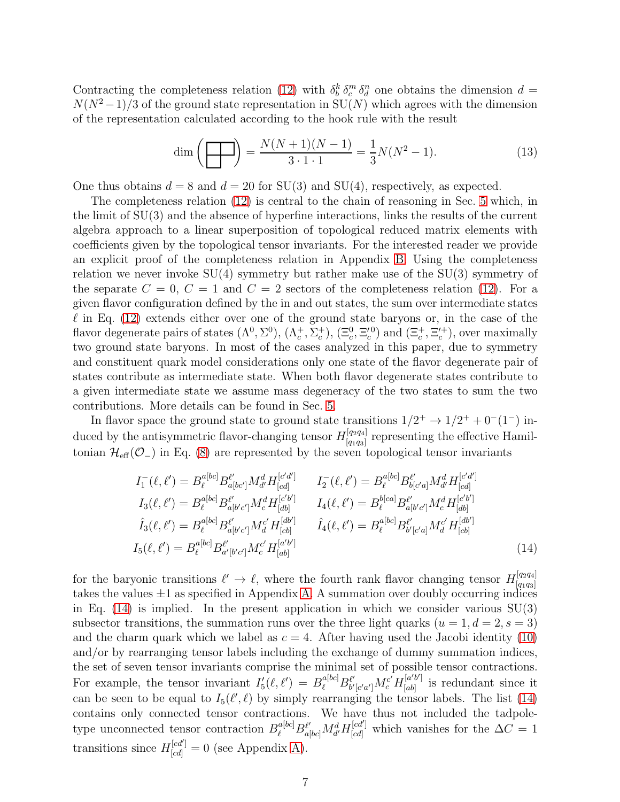Contracting the completeness relation [\(12\)](#page-6-0) with  $\delta_b^k \delta_c^m \delta_d^n$  one obtains the dimension  $d =$  $N(N^2-1)/3$  of the ground state representation in  $SU(N)$  which agrees with the dimension of the representation calculated according to the hook rule with the result

$$
\dim\left(\frac{1}{\sqrt{1-\frac{1}{3}}}\right) = \frac{N(N+1)(N-1)}{3 \cdot 1 \cdot 1} = \frac{1}{3}N(N^2-1). \tag{13}
$$

One thus obtains  $d = 8$  and  $d = 20$  for SU(3) and SU(4), respectively, as expected.

The completeness relation [\(12\)](#page-6-0) is central to the chain of reasoning in Sec. [5](#page-26-0) which, in the limit of SU(3) and the absence of hyperfine interactions, links the results of the current algebra approach to a linear superposition of topological reduced matrix elements with coefficients given by the topological tensor invariants. For the interested reader we provide an explicit proof of the completeness relation in Appendix [B.](#page-49-0) Using the completeness relation we never invoke  $SU(4)$  symmetry but rather make use of the  $SU(3)$  symmetry of the separate  $C = 0, C = 1$  and  $C = 2$  sectors of the completeness relation [\(12\)](#page-6-0). For a given flavor configuration defined by the in and out states, the sum over intermediate states  $\ell$  in Eq. [\(12\)](#page-6-0) extends either over one of the ground state baryons or, in the case of the flavor degenerate pairs of states  $(\Lambda^0, \Sigma^0)$ ,  $(\Lambda_c^+, \Sigma_c^+)$ ,  $(\Xi_c^0, \Xi_c^{\prime 0})$  and  $(\Xi_c^+, \Xi_c^{\prime +})$ , over maximally two ground state baryons. In most of the cases analyzed in this paper, due to symmetry and constituent quark model considerations only one state of the flavor degenerate pair of states contribute as intermediate state. When both flavor degenerate states contribute to a given intermediate state we assume mass degeneracy of the two states to sum the two contributions. More details can be found in Sec. [5.](#page-26-0)

In flavor space the ground state to ground state transitions  $1/2^+ \rightarrow 1/2^+ + 0^-(1^-)$  induced by the antisymmetric flavor-changing tensor  $H_{[q_1q_2]}^{[q_2q_4]}$  $[q_1q_3]$  representing the effective Hamiltonian  $\mathcal{H}_{\text{eff}}(\mathcal{O}_-)$  in Eq. [\(8\)](#page-4-1) are represented by the seven topological tensor invariants

<span id="page-7-0"></span>
$$
I_{1}^{-}(\ell, \ell') = B_{\ell}^{a[bc]} B_{a[bc']}^{\ell'} M_{d'}^{d} H_{[cd]}^{[c'd']} \qquad I_{2}^{-}(\ell, \ell') = B_{\ell}^{a[bc]} B_{b[c'a]}^{\ell'} M_{d'}^{d} H_{[cd]}^{[c'd']}
$$
  
\n
$$
I_{3}(\ell, \ell') = B_{\ell}^{a[bc]} B_{a[b'c']}^{\ell'} M_{c}^{d} H_{[db]}^{[c'b']} \qquad I_{4}(\ell, \ell') = B_{\ell}^{b[ca]} B_{a[b'c']}^{\ell'} M_{c}^{d} H_{[db]}^{[c'b']}
$$
  
\n
$$
\hat{I}_{3}(\ell, \ell') = B_{\ell}^{a[bc]} B_{a[b'c']}^{\ell'} M_{d}^{c'} H_{[cb]}^{[db']} \qquad \hat{I}_{4}(\ell, \ell') = B_{\ell}^{a[bc]} B_{b'[c'a]}^{\ell'} M_{d}^{c'} H_{[cb]}^{[db']}
$$
  
\n
$$
I_{5}(\ell, \ell') = B_{\ell}^{a[bc]} B_{a'[b'c']}^{\ell'} M_{c}^{c'} H_{[ab]}^{[a'b']}
$$
\n
$$
(14)
$$

for the baryonic transitions  $\ell' \to \ell$ , where the fourth rank flavor changing tensor  $H_{q_1q_3}^{[q_2q_4]}$  $[q_1q_3]$ takes the values  $\pm 1$  as specified in Appendix [A.](#page-46-0) A summation over doubly occurring indices in Eq.  $(14)$  is implied. In the present application in which we consider various  $SU(3)$ subsector transitions, the summation runs over the three light quarks  $(u = 1, d = 2, s = 3)$ and the charm quark which we label as  $c = 4$ . After having used the Jacobi identity [\(10\)](#page-6-1) and/or by rearranging tensor labels including the exchange of dummy summation indices, the set of seven tensor invariants comprise the minimal set of possible tensor contractions. For example, the tensor invariant  $I_5'(\ell, \ell') = B_{\ell}^{\alpha[bc]} B_{b'}^{\ell'}$  $\frac{\ell'}{b'[c'a']}{M_c^{c'}} H^{[a'b']}_{[ab]}$  $[a^{b}]$  is redundant since it can be seen to be equal to  $I_5(\ell', \ell)$  by simply rearranging the tensor labels. The list [\(14\)](#page-7-0) contains only connected tensor contractions. We have thus not included the tadpoletype unconnected tensor contraction  $B_{\ell}^{a[bc]}B_{a[bc]}^{\ell'}M_{d'}^dH_{[cd]}^{[cd']}$  which vanishes for the  $\Delta C = 1$ transitions since  $H_{[cd]}^{[cd']} = 0$  (see Appendix [A\)](#page-46-0).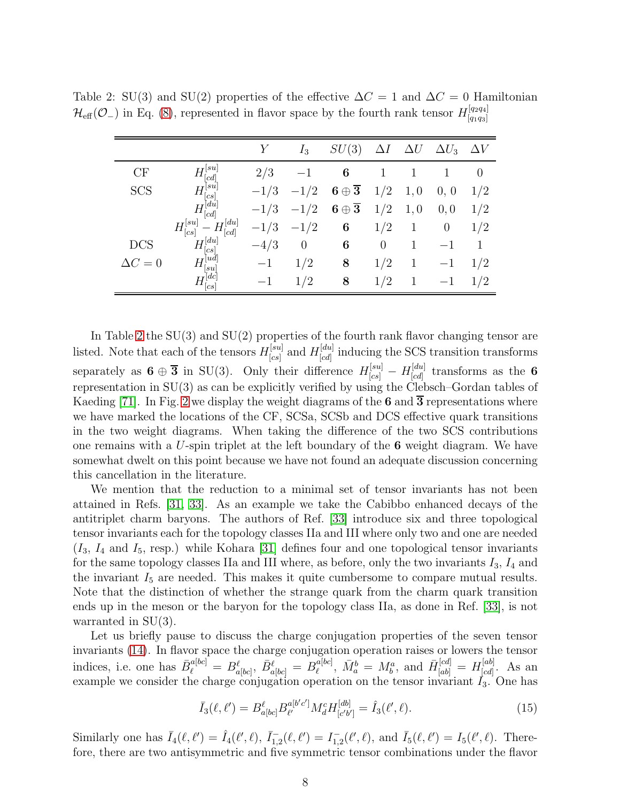<span id="page-8-0"></span>

|                |                                                                                                                                                                                                                                                                                                                                                                                                                                                                                                                                                                                                                 |        | $I_3$          | SU(3)                        | $\Delta I$     | $\Delta U$ | $\Delta U_3$ | $\Delta V$     |
|----------------|-----------------------------------------------------------------------------------------------------------------------------------------------------------------------------------------------------------------------------------------------------------------------------------------------------------------------------------------------------------------------------------------------------------------------------------------------------------------------------------------------------------------------------------------------------------------------------------------------------------------|--------|----------------|------------------------------|----------------|------------|--------------|----------------|
| CF             | $\lfloor su \rfloor$<br> cd                                                                                                                                                                                                                                                                                                                                                                                                                                                                                                                                                                                     | 2/3    |                | 6                            |                |            |              | $\overline{0}$ |
| <b>SCS</b>     | $\int$ <sup>su</sup><br>cs                                                                                                                                                                                                                                                                                                                                                                                                                                                                                                                                                                                      | $-1/3$ | $-1/2$         | $6 \oplus \overline{3}$      | 1/2            | 1,0        | 0, 0         | 1/2            |
|                | $\begin{bmatrix} du \\ cd \end{bmatrix}$<br>$H^{\mathfrak k}$                                                                                                                                                                                                                                                                                                                                                                                                                                                                                                                                                   | $-1/3$ | $-1/2$         | $\overline{3}$<br>$6 \oplus$ | 1/2            | 1,0        | 0, 0         | 1/2            |
|                | $H_{[cd]}^{[du]}$<br>$H_{[cs]}^{[su]}$                                                                                                                                                                                                                                                                                                                                                                                                                                                                                                                                                                          | $-1/3$ | $-1/2$         | 6                            | 1/2            | 1          | $\theta$     | 1/2            |
| <b>DCS</b>     | $H^{[du]}_{\scriptscriptstyle \rm f}$<br> cs                                                                                                                                                                                                                                                                                                                                                                                                                                                                                                                                                                    | $-4/3$ | $\overline{0}$ | 6                            | $\overline{0}$ | 1          |              | 1              |
| $\Delta C = 0$ | ud <br> su                                                                                                                                                                                                                                                                                                                                                                                                                                                                                                                                                                                                      | $-1$   | 1/2            | 8                            | 1/2            | 1          | $-1$         | 1/2            |
|                | $[dc]% \centering \includegraphics[width=0.9\columnwidth]{figures/fig_0.pdf} \caption{The figure shows the number of parameters for the top of the data. The left is the number of times, and the right is the number of times, and the right is the number of times, and the right is the number of times, and the right is the number of times, and the right is the number of times, and the right is the number of times, and the right is the number of times, and the right is the number of times, and the right is the number of times, and the right is the number of times.} \label{fig:circ}$<br> cs | $-1$   | 1/2            | 8                            | 1/2            |            |              | 1/2            |

Table 2: SU(3) and SU(2) properties of the effective  $\Delta C = 1$  and  $\Delta C = 0$  Hamiltonian  $\mathcal{H}_{\text{eff}}(\mathcal{O}_-)$  in Eq. [\(8\)](#page-4-1), represented in flavor space by the fourth rank tensor  $H_{[q_1q_3]}^{[q_2q_4]}$  $[q_1q_3]$ 

In Table [2](#page-8-0) the SU(3) and SU(2) properties of the fourth rank flavor changing tensor are listed. Note that each of the tensors  $H_{\text{[cs]}}^{[su]}$  $\alpha^{[su]}_{[cs]}$  and  $H^{[du]}_{[cd]}$  $\begin{bmatrix} [a\bar{a}] \ [c\bar{d}] \end{bmatrix}$  inducing the SCS transition transforms separately as  $\mathbf{6} \oplus \overline{\mathbf{3}}$  in SU(3). Only their difference  $H_{[cs]}^{[su]} - H_{[cd]}^{[du]}$  $\int_{[cd]}^{[du]}$  transforms as the 6 representation in SU(3) as can be explicitly verified by using the Clebsch–Gordan tables of Kaeding [\[71\]](#page-63-3). In Fig. [2](#page-9-0) we display the weight diagrams of the 6 and  $\overline{3}$  representations where we have marked the locations of the CF, SCSa, SCSb and DCS effective quark transitions in the two weight diagrams. When taking the difference of the two SCS contributions one remains with a  $U$ -spin triplet at the left boundary of the 6 weight diagram. We have somewhat dwelt on this point because we have not found an adequate discussion concerning this cancellation in the literature.

We mention that the reduction to a minimal set of tensor invariants has not been attained in Refs. [\[31,](#page-60-15) [33\]](#page-61-0). As an example we take the Cabibbo enhanced decays of the antitriplet charm baryons. The authors of Ref. [\[33\]](#page-61-0) introduce six and three topological tensor invariants each for the topology classes IIa and III where only two and one are needed  $(I_3, I_4 \text{ and } I_5 \text{, resp.)}$  while Kohara [\[31\]](#page-60-15) defines four and one topological tensor invariants for the same topology classes IIa and III where, as before, only the two invariants  $I_3$ ,  $I_4$  and the invariant  $I_5$  are needed. This makes it quite cumbersome to compare mutual results. Note that the distinction of whether the strange quark from the charm quark transition ends up in the meson or the baryon for the topology class IIa, as done in Ref. [\[33\]](#page-61-0), is not warranted in SU(3).

Let us briefly pause to discuss the charge conjugation properties of the seven tensor invariants [\(14\)](#page-7-0). In flavor space the charge conjugation operation raises or lowers the tensor indices, i.e. one has  $\bar{B}_{\ell}^{a[bc]} = B_{a[bc]}^{\ell}, \ \bar{B}_{a[bc]}^{\ell} = B_{\ell}^{a[bc]}$  $\bar{M}_{\ell}^{a[bc]},\ \bar{M}_{a}^{b} = M_{b}^{a},\text{ and }\ \bar{H}_{[ab]}^{[cd]} = H_{[cd]}^{[ab]}$  $[cd]$ . As an example we consider the charge conjugation operation on the tensor invariant  $I_3$ . One has

$$
\bar{I}_3(\ell, \ell') = B_{a[bc]}^{\ell} B_{\ell'}^{a[b'c']} M_d^c H_{[c'b']}^{[db]} = \hat{I}_3(\ell', \ell). \tag{15}
$$

Similarly one has  $\overline{I}_4(\ell, \ell') = \hat{I}_4(\ell', \ell), \overline{I}_{1,2}^-(\ell, \ell') = I_{1,2}^-(\ell', \ell), \text{ and } \overline{I}_5(\ell, \ell') = I_5(\ell', \ell).$  Therefore, there are two antisymmetric and five symmetric tensor combinations under the flavor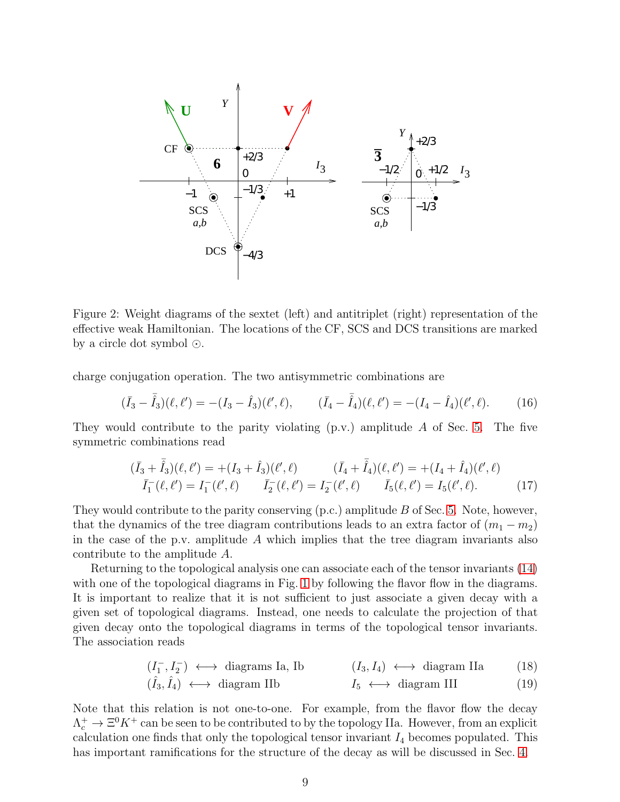

<span id="page-9-0"></span>Figure 2: Weight diagrams of the sextet (left) and antitriplet (right) representation of the effective weak Hamiltonian. The locations of the CF, SCS and DCS transitions are marked by a circle dot symbol ⊙.

charge conjugation operation. The two antisymmetric combinations are

$$
(\bar{I}_3 - \bar{\hat{I}}_3)(\ell, \ell') = -(I_3 - \hat{I}_3)(\ell', \ell), \qquad (\bar{I}_4 - \bar{\hat{I}}_4)(\ell, \ell') = -(I_4 - \hat{I}_4)(\ell', \ell). \tag{16}
$$

They would contribute to the parity violating  $(p.v.)$  amplitude  $A$  of Sec. [5.](#page-26-0) The five symmetric combinations read

$$
(\bar{I}_3 + \bar{\hat{I}}_3)(\ell, \ell') = +(I_3 + \hat{I}_3)(\ell', \ell) \qquad (\bar{I}_4 + \bar{\hat{I}}_4)(\ell, \ell') = +(I_4 + \hat{I}_4)(\ell', \ell) \n\bar{I}_1^-(\ell, \ell') = I_1^-(\ell', \ell) \qquad \bar{I}_2^-(\ell, \ell') = I_2^-(\ell', \ell) \qquad \bar{I}_5(\ell, \ell') = I_5(\ell', \ell). \qquad (17)
$$

They would contribute to the parity conserving (p.c.) amplitude B of Sec. [5.](#page-26-0) Note, however, that the dynamics of the tree diagram contributions leads to an extra factor of  $(m_1 - m_2)$ in the case of the p.v. amplitude  $A$  which implies that the tree diagram invariants also contribute to the amplitude A.

Returning to the topological analysis one can associate each of the tensor invariants [\(14\)](#page-7-0) with one of the topological diagrams in Fig. [1](#page-2-0) by following the flavor flow in the diagrams. It is important to realize that it is not sufficient to just associate a given decay with a given set of topological diagrams. Instead, one needs to calculate the projection of that given decay onto the topological diagrams in terms of the topological tensor invariants. The association reads

$$
(I_1^-, I_2^-) \longleftrightarrow \text{diagrams Ia, Ib} \qquad (I_3, I_4) \longleftrightarrow \text{diagram IIa} \qquad (18)
$$

$$
(\hat{I}_3, \hat{I}_4) \longleftrightarrow
$$
 diagram IIb  $I_5 \longleftrightarrow$  diagram III (19)

Note that this relation is not one-to-one. For example, from the flavor flow the decay  $\Lambda_c^+ \to \Xi^0 K^+$  can be seen to be contributed to by the topology IIa. However, from an explicit calculation one finds that only the topological tensor invariant  $I_4$  becomes populated. This has important ramifications for the structure of the decay as will be discussed in Sec. [4.](#page-11-0)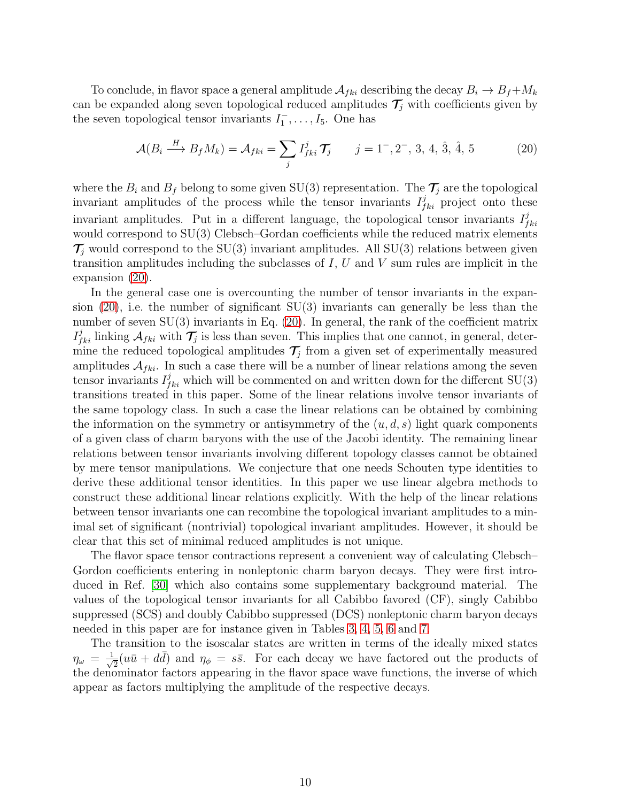To conclude, in flavor space a general amplitude  $A_{fki}$  describing the decay  $B_i \to B_f + M_k$ can be expanded along seven topological reduced amplitudes  $\mathcal{T}_i$  with coefficients given by the seven topological tensor invariants  $I_1^-, \ldots, I_5$ . One has

<span id="page-10-0"></span>
$$
\mathcal{A}(B_i \xrightarrow{H} B_f M_k) = \mathcal{A}_{fki} = \sum_j I_{fki}^j \mathcal{T}_j \qquad j = 1^-, 2^-, 3, 4, \hat{3}, \hat{4}, 5 \tag{20}
$$

where the  $B_i$  and  $B_f$  belong to some given SU(3) representation. The  $\mathcal{T}_j$  are the topological invariant amplitudes of the process while the tensor invariants  $I_{fki}^{j}$  project onto these invariant amplitudes. Put in a different language, the topological tensor invariants  $I_f^j$  $_{fki}$ would correspond to  $SU(3)$  Clebsch–Gordan coefficients while the reduced matrix elements  $\mathcal{T}_i$  would correspond to the SU(3) invariant amplitudes. All SU(3) relations between given transition amplitudes including the subclasses of  $I, U$  and  $V$  sum rules are implicit in the expansion [\(20\)](#page-10-0).

In the general case one is overcounting the number of tensor invariants in the expansion  $(20)$ , i.e. the number of significant  $SU(3)$  invariants can generally be less than the number of seven  $SU(3)$  invariants in Eq. [\(20\)](#page-10-0). In general, the rank of the coefficient matrix  $I_{fki}^j$  linking  $A_{fki}$  with  $\mathcal{T}_j$  is less than seven. This implies that one cannot, in general, determine the reduced topological amplitudes  $\mathcal{T}_j$  from a given set of experimentally measured amplitudes  $A_{fki}$ . In such a case there will be a number of linear relations among the seven tensor invariants  $I_{fki}^j$  which will be commented on and written down for the different SU(3) transitions treated in this paper. Some of the linear relations involve tensor invariants of the same topology class. In such a case the linear relations can be obtained by combining the information on the symmetry or antisymmetry of the  $(u, d, s)$  light quark components of a given class of charm baryons with the use of the Jacobi identity. The remaining linear relations between tensor invariants involving different topology classes cannot be obtained by mere tensor manipulations. We conjecture that one needs Schouten type identities to derive these additional tensor identities. In this paper we use linear algebra methods to construct these additional linear relations explicitly. With the help of the linear relations between tensor invariants one can recombine the topological invariant amplitudes to a minimal set of significant (nontrivial) topological invariant amplitudes. However, it should be clear that this set of minimal reduced amplitudes is not unique.

The flavor space tensor contractions represent a convenient way of calculating Clebsch– Gordon coefficients entering in nonleptonic charm baryon decays. They were first introduced in Ref. [\[30\]](#page-60-14) which also contains some supplementary background material. The values of the topological tensor invariants for all Cabibbo favored (CF), singly Cabibbo suppressed (SCS) and doubly Cabibbo suppressed (DCS) nonleptonic charm baryon decays needed in this paper are for instance given in Tables [3,](#page-12-0) [4,](#page-13-0) [5,](#page-14-0) [6](#page-15-0) and [7.](#page-16-0)

The transition to the isoscalar states are written in terms of the ideally mixed states  $\eta_\omega$  =  $\frac{1}{\sqrt{2}}$  $\frac{1}{2}(u\bar{u} + d\bar{d})$  and  $\eta_{\phi} = s\bar{s}$ . For each decay we have factored out the products of the denominator factors appearing in the flavor space wave functions, the inverse of which appear as factors multiplying the amplitude of the respective decays.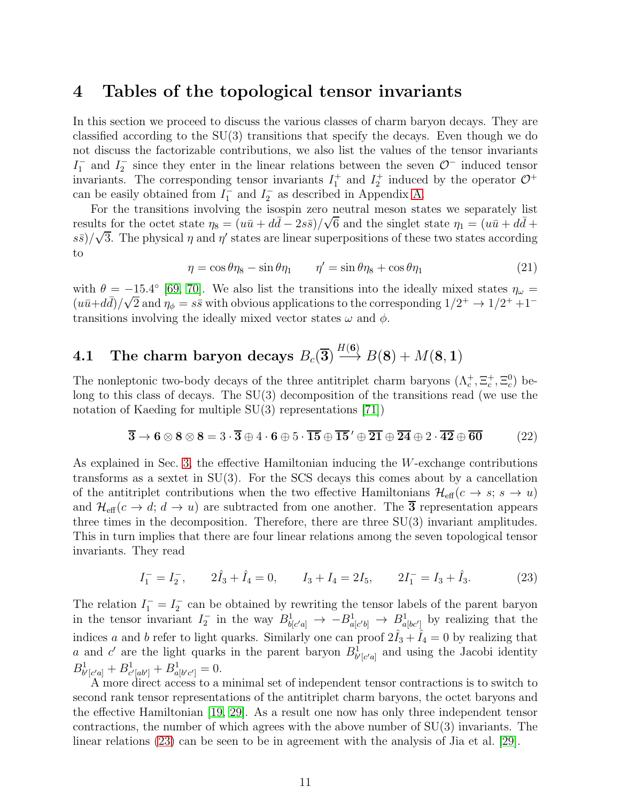### <span id="page-11-0"></span>4 Tables of the topological tensor invariants

In this section we proceed to discuss the various classes of charm baryon decays. They are classified according to the SU(3) transitions that specify the decays. Even though we do not discuss the factorizable contributions, we also list the values of the tensor invariants  $I_1^-$  and  $I_2^-$  since they enter in the linear relations between the seven  $\mathcal{O}^-$  induced tensor invariants. The corresponding tensor invariants  $I_1^+$  and  $I_2^+$  induced by the operator  $\mathcal{O}^+$ can be easily obtained from  $I_1^-$  and  $I_2^-$  as described in Appendix [A.](#page-46-0)

For the transitions involving the isospin zero neutral meson states we separately list results for the octet state  $\eta_8 = (u\bar{u} + d\bar{d} - 2s\bar{s})/\sqrt{6}$  and the singlet state  $\eta_1 = (u\bar{u} + d\bar{d} + \bar{d})$  $s\bar{s}/\sqrt{3}$ . The physical  $\eta$  and  $\eta'$  states are linear superpositions of these two states according to

$$
\eta = \cos \theta \eta_8 - \sin \theta \eta_1 \qquad \eta' = \sin \theta \eta_8 + \cos \theta \eta_1 \tag{21}
$$

with  $\theta = -15.4^{\circ}$  [\[69,](#page-63-4) [70\]](#page-63-5). We also list the transitions into the ideally mixed states  $\eta_{\omega} =$  $(u\bar{u}+d\bar{d})/\sqrt{2}$  and  $\eta_{\phi}=s\bar{s}$  with obvious applications to the corresponding  $1/2^+ \rightarrow 1/2^+ + 1^$ transitions involving the ideally mixed vector states  $\omega$  and  $\phi$ .

#### $\mathbf{4.1}\quad$  The charm baryon decays  $B_c(\mathbf{3})$  $H(\mathbf{6})$  $\longrightarrow B(8) + M(8, 1)$

The nonleptonic two-body decays of the three antitriplet charm baryons  $(\Lambda_c^+, \Xi_c^+, \Xi_c^0)$  belong to this class of decays. The SU(3) decomposition of the transitions read (we use the notation of Kaeding for multiple SU(3) representations [\[71\]](#page-63-3))

<span id="page-11-2"></span>
$$
\overline{3} \rightarrow 6 \otimes 8 \otimes 8 = 3 \cdot \overline{3} \oplus 4 \cdot 6 \oplus 5 \cdot \overline{15} \oplus \overline{15}' \oplus \overline{21} \oplus \overline{24} \oplus 2 \cdot \overline{42} \oplus \overline{60} \tag{22}
$$

As explained in Sec. [3,](#page-5-0) the effective Hamiltonian inducing the W-exchange contributions transforms as a sextet in  $SU(3)$ . For the SCS decays this comes about by a cancellation of the antitriplet contributions when the two effective Hamiltonians  $\mathcal{H}_{\text{eff}}(c \to s; s \to u)$ and  $\mathcal{H}_{\text{eff}}(c \to d; d \to u)$  are subtracted from one another. The  $\overline{3}$  representation appears three times in the decomposition. Therefore, there are three  $SU(3)$  invariant amplitudes. This in turn implies that there are four linear relations among the seven topological tensor invariants. They read

<span id="page-11-1"></span>
$$
I_1^- = I_2^-, \qquad 2\hat{I}_3 + \hat{I}_4 = 0, \qquad I_3 + I_4 = 2I_5, \qquad 2I_1^- = I_3 + \hat{I}_3. \tag{23}
$$

The relation  $I_1^- = I_2^-$  can be obtained by rewriting the tensor labels of the parent baryon in the tensor invariant  $I_2^-$  in the way  $B^1_{b[c'a]} \to -B^1_{a[c'b]} \to B^1_{a[bc']}$  by realizing that the indices a and b refer to light quarks. Similarly one can proof  $2\hat{I}_3 + \hat{I}_4 = 0$  by realizing that a and c' are the light quarks in the parent baryon  $B^1_{b'[c'a]}$  and using the Jacobi identity  $B^1_{b'[c'a]} + B^1_{c'[ab']} + B^1_{a[b'c']} = 0.$ 

A more direct access to a minimal set of independent tensor contractions is to switch to second rank tensor representations of the antitriplet charm baryons, the octet baryons and the effective Hamiltonian [\[19,](#page-60-3) [29\]](#page-60-13). As a result one now has only three independent tensor contractions, the number of which agrees with the above number of SU(3) invariants. The linear relations [\(23\)](#page-11-1) can be seen to be in agreement with the analysis of Jia et al. [\[29\]](#page-60-13).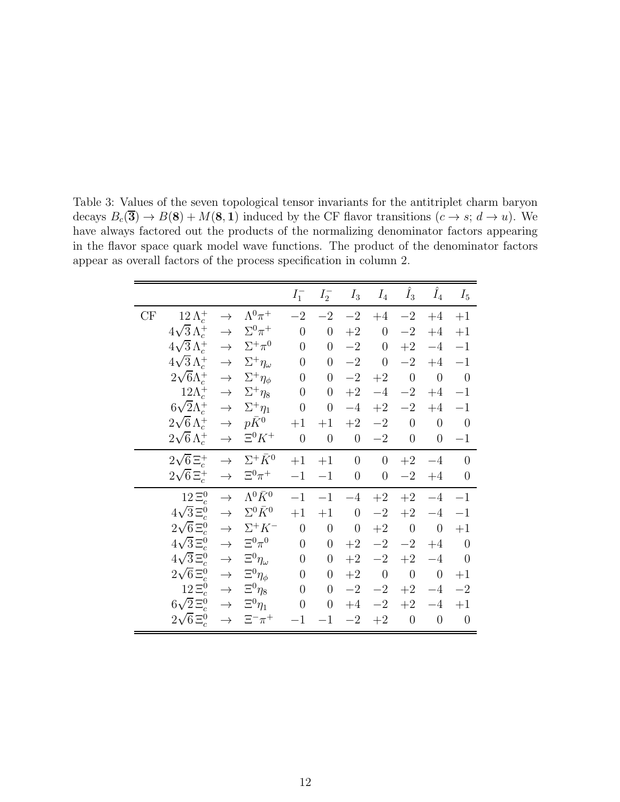<span id="page-12-0"></span>

|    |                                                    |               |                                | $I_1^-$          | $I_2^-$          | $I_3$            | $I_4$            | $\tilde{I}_3$    | $\hat{I}_4$      | $I_5$          |
|----|----------------------------------------------------|---------------|--------------------------------|------------------|------------------|------------------|------------------|------------------|------------------|----------------|
| CF | $12 \Lambda_c^+$                                   | $\rightarrow$ | $\Lambda^{0}\pi^{+}$           | $-2\,$           | $-2$             | $-2$             | $+4$             | $-2\,$           | $+4$             | $+1$           |
|    | $4\sqrt{3}\Lambda_c^+ \rightarrow \Sigma^0 \pi^+$  |               |                                | $\boldsymbol{0}$ | $\boldsymbol{0}$ | $+2$             | $\boldsymbol{0}$ | $-2$             | $+4$             | $+1$           |
|    | $4\sqrt{3}\,\Lambda_c^+ \rightarrow$               |               | $\Sigma^+\pi^0$                | $\theta$         | $\boldsymbol{0}$ | $-2$             | $\boldsymbol{0}$ | $+2$             | $-4$             | $-1$           |
|    | $4\sqrt{3}\,\Lambda_c^+ \rightarrow$               |               | $\Sigma^+\eta_\omega$          | $\theta$         | $\boldsymbol{0}$ | $-2$             | $\overline{0}$   | $-2$             | $+4$             | $-1$           |
|    | $2\sqrt{6}\Lambda_c^+ \rightarrow$                 |               | $\Sigma^+\eta_\phi$            | $\theta$         | $\boldsymbol{0}$ | $-2$             | $+2$             | $\overline{0}$   | $\theta$         | $\overline{0}$ |
|    | $12\Lambda_c^+ \rightarrow$                        |               | $\Sigma^+\eta_8$               | $\theta$         | $\boldsymbol{0}$ | $+2$             | $-4$             | $-2$             | $+4$             | $-1$           |
|    | $6\sqrt{2}\Lambda_c^+ \rightarrow$                 |               | $\Sigma^+\eta_1$               | $\boldsymbol{0}$ | $\boldsymbol{0}$ | $-4$             | $+2$             | $-2\,$           | $+4$             | $-1$           |
|    | $2\sqrt{6}\,\Lambda_c^+ \rightarrow$               |               | $p\bar{K}^0$                   | $+1$             | $+1$             | $+2$             | $-2$             | $\boldsymbol{0}$ | $\boldsymbol{0}$ | $\overline{0}$ |
|    | $2\sqrt{6} \Lambda_c^+ \rightarrow$                |               | $\Xi^0 K^+$                    | $\theta$         | $\theta$         | $\boldsymbol{0}$ | $-2$             | $\theta$         | $\overline{0}$   | $-1$           |
|    | $2\sqrt{6} \Xi_c^+ \rightarrow \Sigma^+ \bar{K}^0$ |               |                                | $+1$             | $+1$             | $\boldsymbol{0}$ | $\overline{0}$   | $+2$             | $-4$             | $\theta$       |
|    | $2\sqrt{6} \Xi_c^+ \rightarrow \Xi^0 \pi^+$        |               |                                | $-1$             | $-1$             | $\boldsymbol{0}$ | $\boldsymbol{0}$ | $-2$             | $+4$             | $\theta$       |
|    | $12\Xi_c^0$                                        | $\rightarrow$ | $\Lambda^{0}\bar{K}^{0}$       | $-1$             | $-1$             | $-4$             | $+2$             | $+2$             | $-4$             | $-1$           |
|    | $4\sqrt{3}\,\Xi_c^0$                               | $\rightarrow$ | $\Sigma^0 \bar{K}^0$           | $+1$             | $+1$             | $\boldsymbol{0}$ | $-2\,$           | $+2$             | $-4$             | $-1$           |
|    | $2\sqrt{6} \Xi_c^0$                                | $\rightarrow$ | $\Sigma^+ K^-$                 | $\theta$         | $\boldsymbol{0}$ | $\boldsymbol{0}$ | $\!+2$           | $\theta$         | $\theta$         | $+1$           |
|    | $4\sqrt{3}\,\Xi_c^0$                               | $\rightarrow$ | $\Xi^0\pi^0$                   | $\theta$         | $\boldsymbol{0}$ | $+2$             |                  | $-2$ $-2$        | $+4$             | $\theta$       |
|    | $4\sqrt{3}\,\Xi_c^0$                               | $\rightarrow$ | $\Xi^0 \eta_\omega$            | $\boldsymbol{0}$ | $\boldsymbol{0}$ | $+2$             | $-2$             | $+2$             | $-4$             | $\theta$       |
|    | $2\sqrt{6}\,\Xi_c^0$                               | $\rightarrow$ | $\Xi^0 \eta_\phi$              | $\theta$         | $\overline{0}$   |                  | $+2$ 0           | $\boldsymbol{0}$ | $\overline{0}$   | $+1$           |
|    | $12\Xi_c^0$                                        | $\rightarrow$ | $\Xi^0 \eta_8$                 | $\theta$         | $\boldsymbol{0}$ |                  | $-2$ $-2$        | $+2$             | $-4$             | $-2$           |
|    | $6\sqrt{2} \Xi_c^0$                                | $\rightarrow$ | $\Xi^0\eta_1$                  | $\boldsymbol{0}$ | $\overline{0}$   | $+4$             | $-2$             | $+2$             | $-4$             | $+1$           |
|    | $2\sqrt{6}\,\Xi_c^0$                               |               | $\rightarrow$ $\Xi^{-}\pi^{+}$ |                  |                  |                  |                  |                  |                  |                |

Table 3: Values of the seven topological tensor invariants for the antitriplet charm baryon decays  $B_c(\overline{3}) \to B(8) + M(8, 1)$  induced by the CF flavor transitions  $(c \to s; d \to u)$ . We have always factored out the products of the normalizing denominator factors appearing in the flavor space quark model wave functions. The product of the denominator factors appear a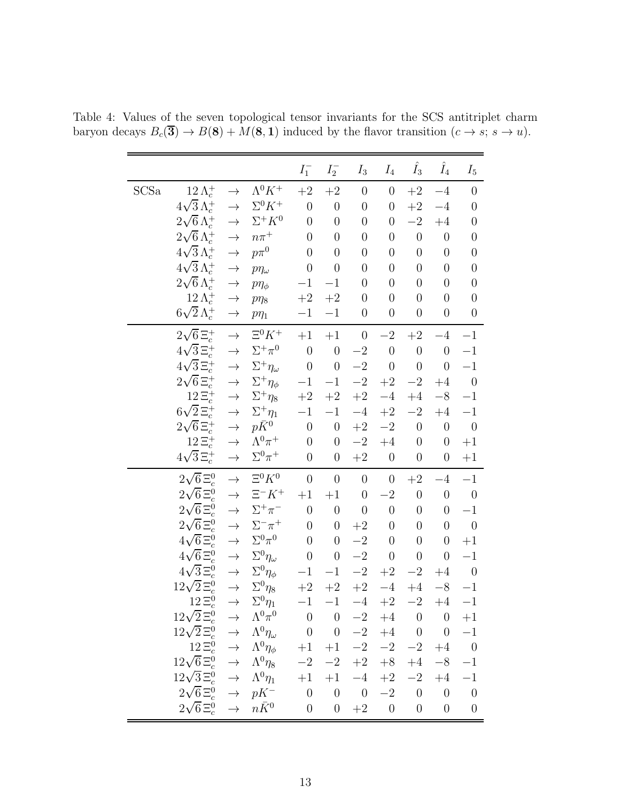<span id="page-13-0"></span>

|      |                                                                                                                                |               |                                                                                                                                                                                                                             | $I_1^-$          | $I_2^-$                           | $I_3$                             | $I_4$            | $I_3$            | $\hat{I}_4$      | $I_5$                    |
|------|--------------------------------------------------------------------------------------------------------------------------------|---------------|-----------------------------------------------------------------------------------------------------------------------------------------------------------------------------------------------------------------------------|------------------|-----------------------------------|-----------------------------------|------------------|------------------|------------------|--------------------------|
| SCSa | $12\,\Lambda_c^+$                                                                                                              | $\rightarrow$ | $\Lambda^0 K^+$                                                                                                                                                                                                             | $+2$             | $\!+2$                            | $\boldsymbol{0}$                  | $\boldsymbol{0}$ | $+2$             | $-4$             | $\boldsymbol{0}$         |
|      | $4\sqrt{3}\,\Lambda_c^+$                                                                                                       | $\rightarrow$ | $\Sigma^0 K^+$                                                                                                                                                                                                              | $\overline{0}$   | $\boldsymbol{0}$                  | $\boldsymbol{0}$                  | $\boldsymbol{0}$ | $\!+2$           | $-4$             | $\boldsymbol{0}$         |
|      | $2\sqrt{6} \Lambda_c^+$                                                                                                        | $\rightarrow$ | $\Sigma^+ K^0$                                                                                                                                                                                                              | $\overline{0}$   | $\boldsymbol{0}$                  | $\boldsymbol{0}$                  | $\boldsymbol{0}$ | $-2$             | $+4$             | $\boldsymbol{0}$         |
|      | $2\sqrt{6} \Lambda_c^+$                                                                                                        | $\rightarrow$ | $n\pi^+$                                                                                                                                                                                                                    | $\overline{0}$   | $\boldsymbol{0}$                  | $\boldsymbol{0}$                  | $\boldsymbol{0}$ | $\overline{0}$   | $\boldsymbol{0}$ | $\overline{0}$           |
|      | $4\sqrt{3} \Lambda_c^+$                                                                                                        | $\rightarrow$ | $p\pi^0$                                                                                                                                                                                                                    | $\boldsymbol{0}$ | $\boldsymbol{0}$                  | $\boldsymbol{0}$                  | $\boldsymbol{0}$ | $\boldsymbol{0}$ | $\boldsymbol{0}$ | $\boldsymbol{0}$         |
|      | $4\sqrt{3} \Lambda_c^+$                                                                                                        | $\rightarrow$ | $p\eta_\omega$                                                                                                                                                                                                              | $\boldsymbol{0}$ | $\boldsymbol{0}$                  | $\boldsymbol{0}$                  | $\overline{0}$   | $\boldsymbol{0}$ | $\boldsymbol{0}$ | $\boldsymbol{0}$         |
|      | $2\sqrt{6} \Lambda_c^+$                                                                                                        | $\rightarrow$ | $p\eta_{\phi}$                                                                                                                                                                                                              | $-1$             | $-1$                              | $\boldsymbol{0}$                  | $\overline{0}$   | $\boldsymbol{0}$ | $\boldsymbol{0}$ | $\boldsymbol{0}$         |
|      | $12\,\Lambda_c^+$                                                                                                              | $\rightarrow$ | $p\eta_8$                                                                                                                                                                                                                   | $\!+2$           | $\!+2$                            | $\boldsymbol{0}$                  | $\overline{0}$   | $\boldsymbol{0}$ | $\boldsymbol{0}$ | $\boldsymbol{0}$         |
|      | $6\sqrt{2} \Lambda_c^+$                                                                                                        | $\rightarrow$ | $p\eta_1$                                                                                                                                                                                                                   | $-1$             | $-1$                              | $\boldsymbol{0}$                  | $\boldsymbol{0}$ | $\boldsymbol{0}$ | $\boldsymbol{0}$ | $\boldsymbol{0}$         |
|      | $2\sqrt{6} \, \Xi_c^+$                                                                                                         | $\rightarrow$ | $\Xi^0 K^+$                                                                                                                                                                                                                 | $\!+\!1$         | $\hspace{0.02in}+1$               | $\boldsymbol{0}$                  | $-2\,$           | $\!+2$           | $-4$             | $-1$                     |
|      | $4\sqrt{3}\,\Xi_c^+$                                                                                                           | $\rightarrow$ | $\Sigma^+\pi^0$                                                                                                                                                                                                             | $\overline{0}$   | $\boldsymbol{0}$                  | $-2\,$                            | $\boldsymbol{0}$ | $\boldsymbol{0}$ | $\boldsymbol{0}$ | $-1$                     |
|      | $4\sqrt{3}\,\Xi_c^+$                                                                                                           | $\rightarrow$ | $\Sigma^+ \eta_{\omega}$                                                                                                                                                                                                    | $\boldsymbol{0}$ | $\boldsymbol{0}$                  | $-2$                              | $\boldsymbol{0}$ | $\boldsymbol{0}$ | $\boldsymbol{0}$ | $-1$                     |
|      | $2\sqrt{6}\,\Xi_c^+$                                                                                                           | $\rightarrow$ | $\Sigma^+ \eta_\phi$                                                                                                                                                                                                        | $-1\,$           | $-1$                              | $-2\,$                            | $\!+2$           | $-2$             | $+4$             | $\overline{\phantom{0}}$ |
|      | $12\Xi_c^+$                                                                                                                    | $\rightarrow$ | $\Sigma^+ \eta_8$                                                                                                                                                                                                           | $\!+2$           | $\!+2$                            | $\!+2$                            | $-4$             | $+4$             | $-8\,$           | $-1$                     |
|      | $6\sqrt{2} \Xi_c^+$                                                                                                            | $\rightarrow$ | $\Sigma^+ \eta_1$                                                                                                                                                                                                           | $-1$             | $-1$                              | $-4\,$                            | $+2$             | $-2$             | $+4$             | $-1$                     |
|      | $2\sqrt{6}\, \Xi_c^+$                                                                                                          | $\rightarrow$ | $p\bar K^0$                                                                                                                                                                                                                 | $\overline{0}$   | $\boldsymbol{0}$                  | $\!+2$                            | $-2\,$           | $\boldsymbol{0}$ | $\boldsymbol{0}$ | $\boldsymbol{0}$         |
|      | $12\,\Xi_c^+$                                                                                                                  | $\rightarrow$ | $\Lambda^0\pi^+$                                                                                                                                                                                                            | $\boldsymbol{0}$ | $\boldsymbol{0}$                  | $-2\,$                            | $+4$             | $\boldsymbol{0}$ | $\boldsymbol{0}$ | $+1$                     |
|      | $4\sqrt{3}\,\Xi_c^+$                                                                                                           | $\rightarrow$ | $\Sigma^0\pi^+$                                                                                                                                                                                                             | $\boldsymbol{0}$ | $\boldsymbol{0}$                  | $\!+2$                            | $\boldsymbol{0}$ | $\boldsymbol{0}$ | $\boldsymbol{0}$ | $+1$                     |
|      | $2\sqrt{6}\,\Xi_c^0$                                                                                                           | $\rightarrow$ | $\Xi^0 K^0$                                                                                                                                                                                                                 | $\boldsymbol{0}$ | $\theta$                          | $\boldsymbol{0}$                  | $\boldsymbol{0}$ | $\!+2$           | $-4$             | $-1$                     |
|      | $2\sqrt{6}\,\Xi_c^0$                                                                                                           | $\rightarrow$ | $\Xi^- K^+$                                                                                                                                                                                                                 | $+1$             | $+1$                              | $\boldsymbol{0}$                  | $-2$             | $\boldsymbol{0}$ | $\boldsymbol{0}$ | $\boldsymbol{0}$         |
|      | $2\sqrt{6}\,\Xi_c^0$                                                                                                           | $\rightarrow$ | $\Sigma^+\pi^-$                                                                                                                                                                                                             | $\overline{0}$   | $\boldsymbol{0}$                  | $\theta$                          | $\overline{0}$   | $\boldsymbol{0}$ | $\boldsymbol{0}$ | $-1$                     |
|      | $2\sqrt{6}\,\Xi_c^0$                                                                                                           | $\rightarrow$ | $\Sigma^-\pi^+$                                                                                                                                                                                                             | $\boldsymbol{0}$ | $\boldsymbol{0}$                  | $\!+2$                            | $\boldsymbol{0}$ | $\boldsymbol{0}$ | $\boldsymbol{0}$ | $\boldsymbol{0}$         |
|      | $4\sqrt{6}\,\Xi_c^0$                                                                                                           | $\rightarrow$ | $\Sigma^0\pi^0$                                                                                                                                                                                                             | $\overline{0}$   | $\boldsymbol{0}$                  | $-2$                              | $\overline{0}$   | $\boldsymbol{0}$ | $\boldsymbol{0}$ | $+1$                     |
|      | $4\sqrt{6} \Xi_c^0$                                                                                                            | $\rightarrow$ | $\Sigma^0 \eta_{\omega}$                                                                                                                                                                                                    | $\boldsymbol{0}$ | $\boldsymbol{0}$                  | $-2\,$                            | $\boldsymbol{0}$ | $\boldsymbol{0}$ | $\boldsymbol{0}$ | $-1$                     |
|      | $4\sqrt{3}\,\Xi_c^0$                                                                                                           | $\rightarrow$ | $\Sigma^0 \eta_\phi$                                                                                                                                                                                                        | $-1\,$           | $-1$                              | $-2\,$                            | $+2\,$           | $-2$             | $+4$             | $\overline{\phantom{0}}$ |
|      | $12\sqrt{2} \Xi_c^0$                                                                                                           | $\rightarrow$ | $\Sigma^0\eta_8$                                                                                                                                                                                                            | $\!+2$           | $\!+2$                            | $+2$                              | $-4\,$           | $+4$             | $-8\,$           | $-1$                     |
|      | $12\,\Xi_c^0$                                                                                                                  |               | $\rightarrow \quad \Sigma^0 \eta_1$                                                                                                                                                                                         | $-1$ $-1$        |                                   |                                   |                  | $-4$ $+2$ $-2$   | $+4$             | $-1$                     |
|      | $12\sqrt{2} \Xi_c^0$                                                                                                           |               |                                                                                                                                                                                                                             | $\boldsymbol{0}$ | $\overline{0}$                    | $-2$                              | $+4$             | $\boldsymbol{0}$ | $\overline{0}$   | $+1$                     |
|      | $12\sqrt{2} \Xi_c^0$                                                                                                           |               |                                                                                                                                                                                                                             | $\overline{0}$   | $\begin{array}{cc} 0 \end{array}$ | $-2$                              |                  | $+4$ 0           | $\overline{0}$   | $-1\,$                   |
|      |                                                                                                                                |               | $\begin{array}{ccc} \sqrt{2} \, \Xi_c^0 & \to & \Lambda^0 \pi^0 \ \sqrt{2} \, \Xi_c^0 & \to & \Lambda^0 \eta_\omega \ 12 \, \Xi_c^0 & \to & \Lambda^0 \eta_\phi \ \sqrt{6} \, \Xi_c^0 & \to & \Lambda^0 \eta_8 \end{array}$ |                  | $+1$ $+1$                         | $-2$                              | $-2$             | $-2$             | $+4$ 0           |                          |
|      | $12\sqrt{6} \Xi_c^0$                                                                                                           |               | $\Lambda^0\eta_8$                                                                                                                                                                                                           |                  | $-2$ $-2$ $+2$ $+8$ $+4$          |                                   |                  |                  | $-8$             | $-1\,$                   |
|      | $2\sqrt{3} \Xi_c^0 \rightarrow$<br>$2\sqrt{6} \Xi_c^0 \rightarrow$<br>$2\sqrt{6} \Xi_c^0 \rightarrow$<br>$12\sqrt{3}\,\Xi_c^0$ |               | $\Lambda^0\eta_1$                                                                                                                                                                                                           | $+1$             | $+1$                              | $-4$                              | $+2$             | $-2$             | $+4$             | $-1\,$                   |
|      |                                                                                                                                |               | $pK^-$                                                                                                                                                                                                                      | $\overline{0}$   | $\overline{0}$                    | $\begin{array}{cc} 0 \end{array}$ |                  | $-2$ 0           |                  | $0 \qquad 0$             |
|      |                                                                                                                                |               | $n\bar{K}^0$                                                                                                                                                                                                                | $\boldsymbol{0}$ | $\boldsymbol{0}$                  | $+2$ 0                            |                  | $\boldsymbol{0}$ | $\boldsymbol{0}$ | $\theta$                 |

Table 4: Values of the seven topological tensor invariants for the SCS antitriplet charm baryon decays  $B_c(\overline{\mathbf{3}}) \to B(\mathbf{8}) + M(\mathbf{8}, \mathbf{1})$  induced by the flavor transition  $(c \to s; s \to u)$ .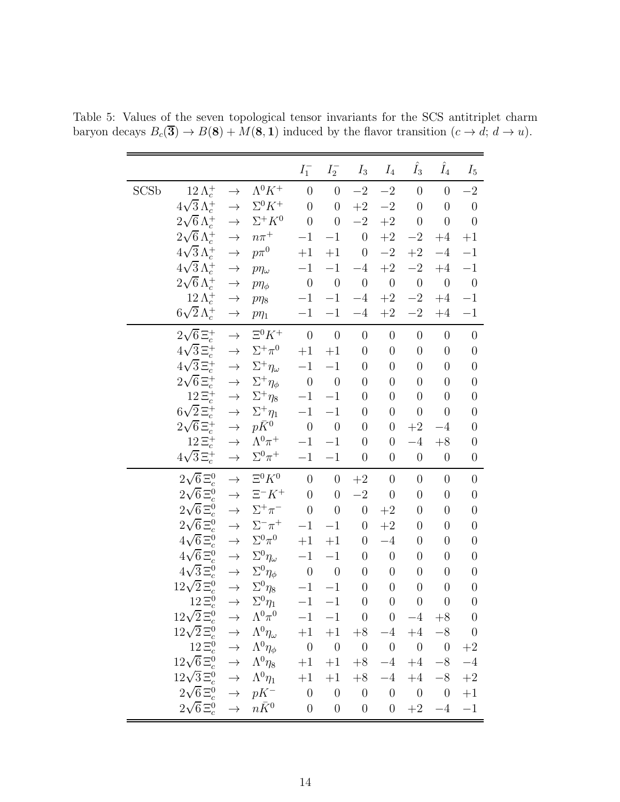<span id="page-14-0"></span>

|             |                          |                             |                                   | $I_1^-$             | $I_2^-$          | $I_3$                            | $I_4$                             | $\hat{I_3}$         | $\hat{I}_4$      | $I_5$            |
|-------------|--------------------------|-----------------------------|-----------------------------------|---------------------|------------------|----------------------------------|-----------------------------------|---------------------|------------------|------------------|
| <b>SCSb</b> | $12\,\Lambda_c^+$        | $\rightarrow$               | $\Lambda^0 K^+$                   | $\theta$            | $\overline{0}$   | $-2$                             | $-2\,$                            | $\boldsymbol{0}$    | $\boldsymbol{0}$ | $-2$             |
|             | $4\sqrt{3}\,\Lambda_c^+$ | $\rightarrow$               | $\Sigma^0 K^+$                    | $\theta$            | $\boldsymbol{0}$ | $+2$                             | $-2\,$                            | $\overline{0}$      | $\overline{0}$   | $\overline{0}$   |
|             | $2\sqrt{6} \Lambda_c^+$  | $\rightarrow$               | $\Sigma^+ K^0$                    | $\boldsymbol{0}$    | $\boldsymbol{0}$ | $-{\bf 2}$                       | $\!+2$                            | $\boldsymbol{0}$    | $\boldsymbol{0}$ | $\boldsymbol{0}$ |
|             | $2\sqrt{6}\,\Lambda_c^+$ | $\rightarrow$               | $n\pi^+$                          | $-1$                | $-1\,$           | $\boldsymbol{0}$                 | $\!+2$                            | $-2\,$              | $+4$             | $+1$             |
|             | $4\sqrt{3}\,\Lambda_c^+$ | $\rightarrow$               | $p\pi^0$                          | $+1$                | $+1$             | $\theta$                         | $-2\,$                            | $\!+2$              | $-4$             | $-1$             |
|             | $4\sqrt{3}\,\Lambda_c^+$ | $\rightarrow$               | $p\eta_\omega$                    | $-1$                | $-1$             | $-4$                             | $+2$                              | $-2$                | $+4$             | $-1$             |
|             | $2\sqrt{6} \Lambda_c^+$  | $\rightarrow$               | $p\eta_{\phi}$                    | $\boldsymbol{0}$    | $\boldsymbol{0}$ | $\boldsymbol{0}$                 | $\boldsymbol{0}$                  | $\boldsymbol{0}$    | $\boldsymbol{0}$ | $\boldsymbol{0}$ |
|             | $12\,\Lambda_c^+$        | $\rightarrow$               | $p\eta_8$                         | $-1$                | $-1$             | $-4$                             | $\!+2$                            | $-2\,$              | $\rm{+4}$        | $-1$             |
|             | $6\sqrt{2}\,\Lambda_c^+$ | $\rightarrow$               | $p\eta_1$                         | $-1$                | $-1$             | $-4$                             | $\!+2$                            | $-2$                | $+4$             | $-1$             |
|             | $2\sqrt{6}\,\Xi_c^+$     | $\rightarrow$               | $\Xi^0 K^+$                       | $\boldsymbol{0}$    | $\boldsymbol{0}$ | $\theta$                         | $\theta$                          | $\boldsymbol{0}$    | $\boldsymbol{0}$ | $\boldsymbol{0}$ |
|             | $4\sqrt{3}\,\Xi_c^+$     | $\rightarrow$               | $\Sigma^+\pi^0$                   | $\hspace{0.02in}+1$ | $+1$             | $\boldsymbol{0}$                 | $\boldsymbol{0}$                  | $\boldsymbol{0}$    | $\boldsymbol{0}$ | $\boldsymbol{0}$ |
|             | $4\sqrt{3}\,\Xi_c^+$     | $\rightarrow$               | $\Sigma^+ \eta_{\omega}$          | $-1$                | $-1$             | $\overline{0}$                   | $\boldsymbol{0}$                  | $\boldsymbol{0}$    | $\boldsymbol{0}$ | $\boldsymbol{0}$ |
|             | $2\sqrt{6}\,\Xi_c^+$     | $\rightarrow$               | $\Sigma^+ \eta_\phi$              | $\overline{0}$      | $\boldsymbol{0}$ | $\overline{0}$                   | $\boldsymbol{0}$                  | $\boldsymbol{0}$    | $\boldsymbol{0}$ | $\boldsymbol{0}$ |
|             | $12\Xi_c^+$              | $\rightarrow$               | $\Sigma^+ \eta_8$                 | $-1$                | $-1$             | $\overline{0}$                   | $\boldsymbol{0}$                  | $\boldsymbol{0}$    | $\boldsymbol{0}$ | $\boldsymbol{0}$ |
|             | $6\sqrt{2} \Xi_c^+$      |                             | $\Sigma^+ \eta_1$                 | $-1$                | $-1$             | $\overline{0}$                   | $\boldsymbol{0}$                  | $\boldsymbol{0}$    | $\boldsymbol{0}$ | $\boldsymbol{0}$ |
|             | $2\sqrt{6}\,\Xi_c^+$     | $\rightarrow$               | $p\bar K^0$                       | $\boldsymbol{0}$    | $\boldsymbol{0}$ | $\overline{0}$                   | $\boldsymbol{0}$                  | $\!+2$              | $-4$             | $\boldsymbol{0}$ |
|             | $12\Xi_c^+$              | $\rightarrow$               | $\Lambda^0\pi^+$                  | $-1$                | $-1$             | $\boldsymbol{0}$                 | $\boldsymbol{0}$                  | $-4$                | $+8$             | $\boldsymbol{0}$ |
|             | $4\sqrt{3} \Xi_c^+$      | $\rightarrow$               | $\Sigma^0\pi^+$                   | $-1$                | $-1$             | $\overline{0}$                   | $\theta$                          | $\boldsymbol{0}$    | $\boldsymbol{0}$ | $\boldsymbol{0}$ |
|             | $2\sqrt{6}\,\Xi_c^0$     | $\rightarrow$               | $\Xi^0 K^0$                       | $\theta$            | $\boldsymbol{0}$ | $\!+2$                           | $\theta$                          | $\boldsymbol{0}$    | $\boldsymbol{0}$ | $\boldsymbol{0}$ |
|             | $2\sqrt{6} \, \Xi_c^0$   |                             | $\Xi^- K^+$                       | $\theta$            | $\overline{0}$   | $-2$                             | $\boldsymbol{0}$                  | $\boldsymbol{0}$    | $\boldsymbol{0}$ | $\boldsymbol{0}$ |
|             | $2\sqrt{6} \Xi_c^0$      | $\rightarrow$               | $\Sigma^+\pi^-$                   | $\boldsymbol{0}$    | $\overline{0}$   | $\boldsymbol{0}$                 | $\!+2$                            | $\overline{0}$      | $\boldsymbol{0}$ | $\boldsymbol{0}$ |
|             | $2\sqrt{6}\,\Xi_c^0$     | $\rightarrow$               | $\Sigma^-\pi^+$                   | $-1$                | $-1$             | $\boldsymbol{0}$                 | $\!+2$                            | $\boldsymbol{0}$    | $\boldsymbol{0}$ | $\boldsymbol{0}$ |
|             | $4\sqrt{6}\,\Xi_c^0$     | $\rightarrow$               | $\Sigma^0\pi^0$                   | $+1$                | $+1$             | $\overline{0}$                   | $-4$                              | $\boldsymbol{0}$    | $\boldsymbol{0}$ | $\boldsymbol{0}$ |
|             | $4\sqrt{6} \Xi_c^0$      | $\rightarrow$               | $\Sigma^0 \eta_{\omega}$          | $-1$                | $-1$             | $\boldsymbol{0}$                 | $\boldsymbol{0}$                  | $\boldsymbol{0}$    | $\boldsymbol{0}$ | $\boldsymbol{0}$ |
|             | $4\sqrt{3}\,\Xi_c^0$     | $\rightarrow$               | $\Sigma^0 \eta_\phi$              | $\boldsymbol{0}$    | $\boldsymbol{0}$ | $\theta$                         | $\boldsymbol{0}$                  | $\boldsymbol{0}$    | $\overline{0}$   | $\boldsymbol{0}$ |
|             | $12\sqrt{2}\, \Xi_c^0$   | $\rightarrow$               | $\Sigma^0\eta_8$                  | $-1$                | $-1$             | $\boldsymbol{0}$                 | $\boldsymbol{0}$                  | $\boldsymbol{0}$    | $\boldsymbol{0}$ | $\boldsymbol{0}$ |
|             | $12\Xi_c^0$              |                             | $\rightarrow \ \ \Sigma^0 \eta_1$ |                     | $-1$ $-1$        | $\overline{0}$                   | $\overline{0}$                    | $\overline{0}$      | $\overline{0}$   | $\overline{0}$   |
|             | $12\sqrt{2} \Xi_c^0$     | $\rightarrow$               | $\Lambda^0\pi^0$                  | $-1$                | $-1$             | $\overline{0}$                   | $\begin{array}{cc} 0 \end{array}$ | $-4$                | $+8$             | $\theta$         |
|             | $12\sqrt{2}\,\Xi_c^0$    |                             | $\Lambda^0\eta_\omega$            |                     | $+1$ $+1$        |                                  | $+8$ $-4$                         |                     | $+4$ $-8$ 0      |                  |
|             | $12\,\Xi_c^0$            | $\rightarrow$ $\rightarrow$ | $\Lambda^0\eta_\phi$              | $\overline{0}$      | $\overline{0}$   | $\begin{array}{c} 0 \end{array}$ | $\overline{0}$                    | $0\qquad 0$         |                  | $+2$             |
|             | $12\sqrt{6} \Xi_c^0$     |                             | $\Lambda^0\eta_8$                 | $+1$                | $+1$             | $+8$ $-4$                        |                                   |                     | $+4$ $-8$        | $-4\,$           |
|             | $12\sqrt{3}\,\Xi_c^0$    | $\rightarrow$               | $\Lambda^0\eta_1$                 | $+1$                | $+1$             | $+8$                             | $-4$                              | $+4$                | $-8\,$           | $+2$             |
|             | $2\sqrt{6} \Xi_c^0$      | $\rightarrow$               | $pK^-$                            | $\overline{0}$      | $\overline{0}$   | $\overline{0}$                   |                                   | $0\qquad 0\qquad 0$ |                  | $+1$             |
|             | $2\sqrt{6}\,\Xi_c^0$     |                             | $\rightarrow$ $n\bar{K}^0$        | $\boldsymbol{0}$    | $\boldsymbol{0}$ | $\theta$                         | $\overline{0}$                    | $+2$                | $-4$             | $-1$             |

Table 5: Values of the seven topological tensor invariants for the SCS antitriplet charm baryon decays  $B_c(\overline{\mathbf{3}}) \to B(\mathbf{8}) + M(\mathbf{8}, \mathbf{1})$  induced by the flavor transition  $(c \to d; d \to u)$ .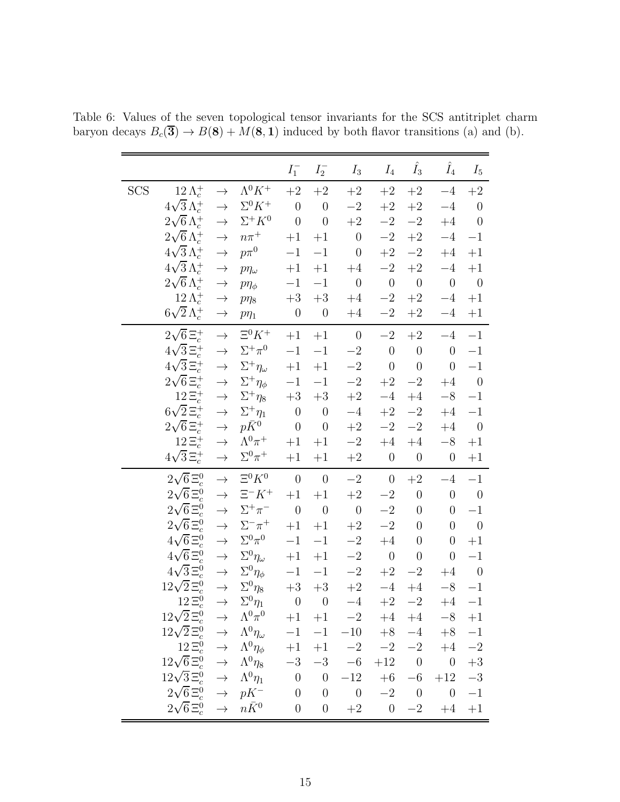<span id="page-15-0"></span>

|            |                                                           |               |                                     | $I_1^-$             | $I_2^-$                         | $I_3$                                     | $I_4$            | $\hat{I}_3$      | $\hat{I}_4$      | $I_5$            |
|------------|-----------------------------------------------------------|---------------|-------------------------------------|---------------------|---------------------------------|-------------------------------------------|------------------|------------------|------------------|------------------|
| <b>SCS</b> | $12\,\Lambda_c^+$                                         | $\rightarrow$ | $\Lambda^{0}K^{+}$                  | $+2$                | $+2$                            | $+2$                                      | $+2$             | $+2$             | $-4$             | $+2$             |
|            | $4\sqrt{3} \Lambda_c^+$                                   | $\rightarrow$ | $\Sigma^0 K^+$                      | $\boldsymbol{0}$    | $\overline{0}$                  | $-{\bf 2}$                                | $+2$             | $+2$             | $-4$             | $\theta$         |
|            | $2\sqrt{6} \Lambda_c^+$                                   | $\rightarrow$ | $\Sigma^+ K^0$                      | $\boldsymbol{0}$    | $\boldsymbol{0}$                | $+2$                                      | $-2\,$           | $-2\,$           | $+4$             | $\boldsymbol{0}$ |
|            | $2\sqrt{6} \Lambda_c^+$                                   | $\rightarrow$ | $n\pi^+$                            | $+1$                | $+1$                            | $\theta$                                  | $-2\,$           | $\!+2$           | $-4$             | $-1$             |
|            | $4\sqrt{3} \Lambda_c^+$                                   | $\rightarrow$ | $p\pi^0$                            | $-1$                | $-1$                            | $\boldsymbol{0}$                          | $\!+2$           | $-2\,$           | $+4$             | $+1$             |
|            | $4\sqrt{3} \Lambda_c^+$                                   | $\rightarrow$ | $p\eta_{\omega}$                    | $+1$                | $+1$                            | $+4$                                      | $-2$             | $+2$             | $-4$             | $+1$             |
|            | $2\sqrt{6}\,\Lambda_c^+$                                  | $\rightarrow$ | $p\eta_{\phi}$                      | $-1$                | $-1$                            | $\boldsymbol{0}$                          | $\boldsymbol{0}$ | $\boldsymbol{0}$ | $\theta$         | $\boldsymbol{0}$ |
|            | $12\,\Lambda_c^+$                                         | $\rightarrow$ | $p\eta_8$                           | $+3\,$              | $+3$                            | $+4$                                      | $-{\bf 2}$       | $+2$             | $-4$             | $+1$             |
|            | $6\sqrt{2} \Lambda_c^+$                                   | $\rightarrow$ | $p\eta_1$                           | $\boldsymbol{0}$    | $\theta$                        | $+4$                                      | $-2\,$           | $\!+2$           | $-4$             | $+1$             |
|            | $2\sqrt{6} \, \Xi_c^+$                                    | $\rightarrow$ | $\Xi^0 K^+$                         | $+1$                | $+1$                            | $\boldsymbol{0}$                          | $-2$             | $+2$             | $-4$             | $-1\,$           |
|            | $4\sqrt{3} \Xi_c^+$                                       | $\rightarrow$ | $\Sigma^+\pi^0$                     | $-1$                | $-1$                            | $-2$                                      | $\overline{0}$   | $\boldsymbol{0}$ | $\theta$         | $-1$             |
|            | $4\sqrt{3} \Xi_c^+$                                       | $\rightarrow$ | $\Sigma^+ \eta_{\omega}$            | $+1$                | $+1$                            | $-2\,$                                    | $\overline{0}$   | $\overline{0}$   | $\overline{0}$   | $-1\,$           |
|            | $2\sqrt{6}\,\Xi_c^+$                                      | $\rightarrow$ | $\Sigma^+ \eta_\phi$                | $-1$                | $-1$                            | $-2\,$                                    | $+2$             | $-2\,$           | $+4$             | $\boldsymbol{0}$ |
|            | $12\Xi_c^+$                                               | $\rightarrow$ | $\Sigma^+\eta_8$                    | $\rm +3$            | $+3$                            | $\!+2$                                    | $-4$             | $+4$             | $-8\,$           | $-1$             |
|            | $6\sqrt{2} \Xi_c^+$                                       | $\rightarrow$ | $\Sigma^+\eta_1$                    | $\theta$            | $\theta$                        | $-4$                                      | $+2$             | $-2\,$           | $+4$             | $-1$             |
|            | $2\sqrt{6} \, \Xi_c^+$                                    | $\rightarrow$ | $p\bar K^0$                         | $\boldsymbol{0}$    | $\theta$                        | $\!+2$                                    | $-2$             | $-2\,$           | $+4$             | $\overline{0}$   |
|            | $12\Xi_c^+$                                               | $\rightarrow$ | $\Lambda^0\pi^+$                    | $+1$                | $+1$                            | $-2$                                      | $+4$             | $+4$             | $-8$             | $+1$             |
|            | $4\sqrt{3} \Xi_c^+$                                       | $\rightarrow$ | $\Sigma^0\pi^+$                     | $+1$                | $+1$                            | $+2$                                      | $\theta$         | $\boldsymbol{0}$ | $\boldsymbol{0}$ | $+1$             |
|            | $2\sqrt{6}\,\Xi_c^0$                                      | $\rightarrow$ | $\Xi^0 K^0$                         | $\overline{0}$      | $\overline{0}$                  | $-{\bf 2}$                                | $\boldsymbol{0}$ | $+2$             | $-4$             | $-1$             |
|            | $2\sqrt{6}\,\Xi_c^0$                                      | $\rightarrow$ | $\Xi^- K^+$                         | $+1$                | $+1$                            | $\!+2$                                    | $-2\,$           | $\boldsymbol{0}$ | $\theta$         | $\boldsymbol{0}$ |
|            | $2\sqrt{6}\,\Xi_c^0$                                      | $\rightarrow$ | $\Sigma^+\pi^-$                     | $\boldsymbol{0}$    | $\theta$                        | $\boldsymbol{0}$                          | $-2$             | $\boldsymbol{0}$ | $\boldsymbol{0}$ | $-1$             |
|            | $2\sqrt{6}\,\Xi_c^0$                                      | $\rightarrow$ | $\Sigma^{-} \pi^{+}$                | $+1$                | $+1$                            | $\!+2$                                    | $-2\,$           | $\boldsymbol{0}$ | $\boldsymbol{0}$ | $\boldsymbol{0}$ |
|            | $4\sqrt{6}\,\Xi_c^0$                                      | $\rightarrow$ | $\Sigma^0\pi^0$                     | $-1$                | $-1$                            | $-{\bf 2}$                                | $+4$             | $\boldsymbol{0}$ | $\boldsymbol{0}$ | $+1$             |
|            | $4\sqrt{6}\,\Xi_c^0$                                      | $\rightarrow$ | $\Sigma^0 \eta_{\omega}$            | $\hspace{0.02cm}+1$ | $+1$                            | $-{\bf 2}$                                | $\boldsymbol{0}$ | $\boldsymbol{0}$ | $\boldsymbol{0}$ | $-1$             |
|            | $4\sqrt{3}\,\Xi_c^0$                                      | $\rightarrow$ | $\Sigma^0 \eta_\phi$                | $-1$                | $-1$                            | $-2$                                      | $+2$             | $-2$             | $+4$             | $\overline{0}$   |
|            | $12\sqrt{2} \Xi_c^0$                                      | $\rightarrow$ | $\Sigma^0\eta_8$                    | $\rm +3$            | $+3$                            | $\!+2$                                    | $-4\,$           | $+4$             | $-8\,$           | $-1$             |
|            | $12\,\Xi_c^0$                                             |               | $\rightarrow \quad \Sigma^0 \eta_1$ | $\overline{0}$      | $\begin{matrix}0\end{matrix}$   | $-4$                                      | $+2$             | $-2$             | $+4$             | $-1$             |
|            | $12\sqrt{2} \Xi_c^0 \rightarrow \Lambda^0 \pi^0 +1 +1 -2$ |               |                                     |                     |                                 |                                           | $+4$             |                  | $+4$ $-8$        | $+1$             |
|            | $12\sqrt{2} \Xi_c^0 \rightarrow$                          |               | $\Lambda^0\eta_\omega$              |                     |                                 | $-1$ $-1$ $-10$                           |                  | $+8$ $-4$        |                  | $+8$ $-1$        |
|            | $12\Xi_c^0 \rightarrow$                                   |               | $\Lambda^0\eta_\phi$                |                     |                                 | $+1$ $+1$ $-2$ $-2$ $-2$ $+4$ $-2$        |                  |                  |                  |                  |
|            | $12\sqrt{6} \Xi_c^0 \rightarrow$                          |               | $\Lambda^0\eta_8$                   |                     |                                 | $-3 \quad -3 \quad -6 \quad +12 \qquad 0$ |                  |                  | $\overline{0}$   | $+3$             |
|            | $12\sqrt{3}\,\Xi_c^0$                                     | $\rightarrow$ | $\Lambda^0\eta_1$                   | $\overline{0}$      | $\overline{0}$                  |                                           | $-12 + 6 -6$     |                  | $+12$            | $-3\,$           |
|            | $2\sqrt{6} \Xi_c^0 \rightarrow$                           |               | $pK^-$                              | $\overline{0}$      | $\overline{0}$                  | $\overline{0}$                            |                  | $-2$ 0           | $\overline{0}$   | $-1\,$           |
|            | $2\sqrt{6} \Xi_c^0 \rightarrow n\bar{K}^0$                |               |                                     | $\boldsymbol{0}$    | $\begin{matrix} 0 \end{matrix}$ | $+2$                                      |                  |                  | $0 -2 +4$        | $+1$             |

Table 6: Values of the seven topological tensor invariants for the SCS antitriplet charm baryon decays  $B_c(\overline{\mathbf{3}}) \to B(\mathbf{8}) + M(\mathbf{8}, \mathbf{1})$  induced by both flavor transitions (a) and (b).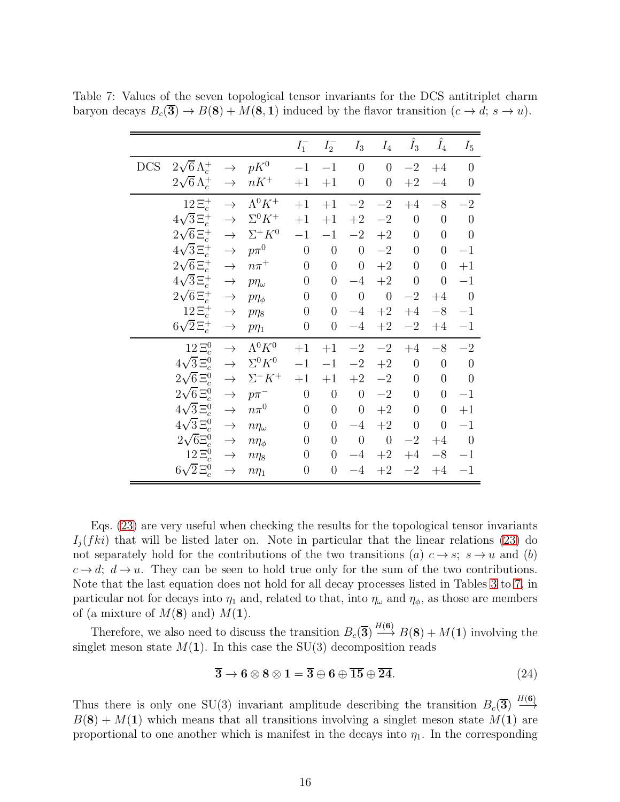<span id="page-16-0"></span>

|            |                         |               |                 | $I_1^-$          | $I_2^-$          | $I_3$            | $I_4$            | $\hat{I}_3$      | $\hat{I}_4$      | $I_5$          |
|------------|-------------------------|---------------|-----------------|------------------|------------------|------------------|------------------|------------------|------------------|----------------|
| <b>DCS</b> | $2\sqrt{6} \Lambda_c^+$ | $\rightarrow$ | $pK^0$          | $-1$             | $^{-1}$          | $\overline{0}$   | $\overline{0}$   | $-2\,$           | $+4$             | $\overline{0}$ |
|            | $2\sqrt{6} \Lambda_c^+$ | $\rightarrow$ | $nK^+$          | $+1$             | $+1$             | $\overline{0}$   | $\overline{0}$   | $+2$             | $-4$             | $\overline{0}$ |
|            | $12\,\Xi_c^+$           | $\rightarrow$ | $\Lambda^0 K^+$ | $+1$             | $+1$             | $-2$             | $-2$             | $+4$             | $-8\,$           | $-2$           |
|            | $4\sqrt{3} \Xi_c^+$     | $\rightarrow$ | $\Sigma^0 K^+$  | $+1$             | $+1$             | $\!+2$           | $-2$             | $\overline{0}$   | $\overline{0}$   | $\overline{0}$ |
|            | $2\sqrt{6} \Xi_c^+$     | $\rightarrow$ | $\Sigma^+ K^0$  | $-1$             | $-1$             | $-2$             | $+2$             | $\boldsymbol{0}$ | $\overline{0}$   | $\overline{0}$ |
|            | $4\sqrt{3} \Xi_c^+$     | $\rightarrow$ | $p\pi^0$        | $\boldsymbol{0}$ | $\theta$         | $\overline{0}$   | $-2\,$           | $\boldsymbol{0}$ | $\boldsymbol{0}$ | $-1$           |
|            | $2\sqrt{6} \Xi_c^+$     | $\rightarrow$ | $n\pi^+$        | $\overline{0}$   | $\overline{0}$   | $\overline{0}$   | $\!+2$           | $\overline{0}$   | $\overline{0}$   | $+1$           |
|            | $4\sqrt{3} \Xi_c^+$     | $\rightarrow$ | $p\eta_\omega$  | $\overline{0}$   | $\overline{0}$   | $-4$             | $+2$             | $\boldsymbol{0}$ | $\overline{0}$   | $-1$           |
|            | $2\sqrt{6} \Xi_c^+$     | $\rightarrow$ | $p\eta_{\phi}$  | $\overline{0}$   | $\overline{0}$   | $\theta$         | $\boldsymbol{0}$ | $-2$             | $+4$             | $\overline{0}$ |
|            | $12E_c^+$               | $\rightarrow$ | $p\eta_8$       | $\boldsymbol{0}$ | $\overline{0}$   | $-4$             | $+2$             | $+4$             | $-8$             | $-1$           |
|            | $6\sqrt{2} \Xi_c^+$     | $\rightarrow$ | $p\eta_1$       | $\overline{0}$   | $\overline{0}$   | $-4$             | $+2$             | $-2$             | $+4$             | $-1$           |
|            | $12\Xi_c^0$             | $\rightarrow$ | $\Lambda^0 K^0$ | $+1$             | $+1$             | $-2\,$           | $-2\,$           | $+4$             | $-8\,$           | $-{\bf 2}$     |
|            | $4\sqrt{3} \Xi_c^0$     | $\rightarrow$ | $\Sigma^0 K^0$  | $-1$             | $-1$             | $-2$             | $+2$             | $\boldsymbol{0}$ | $\boldsymbol{0}$ | $\theta$       |
|            | $2\sqrt{6} \Xi_c^0$     | $\rightarrow$ | $\Sigma^- K^+$  | $+1$             | $+1$             | $\!+2$           | $-2$             | $\boldsymbol{0}$ | $\overline{0}$   | $\overline{0}$ |
|            | $2\sqrt{6} \Xi_c^0$     | $\rightarrow$ | $p\pi^-$        | $\boldsymbol{0}$ | $\overline{0}$   | $\overline{0}$   | $-2$             | $\overline{0}$   | $\overline{0}$   | $-1$           |
|            | $4\sqrt{3}\,\Xi_c^0$    | $\rightarrow$ | $n\pi^0$        | $\overline{0}$   | $\boldsymbol{0}$ | $\boldsymbol{0}$ | $+2$             | $\boldsymbol{0}$ | $\overline{0}$   | $+1$           |
|            | $4\sqrt{3}\,\Xi_c^0$    | $\rightarrow$ | $n\eta_\omega$  | $\overline{0}$   | $\overline{0}$   | $-4$             | $+2$             | $\boldsymbol{0}$ | $\overline{0}$   | $-1$           |
|            | $2\sqrt{6} \Xi_c^0$     | $\rightarrow$ | $n\eta_{\phi}$  | $\overline{0}$   | $\overline{0}$   | $\theta$         | $\boldsymbol{0}$ | $-2$             | $+4$             | $\theta$       |
|            | $12\Xi_c^0$             | $\rightarrow$ | $n\eta_8$       | $\overline{0}$   | $\overline{0}$   | $-4$             | $\!+2$           | $\rm{+4}$        | $-8$             | $^{-1}$        |
|            | $6\sqrt{2} \Xi_c^0$     | $\rightarrow$ | $n\eta_1$       | $\boldsymbol{0}$ | $\boldsymbol{0}$ | $-4$             | $+2$             | $-2$             | $+4$             | $^{-1}$        |

Table 7: Values of the seven topological tensor invariants for the DCS antitriplet charm baryon decays  $B_c(\overline{\mathbf{3}}) \to B(\mathbf{8}) + M(\mathbf{8}, \mathbf{1})$  induced by the flavor transition  $(c \to d; s \to u)$ .

Eqs. [\(23\)](#page-11-1) are very useful when checking the results for the topological tensor invariants  $I_i(fki)$  that will be listed later on. Note in particular that the linear relations [\(23\)](#page-11-1) do not separately hold for the contributions of the two transitions (a)  $c \rightarrow s$ ;  $s \rightarrow u$  and (b)  $c \rightarrow d$ ;  $d \rightarrow u$ . They can be seen to hold true only for the sum of the two contributions. Note that the last equation does not hold for all decay processes listed in Tables [3](#page-12-0) to [7,](#page-16-0) in particular not for decays into  $\eta_1$  and, related to that, into  $\eta_\omega$  and  $\eta_\phi$ , as those are members of (a mixture of  $M(8)$  and)  $M(1)$ .

Therefore, we also need to discuss the transition  $B_c(\overline{3}) \stackrel{H(6)}{\longrightarrow} B(8) + M(1)$  involving the singlet meson state  $M(1)$ . In this case the SU(3) decomposition reads

<span id="page-16-1"></span>
$$
\overline{3} \to 6 \otimes 8 \otimes 1 = \overline{3} \oplus 6 \oplus \overline{15} \oplus \overline{24}.
$$
 (24)

Thus there is only one SU(3) invariant amplitude describing the transition  $B_c(\overline{3}) \stackrel{H(6)}{\longrightarrow}$ −→  $B(8) + M(1)$  which means that all transitions involving a singlet meson state  $M(1)$  are proportional to one another which is manifest in the decays into  $\eta_1$ . In the corresponding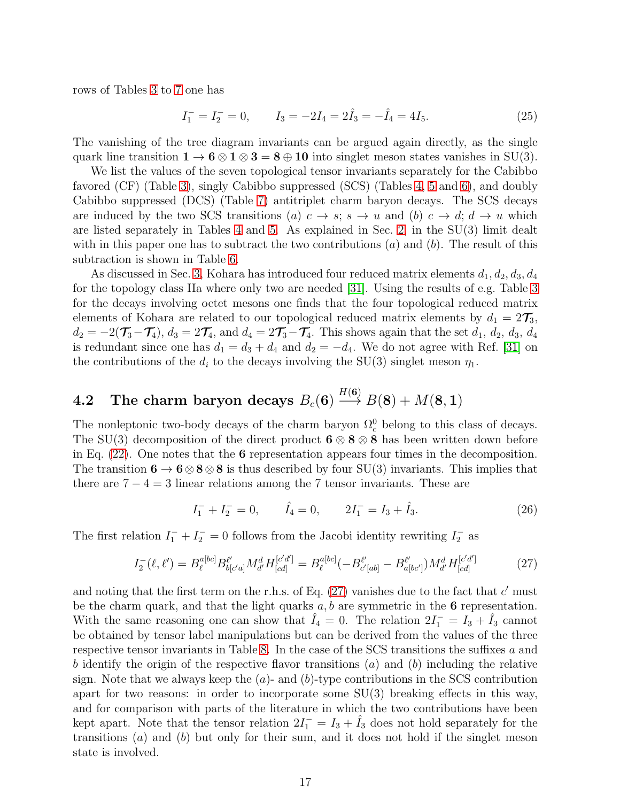rows of Tables [3](#page-12-0) to [7](#page-16-0) one has

$$
I_1^- = I_2^- = 0, \qquad I_3 = -2I_4 = 2\hat{I}_3 = -\hat{I}_4 = 4I_5. \tag{25}
$$

The vanishing of the tree diagram invariants can be argued again directly, as the single quark line transition  $1 \rightarrow 6 \otimes 1 \otimes 3 = 8 \oplus 10$  into singlet meson states vanishes in SU(3).

We list the values of the seven topological tensor invariants separately for the Cabibbo favored (CF) (Table [3\)](#page-12-0), singly Cabibbo suppressed (SCS) (Tables [4,](#page-13-0) [5](#page-14-0) and [6\)](#page-15-0), and doubly Cabibbo suppressed (DCS) (Table [7\)](#page-16-0) antitriplet charm baryon decays. The SCS decays are induced by the two SCS transitions (a)  $c \to s$ ;  $s \to u$  and (b)  $c \to d$ ;  $d \to u$  which are listed separately in Tables [4](#page-13-0) and [5.](#page-14-0) As explained in Sec. [2,](#page-4-0) in the SU(3) limit dealt with in this paper one has to subtract the two contributions  $(a)$  and  $(b)$ . The result of this subtraction is shown in Table [6.](#page-15-0)

As discussed in Sec. [3,](#page-5-0) Kohara has introduced four reduced matrix elements  $d_1, d_2, d_3, d_4$ for the topology class IIa where only two are needed [\[31\]](#page-60-15). Using the results of e.g. Table [3](#page-12-0) for the decays involving octet mesons one finds that the four topological reduced matrix elements of Kohara are related to our topological reduced matrix elements by  $d_1 = 2\mathcal{T}_3$ ,  $d_2 = -2(\mathcal{T}_3-\mathcal{T}_4), d_3 = 2\mathcal{T}_4$ , and  $d_4 = 2\mathcal{T}_3-\mathcal{T}_4$ . This shows again that the set  $d_1, d_2, d_3, d_4$ is redundant since one has  $d_1 = d_3 + d_4$  and  $d_2 = -d_4$ . We do not agree with Ref. [\[31\]](#page-60-15) on the contributions of the  $d_i$  to the decays involving the SU(3) singlet meson  $\eta_1$ .

#### $\mathbf{4.2} \quad$  The charm baryon decays  $B_c(\mathbf{6})$  $H(\mathbf{6})$  $\longrightarrow B(8) + M(8, 1)$

The nonleptonic two-body decays of the charm baryon  $\Omega_c^0$  belong to this class of decays. The SU(3) decomposition of the direct product  $6 \otimes 8 \otimes 8$  has been written down before in Eq.  $(22)$ . One notes that the 6 representation appears four times in the decomposition. The transition  $6 \rightarrow 6 \otimes 8 \otimes 8$  is thus described by four SU(3) invariants. This implies that there are  $7 - 4 = 3$  linear relations among the 7 tensor invariants. These are

$$
I_1^- + I_2^- = 0, \qquad \hat{I}_4 = 0, \qquad 2I_1^- = I_3 + \hat{I}_3. \tag{26}
$$

The first relation  $I_1^- + I_2^- = 0$  follows from the Jacobi identity rewriting  $I_2^-$  as

<span id="page-17-0"></span>
$$
I_2^{-}(\ell, \ell') = B_{\ell}^{a[bc]} B_{b[c'a]}^{\ell'} M_{d'}^d H_{[cd]}^{[c'd']} = B_{\ell}^{a[bc]} (-B_{c'[ab]}^{\ell'} - B_{a[bc']}^{\ell'}) M_{d'}^d H_{[cd]}^{[c'd']}
$$
(27)

and noting that the first term on the r.h.s. of Eq.  $(27)$  vanishes due to the fact that  $c'$  must be the charm quark, and that the light quarks  $a, b$  are symmetric in the 6 representation. With the same reasoning one can show that  $\hat{I}_4 = 0$ . The relation  $2I_1^- = I_3 + \hat{I}_3$  cannot be obtained by tensor label manipulations but can be derived from the values of the three respective tensor invariants in Table [8.](#page-18-0) In the case of the SCS transitions the suffixes a and b identify the origin of the respective flavor transitions  $(a)$  and  $(b)$  including the relative sign. Note that we always keep the  $(a)$ - and  $(b)$ -type contributions in the SCS contribution apart for two reasons: in order to incorporate some  $SU(3)$  breaking effects in this way, and for comparison with parts of the literature in which the two contributions have been kept apart. Note that the tensor relation  $2I_1^- = I_3 + \hat{I}_3$  does not hold separately for the transitions  $(a)$  and  $(b)$  but only for their sum, and it does not hold if the singlet meson state is involved.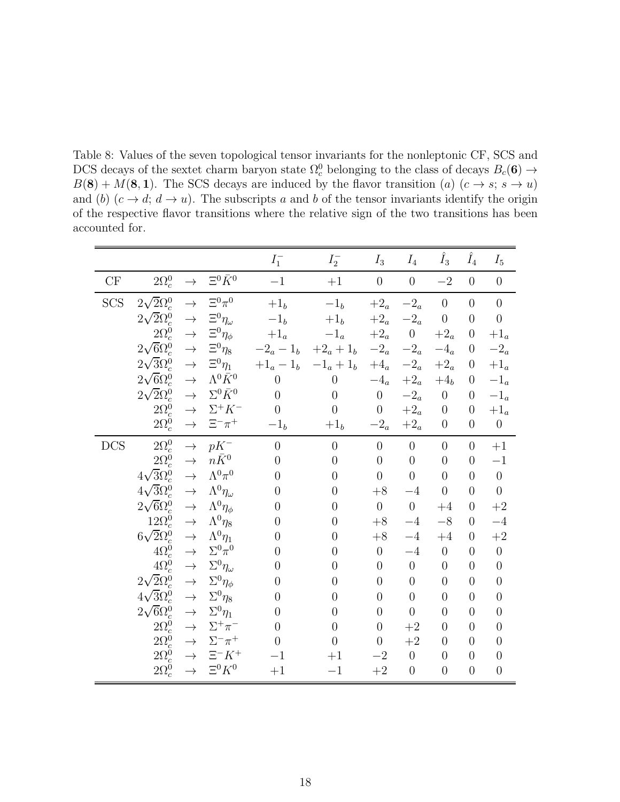<span id="page-18-0"></span>Table 8: Values of the seven topological tensor invariants for the nonleptonic CF, SCS and DCS decays of the sextet charm baryon state  $\Omega_c^0$  belonging to the class of decays  $B_c(\mathbf{6}) \to$  $B(8) + M(8, 1)$ . The SCS decays are induced by the flavor transition (a)  $(c \rightarrow s; s \rightarrow u)$ and (b)  $(c \rightarrow d; d \rightarrow u)$ . The subscripts a and b of the tensor invariants identify the origin of the respective flavor transitions where the relative sign of the two transitions has been accounted for.

|            |                       |               |                        | $I_1^-$        | $I_2^-$        | $I_3$            | $I_4$                 | $\hat{I}_3$      | $\hat{I}_4$      | $I_5$                       |
|------------|-----------------------|---------------|------------------------|----------------|----------------|------------------|-----------------------|------------------|------------------|-----------------------------|
| CF         | $2\Omega_c^0$         | $\rightarrow$ | $\Xi^0 \bar{K}^0$      | $-1$           | $+1$           | $\boldsymbol{0}$ | $\boldsymbol{0}$      | $-2$             | $\overline{0}$   | $\theta$                    |
| <b>SCS</b> | $2\sqrt{2}\Omega_c^0$ | $\rightarrow$ | $\Xi^0\pi^0$           | $+1b$          | $-1b$          | $+2_a$           | $-2_a$                | $\overline{0}$   | $\overline{0}$   | $\overline{0}$              |
|            | $2\sqrt{2}\Omega_c^0$ | $\rightarrow$ | $\Xi^0\eta_\omega$     | $-{\bf 1}_b$   | $+1_b\,$       | $+2_a$           | $-2_a$                | $\overline{0}$   | $\overline{0}$   | $\theta$                    |
|            | $2\Omega_c^0$         | $\rightarrow$ | $\Xi^0 \eta_\phi$      | $+1_a$         | $-1_a$         | $+2_a$           | $\overline{0}$        | $+2_a$           | $\overline{0}$   | $+1_a$                      |
|            | $2\sqrt{6}\Omega_c^0$ | $\rightarrow$ | $\Xi^0\eta_8$          | $-2_a - 1_b$   | $+2_a + 1_b$   | $-2_a$           | $-2_{\scriptstyle a}$ | $-4_a$           | $\overline{0}$   | $-2_a$                      |
|            | $2\sqrt{3}\Omega_c^0$ | $\rightarrow$ | $\Xi^0 \eta_1$         | $+1_a - 1_b$   | $-1_a + 1_b$   | $+4_a$           | $-2_a$                | $+2_a$           | $\theta$         | $+1_a$                      |
|            | $2\sqrt{6}\Omega_c^0$ | $\rightarrow$ | $\Lambda^0\bar K^0$    | $\theta$       | $\theta$       | $-4_a$           | $+2_a$                | $+4b$            | $\theta$         | $-1_a$                      |
|            | $2\sqrt{2}\Omega_c^0$ | $\rightarrow$ | $\Sigma^0 \bar K^0$    | $\overline{0}$ | $\theta$       | $\boldsymbol{0}$ | $-2_a$                | $\boldsymbol{0}$ | $\overline{0}$   | $-1_{\scriptscriptstyle a}$ |
|            | $2\Omega_c^0$         | $\rightarrow$ | $\Sigma^+ K^-$         | $\overline{0}$ | $\overline{0}$ | $\overline{0}$   | $+2_a$                | $\boldsymbol{0}$ | $\overline{0}$   | $+1_a$                      |
|            | $2\Omega_c^0$         | $\rightarrow$ | $\Xi^-\pi^+$           | $-1b$          | $+1b$          | $-2_a$           | $+2_a$                | $\overline{0}$   | $\boldsymbol{0}$ | $\boldsymbol{0}$            |
| <b>DCS</b> | $2\Omega_c^0$         | $\rightarrow$ | $pK^-$                 | $\overline{0}$ | $\overline{0}$ | $\overline{0}$   | $\overline{0}$        | $\overline{0}$   | $\overline{0}$   | $+1$                        |
|            | $2\Omega_c^0$         | $\rightarrow$ | $n\bar{K}^0$           | $\overline{0}$ | $\overline{0}$ | $\overline{0}$   | $\overline{0}$        | $\overline{0}$   | $\overline{0}$   | $-1$                        |
|            | $4\sqrt{3}\Omega_c^0$ | $\rightarrow$ | $\Lambda^0\pi^0$       | $\overline{0}$ | $\overline{0}$ | $\overline{0}$   | $\overline{0}$        | $\overline{0}$   | $\overline{0}$   | $\overline{0}$              |
|            | $4\sqrt{3}\Omega_c^0$ | $\rightarrow$ | $\Lambda^0\eta_\omega$ | $\overline{0}$ | $\overline{0}$ | $+8$             | $-4$                  | $\overline{0}$   | $\overline{0}$   | $\overline{0}$              |
|            | $2\sqrt{6}\Omega_c^0$ | $\rightarrow$ | $\Lambda^0 \eta_\phi$  | $\overline{0}$ | $\overline{0}$ | $\overline{0}$   | $\overline{0}$        | $+4$             | $\overline{0}$   | $+2$                        |
|            | $12\Omega_c^0$        | $\rightarrow$ | $\Lambda^0\eta_8$      | $\overline{0}$ | $\overline{0}$ | $+8$             | $-4$                  | $-8$             | $\Omega$         | $-4$                        |
|            | $6\sqrt{2}\Omega_c^0$ | $\rightarrow$ | $\Lambda^0\eta_1$      | $\overline{0}$ | $\overline{0}$ | $+8$             | $-4$                  | $+4$             | $\overline{0}$   | $+2$                        |
|            | $4\Omega_c^0$         | $\rightarrow$ | $\Sigma^0\pi^0$        | $\overline{0}$ | $\overline{0}$ | $\overline{0}$   | $-4$                  | $\overline{0}$   | $\overline{0}$   | $\overline{0}$              |
|            | $4\Omega_c^0$         | $\rightarrow$ | $\Sigma^0\eta_\omega$  | $\overline{0}$ | $\overline{0}$ | $\overline{0}$   | $\theta$              | $\overline{0}$   | $\overline{0}$   | $\overline{0}$              |
|            | $2\sqrt{2}\Omega_c^0$ | $\rightarrow$ | $\Sigma^0 \eta_\phi$   | $\overline{0}$ | $\overline{0}$ | $\overline{0}$   | $\overline{0}$        | $\overline{0}$   | $\overline{0}$   | $\overline{0}$              |
|            | $4\sqrt{3}\Omega_c^0$ | $\rightarrow$ | $\Sigma^0\eta_8$       | $\overline{0}$ | $\overline{0}$ | $\overline{0}$   | $\overline{0}$        | $\overline{0}$   | $\overline{0}$   | $\overline{0}$              |
|            | $2\sqrt{6}\Omega_c^0$ | $\rightarrow$ | $\Sigma^0\eta_1$       | $\overline{0}$ | $\overline{0}$ | $\overline{0}$   | $\overline{0}$        | $\overline{0}$   | $\overline{0}$   | $\overline{0}$              |
|            | $2\Omega_c^0$         | $\rightarrow$ | $\Sigma^+\pi^-$        | $\overline{0}$ | $\overline{0}$ | $\overline{0}$   | $+2$                  | $\overline{0}$   | $\overline{0}$   | $\overline{0}$              |
|            | $2\Omega_c^0$         | $\rightarrow$ | $\Sigma^-\pi^+$        | $\overline{0}$ | $\overline{0}$ | $\boldsymbol{0}$ | $+2$                  | $\overline{0}$   | $\overline{0}$   | $\overline{0}$              |
|            | $2\Omega_c^0$         | $\rightarrow$ | $\Xi^- K^+$            | $-1$           | $+1$           | $-2$             | $\boldsymbol{0}$      | $\overline{0}$   | $\overline{0}$   | $\overline{0}$              |
|            | $2\Omega_c^0$         | $\rightarrow$ | $\Xi^0 K^0$            | $+1$           | $-1$           | $\!+2$           | $\overline{0}$        | $\overline{0}$   | $\overline{0}$   | $\overline{0}$              |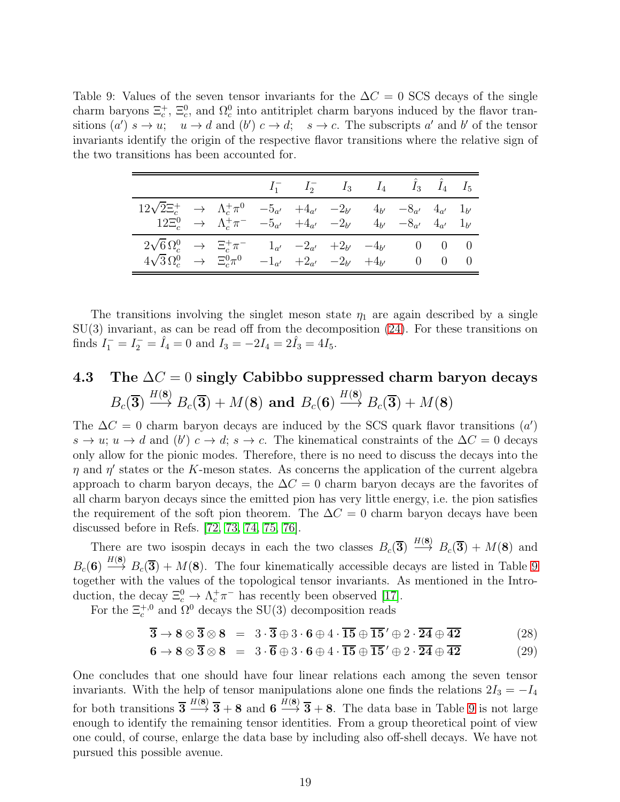<span id="page-19-0"></span>Table 9: Values of the seven tensor invariants for the  $\Delta C = 0$  SCS decays of the single charm baryons  $\Xi_c^+$ ,  $\Xi_c^0$ , and  $\Omega_c^0$  into antitriplet charm baryons induced by the flavor transitions  $(a')$   $s \to u$ ;  $u \to d$  and  $(b')$   $c \to d$ ;  $s \to c$ . The subscripts a' and b' of the tensor invariants identify the origin of the respective flavor transitions where the relative sign of the two transitions has been accounted for.

|                                                                                                                                                                                                                                                              |  |  |  | $I_1^-\qquad I_2^-\qquad I_3\qquad I_4\qquad \hat{I}_3\qquad \hat{I}_4\qquad I_5$                                     |  |
|--------------------------------------------------------------------------------------------------------------------------------------------------------------------------------------------------------------------------------------------------------------|--|--|--|-----------------------------------------------------------------------------------------------------------------------|--|
| $\begin{array}{cccccccc} 12\sqrt{2}\Xi_c^+ & \to & \Lambda_c^+\pi^0 & -5_{a'} & +4_{a'} & -2_{b'} & 4_{b'} & -8_{a'} & 4_{a'} & 1_{b'} \\ 12\Xi_c^0 & \to & \Lambda_c^+\pi^- & -5_{a'} & +4_{a'} & -2_{b'} & 4_{b'} & -8_{a'} & 4_{a'} & 1_{b'} \end{array}$ |  |  |  |                                                                                                                       |  |
| $2\sqrt{6} \Omega_c^0 \rightarrow \Xi_c^+ \pi^ 1_{a'}$ $-2_{a'}$ $+2_{b'}$ $-4_{b'}$ 0 0 0<br>$4\sqrt{3}\,\Omega_c^0 \rightarrow \Xi_c^0 \pi^0$                                                                                                              |  |  |  | $- {\bf 1}_{a'} \quad + {\bf 2}_{a'} \quad - {\bf 2}_{b'} \quad + {\bf 4}_{b'} \qquad \quad 0 \quad \quad 0 \qquad 0$ |  |

The transitions involving the singlet meson state  $\eta_1$  are again described by a single SU(3) invariant, as can be read off from the decomposition [\(24\)](#page-16-1). For these transitions on finds  $I_1^- = I_2^- = \hat{I}_4 = 0$  and  $I_3 = -2I_4 = 2\hat{I}_3 = 4I_5$ .

#### 4.3 The  $\Delta C = 0$  singly Cabibbo suppressed charm baryon decays  $B_c(\bf{3})$  $H(8)$  $\longrightarrow B_c(3) + M(8)$  and  $B_c(6)$  $H(8)$  $\longrightarrow B_c(3)+M(8)$

The  $\Delta C = 0$  charm baryon decays are induced by the SCS quark flavor transitions  $(a')$  $s \to u$ ;  $u \to d$  and  $(b')$   $c \to d$ ;  $s \to c$ . The kinematical constraints of the  $\Delta C = 0$  decays only allow for the pionic modes. Therefore, there is no need to discuss the decays into the  $\eta$  and  $\eta'$  states or the K-meson states. As concerns the application of the current algebra approach to charm baryon decays, the  $\Delta C = 0$  charm baryon decays are the favorites of all charm baryon decays since the emitted pion has very little energy, i.e. the pion satisfies the requirement of the soft pion theorem. The  $\Delta C = 0$  charm baryon decays have been discussed before in Refs. [\[72,](#page-63-6) [73,](#page-63-7) [74,](#page-63-8) [75,](#page-63-9) [76\]](#page-63-10).

There are two isospin decays in each the two classes  $B_c(\overline{3}) \stackrel{H(8)}{\longrightarrow} B_c(\overline{3}) + M(8)$  and  $B_c(6) \stackrel{H(8)}{\longrightarrow} B_c(\overline{3}) + M(8)$ . The four kinematically accessible decays are listed in Table [9](#page-19-0) together with the values of the topological tensor invariants. As mentioned in the Introduction, the decay  $\Xi_c^0 \to \Lambda_c^+ \pi^-$  has recently been observed [\[17\]](#page-60-1).

For the  $\Xi_c^{+,0}$  and  $\Omega^0$  decays the SU(3) decomposition reads

<span id="page-19-1"></span>
$$
\overline{\mathbf{3}} \to \mathbf{8} \otimes \overline{\mathbf{3}} \otimes \mathbf{8} = 3 \cdot \overline{\mathbf{3}} \oplus 3 \cdot \mathbf{6} \oplus 4 \cdot \overline{\mathbf{15}} \oplus \overline{\mathbf{15}}' \oplus 2 \cdot \overline{\mathbf{24}} \oplus \overline{\mathbf{42}} \tag{28}
$$

$$
\mathbf{6} \rightarrow \mathbf{8} \otimes \mathbf{\overline{3}} \otimes \mathbf{8} = 3 \cdot \mathbf{\overline{6}} \oplus 3 \cdot \mathbf{6} \oplus 4 \cdot \mathbf{\overline{15}} \oplus \mathbf{\overline{15}}' \oplus 2 \cdot \mathbf{\overline{24}} \oplus \mathbf{\overline{42}} \tag{29}
$$

One concludes that one should have four linear relations each among the seven tensor invariants. With the help of tensor manipulations alone one finds the relations  $2I_3 = -I_4$ for both transitions  $\overline{3} \stackrel{H(8)}{\longrightarrow} \overline{3} + 8$  and  $6 \stackrel{H(8)}{\longrightarrow} \overline{3} + 8$ . The data base in Table [9](#page-19-0) is not large enough to identify the remaining tensor identities. From a group theoretical point of view one could, of course, enlarge the data base by including also off-shell decays. We have not pursued this possible avenue.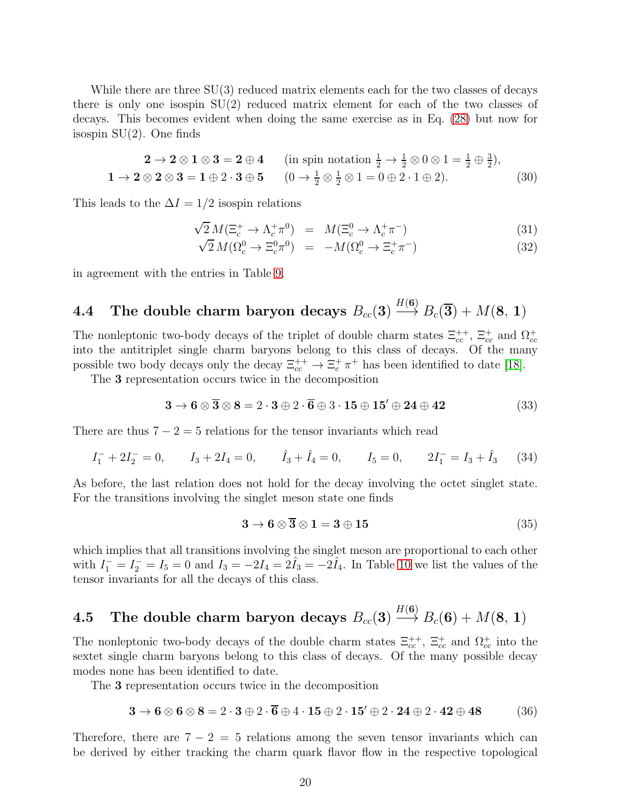While there are three  $SU(3)$  reduced matrix elements each for the two classes of decays there is only one isospin SU(2) reduced matrix element for each of the two classes of decays. This becomes evident when doing the same exercise as in Eq. [\(28\)](#page-19-1) but now for isospin  $SU(2)$ . One finds

$$
2 \to 2 \otimes 1 \otimes 3 = 2 \oplus 4 \quad \text{(in spin notation } \frac{1}{2} \to \frac{1}{2} \otimes 0 \otimes 1 = \frac{1}{2} \oplus \frac{3}{2}),
$$
  

$$
1 \to 2 \otimes 2 \otimes 3 = 1 \oplus 2 \cdot 3 \oplus 5 \quad (0 \to \frac{1}{2} \otimes \frac{1}{2} \otimes 1 = 0 \oplus 2 \cdot 1 \oplus 2).
$$
 (30)

This leads to the  $\Delta I = 1/2$  isospin relations

$$
\sqrt{2} M (\Xi_c^+ \to \Lambda_c^+ \pi^0) = M (\Xi_c^0 \to \Lambda_c^+ \pi^-)
$$
\n(31)

$$
\sqrt{2} M(\Omega_c^0 \to \Xi_c^0 \pi^0) = -M(\Omega_c^0 \to \Xi_c^+ \pi^-)
$$
\n(32)

in agreement with the entries in Table [9.](#page-19-0)

#### $\textbf{4.4} \quad \textbf{The double charm baryon decays} \ B_{cc}(\textbf{3})$  $H(\mathbf{6})$  $\stackrel{\cdots}{\longrightarrow}B_c(\overline{\bf 3})+M({\bf 8},\,{\bf 1})$

The nonleptonic two-body decays of the triplet of double charm states  $\Xi_{cc}^{++}$ ,  $\Xi_{cc}^{+}$  and  $\Omega_{cc}^{+}$ into the antitriplet single charm baryons belong to this class of decays. Of the many possible two body decays only the decay  $\Xi_{cc}^{++} \to \Xi_c^+ \pi^+$  has been identified to date [\[18\]](#page-60-2).

The 3 representation occurs twice in the decomposition

$$
3 \rightarrow 6 \otimes \overline{3} \otimes 8 = 2 \cdot 3 \oplus 2 \cdot \overline{6} \oplus 3 \cdot 15 \oplus 15' \oplus 24 \oplus 42 \tag{33}
$$

There are thus  $7 - 2 = 5$  relations for the tensor invariants which read

$$
I_1^- + 2I_2^- = 0
$$
,  $I_3 + 2I_4 = 0$ ,  $\hat{I}_3 + \hat{I}_4 = 0$ ,  $I_5 = 0$ ,  $2I_1^- = I_3 + \hat{I}_3$  (34)

As before, the last relation does not hold for the decay involving the octet singlet state. For the transitions involving the singlet meson state one finds

$$
3 \to 6 \otimes \overline{3} \otimes 1 = 3 \oplus 15 \tag{35}
$$

which implies that all transitions involving the singlet meson are proportional to each other with  $I_1^- = I_2^- = I_5 = 0$  and  $I_3 = -2I_4 = 2I_3 = -2I_4$ . In Table [10](#page-21-0) we list the values of the tensor invariants for all the decays of this class.

#### $\rm 4.5$  The double charm baryon decays  $B_{cc}(\mathbf{3})$  $H(\mathbf{6})$  $\stackrel{\cdots}{\longrightarrow} B_c(\mathbf{6}) + M(\mathbf{8}, \mathbf{1})$

The nonleptonic two-body decays of the double charm states  $\Xi_{cc}^{++}$ ,  $\Xi_{cc}^+$  and  $\Omega_{cc}^+$  into the sextet single charm baryons belong to this class of decays. Of the many possible decay modes none has been identified to date.

The 3 representation occurs twice in the decomposition

$$
3 \rightarrow 6 \otimes 6 \otimes 8 = 2 \cdot 3 \oplus 2 \cdot \overline{6} \oplus 4 \cdot 15 \oplus 2 \cdot 15' \oplus 2 \cdot 24 \oplus 2 \cdot 42 \oplus 48
$$
 (36)

Therefore, there are  $7 - 2 = 5$  relations among the seven tensor invariants which can be derived by either tracking the charm quark flavor flow in the respective topological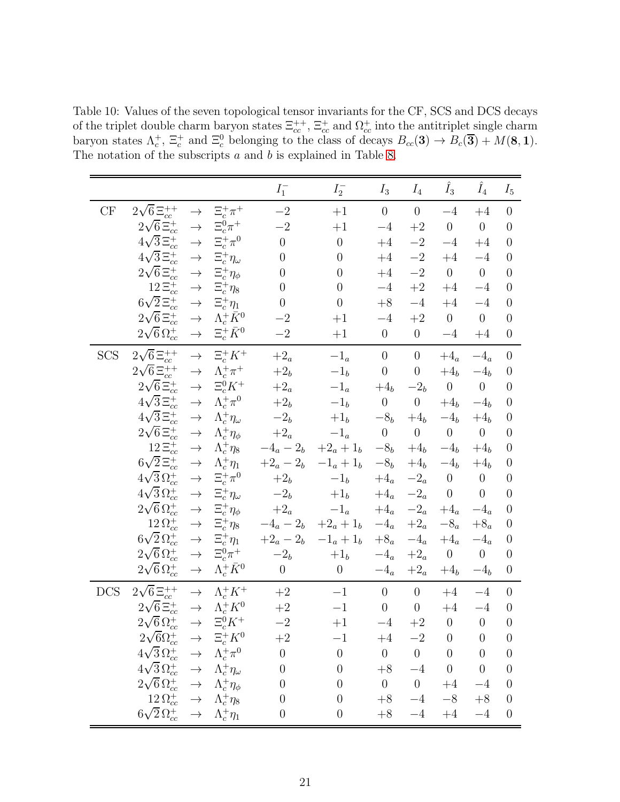<span id="page-21-0"></span>Table 10: Values of the seven topological tensor invariants for the CF, SCS and DCS decays of the triplet double charm baryon states  $\Xi_{cc}^{++}$ ,  $\Xi_{cc}^+$  and  $\Omega_{cc}^+$  into the antitriplet single charm baryon states  $\Lambda_c^+$ ,  $\Xi_c^+$  and  $\Xi_c^0$  belonging to the class of decays  $B_{cc}(\mathbf{3}) \to B_c(\overline{\mathbf{3}}) + M(\mathbf{8}, \mathbf{1})$ . The notation of the subscripts  $a$  and  $b$  is explained in Table [8.](#page-18-0)

|            |                                                                         |               |                          | $I_1^-$             | $I_2^-$                     | $I_3$                 | $\mathcal{I}_4$  | $\hat{I}_3$           | $\hat{I}_4$           | $I_5$            |
|------------|-------------------------------------------------------------------------|---------------|--------------------------|---------------------|-----------------------------|-----------------------|------------------|-----------------------|-----------------------|------------------|
| CF         | $2\sqrt{6} \, \Xi_{cc}^{++}$                                            | $\rightarrow$ | $\Xi_c^+\pi^+$           | $-2\,$              | $+1$                        | $\boldsymbol{0}$      | $\boldsymbol{0}$ | $-4$                  | $+4$                  | $\theta$         |
|            | $2\sqrt{6}\,\Xi_{cc}^{+}$                                               | $\rightarrow$ | $\Xi_c^0 \pi^+$          | $-2$                | $+1$                        | $-4$                  | $+2$             | $\boldsymbol{0}$      | $\boldsymbol{0}$      | $\overline{0}$   |
|            | $4\sqrt{3}\,\Xi_{cc}^{+}$                                               | $\rightarrow$ | $\Xi_c^+\pi^0$           | $\overline{0}$      | $\theta$                    | $+4$                  | $-2$             | $-4$                  | $+4$                  | $\overline{0}$   |
|            | $4\sqrt{3} \Xi_{cc}^{+}$                                                | $\rightarrow$ | $\Xi_c^+\eta_\omega$     | $\overline{0}$      | $\overline{0}$              | $+4$                  | $-2$             | $+4$                  | $-4$                  | $\overline{0}$   |
|            | $2\sqrt{6}\,\Xi_{cc}^{+}$                                               | $\rightarrow$ | $\Xi_c^+\eta_\phi$       | $\overline{0}$      | $\overline{0}$              | $+4$                  | $-2\,$           | $\overline{0}$        | $\overline{0}$        | $\overline{0}$   |
|            | $12\,\Xi_{cc}^{+}$                                                      | $\rightarrow$ | $\Xi_c^+\eta_8$          | $\overline{0}$      | $\overline{0}$              | $-4$                  | $\!+2$           | $+4$                  | $-4$                  | $\overline{0}$   |
|            | $6\sqrt{2}\,\Xi_{cc}^{+}$                                               | $\rightarrow$ | $\Xi_c^+\eta_1$          | $\overline{0}$      | $\overline{0}$              | $+8$                  | $-4$             | $+4$                  | $-4$                  | $\overline{0}$   |
|            | $2\sqrt{6}\,\Xi_{cc}^{+}$                                               | $\rightarrow$ | $\Lambda_c^+ \bar K^0$   | $-{\bf 2}$          | $+1$                        | $-4$                  | $\!+2$           | $\boldsymbol{0}$      | $\boldsymbol{0}$      | $\boldsymbol{0}$ |
|            | $2\sqrt{6}\,\Omega_{cc}^{+}$                                            | $\rightarrow$ | $\Xi_c^+\bar K^0$        | $-2\,$              | $+1$                        | $\boldsymbol{0}$      | $\overline{0}$   | $-4$                  | $+4$                  | $\theta$         |
| <b>SCS</b> | $2\sqrt{6} \, \Xi_{cc}^{++}$                                            | $\rightarrow$ | $\Xi_c^+ K^+$            | $+2_a$              | $-1_a$                      | $\boldsymbol{0}$      | $\boldsymbol{0}$ | $+4_a$                | $-4_a$                | $\overline{0}$   |
|            | $2\sqrt{6} \, \Xi_{cc}^{++}$                                            | $\rightarrow$ | $\Lambda_c^+\pi^+$       | $+2b$               | $-1b$                       | $\boldsymbol{0}$      | $\boldsymbol{0}$ | $+4_b$                | $-4_b$                | $\overline{0}$   |
|            | $2\sqrt{6}\,\Xi_{cc}^{+}$                                               | $\rightarrow$ | $\Xi_c^0 K^+$            | $+2_a$              | $-1_{\it a}$                | $+4b$                 | $-2b$            | $\boldsymbol{0}$      | $\boldsymbol{0}$      | $\overline{0}$   |
|            | $4\sqrt{3} \Xi_{cc}^+$                                                  | $\rightarrow$ | $\Lambda_c^+\pi^0$       | $+2b$               | $-1b$                       | $\theta$              | $\boldsymbol{0}$ | $+4b$                 | $-4b$                 | $\overline{0}$   |
|            | $4\sqrt{3} \, \Xi_{cc}^{+}$                                             | $\rightarrow$ | $\Lambda_c^+\eta_\omega$ | $-2b$               | $+1_b$                      | $-8b$                 | $+4_b$           | $-4b$                 | $+4b$                 | $\overline{0}$   |
|            | $2\sqrt{6}\,\Xi_{cc}^{+}$                                               | $\rightarrow$ | $\Lambda_c^+\eta_\phi$   | $+2_{a}$            | $-1_{\scriptscriptstyle a}$ | $\boldsymbol{0}$      | $\boldsymbol{0}$ | $\boldsymbol{0}$      | $\overline{0}$        | $\overline{0}$   |
|            | $12\, \Xi_{cc}^{+}$                                                     | $\rightarrow$ | $\Lambda_c^+\eta_8$      | $-4_a-2_b\,$        | $+2_{a}+1_{b}$              | $-8b$                 | $+4b$            | $-4b$                 | $+4b$                 | $\boldsymbol{0}$ |
|            | $6\sqrt{2} \, \Xi_{cc}^{+}$                                             | $\rightarrow$ | $\Lambda_c^+\eta_1$      | $+2_{a}-2_{b}\,$    | $-1_a + 1_b$                | $-{\bf 8}_b$          | $+4_b$           | $-4_{\mathfrak{b}}$   | $+4b$                 | $\overline{0}$   |
|            | $4\sqrt{3}\,\Omega_{cc}^+$                                              | $\rightarrow$ | $\Xi_c^+\pi^0$           | $+2_b\,$            | $-1b$                       | $+4_{\scriptstyle a}$ | $-2_a$           | $\boldsymbol{0}$      | $\boldsymbol{0}$      | $\overline{0}$   |
|            | $4\sqrt{3}\,\Omega_{cc}^+$                                              | $\rightarrow$ | $\Xi_c^+\eta_\omega$     | $-2b$               | $+1b$                       | $+4_{\scriptstyle a}$ | $-2_a$           | $\boldsymbol{0}$      | $\theta$              | $\boldsymbol{0}$ |
|            | $2\sqrt{6} \Omega_{cc}^{+}$                                             | $\rightarrow$ | $\Xi_c^+\eta_\phi$       | $+2_{a}$            | $-1_{\scriptscriptstyle a}$ | $+4_a$                | $-2_a$           | $+4_{\scriptstyle a}$ | $-4_{\scriptstyle a}$ | $\boldsymbol{0}$ |
|            | $12\,\Omega_{cc}^+$                                                     | $\rightarrow$ | $\Xi_c^+\eta_8$          | $-4_a - 2_b$        | $+2_a + 1_b$                | $-4_{\scriptstyle a}$ | $+2_{a}$         | $-8_a$                | $+8_a$                | $\boldsymbol{0}$ |
|            | $6\sqrt{2}\,\Omega_{cc}^{+}$                                            | $\rightarrow$ | $\Xi_c^+\eta_1$          | $+2_a - 2_b$        | $-1_a + 1_b$                | $+8_{a}$              | $-4_a$           | $+4_a$                | $-4_a$                | $\boldsymbol{0}$ |
|            | $2\sqrt{6}\,\Omega_{cc}^+$                                              | $\rightarrow$ | $\Xi_c^0\pi^+$           | $-2_{\mathfrak{b}}$ | $+1b$                       | $-4_{\scriptstyle a}$ | $+2_a$           | $\boldsymbol{0}$      | $\boldsymbol{0}$      | $\boldsymbol{0}$ |
|            | $2\sqrt{6}\,\Omega_{cc}^{+}$                                            | $\rightarrow$ | $\Lambda_c^+ \bar K^0$   | $\theta$            | $\overline{0}$              | $-4_a$                | $+2_{a}$         | $+4b$                 | $-4_{\mathfrak{b}}$   | $\boldsymbol{0}$ |
| <b>DCS</b> | $2\sqrt{6} \, \Xi_{cc}^{++}$                                            | $\rightarrow$ | $\Lambda_c^+ K^+$        | $\!+2$              | $-1$                        | $\theta$              | $\theta$         | $+4$                  | $-4$                  | $\theta$         |
|            | $2\sqrt{6}\,\Xi_{cc}^{+}$                                               | $\rightarrow$ | $\Lambda_c^+ K^0$        | $\!+2$              | $-1$                        | $\boldsymbol{0}$      | $\boldsymbol{0}$ | $+4$                  | $-4$                  | $\boldsymbol{0}$ |
|            | $2\sqrt{6}\,\Omega_{cc}^{+}$                                            | $\rightarrow$ | $\Xi_c^0 K^+$            | $-{\bf 2}$          | $+1$                        | $-4$                  | $\!+2$           | $\boldsymbol{0}$      | $\boldsymbol{0}$      | $\theta$         |
|            | $2\sqrt{6}\Omega_{cc}^+ \rightarrow \Xi_c^+ K^0$                        |               |                          | $+2$                | $-1$                        | $+4$                  | $-2$             | $\overline{0}$        | $\boldsymbol{0}$      | $\boldsymbol{0}$ |
|            | $4\sqrt{3} \Omega_{cc}^+ \rightarrow \Lambda_c^+ \pi^0$                 |               |                          | $\boldsymbol{0}$    | $\boldsymbol{0}$            | $\boldsymbol{0}$      | $\overline{0}$   | $\boldsymbol{0}$      | $\boldsymbol{0}$      | $\theta$         |
|            | $4\sqrt{3} \Omega_{cc}^+ \rightarrow \Lambda_c^+ \eta_{\omega}$         |               |                          | $\theta$            | $\theta$                    | $+8$                  | $-4$             | $\theta$              | $\theta$              | $\overline{0}$   |
|            | $2\sqrt{6} \Omega_{cc}^+ \rightarrow \Lambda_c^+ \eta_\phi$             |               |                          | $\theta$            | $\boldsymbol{0}$            | $\overline{0}$        | $\overline{0}$   | $+4$                  | $-4$                  | $\theta$         |
|            | $12 \Omega_{cc}^+ \rightarrow \Lambda_c^+ \eta_8$                       |               |                          | $\theta$            | $\overline{0}$              | $+8$                  | $-4$             | $-8$                  | $+8\,$                | $\theta$         |
|            | $6\sqrt{2} \, \Omega_{cc}^+ \quad \rightarrow \quad \Lambda_c^+ \eta_1$ |               |                          | $\boldsymbol{0}$    | $\boldsymbol{0}$            | $+8$                  | $-4$             | $+4$                  | $-4$                  | $\theta$         |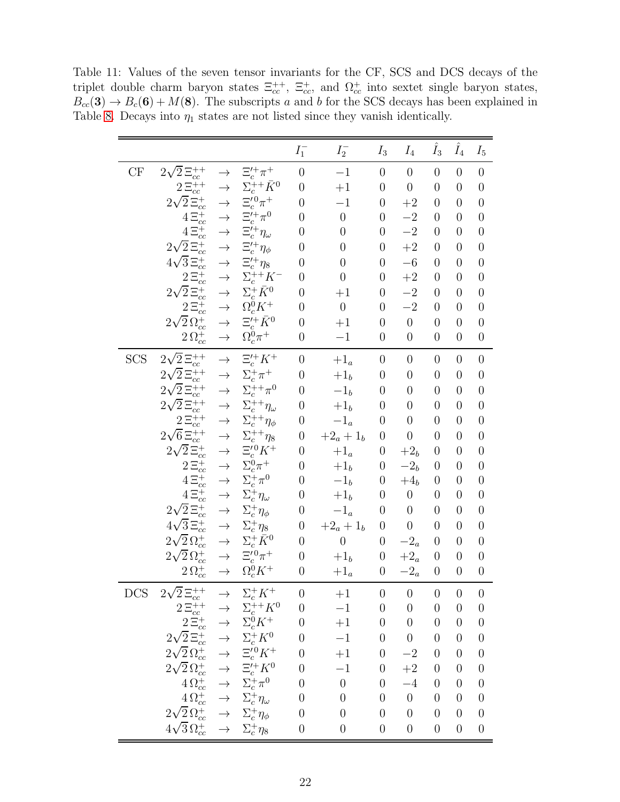<span id="page-22-0"></span>Table 11: Values of the seven tensor invariants for the CF, SCS and DCS decays of the triplet double charm baryon states  $\Xi_{cc}^{++}$ ,  $\Xi_{cc}^+$ , and  $\Omega_{cc}^+$  into sextet single baryon states,  $B_{cc}(3) \rightarrow B_c(6) + M(8)$ . The subscripts a and b for the SCS decays has been explained in Table [8.](#page-18-0) Decays into  $\eta_1$  states are not listed since they vanish identically.

|            |                                                                                                                                                                                                                                     |                                |                                                                       | $I_1^-$                            | $I_2^-$                        | $I_3$                                | $I_4$                            | $\hat{I}_3$                      | $\hat{I}_4$                          | $I_5$                                |
|------------|-------------------------------------------------------------------------------------------------------------------------------------------------------------------------------------------------------------------------------------|--------------------------------|-----------------------------------------------------------------------|------------------------------------|--------------------------------|--------------------------------------|----------------------------------|----------------------------------|--------------------------------------|--------------------------------------|
| CF         | $2\sqrt{2} \Xi_{cc}^{++}$                                                                                                                                                                                                           | $\rightarrow$                  | $\Xi_c^{\prime +}\pi^+$                                               | $\overline{0}$                     | $^{-1}$                        | $\boldsymbol{0}$                     | $\overline{0}$                   | $\overline{0}$                   | $\overline{0}$                       | $\boldsymbol{0}$                     |
|            | $2\Xi_{cc}^{++}$                                                                                                                                                                                                                    | $\rightarrow$                  | $\Sigma_c^{++}\bar{K}^0$                                              | $\overline{0}$                     | $+1$                           | $\boldsymbol{0}$                     | $\boldsymbol{0}$                 | $\overline{0}$                   | $\overline{0}$                       | $\boldsymbol{0}$                     |
|            | $2\sqrt{2}\,\Xi_{cc}^{+}$                                                                                                                                                                                                           | $\rightarrow$                  | $\Xi_c^{\prime\,0}\pi^+$                                              | $\overline{0}$                     | $-1$                           | $\boldsymbol{0}$                     | $+2$                             | $\overline{0}$                   | $\overline{0}$                       | $\boldsymbol{0}$                     |
|            | $4\Xi_{cc}^{+}$                                                                                                                                                                                                                     | $\rightarrow$                  | $\Xi_c^{\prime +}\pi^0$ $\Xi_c^{\prime +}\eta_\omega$                 | $\overline{0}$                     | $\overline{0}$                 | $\boldsymbol{0}$                     | $-2$                             | $\overline{0}$                   | $\overline{0}$                       | $\boldsymbol{0}$                     |
|            | $4\Xi_{cc}^{+}$                                                                                                                                                                                                                     | $\rightarrow$                  |                                                                       | $\overline{0}$                     | $\boldsymbol{0}$               | $\boldsymbol{0}$                     | $-2$                             | $\overline{0}$                   | $\overline{0}$                       | $\overline{0}$                       |
|            | $2\sqrt{2} \, \Xi_{cc}^{+}$                                                                                                                                                                                                         | $\rightarrow$                  | $\Xi_c^{\prime +} \eta_\phi$                                          | $\overline{0}$                     | $\overline{0}$                 | $\boldsymbol{0}$                     | $+2$                             | $\overline{0}$                   | $\overline{0}$                       | $\overline{0}$                       |
|            | $4\sqrt{3} \, \Xi_{cc}^{+}$                                                                                                                                                                                                         | $\rightarrow$                  | $\Xi_c^{\prime +} \eta_8$                                             | $\overline{0}$                     | $\overline{0}$                 | $\overline{0}$                       | $-6$                             | $\overline{0}$                   | $\overline{0}$                       | $\boldsymbol{0}$                     |
|            | $2\, \Xi_{cc}^{+}$                                                                                                                                                                                                                  | $\rightarrow$                  | $\Sigma_c^{++} K^-$                                                   | $\boldsymbol{0}$                   | $\boldsymbol{0}$               | $\boldsymbol{0}$                     | $+2$                             | $\overline{0}$                   | $\overline{0}$                       | $\boldsymbol{0}$                     |
|            | $2\sqrt{2} \, \Xi_{cc}^{+}$                                                                                                                                                                                                         | $\rightarrow$                  | $\Sigma_c^+ \bar K^0$                                                 | $\overline{0}$                     | $+1$                           | $\overline{0}$                       | $-2$                             | $\overline{0}$                   | $\overline{0}$                       | $\boldsymbol{0}$                     |
|            | $2\, \Xi_{cc}^{+}$                                                                                                                                                                                                                  | $\rightarrow$                  | $\Omega_c^0 K^+$                                                      | $\overline{0}$                     | $\boldsymbol{0}$               | $\overline{0}$                       | $-2$                             | $\overline{0}$                   | $\overline{0}$                       | $\overline{0}$                       |
|            | $2\sqrt{2}\,\Omega_{cc}^{+}$                                                                                                                                                                                                        | $\rightarrow$<br>$\rightarrow$ | $\Xi_{\underline{c}}^{\prime+}\bar{K}^0$                              | $\overline{0}$                     | $+1$                           | $\boldsymbol{0}$                     | $\boldsymbol{0}$                 | $\overline{0}$                   | $\overline{0}$                       | $\boldsymbol{0}$                     |
|            | $2\,\Omega_{cc}^+$                                                                                                                                                                                                                  |                                | $\Omega_c^0\pi^+$                                                     | $\overline{0}$                     | $-1$                           | $\boldsymbol{0}$                     | $\boldsymbol{0}$                 | $\overline{0}$                   | $\overline{0}$                       | $\boldsymbol{0}$                     |
| <b>SCS</b> | $2\sqrt{2} \, \Xi_{cc}^{++}$                                                                                                                                                                                                        | $\rightarrow$                  | $\Xi_c^{\prime+} K^+$                                                 | $\overline{0}$                     | $+1_a$                         | $\boldsymbol{0}$                     | $\overline{0}$                   | $\boldsymbol{0}$                 | $\overline{0}$                       | $\boldsymbol{0}$                     |
|            | $2\sqrt{2} \, \Xi_{cc}^{++}$                                                                                                                                                                                                        | $\rightarrow$                  | $\Sigma_c^+\pi^+$                                                     | $\overline{0}$                     | $+1_b$                         | $\boldsymbol{0}$                     | $\overline{0}$                   | $\overline{0}$                   | $\overline{0}$                       | $\boldsymbol{0}$                     |
|            | $2\sqrt{2} \, \Xi_{cc}^{++}$                                                                                                                                                                                                        | $\rightarrow$                  | $\Sigma_c^{++} \pi^0$                                                 | $\overline{0}$                     | $-1_{b}$                       | $\boldsymbol{0}$                     | $\overline{0}$                   | $\overline{0}$                   | $\overline{0}$                       | $\boldsymbol{0}$                     |
|            | $2\sqrt{2} \Xi_{cc}^{++}$                                                                                                                                                                                                           | $\rightarrow$                  | $\Sigma_c^{++} \eta_{\omega}$                                         | $\overline{0}$                     | $+1_{\mathfrak{b}}$            | $\boldsymbol{0}$                     | $\boldsymbol{0}$                 | $\overline{0}$                   | $\overline{0}$                       | $\overline{0}$                       |
|            | $2\Xi_{cc}^{++}$                                                                                                                                                                                                                    | $\rightarrow$                  | $\Sigma_c^{++} \eta_\phi$                                             | $\overline{0}$                     | $-1_{\scriptscriptstyle a}$    | $\boldsymbol{0}$                     | $\boldsymbol{0}$                 | $\overline{0}$                   | $\overline{0}$                       | $\boldsymbol{0}$                     |
|            | $2\sqrt{6} \, \Xi_{cc}^{++}$                                                                                                                                                                                                        | $\rightarrow$                  | $\Sigma_c^{++} \eta_8$                                                | $\boldsymbol{0}$                   | $+2_a + 1_b$                   | $\boldsymbol{0}$                     | $\boldsymbol{0}$                 | $\overline{0}$                   | $\overline{0}$                       | $\boldsymbol{0}$                     |
|            | $2\sqrt{2}\,\Xi_{cc}^{+}$                                                                                                                                                                                                           | $\rightarrow$                  | $\Xi_c^{\prime 0} K^+$                                                | $\overline{0}$                     | $+1_a$                         | $\boldsymbol{0}$                     | $+2b$                            | $\overline{0}$                   | $\overline{0}$                       | $\boldsymbol{0}$                     |
|            | $2\Xi_{cc}^{+}$                                                                                                                                                                                                                     | $\rightarrow$                  | $\Sigma_c^0\pi^+$                                                     | $\overline{0}$                     | $+ \mathbf{1}_b$               | $\boldsymbol{0}$                     | $-2b$                            | $\overline{0}$                   | $\overline{0}$                       | $\boldsymbol{0}$                     |
|            | $4\,\Xi_{cc}^+$                                                                                                                                                                                                                     | $\rightarrow$                  | $\Sigma_c^+\pi^0$                                                     | $\overline{0}$                     | $-1b$                          | $\boldsymbol{0}$                     | $+4b$                            | $\overline{0}$                   | $\overline{0}$                       | $\boldsymbol{0}$                     |
|            | $4\Xi_{cc}^{+}$                                                                                                                                                                                                                     | $\rightarrow$                  | $\Sigma_c^+ \eta_{\omega}$                                            | $\overline{0}$                     | $+1b$                          | $\boldsymbol{0}$                     | $\boldsymbol{0}$                 | $\overline{0}$                   | $\overline{0}$                       | $\boldsymbol{0}$                     |
|            | $2\sqrt{2}\,\Xi_{cc}^{+}$                                                                                                                                                                                                           | $\rightarrow$                  | $\Sigma_c^+\eta_\phi$                                                 | $\boldsymbol{0}$                   | $-1_a$                         | $\boldsymbol{0}$                     | $\boldsymbol{0}$                 | $\overline{0}$                   | $\overline{0}$                       | $\boldsymbol{0}$                     |
|            | $4\sqrt{3}\,\Xi_{cc}^{+}$                                                                                                                                                                                                           | $\rightarrow$                  | $\Sigma_c^+\eta_8$                                                    | $\boldsymbol{0}$<br>$\overline{0}$ | $+2_a + 1_b$<br>$\overline{0}$ | $\boldsymbol{0}$<br>$\boldsymbol{0}$ | $\boldsymbol{0}$<br>$-2_a$       | $\overline{0}$<br>$\overline{0}$ | $\overline{0}$<br>$\overline{0}$     | $\overline{0}$<br>$\boldsymbol{0}$   |
|            | $2\sqrt{2}\,\Omega_{cc}^{+}$                                                                                                                                                                                                        | $\rightarrow$                  | $\Sigma_c^+ \bar K^0$<br>$\Xi_c^{\prime\,0}\pi^+$                     | $\overline{0}$                     |                                |                                      | $+2_a$                           | $\overline{0}$                   |                                      |                                      |
|            | $2\sqrt{2}\,\Omega_{cc}^+$<br>$2\,\Omega_{cc}^+$                                                                                                                                                                                    | $\rightarrow$<br>$\rightarrow$ | $\Omega_c^0 K^+$                                                      | $\boldsymbol{0}$                   | $+1_{\mathfrak{b}}$<br>$+1_a$  | $\boldsymbol{0}$<br>$\boldsymbol{0}$ | $-2_a$                           | $\overline{0}$                   | $\boldsymbol{0}$<br>$\boldsymbol{0}$ | $\boldsymbol{0}$<br>$\boldsymbol{0}$ |
|            |                                                                                                                                                                                                                                     |                                |                                                                       |                                    |                                |                                      |                                  |                                  |                                      |                                      |
| DCS        | $2\sqrt{2} \, \Xi_{cc}^{++}$                                                                                                                                                                                                        | $\rightarrow$                  | $\Sigma_c^+ K^+$                                                      | $\theta$                           | $+1$                           | $\boldsymbol{0}$                     | $\boldsymbol{0}$                 | $\boldsymbol{0}$                 | $\boldsymbol{0}$                     | $\overline{0}$                       |
|            |                                                                                                                                                                                                                                     |                                | $\Sigma_c^{++} K^0$                                                   | $\boldsymbol{0}$                   | $-1$                           | $\boldsymbol{0}$                     | $\boldsymbol{0}$                 | $\overline{0}$                   | $\overline{0}$                       | $\boldsymbol{0}$                     |
|            |                                                                                                                                                                                                                                     |                                |                                                                       | $\boldsymbol{0}$                   | $+1$                           | $\boldsymbol{0}$                     | $\boldsymbol{0}$                 | $\overline{0}$                   | $\overline{0}$                       | $\boldsymbol{0}$                     |
|            |                                                                                                                                                                                                                                     |                                |                                                                       | $\overline{0}$                     | $-1$                           | $\boldsymbol{0}$                     | $\boldsymbol{0}$                 | $\overline{0}$                   | $\overline{0}$                       | $\theta$                             |
|            | $2\Xi_{cc}^{++} \rightarrow \Sigma_{c}^{++} K^0 \ 2\Xi_{cc}^{+-} \rightarrow \Sigma_{c}^{0} K^+ \ 2\sqrt{2}\Xi_{cc}^{+} \rightarrow \Sigma_{c}^{0} K^0 \ 2\sqrt{2}\Omega_{cc}^{+} \rightarrow \Xi_{c}^{\prime0} K^+ \ \Xi_{cc}^{-}$ |                                |                                                                       | $\boldsymbol{0}$                   | $+1$                           | $\boldsymbol{0}$                     | $-2$                             | $\boldsymbol{0}$                 | $\overline{0}$                       | $\boldsymbol{0}$                     |
|            | $2\sqrt{2} \, \Omega_{cc}^+ \rightarrow$                                                                                                                                                                                            |                                | $\Xi_c^{\prime+} K^0$                                                 | $\boldsymbol{0}$                   | $-1$                           | $\boldsymbol{0}$                     | $\!+2$                           | $\overline{0}$                   | $\overline{0}$                       | $\boldsymbol{0}$                     |
|            |                                                                                                                                                                                                                                     |                                | $4 \, \Omega_{cc}^{+} \quad \rightarrow \quad \Sigma_{c}^{+} \pi^{0}$ | $\overline{0}$                     | $\overline{0}$                 | $\boldsymbol{0}$                     | $-4$                             | $\overline{0}$                   | $\overline{0}$                       | $\boldsymbol{0}$                     |
|            |                                                                                                                                                                                                                                     |                                | $4\Omega_{cc}^+ \rightarrow \Sigma_c^+ \eta_\omega$                   | $\overline{0}$                     | $\boldsymbol{0}$               | $\boldsymbol{0}$                     | $\overline{0}$<br>$\overline{0}$ | $\overline{0}$                   | $\overline{0}$                       | $\boldsymbol{0}$                     |
|            | $2\sqrt{2} \Omega_{cc}^+$ $\rightarrow$                                                                                                                                                                                             |                                | $\Sigma_c^+\eta_\phi$                                                 | $\boldsymbol{0}$                   | $\boldsymbol{0}$               | $\boldsymbol{0}$                     |                                  | $\overline{0}$                   | $\overline{0}$                       | $\boldsymbol{0}$                     |
|            | $4\sqrt{3}\,\Omega_{cc}^{+} \  \  \rightarrow$                                                                                                                                                                                      |                                | $\Sigma_c^+ \eta_8$                                                   | $\boldsymbol{0}$                   | $\boldsymbol{0}$               | $\boldsymbol{0}$                     | $\boldsymbol{0}$                 | $\boldsymbol{0}$                 | $\boldsymbol{0}$                     | $\boldsymbol{0}$                     |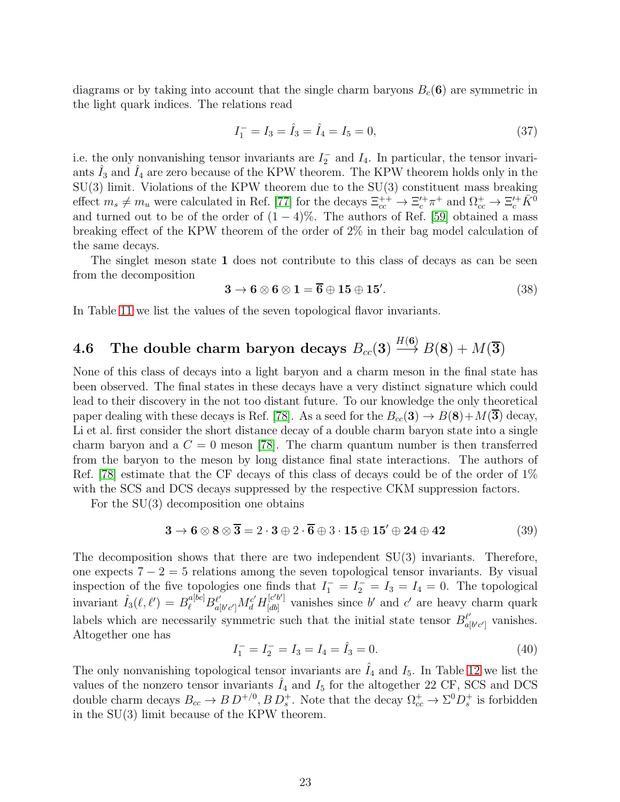diagrams or by taking into account that the single charm baryons  $B_c(6)$  are symmetric in the light quark indices. The relations read

$$
I_1^- = I_3 = \hat{I}_3 = \hat{I}_4 = I_5 = 0,
$$
\n(37)

i.e. the only nonvanishing tensor invariants are  $I_2^-$  and  $I_4$ . In particular, the tensor invariants  $\hat{I}_3$  and  $\hat{I}_4$  are zero because of the KPW theorem. The KPW theorem holds only in the SU(3) limit. Violations of the KPW theorem due to the SU(3) constituent mass breaking effect  $m_s \neq m_u$  were calculated in Ref. [\[77\]](#page-63-11) for the decays  $\Xi_{cc}^{++} \to \Xi_c^{\prime +} \pi^+$  and  $\Omega_{cc}^+ \to \Xi_c^{\prime +} \bar{K}^0$ and turned out to be of the order of  $(1 - 4)$ %. The authors of Ref. [\[59\]](#page-62-10) obtained a mass breaking effect of the KPW theorem of the order of 2% in their bag model calculation of the same decays.

The singlet meson state 1 does not contribute to this class of decays as can be seen from the decomposition

$$
3 \to 6 \otimes 6 \otimes 1 = \overline{6} \oplus 15 \oplus 15'.
$$
 (38)

In Table [11](#page-22-0) we list the values of the seven topological flavor invariants.

#### $\mathbf{4.6}\quad$  The double charm baryon decays  $B_{cc}(\mathbf{3})$  $H(\mathbf{6})$  $\longrightarrow B(8) + M(\overline{3})$

None of this class of decays into a light baryon and a charm meson in the final state has been observed. The final states in these decays have a very distinct signature which could lead to their discovery in the not too distant future. To our knowledge the only theoretical paper dealing with these decays is Ref. [\[78\]](#page-63-12). As a seed for the  $B_{cc}(3) \rightarrow B(8) + M(\overline{3})$  decay, Li et al. first consider the short distance decay of a double charm baryon state into a single charm baryon and a  $C = 0$  meson [\[78\]](#page-63-12). The charm quantum number is then transferred from the baryon to the meson by long distance final state interactions. The authors of Ref. [\[78\]](#page-63-12) estimate that the CF decays of this class of decays could be of the order of 1% with the SCS and DCS decays suppressed by the respective CKM suppression factors.

For the SU(3) decomposition one obtains

$$
3 \rightarrow 6 \otimes 8 \otimes \overline{3} = 2 \cdot 3 \oplus 2 \cdot \overline{6} \oplus 3 \cdot 15 \oplus 15' \oplus 24 \oplus 42 \tag{39}
$$

The decomposition shows that there are two independent SU(3) invariants. Therefore, one expects  $7 - 2 = 5$  relations among the seven topological tensor invariants. By visual inspection of the five topologies one finds that  $I_1^- = I_2^- = I_3 = I_4 = 0$ . The topological invariant  $\hat{I}_3(\ell, \ell') = B_{\ell}^{a[bc]} B_{a|}^{\ell'}$  $\frac{\ell'}{a[b'c']}M_{d}^{c'}H_{[db]}^{[c'b']}$  $\begin{bmatrix} e^{i\theta} \\ i \end{bmatrix}$  vanishes since b' and c' are heavy charm quark labels which are necessarily symmetric such that the initial state tensor  $B^{\ell'}_{a[b'c']}$  vanishes. Altogether one has

$$
I_1^- = I_2^- = I_3 = I_4 = \hat{I}_3 = 0.
$$
\n(40)

The only nonvanishing topological tensor invariants are  $I_4$  and  $I_5$ . In Table [12](#page-24-0) we list the values of the nonzero tensor invariants  $\hat{I}_4$  and  $I_5$  for the altogether 22 CF, SCS and DCS double charm decays  $B_{cc} \to B D^{+/0}, B D_s^+$ . Note that the decay  $\Omega_{cc}^+ \to \Sigma^0 D_s^+$  is forbidden in the SU(3) limit because of the KPW theorem.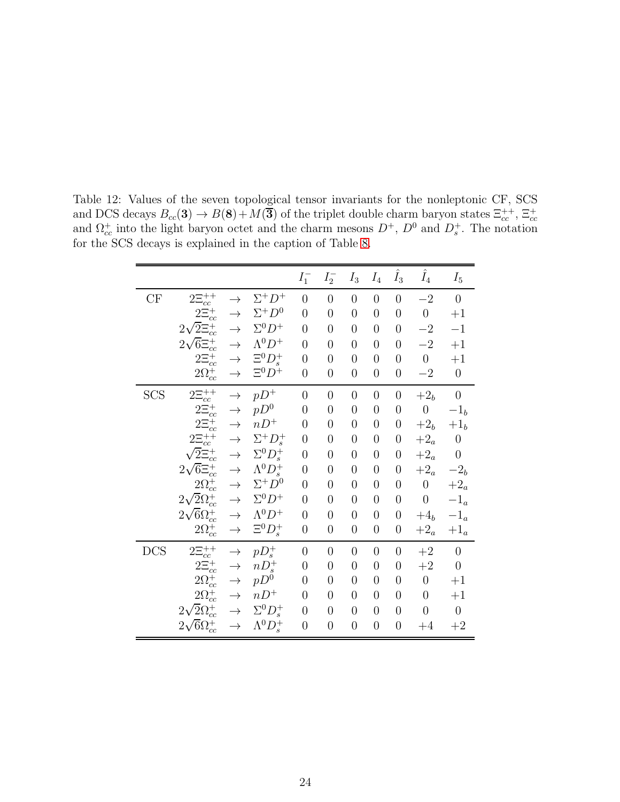<span id="page-24-0"></span>

|            |                                     |               |                        | ${\cal I}_1^-$ | $I_2^-$        | $I_3$            | ${\cal I}_4$   | $\hat{I}_3$      | $\hat{I}_4$      | $I_5$                       |
|------------|-------------------------------------|---------------|------------------------|----------------|----------------|------------------|----------------|------------------|------------------|-----------------------------|
| CF         | $2\Xi_{cc}^{++}$                    | $\rightarrow$ | $\Sigma^+ D^+$         | $\overline{0}$ | $\overline{0}$ | $\overline{0}$   | $\overline{0}$ | $\overline{0}$   | $-2$             | $\overline{0}$              |
|            | $2\Xi_{cc}^{+}$                     | $\rightarrow$ | $\Sigma^+ D^0$         | $\overline{0}$ | $\overline{0}$ | $\overline{0}$   | $\overline{0}$ | $\overline{0}$   | $\boldsymbol{0}$ | $+1$                        |
|            | $2\sqrt{2} \Xi_{cc}^{+}$            | $\rightarrow$ | $\Sigma^0 D^+$         | $\overline{0}$ | $\overline{0}$ | $\overline{0}$   | $\overline{0}$ | $\overline{0}$   | $-2$             | $^{-1}$                     |
|            | $2\sqrt{6}\Xi_{cc}^{+}$             | $\rightarrow$ | $\Lambda^0 D^+$        | $\overline{0}$ | $\overline{0}$ | $\overline{0}$   | $\overline{0}$ | $\overline{0}$   | $-2$             | $+1$                        |
|            | $2\Xi_{cc}^{+}$                     | $\rightarrow$ | $\Xi^0 D^+_s$          | $\overline{0}$ | $\overline{0}$ | $\overline{0}$   | $\overline{0}$ | $\overline{0}$   | $\boldsymbol{0}$ | $+1$                        |
|            | $2\Omega_{cc}^{+}$                  | $\rightarrow$ | $\Xi^0 D^+$            | $\overline{0}$ | $\overline{0}$ | $\overline{0}$   | $\overline{0}$ | $\overline{0}$   | $-2$             | $\overline{0}$              |
| <b>SCS</b> | $2\Xi_{cc}^{++}$                    | $\rightarrow$ | $pD^+$                 | $\overline{0}$ | $\overline{0}$ | $\overline{0}$   | $\overline{0}$ | $\overline{0}$   | $+2b$            | $\boldsymbol{0}$            |
|            | $2\Xi_{cc}^{+}$                     | $\rightarrow$ | $pD^0$                 | $\overline{0}$ | $\overline{0}$ | $\overline{0}$   | $\overline{0}$ | $\overline{0}$   | $\boldsymbol{0}$ | $-1b$                       |
|            | $2\Xi_{cc}^{+}$                     | $\rightarrow$ | $nD^+$                 | $\overline{0}$ | $\overline{0}$ | $\overline{0}$   | $\overline{0}$ | $\overline{0}$   | $+2b$            | $+1b$                       |
|            | $2\Xi_{cc}^{++}$                    | $\rightarrow$ | $\Sigma^+ D^+_s$       | $\overline{0}$ | $\overline{0}$ | $\overline{0}$   | $\overline{0}$ | $\boldsymbol{0}$ | $+2_{a}$         | $\boldsymbol{0}$            |
|            | $\sqrt{2} \widetilde{\Xi}_{cc}^{+}$ | $\rightarrow$ | $\Sigma^0 D^+_s$       | $\overline{0}$ | $\overline{0}$ | $\overline{0}$   | $\overline{0}$ | $\overline{0}$   | $+2_{a}$         | $\boldsymbol{0}$            |
|            | $2\sqrt{6} \Xi_{cc}^{+}$            | $\rightarrow$ | $\Lambda^0 D_s^+$      | $\overline{0}$ | $\overline{0}$ | $\overline{0}$   | $\overline{0}$ | $\overline{0}$   | $+2_a$           | $-2b$                       |
|            | $2\Omega_{cc}^{+}$                  | $\rightarrow$ | $\Sigma^+ D^0$         | $\overline{0}$ | $\overline{0}$ | $\overline{0}$   | $\overline{0}$ | $\overline{0}$   | $\boldsymbol{0}$ | $+2_a$                      |
|            | $2\sqrt{2}\Omega_{cc}^{+}$          | $\rightarrow$ | $\Sigma^0 D^+$         | $\overline{0}$ | $\overline{0}$ | $\overline{0}$   | $\overline{0}$ | $\boldsymbol{0}$ | $\boldsymbol{0}$ | $-1_{\scriptscriptstyle a}$ |
|            | $2\sqrt{6}\Omega_{cc}^{+}$          | $\rightarrow$ | $\Lambda^0 D^+$        | $\overline{0}$ | $\overline{0}$ | $\overline{0}$   | $\overline{0}$ | $\overline{0}$   | $+4b$            | $-1_{\scriptscriptstyle a}$ |
|            | $2 \Omega_{cc}^{+}$                 | $\rightarrow$ | $\Xi^0 D^+_s$          | $\overline{0}$ | $\overline{0}$ | $\boldsymbol{0}$ | $\overline{0}$ | $\boldsymbol{0}$ | $+2_a$           | $+1_a$                      |
| <b>DCS</b> | $2\Xi_{cc}^{++}$                    | $\rightarrow$ | $pD_s^+$               | $\overline{0}$ | $\overline{0}$ | $\overline{0}$   | $\overline{0}$ | $\overline{0}$   | $+2$             | $\theta$                    |
|            | $2\bar{\Xi}_{cc}^{+}$               | $\rightarrow$ | $nD_s^+$               | $\overline{0}$ | $\overline{0}$ | $\overline{0}$   | $\overline{0}$ | $\overline{0}$   | $+2$             | $\boldsymbol{0}$            |
|            | $2\Omega_{cc}^{+}$                  | $\rightarrow$ | $pD^0$                 | $\overline{0}$ | $\overline{0}$ | $\overline{0}$   | $\overline{0}$ | $\boldsymbol{0}$ | $\boldsymbol{0}$ | $+1$                        |
|            | $2\Omega_{cc}^{+}$                  | $\rightarrow$ | $nD^+$                 | $\theta$       | $\overline{0}$ | $\overline{0}$   | $\overline{0}$ | $\overline{0}$   | $\boldsymbol{0}$ | $+1$                        |
|            | $2\sqrt{2}\Omega_{cc}^{+}$          | $\rightarrow$ | $\Sigma^0 D^+_s$       | $\overline{0}$ | $\overline{0}$ | $\overline{0}$   | $\overline{0}$ | $\overline{0}$   | $\overline{0}$   | $\boldsymbol{0}$            |
|            | $2\sqrt{6}\Omega_{cc}^{+}$          | $\rightarrow$ | $\Lambda^{0}D_{s}^{+}$ | $\overline{0}$ | $\overline{0}$ | $\overline{0}$   | $\overline{0}$ | $\overline{0}$   | $+4$             | $\!+2$                      |

Table 12: Values of the seven topological tensor invariants for the nonleptonic CF, SCS and DCS decays  $B_{cc}(3) \to B(8) + M(\overline{3})$  of the triplet double charm baryon states  $\Xi_{cc}^{++}$ ,  $\Xi_{cc}^{+-}$  and  $\Omega_{cc}^+$  into the light baryon octet and the charm mesons  $D^+$ ,  $D^0$  and  $D_s^+$ . The notation for the SCS decays is explained in the caption of Table [8.](#page-18-0)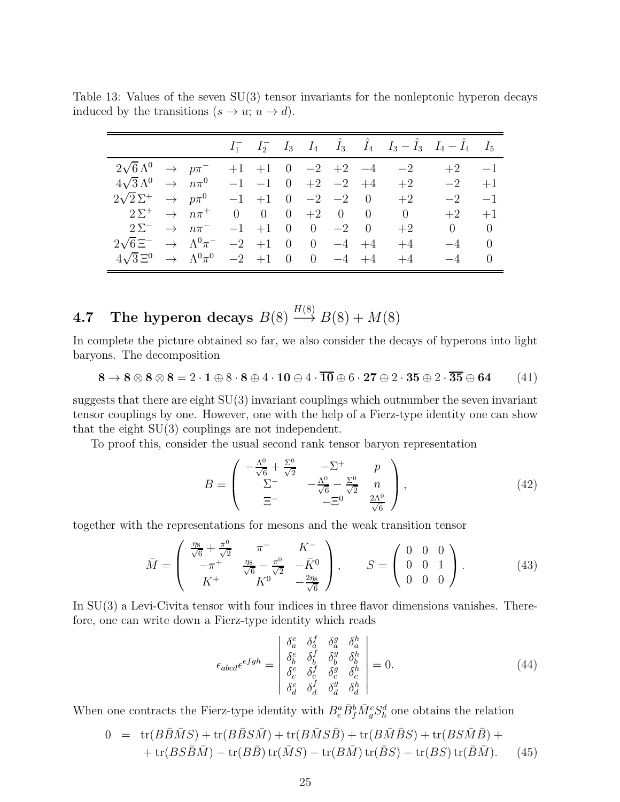<span id="page-25-0"></span>

|                                                                         |                     |  |                               |  | $I_1^ I_2^ I_3$ $I_4$ $\hat{I}_3$ $\hat{I}_4$ $I_3 - \hat{I}_3$ $I_4 - \hat{I}_4$ $I_5$ |               |      |
|-------------------------------------------------------------------------|---------------------|--|-------------------------------|--|-----------------------------------------------------------------------------------------|---------------|------|
| $2\sqrt{6} \,\Lambda^0 \rightarrow p\pi^-$                              |                     |  |                               |  | $+1$ $+1$ 0 $-2$ $+2$ $-4$ $-2$                                                         | $+2$ $-1$     |      |
| $4\sqrt{3} \,\Lambda^0 \rightarrow n\pi^0$                              |                     |  | $-1$ $-1$ 0 $+2$ $-2$ $+4$    |  | $+2$                                                                                    | $-2$          | $+1$ |
| $2\sqrt{2} \Sigma^+$ $\rightarrow$ $p\pi^0$                             |                     |  | $-1$ $+1$ 0 $-2$ $-2$ 0       |  | $+2$                                                                                    | $-2$          | $-1$ |
| $2\Sigma^+$ $\rightarrow$ $n\pi^+$                                      |                     |  | $0 \t 0 \t 0 \t +2 \t 0 \t 0$ |  | $\theta$                                                                                | $+2$          | $+1$ |
| $2\Sigma^-$<br>$\rightarrow$ $n\pi^-$                                   |                     |  | $-1$ $+1$ 0 0 $-2$ 0          |  | $+2$                                                                                    | $0 \qquad 0$  |      |
| $2\sqrt{6}$ $\Xi^ \rightarrow$ $\Lambda^0$ $\pi^ -2$ $+1$ 0 0 $-4$ $+4$ |                     |  |                               |  | $+4$                                                                                    | $-4$ 0        |      |
| $4\sqrt{3} \Xi^0 \rightarrow \Lambda^0 \pi^0$                           | $-2$ +1 0 0 $-4$ +4 |  |                               |  | $+4$                                                                                    | $-4 \qquad 0$ |      |

Table 13: Values of the seven SU(3) tensor invariants for the nonleptonic hyperon decays induced by the transitions  $(s \to u; u \to d)$ .

# **4.7** The hyperon decays  $B(8) \xrightarrow{H(8)} B(8) + M(8)$

In complete the picture obtained so far, we also consider the decays of hyperons into light baryons. The decomposition

$$
8 \rightarrow 8 \otimes 8 \otimes 8 = 2 \cdot 1 \oplus 8 \cdot 8 \oplus 4 \cdot 10 \oplus 4 \cdot \overline{10} \oplus 6 \cdot 27 \oplus 2 \cdot 35 \oplus 2 \cdot \overline{35} \oplus 64 \qquad (41)
$$

suggests that there are eight SU(3) invariant couplings which outnumber the seven invariant tensor couplings by one. However, one with the help of a Fierz-type identity one can show that the eight SU(3) couplings are not independent.

To proof this, consider the usual second rank tensor baryon representation

$$
B = \begin{pmatrix} -\frac{\Lambda^0}{\sqrt{6}} + \frac{\Sigma^0}{\sqrt{2}} & -\Sigma^+ & p \\ \Sigma^- & -\frac{\Lambda^0}{\sqrt{6}} - \frac{\Sigma^0}{\sqrt{2}} & n \\ \Xi^- & -\Xi^0 & \frac{2\Lambda^0}{\sqrt{6}} \end{pmatrix},
$$
(42)

together with the representations for mesons and the weak transition tensor

$$
\bar{M} = \begin{pmatrix} \frac{\eta_8}{\sqrt{6}} + \frac{\pi^0}{\sqrt{2}} & \pi^- & K^- \\ -\pi^+ & \frac{\eta_8}{\sqrt{6}} - \frac{\pi^0}{\sqrt{2}} & -\bar{K}^0 \\ K^+ & K^0 & -\frac{2\eta_8}{\sqrt{6}} \end{pmatrix}, \qquad S = \begin{pmatrix} 0 & 0 & 0 \\ 0 & 0 & 1 \\ 0 & 0 & 0 \end{pmatrix}.
$$
 (43)

In SU(3) a Levi-Civita tensor with four indices in three flavor dimensions vanishes. Therefore, one can write down a Fierz-type identity which reads

$$
\epsilon_{abcd}\epsilon^{efgh} = \begin{vmatrix}\n\delta^e_a & \delta^f_a & \delta^g_a & \delta^h_a \\
\delta^e_b & \delta^f_b & \delta^g_b & \delta^h_b \\
\delta^e_c & \delta^f_c & \delta^g_c & \delta^h_c \\
\delta^e_d & \delta^f_d & \delta^g_d & \delta^h_d\n\end{vmatrix} = 0.
$$
\n(44)

When one contracts the Fierz-type identity with  $B_e^a \bar{B}_f^b \bar{M}_g^c S_h^d$  one obtains the relation

$$
0 = \text{tr}(B\overline{B}\overline{M}S) + \text{tr}(B\overline{B}S\overline{M}) + \text{tr}(B\overline{M}S\overline{B}) + \text{tr}(B\overline{M}\overline{B}S) + \text{tr}(BS\overline{M}\overline{B}) + + \text{tr}(BS\overline{B}\overline{M}) - \text{tr}(B\overline{B})\text{tr}(\overline{M}S) - \text{tr}(B\overline{M})\text{tr}(\overline{B}S) - \text{tr}(BS)\text{tr}(\overline{B}\overline{M}). \tag{45}
$$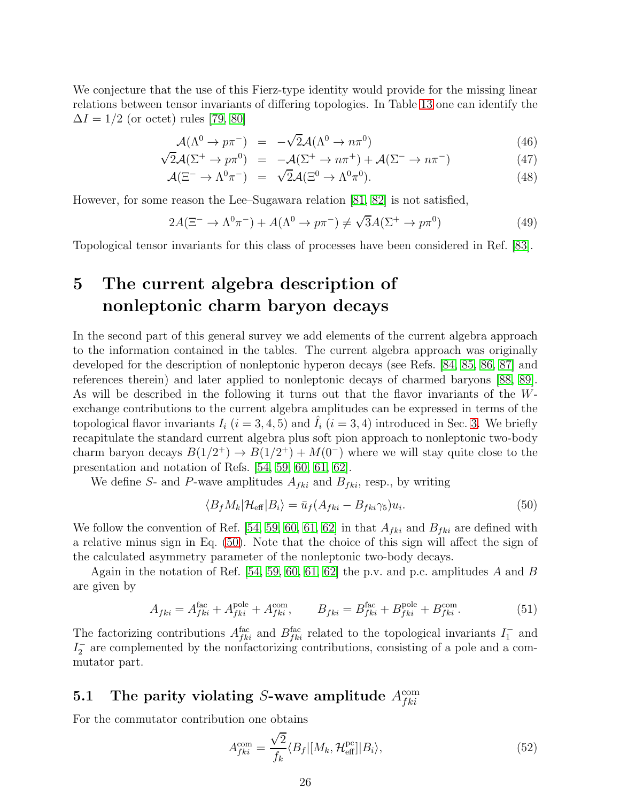We conjecture that the use of this Fierz-type identity would provide for the missing linear relations between tensor invariants of differing topologies. In Table [13](#page-25-0) one can identify the  $\Delta I = 1/2$  (or octet) rules [\[79,](#page-63-13) [80\]](#page-63-14)

$$
\mathcal{A}(\Lambda^0 \to p\pi^-) = -\sqrt{2}\mathcal{A}(\Lambda^0 \to n\pi^0) \tag{46}
$$

$$
\sqrt{2}\mathcal{A}(\Sigma^+ \to p\pi^0) = -\mathcal{A}(\Sigma^+ \to n\pi^+) + \mathcal{A}(\Sigma^- \to n\pi^-) \tag{47}
$$

$$
\mathcal{A}(\Xi^- \to \Lambda^0 \pi^-) = \sqrt{2} \mathcal{A}(\Xi^0 \to \Lambda^0 \pi^0). \tag{48}
$$

However, for some reason the Lee–Sugawara relation [\[81,](#page-63-15) [82\]](#page-63-16) is not satisfied,

$$
2A(\Xi^{-} \to \Lambda^{0}\pi^{-}) + A(\Lambda^{0} \to p\pi^{-}) \neq \sqrt{3}A(\Sigma^{+} \to p\pi^{0})
$$
\n(49)

<span id="page-26-0"></span>Topological tensor invariants for this class of processes have been considered in Ref. [\[83\]](#page-64-0).

## 5 The current algebra description of nonleptonic charm baryon decays

In the second part of this general survey we add elements of the current algebra approach to the information contained in the tables. The current algebra approach was originally developed for the description of nonleptonic hyperon decays (see Refs. [\[84,](#page-64-1) [85,](#page-64-2) [86,](#page-64-3) [87\]](#page-64-4) and references therein) and later applied to nonleptonic decays of charmed baryons [\[88,](#page-64-5) [89\]](#page-64-6). As will be described in the following it turns out that the flavor invariants of the Wexchange contributions to the current algebra amplitudes can be expressed in terms of the topological flavor invariants  $I_i$   $(i = 3, 4, 5)$  and  $I_i$   $(i = 3, 4)$  introduced in Sec. [3.](#page-5-0) We briefly recapitulate the standard current algebra plus soft pion approach to nonleptonic two-body charm baryon decays  $B(1/2^+) \to B(1/2^+) + M(0^-)$  where we will stay quite close to the presentation and notation of Refs. [\[54,](#page-62-5) [59,](#page-62-10) [60,](#page-62-11) [61,](#page-62-12) [62\]](#page-62-13).

We define S- and P-wave amplitudes  $A_{fki}$  and  $B_{fki}$ , resp., by writing

<span id="page-26-1"></span>
$$
\langle B_f M_k | \mathcal{H}_{\text{eff}} | B_i \rangle = \bar{u}_f (A_{fki} - B_{fki} \gamma_5) u_i. \tag{50}
$$

We follow the convention of Ref. [\[54,](#page-62-5) [59,](#page-62-10) [60,](#page-62-11) [61,](#page-62-12) [62\]](#page-62-13) in that  $A_{fki}$  and  $B_{fki}$  are defined with a relative minus sign in Eq. [\(50\)](#page-26-1). Note that the choice of this sign will affect the sign of the calculated asymmetry parameter of the nonleptonic two-body decays.

Again in the notation of Ref.  $[54, 59, 60, 61, 62]$  $[54, 59, 60, 61, 62]$  $[54, 59, 60, 61, 62]$  $[54, 59, 60, 61, 62]$  $[54, 59, 60, 61, 62]$  the p.v. and p.c. amplitudes A and B are given by

$$
A_{fki} = A_{fki}^{\text{fac}} + A_{fki}^{\text{pole}} + A_{fki}^{\text{com}}, \qquad B_{fki} = B_{fki}^{\text{fac}} + B_{fki}^{\text{pole}} + B_{fki}^{\text{com}}.
$$
 (51)

The factorizing contributions  $A_{fki}^{\text{fac}}$  and  $B_{fki}^{\text{fac}}$  related to the topological invariants  $I_1^-$  and  $I_2^-$  are complemented by the nonfactorizing contributions, consisting of a pole and a commutator part.

## 5.1 The parity violating S-wave amplitude  $A_{fki}^{\text{com}}$

For the commutator contribution one obtains

<span id="page-26-2"></span>
$$
A_{fki}^{\text{com}} = \frac{\sqrt{2}}{f_k} \langle B_f | [M_k, \mathcal{H}_{\text{eff}}^{\text{pc}}] | B_i \rangle, \tag{52}
$$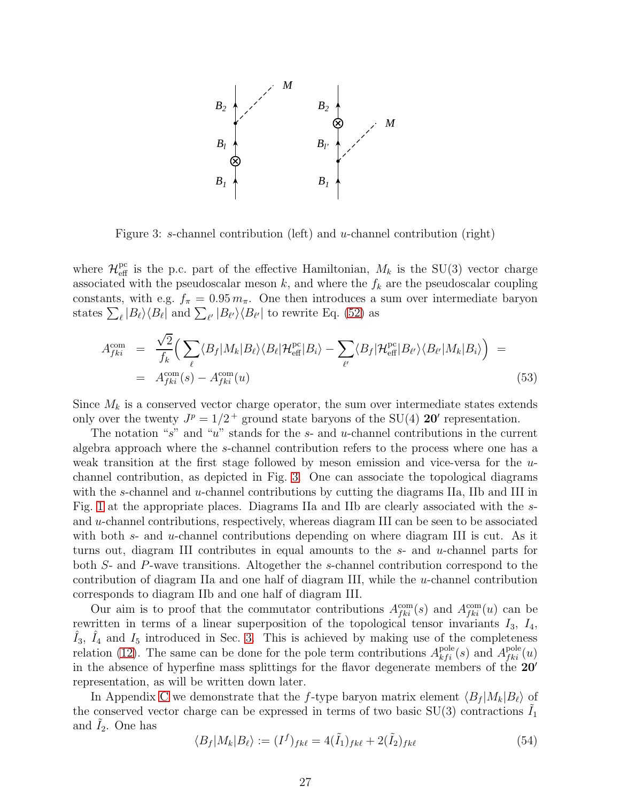

<span id="page-27-0"></span>Figure 3: s-channel contribution (left) and u-channel contribution (right)

where  $\mathcal{H}_{\text{eff}}^{\text{pc}}$  is the p.c. part of the effective Hamiltonian,  $M_k$  is the SU(3) vector charge associated with the pseudoscalar meson  $k$ , and where the  $f_k$  are the pseudoscalar coupling constants, with e.g.  $f_{\pi} = 0.95 m_{\pi}$ . One then introduces a sum over intermediate baryon states  $\sum_{\ell} |B_{\ell}\rangle\langle B_{\ell}|$  and  $\sum_{\ell'} |B_{\ell'}\rangle\langle B_{\ell'}|$  to rewrite Eq. [\(52\)](#page-26-2) as

<span id="page-27-1"></span>
$$
A_{fki}^{\text{com}} = \frac{\sqrt{2}}{f_k} \Big( \sum_{\ell} \langle B_f | M_k | B_\ell \rangle \langle B_\ell | \mathcal{H}_{\text{eff}}^{\text{pc}} | B_i \rangle - \sum_{\ell'} \langle B_f | \mathcal{H}_{\text{eff}}^{\text{pc}} | B_{\ell'} \rangle \langle B_{\ell'} | M_k | B_i \rangle \Big) =
$$
  
=  $A_{fki}^{\text{com}}(s) - A_{fki}^{\text{com}}(u)$  (53)

Since  $M_k$  is a conserved vector charge operator, the sum over intermediate states extends only over the twenty  $J^p = 1/2^+$  ground state baryons of the SU(4) **20'** representation.

The notation "s" and "u" stands for the s- and u-channel contributions in the current algebra approach where the s-channel contribution refers to the process where one has a weak transition at the first stage followed by meson emission and vice-versa for the  $u$ channel contribution, as depicted in Fig. [3.](#page-27-0) One can associate the topological diagrams with the s-channel and u-channel contributions by cutting the diagrams IIa, IIb and III in Fig. [1](#page-2-0) at the appropriate places. Diagrams IIa and IIb are clearly associated with the sand  $u$ -channel contributions, respectively, whereas diagram III can be seen to be associated with both  $s$ - and  $u$ -channel contributions depending on where diagram III is cut. As it turns out, diagram III contributes in equal amounts to the s- and u-channel parts for both S- and P-wave transitions. Altogether the s-channel contribution correspond to the contribution of diagram IIa and one half of diagram III, while the u-channel contribution corresponds to diagram IIb and one half of diagram III.

Our aim is to proof that the commutator contributions  $A_{fki}^{\text{com}}(s)$  and  $A_{fki}^{\text{com}}(u)$  can be rewritten in terms of a linear superposition of the topological tensor invariants  $I_3$ ,  $I_4$ ,  $\hat{I}_3$ ,  $\hat{I}_4$  and  $I_5$  introduced in Sec. [3.](#page-5-0) This is achieved by making use of the completeness relation [\(12\)](#page-6-0). The same can be done for the pole term contributions  $A_{kfi}^{\text{pole}}(s)$  and  $A_{fki}^{\text{pole}}(u)$ in the absence of hyperfine mass splittings for the flavor degenerate members of the 20′ representation, as will be written down later.

In Appendix [C](#page-49-1) we demonstrate that the f-type baryon matrix element  $\langle B_f | M_k | B_\ell \rangle$  of the conserved vector charge can be expressed in terms of two basic  $SU(3)$  contractions  $I_1$ and  $I_2$ . One has

$$
\langle B_f | M_k | B_\ell \rangle := (I^f)_{f k \ell} = 4(\tilde{I}_1)_{f k \ell} + 2(\tilde{I}_2)_{f k \ell} \tag{54}
$$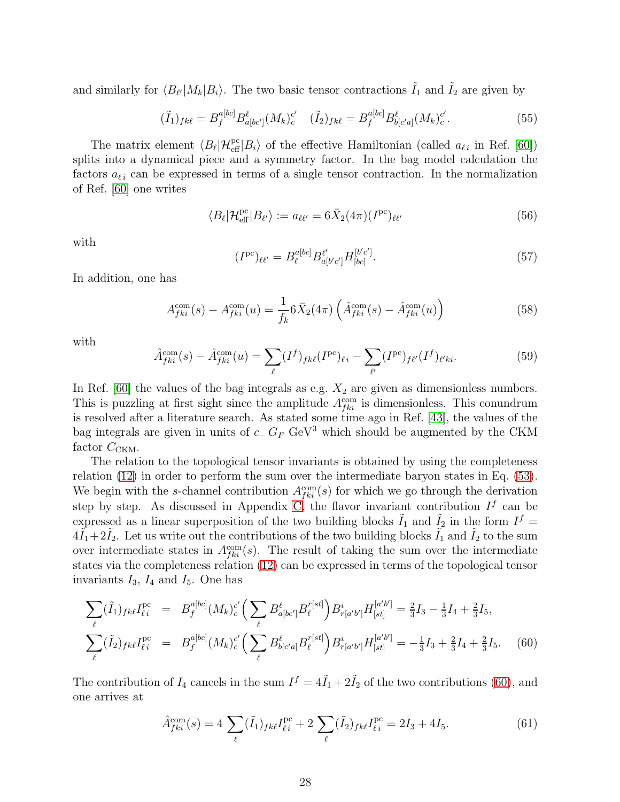and similarly for  $\langle B_{\ell'}|M_k|B_i\rangle$ . The two basic tensor contractions  $\tilde{I}_1$  and  $\tilde{I}_2$  are given by

<span id="page-28-1"></span>
$$
(\tilde{I}_1)_{fk\ell} = B_f^{a[bc]} B_{a[bc']}^{\ell}(M_k)_{c}^{c'} \quad (\tilde{I}_2)_{fk\ell} = B_f^{a[bc]} B_{b[c'a]}^{\ell}(M_k)_{c}^{c'}.
$$
\n
$$
(55)
$$

The matrix element  $\langle B_\ell | H_{\text{eff}}^{\text{pc}} | B_i \rangle$  of the effective Hamiltonian (called  $a_{\ell i}$  in Ref. [\[60\]](#page-62-11)) splits into a dynamical piece and a symmetry factor. In the bag model calculation the factors  $a_{\ell i}$  can be expressed in terms of a single tensor contraction. In the normalization of Ref. [\[60\]](#page-62-11) one writes

$$
\langle B_{\ell} | \mathcal{H}_{\text{eff}}^{\text{pc}} | B_{\ell'} \rangle := a_{\ell \ell'} = 6 \bar{X}_2 (4\pi) (I^{\text{pc}})_{\ell \ell'} \tag{56}
$$

with

$$
(I^{pc})_{\ell\ell'} = B_{\ell}^{a[bc]} B_{a[b'c']}^{\ell'} H_{[bc]}^{[b'c']}. \tag{57}
$$

In addition, one has

$$
A_{fki}^{\text{com}}(s) - A_{fki}^{\text{com}}(u) = \frac{1}{f_k} 6\bar{X}_2(4\pi) \left( \hat{A}_{fki}^{\text{com}}(s) - \hat{A}_{fki}^{\text{com}}(u) \right)
$$
(58)

with

$$
\hat{A}_{fki}^{\text{com}}(s) - \hat{A}_{fki}^{\text{com}}(u) = \sum_{\ell} (I^f)_{fk\ell} (I^{\text{pc}})_{\ell i} - \sum_{\ell'} (I^{\text{pc}})_{f\ell'} (I^f)_{\ell'ki}.
$$
\n(59)

In Ref.  $[60]$  the values of the bag integrals as e.g.  $X_2$  are given as dimensionless numbers. This is puzzling at first sight since the amplitude  $A_{fki}^{\text{com}}$  is dimensionless. This conundrum is resolved after a literature search. As stated some time ago in Ref. [\[43\]](#page-61-10), the values of the bag integrals are given in units of  $c_{-} G_{F}$  GeV<sup>3</sup> which should be augmented by the CKM factor  $C_{CKM}$ .

The relation to the topological tensor invariants is obtained by using the completeness relation [\(12\)](#page-6-0) in order to perform the sum over the intermediate baryon states in Eq. [\(53\)](#page-27-1). We begin with the s-channel contribution  $A_{fki}^{\text{com}}(s)$  for which we go through the derivation step by step. As discussed in Appendix [C,](#page-49-1) the flavor invariant contribution  $I^f$  can be expressed as a linear superposition of the two building blocks  $\tilde{I}_1$  and  $\tilde{I}_2$  in the form  $I^f$  $4\tilde{I}_1+2\tilde{I}_2$ . Let us write out the contributions of the two building blocks  $\tilde{I}_1$  and  $\tilde{I}_2$  to the sum over intermediate states in  $A_{fki}^{\text{com}}(s)$ . The result of taking the sum over the intermediate states via the completeness relation [\(12\)](#page-6-0) can be expressed in terms of the topological tensor invariants  $I_3$ ,  $I_4$  and  $I_5$ . One has

<span id="page-28-0"></span>
$$
\sum_{\ell} (\tilde{I}_1)_{fk\ell} I_{\ell i}^{\text{pc}} = B_f^{a[bc]} (M_k)_{c}^{c'} \Big( \sum_{\ell} B_{a[bc']}^{\ell} B_{\ell}^{r[st]} \Big) B_{r[a'b']}^{i} H_{[st]}^{[a'b']} = \frac{2}{3} I_3 - \frac{1}{3} I_4 + \frac{2}{3} I_5,
$$
\n
$$
\sum_{\ell} (\tilde{I}_2)_{fk\ell} I_{\ell i}^{\text{pc}} = B_f^{a[bc]} (M_k)_{c}^{c'} \Big( \sum_{\ell} B_{b[c'a]}^{\ell} B_{\ell}^{r[st]} \Big) B_{r[a'b']}^{i} H_{[st]}^{[a'b']} = -\frac{1}{3} I_3 + \frac{2}{3} I_4 + \frac{2}{3} I_5. \tag{60}
$$

The contribution of  $I_4$  cancels in the sum  $I^f = 4\tilde{I}_1 + 2\tilde{I}_2$  of the two contributions [\(60\)](#page-28-0), and one arrives at

$$
\hat{A}_{fki}^{\text{com}}(s) = 4 \sum_{\ell} (\tilde{I}_1)_{fk\ell} I_{\ell i}^{\text{pc}} + 2 \sum_{\ell} (\tilde{I}_2)_{fk\ell} I_{\ell i}^{\text{pc}} = 2I_3 + 4I_5. \tag{61}
$$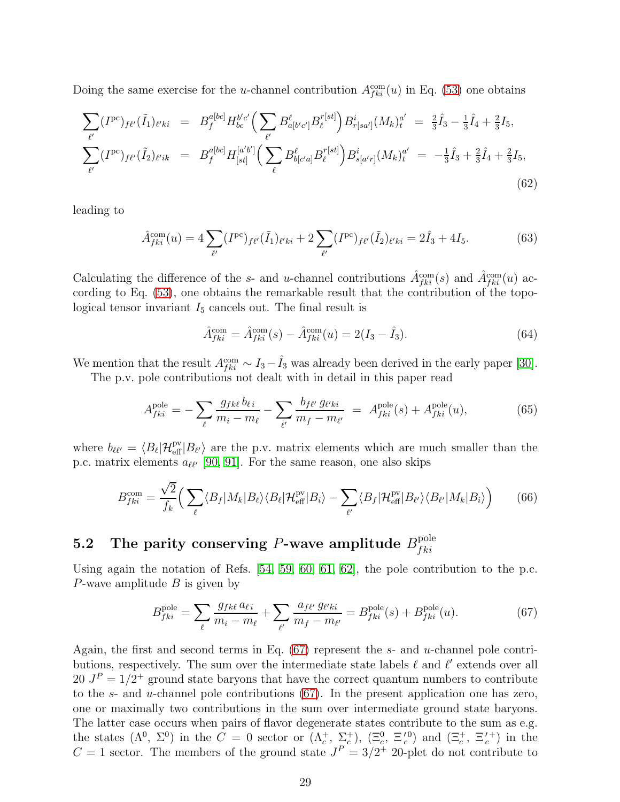Doing the same exercise for the *u*-channel contribution  $A_{fki}^{\text{com}}(u)$  in Eq. [\(53\)](#page-27-1) one obtains

$$
\sum_{\ell'} (I^{pc})_{f\ell'} (\tilde{I}_1)_{\ell' k i} = B_f^{a[bc]} H_{bc}^{b'c'} \Big( \sum_{\ell'} B_{a[b'c']}^{\ell} B_{\ell}^{r[st]} \Big) B_{r[sa']}^{i} (M_k)_{t}^{a'} = \frac{2}{3} \hat{I}_3 - \frac{1}{3} \hat{I}_4 + \frac{2}{3} I_5, \n\sum_{\ell'} (I^{pc})_{f\ell'} (\tilde{I}_2)_{\ell' i k} = B_f^{a[bc]} H_{[st]}^{[a'b']} \Big( \sum_{\ell} B_{b[c'a]}^{\ell} B_{\ell}^{r[st]} \Big) B_{s[a'r]}^{i} (M_k)_{t}^{a'} = -\frac{1}{3} \hat{I}_3 + \frac{2}{3} \hat{I}_4 + \frac{2}{3} I_5, \n(62)
$$

leading to

$$
\hat{A}_{fki}^{\text{com}}(u) = 4 \sum_{\ell'} (I^{\text{pc}})_{f\ell'}(\tilde{I}_1)_{\ell'ki} + 2 \sum_{\ell'} (I^{\text{pc}})_{f\ell'}(\tilde{I}_2)_{\ell'ki} = 2\hat{I}_3 + 4I_5. \tag{63}
$$

Calculating the difference of the s- and u-channel contributions  $\hat{A}^{\text{com}}_{fki}(s)$  and  $\hat{A}^{\text{com}}_{fki}(u)$  according to Eq. [\(53\)](#page-27-1), one obtains the remarkable result that the contribution of the topological tensor invariant  $I_5$  cancels out. The final result is

$$
\hat{A}_{fki}^{\text{com}} = \hat{A}_{fki}^{\text{com}}(s) - \hat{A}_{fki}^{\text{com}}(u) = 2(I_3 - \hat{I}_3). \tag{64}
$$

We mention that the result  $A_{fki}^{\text{com}} \sim I_3 - \hat{I}_3$  was already been derived in the early paper [\[30\]](#page-60-14).

The p.v. pole contributions not dealt with in detail in this paper read

$$
A_{fki}^{\text{pole}} = -\sum_{\ell} \frac{g_{fk\ell} b_{\ell i}}{m_i - m_{\ell}} - \sum_{\ell'} \frac{b_{f\ell'} g_{\ell'ki}}{m_f - m_{\ell'}} = A_{fki}^{\text{pole}}(s) + A_{fki}^{\text{pole}}(u),\tag{65}
$$

where  $b_{\ell\ell'} = \langle B_{\ell} | \mathcal{H}_{\text{eff}}^{\text{pv}} | B_{\ell'} \rangle$  are the p.v. matrix elements which are much smaller than the p.c. matrix elements  $a_{\ell\ell'}$  [\[90,](#page-64-7) [91\]](#page-64-8). For the same reason, one also skips

$$
B_{fki}^{\text{com}} = \frac{\sqrt{2}}{f_k} \Big( \sum_{\ell} \langle B_f | M_k | B_\ell \rangle \langle B_\ell | \mathcal{H}_{\text{eff}}^{\text{pv}} | B_i \rangle - \sum_{\ell'} \langle B_f | \mathcal{H}_{\text{eff}}^{\text{pv}} | B_{\ell'} \rangle \langle B_{\ell'} | M_k | B_i \rangle \Big) \tag{66}
$$

#### 5.2 The parity conserving P-wave amplitude  $B_{fki}^{pole}$  $fki$

Using again the notation of Refs.  $[54, 59, 60, 61, 62]$  $[54, 59, 60, 61, 62]$  $[54, 59, 60, 61, 62]$  $[54, 59, 60, 61, 62]$  $[54, 59, 60, 61, 62]$ , the pole contribution to the p.c. P-wave amplitude  $B$  is given by

<span id="page-29-0"></span>
$$
B_{fki}^{\text{pole}} = \sum_{\ell} \frac{g_{fk\ell} a_{\ell i}}{m_i - m_{\ell}} + \sum_{\ell'} \frac{a_{f\ell'} g_{\ell'ki}}{m_f - m_{\ell'}} = B_{fki}^{\text{pole}}(s) + B_{fki}^{\text{pole}}(u). \tag{67}
$$

Again, the first and second terms in Eq.  $(67)$  represent the s- and u-channel pole contributions, respectively. The sum over the intermediate state labels  $\ell$  and  $\ell'$  extends over all  $20 J<sup>P</sup> = 1/2<sup>+</sup>$  ground state baryons that have the correct quantum numbers to contribute to the s- and u-channel pole contributions  $(67)$ . In the present application one has zero, one or maximally two contributions in the sum over intermediate ground state baryons. The latter case occurs when pairs of flavor degenerate states contribute to the sum as e.g. the states  $(\Lambda^0, \Sigma^0)$  in the  $C = 0$  sector or  $(\Lambda_c^+, \Sigma_c^+), (\Xi_c^0, \Xi_c^{'0})$  and  $(\Xi_c^+, \Xi_c^{'+})$  in the  $C = 1$  sector. The members of the ground state  $J<sup>P</sup> = 3/2<sup>+</sup>$  20-plet do not contribute to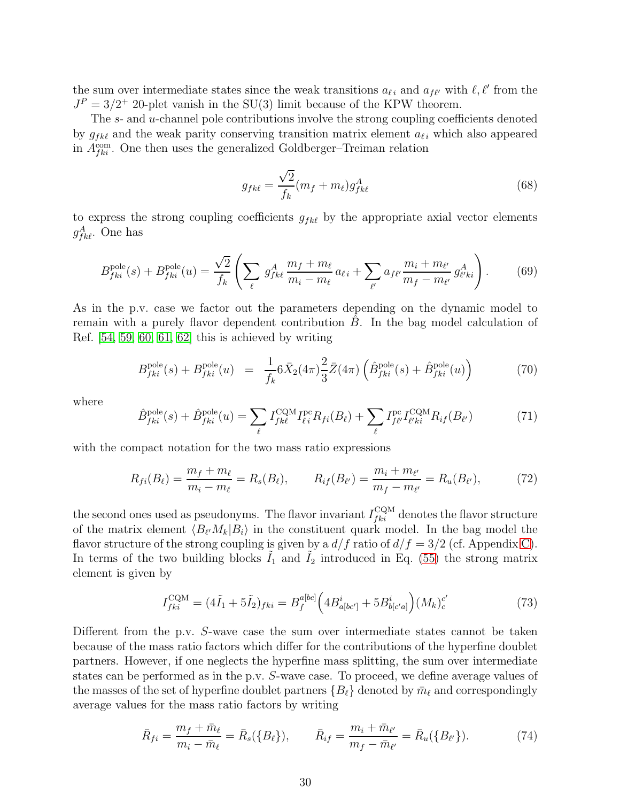the sum over intermediate states since the weak transitions  $a_{\ell i}$  and  $a_{f\ell'}$  with  $\ell, \ell'$  from the  $J<sup>P</sup> = 3/2$ <sup>+</sup> 20-plet vanish in the SU(3) limit because of the KPW theorem.

The s- and u-channel pole contributions involve the strong coupling coefficients denoted by  $g_{f k\ell}$  and the weak parity conserving transition matrix element  $a_{\ell i}$  which also appeared in  $A_{fki}^{\text{com}}$ . One then uses the generalized Goldberger–Treiman relation

$$
g_{fk\ell} = \frac{\sqrt{2}}{f_k}(m_f + m_\ell)g_{fk\ell}^A \tag{68}
$$

to express the strong coupling coefficients  $g_{fk\ell}$  by the appropriate axial vector elements  $g_{fk\ell}^{A}$ . One has

$$
B_{fki}^{\text{pole}}(s) + B_{fki}^{\text{pole}}(u) = \frac{\sqrt{2}}{f_k} \left( \sum_{\ell} g_{fkl}^A \frac{m_f + m_\ell}{m_i - m_\ell} a_{\ell i} + \sum_{\ell'} a_{f\ell'} \frac{m_i + m_{\ell'}}{m_f - m_{\ell'}} g_{\ell'ki}^A \right). \tag{69}
$$

As in the p.v. case we factor out the parameters depending on the dynamic model to remain with a purely flavor dependent contribution  $B$ . In the bag model calculation of Ref. [\[54,](#page-62-5) [59,](#page-62-10) [60,](#page-62-11) [61,](#page-62-12) [62\]](#page-62-13) this is achieved by writing

$$
B_{fki}^{\text{pole}}(s) + B_{fki}^{\text{pole}}(u) = \frac{1}{f_k} 6\bar{X}_2(4\pi) \frac{2}{3} \bar{Z}(4\pi) \left( \hat{B}_{fki}^{\text{pole}}(s) + \hat{B}_{fki}^{\text{pole}}(u) \right)
$$
(70)

where

$$
\hat{B}_{fki}^{\text{pole}}(s) + \hat{B}_{fki}^{\text{pole}}(u) = \sum_{\ell} I_{fk\ell}^{\text{CQM}} I_{\ell i}^{\text{pc}} R_{fi}(B_{\ell}) + \sum_{\ell} I_{f\ell'}^{\text{pc}} I_{\ell'ki}^{\text{CQM}} R_{if}(B_{\ell'}) \tag{71}
$$

with the compact notation for the two mass ratio expressions

$$
R_{fi}(B_{\ell}) = \frac{m_f + m_{\ell}}{m_i - m_{\ell}} = R_s(B_{\ell}), \qquad R_{if}(B_{\ell'}) = \frac{m_i + m_{\ell'}}{m_f - m_{\ell'}} = R_u(B_{\ell'}), \tag{72}
$$

the second ones used as pseudonyms. The flavor invariant  $I_{fki}^{\text{CQM}}$  denotes the flavor structure of the matrix element  $\langle B_{\ell'}M_k|B_i\rangle$  in the constituent quark model. In the bag model the flavor structure of the strong coupling is given by a  $d/f$  ratio of  $d/f = 3/2$  (cf. Appendix [C\)](#page-49-1). In terms of the two building blocks  $\tilde{I}_1$  and  $\tilde{I}_2$  introduced in Eq. [\(55\)](#page-28-1) the strong matrix element is given by

$$
I_{fki}^{\text{CQM}} = (4\tilde{I}_1 + 5\tilde{I}_2)_{fki} = B_f^{a[bc]} \Big( 4B_{a[bc']}^i + 5B_{b[c'a]}^i \Big) (M_k)_c^{c'} \tag{73}
$$

Different from the p.v. S-wave case the sum over intermediate states cannot be taken because of the mass ratio factors which differ for the contributions of the hyperfine doublet partners. However, if one neglects the hyperfine mass splitting, the sum over intermediate states can be performed as in the p.v. S-wave case. To proceed, we define average values of the masses of the set of hyperfine doublet partners  ${B_\ell}$  denoted by  $\bar{m}_\ell$  and correspondingly average values for the mass ratio factors by writing

$$
\bar{R}_{fi} = \frac{m_f + \bar{m}_{\ell}}{m_i - \bar{m}_{\ell}} = \bar{R}_s(\{B_{\ell}\}), \qquad \bar{R}_{if} = \frac{m_i + \bar{m}_{\ell'}}{m_f - \bar{m}_{\ell'}} = \bar{R}_u(\{B_{\ell'}\}). \tag{74}
$$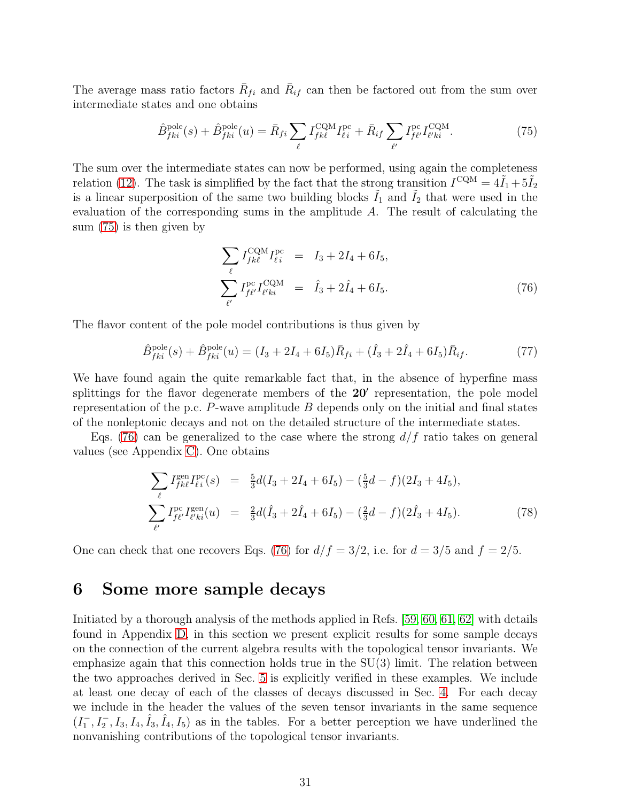The average mass ratio factors  $\bar{R}_{fi}$  and  $\bar{R}_{if}$  can then be factored out from the sum over intermediate states and one obtains

<span id="page-31-1"></span>
$$
\hat{B}_{fki}^{\text{pole}}(s) + \hat{B}_{fki}^{\text{pole}}(u) = \bar{R}_{fi} \sum_{\ell} I_{fk\ell}^{\text{CQM}} I_{\ell i}^{\text{pc}} + \bar{R}_{if} \sum_{\ell'} I_{f\ell'}^{\text{pc}} I_{\ell'ki}^{\text{CQM}}.
$$
\n(75)

The sum over the intermediate states can now be performed, using again the completeness relation [\(12\)](#page-6-0). The task is simplified by the fact that the strong transition  $I^{\text{CQM}} = 4\tilde{I}_1 + 5\tilde{I}_2$ is a linear superposition of the same two building blocks  $\tilde{I}_1$  and  $\tilde{I}_2$  that were used in the evaluation of the corresponding sums in the amplitude A. The result of calculating the sum [\(75\)](#page-31-1) is then given by

<span id="page-31-2"></span>
$$
\sum_{\ell} I_{f k \ell}^{\text{CQM}} I_{\ell i}^{\text{pc}} = I_3 + 2I_4 + 6I_5,
$$
\n
$$
\sum_{\ell'} I_{f \ell'}^{\text{pc}} I_{\ell' k i}^{\text{CQM}} = \hat{I}_3 + 2\hat{I}_4 + 6I_5.
$$
\n(76)

The flavor content of the pole model contributions is thus given by

$$
\hat{B}^{\text{pole}}_{fki}(s) + \hat{B}^{\text{pole}}_{fki}(u) = (I_3 + 2I_4 + 6I_5)\bar{R}_{fi} + (\hat{I}_3 + 2\hat{I}_4 + 6I_5)\bar{R}_{if}.
$$
\n(77)

We have found again the quite remarkable fact that, in the absence of hyperfine mass splittings for the flavor degenerate members of the 20' representation, the pole model representation of the p.c.  $P$ -wave amplitude  $B$  depends only on the initial and final states of the nonleptonic decays and not on the detailed structure of the intermediate states.

Eqs. [\(76\)](#page-31-2) can be generalized to the case where the strong  $d/f$  ratio takes on general values (see Appendix [C\)](#page-49-1). One obtains

$$
\sum_{\ell} I_{f k \ell}^{\text{gen}} I_{\ell i}^{\text{pc}}(s) = \frac{5}{3} d(I_3 + 2I_4 + 6I_5) - (\frac{5}{3}d - f)(2I_3 + 4I_5),
$$
\n
$$
\sum_{\ell'} I_{f \ell'}^{\text{pc}} I_{\ell' k i}^{\text{gen}}(u) = \frac{2}{3} d(\hat{I}_3 + 2\hat{I}_4 + 6I_5) - (\frac{2}{3}d - f)(2\hat{I}_3 + 4I_5). \tag{78}
$$

One can check that one recovers Eqs. [\(76\)](#page-31-2) for  $d/f = 3/2$ , i.e. for  $d = 3/5$  and  $f = 2/5$ .

### <span id="page-31-0"></span>6 Some more sample decays

Initiated by a thorough analysis of the methods applied in Refs. [\[59,](#page-62-10) [60,](#page-62-11) [61,](#page-62-12) [62\]](#page-62-13) with details found in Appendix [D,](#page-55-0) in this section we present explicit results for some sample decays on the connection of the current algebra results with the topological tensor invariants. We emphasize again that this connection holds true in the SU(3) limit. The relation between the two approaches derived in Sec. [5](#page-26-0) is explicitly verified in these examples. We include at least one decay of each of the classes of decays discussed in Sec. [4.](#page-11-0) For each decay we include in the header the values of the seven tensor invariants in the same sequence  $(I_1^-, I_2^-, I_3, I_4, \hat{I}_3, \hat{I}_4, I_5)$  as in the tables. For a better perception we have underlined the nonvanishing contributions of the topological tensor invariants.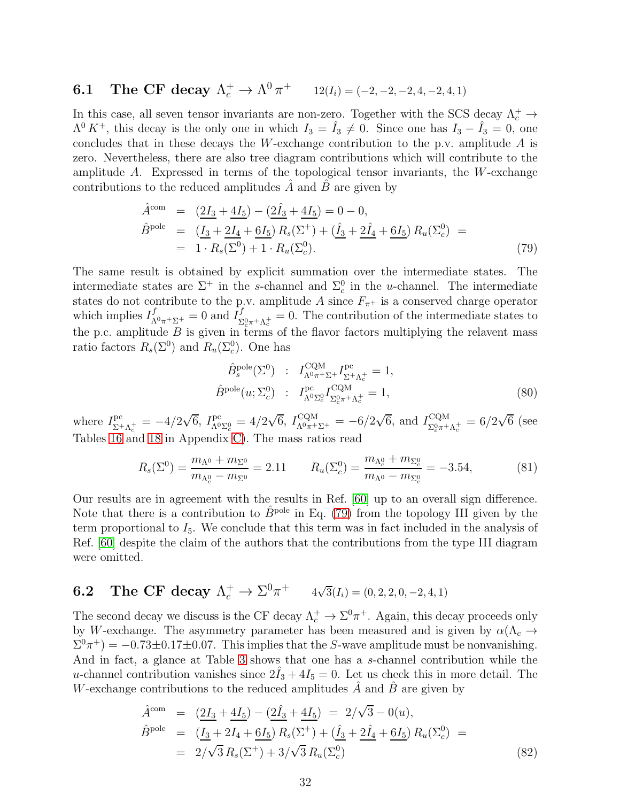# **6.1** The CF decay  $\Lambda_c^+ \to \Lambda^0 \pi^+$   $12(I_i) = (-2, -2, -2, 4, -2, 4, 1)$

In this case, all seven tensor invariants are non-zero. Together with the SCS decay  $\Lambda_c^+ \to$  $\Lambda^0 K^+$ , this decay is the only one in which  $I_3 = \hat{I}_3 \neq 0$ . Since one has  $I_3 - \hat{I}_3 = 0$ , one concludes that in these decays the W-exchange contribution to the p.v. amplitude  $A$  is zero. Nevertheless, there are also tree diagram contributions which will contribute to the amplitude A. Expressed in terms of the topological tensor invariants, the W-exchange contributions to the reduced amplitudes  $A$  and  $B$  are given by

<span id="page-32-0"></span>
$$
\hat{A}^{\text{com}} = (\underline{2I_3} + \underline{4I_5}) - (\underline{2I_3} + \underline{4I_5}) = 0 - 0,
$$
\n
$$
\hat{B}^{\text{pole}} = (\underline{I_3} + \underline{2I_4} + \underline{6I_5}) R_s(\Sigma^+) + (\underline{\hat{I}_3} + \underline{2I_4} + \underline{6I_5}) R_u(\Sigma_c^0) =
$$
\n
$$
= 1 \cdot R_s(\Sigma^0) + 1 \cdot R_u(\Sigma_c^0).
$$
\n(79)

The same result is obtained by explicit summation over the intermediate states. The intermediate states are  $\Sigma^+$  in the s-channel and  $\Sigma_c^0$  in the u-channel. The intermediate states do not contribute to the p.v. amplitude A since  $F_{\pi^+}$  is a conserved charge operator which implies  $I_{\Lambda^{0}\pi^{+}\Sigma^{+}}^{f} = 0$  and  $I_{\Sigma}^{f}$  $\Sigma_{c}^{\text{U}} \tau + \Lambda_c^+ = 0$ . The contribution of the intermediate states to the p.c. amplitude  $B$  is given in terms of the flavor factors multiplying the relavent mass ratio factors  $R_s(\Sigma^0)$  and  $R_u(\Sigma_c^0)$ . One has

$$
\hat{B}_s^{\text{pole}}(\Sigma^0) : I_{\Lambda^0 \pi^+ \Sigma^+}^{\text{CQM}} I_{\Sigma^+ \Lambda_c^+}^{\text{pc}} = 1,
$$
\n
$$
\hat{B}^{\text{pole}}(u; \Sigma_c^0) : I_{\Lambda^0 \Sigma_c^0}^{\text{PC}} I_{\Sigma_c^0 \pi^+ \Lambda_c^+}^{\text{CQM}} = 1,
$$
\n(80)

where  $I^{\text{pc}}_{\nabla^+}$  $\Sigma_{\pm}^{\text{pc}} = -4/2\sqrt{6}, I_{\Lambda^0}^{\text{pc}}$  $I_{\Lambda^0 \Sigma^0_c}^{\text{pc}} = 4/2\sqrt{6}, I_{\Lambda^0 \pi^+ \Sigma^+}^{\text{CQM}} = -6/2\sqrt{6}, \text{ and } I_{\Sigma^0_c \pi^+}^{\text{CQM}}$  ${}_{\Sigma_c^0 \pi^+ \Lambda_c^+}^{\text{CQM}} = 6/2\sqrt{6}$  (see Tables [16](#page-51-0) and [18](#page-66-0) in Appendix [C\)](#page-49-1). The mass ratios read

$$
R_s(\Sigma^0) = \frac{m_{\Lambda^0} + m_{\Sigma^0}}{m_{\Lambda_c^0} - m_{\Sigma^0}} = 2.11 \qquad R_u(\Sigma_c^0) = \frac{m_{\Lambda_c^0} + m_{\Sigma_c^0}}{m_{\Lambda^0} - m_{\Sigma_c^0}} = -3.54,\tag{81}
$$

Our results are in agreement with the results in Ref. [\[60\]](#page-62-11) up to an overall sign difference. Note that there is a contribution to  $\hat{B}^{\text{pole}}$  in Eq. [\(79\)](#page-32-0) from the topology III given by the term proportional to  $I_5$ . We conclude that this term was in fact included in the analysis of Ref. [\[60\]](#page-62-11) despite the claim of the authors that the contributions from the type III diagram were omitted.

# **6.2** The CF decay  $\Lambda_c^+ \to \Sigma^0 \pi^+$   $4\sqrt{3}(I_i) = (0, 2, 2, 0, -2, 4, 1)$

The second decay we discuss is the CF decay  $\Lambda_c^+ \to \Sigma^0 \pi^+$ . Again, this decay proceeds only by W-exchange. The asymmetry parameter has been measured and is given by  $\alpha(\Lambda_c \rightarrow$  $\Sigma^0 \pi^+$ ) = -0.73±0.17±0.07. This implies that the S-wave amplitude must be nonvanishing. And in fact, a glance at Table [3](#page-12-0) shows that one has a s-channel contribution while the u-channel contribution vanishes since  $2\tilde{I}_3 + 4I_5 = 0$ . Let us check this in more detail. The W-exchange contributions to the reduced amplitudes  $\hat{A}$  and  $\hat{B}$  are given by

$$
\hat{A}^{\text{com}} = (\underline{2I_3} + \underline{4I_5}) - (\underline{2I_3} + \underline{4I_5}) = 2/\sqrt{3} - 0(u), \n\hat{B}^{\text{pole}} = (\underline{I_3} + 2I_4 + \underline{6I_5}) R_s(\Sigma^+) + (\underline{\hat{I}_3} + \underline{2I_4} + \underline{6I_5}) R_u(\Sigma_c^0) = \n= 2/\sqrt{3} R_s(\Sigma^+) + 3/\sqrt{3} R_u(\Sigma_c^0)
$$
\n(82)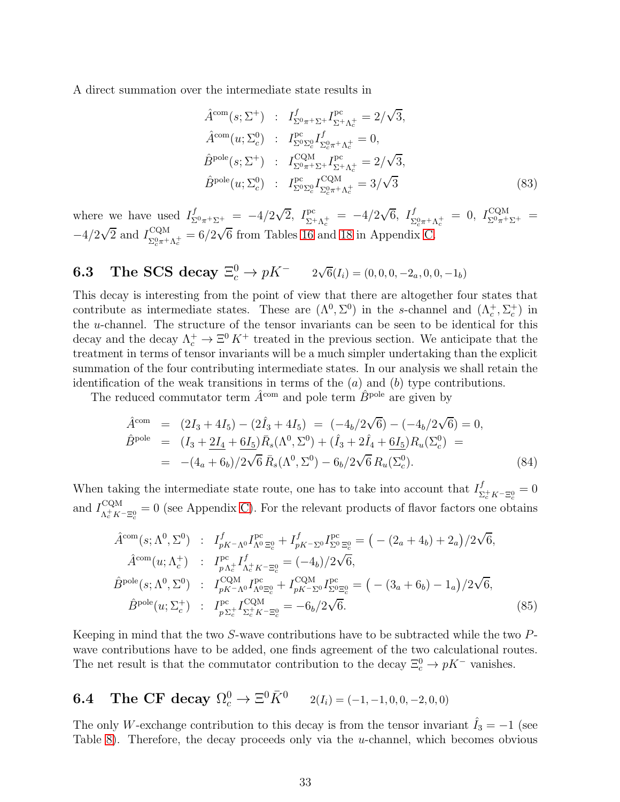A direct summation over the intermediate state results in

$$
\hat{A}^{\text{com}}(s; \Sigma^{+}) : I_{\Sigma^{0}\pi^{+}\Sigma^{+}}^{f} I_{\Sigma^{+}\Lambda_{c}^{+}}^{\text{pc}} = 2/\sqrt{3}, \n\hat{A}^{\text{com}}(u; \Sigma_{c}^{0}) : I_{\Sigma^{0}\Sigma_{c}^{0}}^{\text{pc}} I_{\Sigma^{0}\pi^{+}\Lambda_{c}^{+}}^{f} = 0, \n\hat{B}^{\text{pole}}(s; \Sigma^{+}) : I_{\Sigma^{0}\pi^{+}\Sigma^{+}}^{\text{CQM}} I_{\Sigma^{+}\Lambda_{c}^{+}}^{\text{pc}} = 2/\sqrt{3}, \n\hat{B}^{\text{pole}}(u; \Sigma_{c}^{0}) : I_{\Sigma^{0}\Sigma_{c}^{0}}^{\text{pc}} I_{\Sigma_{c}^{0}\pi^{+}\Lambda_{c}^{+}}^{\text{CQM}} = 3/\sqrt{3}
$$
\n(83)

where we have used  $I_{\Sigma^0 \pi^+ \Sigma^+}^f = -4/2\sqrt{2}$ ,  $I_{\Sigma^+}^{\text{pc}}$  $E_{\Sigma^+\Lambda_c^+}^{\rm pc} = -4/2\sqrt{6}, I_{\Sigma}^f$  $\Gamma^f_{\Sigma_c^0 \pi^+ \Lambda_c^+} = 0, \; I^{\rm CQM}_{\Sigma^0 \pi^+ \Sigma^+} = 0$  $-4/2\sqrt{2}$  and  $I_{\Sigma_c^0\pi^+}^{\text{CQM}}$  $\frac{CQM}{\Sigma_c^0 \pi^+ \Lambda_c^+} = 6/2\sqrt{6}$  from Tables [16](#page-51-0) and [18](#page-66-0) in Appendix [C.](#page-49-1)

# **6.3** The SCS decay  $\Xi_c^0 \to pK^ 2\sqrt{6}(I_i) = (0, 0, 0, -2_a, 0, 0, -1_b)$

This decay is interesting from the point of view that there are altogether four states that contribute as intermediate states. These are  $(\Lambda^0, \Sigma^0)$  in the s-channel and  $(\Lambda_c^+, \Sigma_c^+)$  in the u-channel. The structure of the tensor invariants can be seen to be identical for this decay and the decay  $\Lambda_c^+ \to \Xi^0 K^+$  treated in the previous section. We anticipate that the treatment in terms of tensor invariants will be a much simpler undertaking than the explicit summation of the four contributing intermediate states. In our analysis we shall retain the identification of the weak transitions in terms of the  $(a)$  and  $(b)$  type contributions.

The reduced commutator term  $\hat{A}^{\text{com}}$  and pole term  $\hat{B}^{\text{pole}}$  are given by

$$
\hat{A}^{\text{com}} = (2I_3 + 4I_5) - (2\hat{I}_3 + 4I_5) = (-4_b/2\sqrt{6}) - (-4_b/2\sqrt{6}) = 0,\n\hat{B}^{\text{pole}} = (I_3 + 2I_4 + 6I_5)\bar{R}_s(\Lambda^0, \Sigma^0) + (\hat{I}_3 + 2\hat{I}_4 + 6I_5)R_u(\Sigma_c^0) =\n= -(4_a + 6_b)/2\sqrt{6}\bar{R}_s(\Lambda^0, \Sigma^0) - 6_b/2\sqrt{6}R_u(\Sigma_c^0).
$$
\n(84)

When taking the intermediate state route, one has to take into account that  $I^f_{\mathbf{x}}$  $\sum_{c}^{J} K^{-} \Xi_{c}^{0} = 0$ and  $I_{\Lambda^+ K}^{\text{CQM}}$  $\chi^{\text{CQM}}_{\alpha K^+ K^- \Xi_c^0} = 0$  (see Appendix [C\)](#page-49-1). For the relevant products of flavor factors one obtains

$$
\hat{A}^{\text{com}}(s; \Lambda^{0}, \Sigma^{0}) : I_{pK-\Lambda^{0}}^{f} I_{\Lambda^{0}}^{\text{pc}} = \frac{1}{2} \left( - (2_{a} + 4_{b}) + 2_{a} \right) / 2\sqrt{6},
$$
\n
$$
\hat{A}^{\text{com}}(u; \Lambda_{c}^{+}) : I_{p\Lambda_{c}^{+}}^{\text{pc}} I_{\Lambda_{c}^{+}}^{f} K_{\Lambda_{c}^{+} K^{-} \Xi_{c}^{0}} = (-4_{b}) / 2\sqrt{6},
$$
\n
$$
\hat{B}^{\text{pole}}(s; \Lambda^{0}, \Sigma^{0}) : I_{pK-\Lambda^{0}}^{\text{CQM}} I_{\Lambda^{0}\Xi_{c}^{0}}^{\text{pc}} + I_{pK-\Sigma^{0}}^{\text{CQM}} I_{\Sigma^{0}\Xi_{c}^{0}}^{\text{pc}} = \left( - (3_{a} + 6_{b}) - 1_{a} \right) / 2\sqrt{6},
$$
\n
$$
\hat{B}^{\text{pole}}(u; \Sigma_{c}^{+}) : I_{p\Sigma_{c}^{+}}^{\text{pc}} I_{\Sigma_{c}^{+} K^{-} \Xi_{c}^{0}}^{\text{CQM}} = -6_{b} / 2\sqrt{6}.
$$
\n(85)

Keeping in mind that the two S-wave contributions have to be subtracted while the two Pwave contributions have to be added, one finds agreement of the two calculational routes. The net result is that the commutator contribution to the decay  $\Xi_c^0 \to pK^-$  vanishes.

# **6.4** The CF decay  $\Omega_c^0 \to \Xi^0 \bar{K}^0$   $2(I_i) = (-1, -1, 0, 0, -2, 0, 0)$

The only W-exchange contribution to this decay is from the tensor invariant  $I_3 = -1$  (see Table [8\)](#page-18-0). Therefore, the decay proceeds only via the  $u$ -channel, which becomes obvious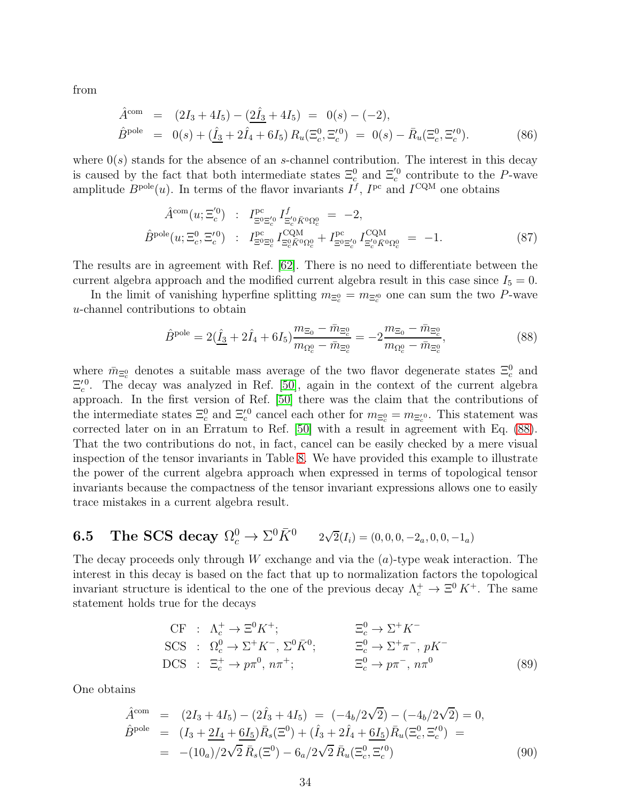from

$$
\hat{A}^{\text{com}} = (2I_3 + 4I_5) - (\underline{2}\hat{I}_3 + 4I_5) = 0(s) - (-2), \n\hat{B}^{\text{pole}} = 0(s) + (\hat{I}_3 + 2\hat{I}_4 + 6I_5) R_u(\Xi_c^0, \Xi_c^{'0}) = 0(s) - \bar{R}_u(\Xi_c^0, \Xi_c^{'0}).
$$
\n(86)

where  $0(s)$  stands for the absence of an s-channel contribution. The interest in this decay is caused by the fact that both intermediate states  $\Xi_c^0$  and  $\Xi_c^{'0}$  contribute to the P-wave amplitude  $B^{pole}(u)$ . In terms of the flavor invariants  $I^f$ ,  $I^{pc}$  and  $I^{CQM}$  one obtains

$$
\hat{A}^{\text{com}}(u; \Xi_c^{'0}) : I^{\text{pc}}_{\Xi^0 \Xi_c^{'0}} I_{\Xi_c^{'0} \bar{K}^0 \Omega_c^0} = -2,
$$
\n
$$
\hat{B}^{\text{pole}}(u; \Xi_c^0, \Xi_c^{'0}) : I^{\text{pc}}_{\Xi^0 \Xi_c^0} I_{\Xi_c^0 \bar{K}^0 \Omega_c^0}^{\text{CQM}} + I^{\text{pc}}_{\Xi_c^{'0} \bar{K}^0 \Omega_c^0} = -1.
$$
\n(87)

The results are in agreement with Ref. [\[62\]](#page-62-13). There is no need to differentiate between the current algebra approach and the modified current algebra result in this case since  $I_5 = 0$ .

In the limit of vanishing hyperfine splitting  $m_{\Xi_c^0} = m_{\Xi_c^0}$  one can sum the two P-wave u-channel contributions to obtain

<span id="page-34-0"></span>
$$
\hat{B}^{\text{pole}} = 2(\hat{\underline{I}}_3 + 2\hat{I}_4 + 6I_5) \frac{m_{\Xi_0} - \bar{m}_{\Xi_0^0}}{m_{\Omega_c^0} - \bar{m}_{\Xi_c^0}} = -2 \frac{m_{\Xi_0} - \bar{m}_{\Xi_c^0}}{m_{\Omega_c^0} - \bar{m}_{\Xi_c^0}},
$$
\n(88)

where  $\bar{m}_{\Xi_c^0}$  denotes a suitable mass average of the two flavor degenerate states  $\Xi_c^0$  and  $\Xi_c^{\prime 0}$ . The decay was analyzed in Ref. [\[50\]](#page-62-1), again in the context of the current algebra approach. In the first version of Ref. [\[50\]](#page-62-1) there was the claim that the contributions of the intermediate states  $\Xi_c^0$  and  $\Xi_c^{'0}$  cancel each other for  $m_{\Xi_c^0} = m_{\Xi_c^{'0}}$ . This statement was corrected later on in an Erratum to Ref. [\[50\]](#page-62-1) with a result in agreement with Eq. [\(88\)](#page-34-0). That the two contributions do not, in fact, cancel can be easily checked by a mere visual inspection of the tensor invariants in Table [8.](#page-18-0) We have provided this example to illustrate the power of the current algebra approach when expressed in terms of topological tensor invariants because the compactness of the tensor invariant expressions allows one to easily trace mistakes in a current algebra result.

**6.5** The SCS decay 
$$
\Omega_c^0 \to \Sigma^0 \bar{K}^0
$$
  $2\sqrt{2}(I_i) = (0,0,0,-2_a,0,0,-1_a)$ 

The decay proceeds only through  $W$  exchange and via the  $(a)$ -type weak interaction. The interest in this decay is based on the fact that up to normalization factors the topological invariant structure is identical to the one of the previous decay  $\Lambda_c^+ \to \Xi^0 K^+$ . The same statement holds true for the decays

$$
\begin{aligned}\n\text{CF} &\;: \Lambda_c^+ \to \Xi^0 K^+; &\quad \Xi_c^0 \to \Sigma^+ K^- \\
\text{SCS} &\;: \Omega_c^0 \to \Sigma^+ K^-, \Sigma^0 \bar{K}^0; &\quad \Xi_c^0 \to \Sigma^+ \pi^-, pK^- \\
\text{DCS} &\;: \Xi_c^+ \to p \pi^0, n \pi^+; &\quad \Xi_c^0 \to p \pi^-, n \pi^0\n\end{aligned}\n\tag{89}
$$

One obtains

$$
\hat{A}^{\text{com}} = (2I_3 + 4I_5) - (2\hat{I}_3 + 4I_5) = (-4_b/2\sqrt{2}) - (-4_b/2\sqrt{2}) = 0,\n\hat{B}^{\text{pole}} = (I_3 + 2I_4 + 6I_5)\bar{R}_s(\Xi^0) + (\hat{I}_3 + 2\hat{I}_4 + 6I_5)\bar{R}_u(\Xi_c^0, \Xi_c^{'0}) =\n= -(10_a)/2\sqrt{2}\bar{R}_s(\Xi^0) - 6_a/2\sqrt{2}\bar{R}_u(\Xi_c^0, \Xi_c^{'0})
$$
\n(90)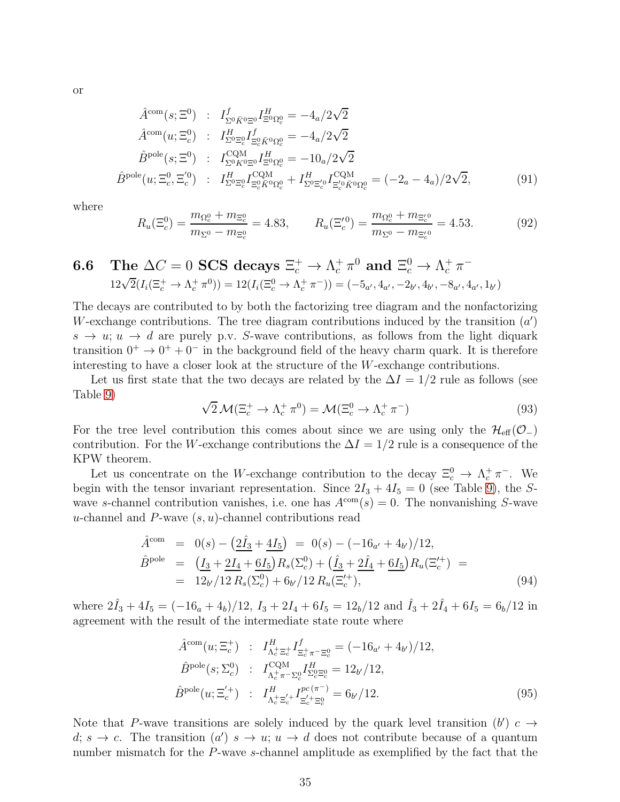or

$$
\hat{A}^{\text{com}}(s; \Xi^0) : I^f_{\Sigma^0 \bar{K}^0 \Xi^0} I^H_{\Xi^0 \Omega^0_c} = -4_a/2\sqrt{2}
$$
\n
$$
\hat{A}^{\text{com}}(u; \Xi^0_c) : I^H_{\Sigma^0 \Xi^0_c} I^f_{\Xi^0 \bar{K}^0 \Omega^0_c} = -4_a/2\sqrt{2}
$$
\n
$$
\hat{B}^{\text{pole}}(s; \Xi^0) : I^{\text{CQM}}_{\Sigma^0 \bar{K}^0 \Xi^0} I^H_{\Xi^0 \Omega^0_c} = -10_a/2\sqrt{2}
$$
\n
$$
\hat{B}^{\text{pole}}(u; \Xi^0_c, \Xi^{'0}_c) : I^H_{\Sigma^0 \Xi^0_c} I^{\text{CQM}}_{\Xi^0_c \bar{K}^0 \Omega^0_c} + I^H_{\Sigma^0 \Xi^{'0}_c} I^{\text{CQM}}_{\Xi^{'0}_c \bar{K}^0 \Omega^0_c} = (-2_a - 4_a)/2\sqrt{2},
$$
\n(91)

where

$$
R_u(\Xi_c^0) = \frac{m_{\Omega_c^0} + m_{\Xi_c^0}}{m_{\Sigma^0} - m_{\Xi_c^0}} = 4.83, \qquad R_u(\Xi_c^{'0}) = \frac{m_{\Omega_c^0} + m_{\Xi_c^{'0}}}{m_{\Sigma^0} - m_{\Xi_c^{'0}}} = 4.53.
$$
 (92)

**6.6** The 
$$
\Delta C = 0
$$
 **SCS** decays  $\Xi_c^+ \to \Lambda_c^+ \pi^0$  and  $\Xi_c^0 \to \Lambda_c^+ \pi^-$   
\n $12\sqrt{2}(I_i(\Xi_c^+ \to \Lambda_c^+ \pi^0)) = 12(I_i(\Xi_c^0 \to \Lambda_c^+ \pi^-)) = (-5_{a'}, 4_{a'}, -2_{b'}, 4_{b'}, -8_{a'}, 4_{a'}, 1_{b'})$ 

The decays are contributed to by both the factorizing tree diagram and the nonfactorizing W-exchange contributions. The tree diagram contributions induced by the transition  $(a')$  $s \to u$ ;  $u \to d$  are purely p.v. S-wave contributions, as follows from the light diquark transition  $0^+ \rightarrow 0^+ + 0^-$  in the background field of the heavy charm quark. It is therefore interesting to have a closer look at the structure of the W-exchange contributions.

Let us first state that the two decays are related by the  $\Delta I = 1/2$  rule as follows (see Table [9\)](#page-19-0)

$$
\sqrt{2}\,\mathcal{M}(\Xi_c^+ \to \Lambda_c^+ \,\pi^0) = \mathcal{M}(\Xi_c^0 \to \Lambda_c^+ \,\pi^-)
$$
\n(93)

For the tree level contribution this comes about since we are using only the  $\mathcal{H}_{eff}(\mathcal{O}_-)$ contribution. For the W-exchange contributions the  $\Delta I = 1/2$  rule is a consequence of the KPW theorem.

Let us concentrate on the W-exchange contribution to the decay  $\Xi_c^0 \to \Lambda_c^+ \pi^-$ . We begin with the tensor invariant representation. Since  $2I_3 + 4I_5 = 0$  (see Table [9\)](#page-19-0), the Swave s-channel contribution vanishes, i.e. one has  $A^{\text{com}}(s) = 0$ . The nonvanishing S-wave u-channel and  $P$ -wave  $(s, u)$ -channel contributions read

$$
\hat{A}^{\text{com}} = 0(s) - \left(2\hat{I}_3 + 4I_5\right) = 0(s) - \left(-16_{a'} + 4_{b'}\right)/12,\n\hat{B}^{\text{pole}} = \left(I_3 + 2I_4 + 6I_5\right)R_s(\Sigma_c^0) + \left(\hat{I}_3 + 2\hat{I}_4 + 6I_5\right)R_u(\Sigma_c^{+}) =\n= 12_{b'}/12 R_s(\Sigma_c^0) + 6_{b'}/12 R_u(\Sigma_c^{+}),
$$
\n(94)

where  $2\hat{I}_3 + 4I_5 = (-16_a + 4_b)/12$ ,  $I_3 + 2I_4 + 6I_5 = 12_b/12$  and  $\hat{I}_3 + 2\hat{I}_4 + 6I_5 = 6_b/12$  in agreement with the result of the intermediate state route where

$$
\hat{A}^{\text{com}}(u; \Xi_c^+) : I_{\Lambda_c^+ \Xi_c^+}^H I_{\Xi_c^+ \pi^- \Xi_c^0}^f = (-16_{a'} + 4_{b'})/12, \n\hat{B}^{\text{pole}}(s; \Sigma_c^0) : I_{\Lambda_c^+ \pi^- \Sigma_c^0}^{\text{CQM}} I_{\Sigma_c^0 \Xi_c^0}^H = 12_{b'}/12, \n\hat{B}^{\text{pole}}(u; \Xi_c^{(+)}) : I_{\Lambda_c^+ \Xi_c^{'+}}^H I_{\Xi_c^{'+} \Xi_c^0}^{pc(\pi^-)} = 6_{b'}/12.
$$
\n(95)

Note that P-wave transitions are solely induced by the quark level transition  $(b') c \rightarrow$ d;  $s \to c$ . The transition  $(a')$   $s \to u$ ;  $u \to d$  does not contribute because of a quantum number mismatch for the P-wave s-channel amplitude as exemplified by the fact that the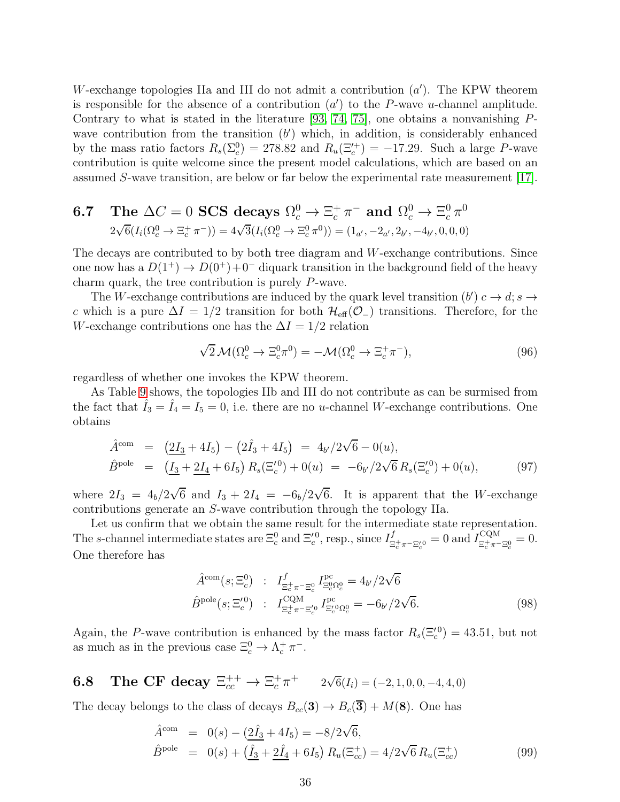W-exchange topologies IIa and III do not admit a contribution  $(a')$ . The KPW theorem is responsible for the absence of a contribution  $(a')$  to the P-wave u-channel amplitude. Contrary to what is stated in the literature [\[93,](#page-64-9) [74,](#page-63-8) [75\]](#page-63-9), one obtains a nonvanishing  $P$ wave contribution from the transition  $(b')$  which, in addition, is considerably enhanced by the mass ratio factors  $R_s(\Sigma_c^0) = 278.82$  and  $R_u(\Xi_c^{(+)}) = -17.29$ . Such a large P-wave contribution is quite welcome since the present model calculations, which are based on an assumed S-wave transition, are below or far below the experimental rate measurement [\[17\]](#page-60-1).

**6.7** The 
$$
\Delta C = 0
$$
 **SCS** decays  $\Omega_c^0 \to \Xi_c^+ \pi^-$  and  $\Omega_c^0 \to \Xi_c^0 \pi^0$   
 $2\sqrt{6}(I_i(\Omega_c^0 \to \Xi_c^+ \pi^-)) = 4\sqrt{3}(I_i(\Omega_c^0 \to \Xi_c^0 \pi^0)) = (1_{a'}, -2_{a'}, 2_{b'}, -4_{b'}, 0, 0, 0)$ 

The decays are contributed to by both tree diagram and W-exchange contributions. Since one now has a  $D(1^+) \rightarrow D(0^+) + 0^-$  diquark transition in the background field of the heavy charm quark, the tree contribution is purely P-wave.

The W-exchange contributions are induced by the quark level transition  $(b') c \rightarrow d; s \rightarrow$ c which is a pure  $\Delta I = 1/2$  transition for both  $\mathcal{H}_{\text{eff}}(\mathcal{O}_-)$  transitions. Therefore, for the W-exchange contributions one has the  $\Delta I = 1/2$  relation

$$
\sqrt{2}\mathcal{M}(\Omega_c^0 \to \Xi_c^0 \pi^0) = -\mathcal{M}(\Omega_c^0 \to \Xi_c^+ \pi^-), \tag{96}
$$

regardless of whether one invokes the KPW theorem.

As Table [9](#page-19-0) shows, the topologies IIb and III do not contribute as can be surmised from the fact that  $\hat{I}_3 = \hat{I}_4 = I_5 = 0$ , i.e. there are no *u*-channel *W*-exchange contributions. One obtains

$$
\hat{A}^{\text{com}} = \left( \underline{2I_3} + 4I_5 \right) - \left( 2\hat{I_3} + 4I_5 \right) = 4_{b'} / 2\sqrt{6} - 0(u), \n\hat{B}^{\text{pole}} = \left( \underline{I_3} + \underline{2I_4} + 6I_5 \right) R_s(\Xi_c^{(0)} + 0(u)) = -6_{b'} / 2\sqrt{6} R_s(\Xi_c^{(0)} + 0(u)),
$$
\n(97)

where  $2I_3 = 4_b/2\sqrt{6}$  and  $I_3 + 2I_4 = -6_b/2\sqrt{6}$ . It is apparent that the W-exchange contributions generate an S-wave contribution through the topology IIa.

Let us confirm that we obtain the same result for the intermediate state representation. The s-channel intermediate states are  $\Xi_c^0$  and  $\Xi_c^{\prime 0}$ , resp., since  $I_{\Xi_c}^f$  $\frac{f}{\Xi_c^+\pi^-\Xi_c^{\prime 0}}=0$  and  $I_{\Xi_c^+\pi^-}^{\rm CQM}$  $\frac{CQM}{\Xi_c^+\pi^-\Xi_c^0}=0.$ One therefore has

$$
\hat{A}^{\text{com}}(s; \Xi_c^0) : I_{\Xi_c^+\pi^- \Xi_c^0}^f I_{\Xi_c^0 \Omega_c^0}^{\text{pc}} = 4_{b'}/2\sqrt{6}
$$
\n
$$
\hat{B}^{\text{pole}}(s; \Xi_c^{\prime 0}) : I_{\Xi_c^+\pi^- \Xi_c^{\prime 0}}^{\text{CQM}} I_{\Xi_c^{\prime 0} \Omega_c^0}^{\text{pc}} = -6_{b'}/2\sqrt{6}.
$$
\n(98)

Again, the P-wave contribution is enhanced by the mass factor  $R_s(\Xi_c^{\prime 0}) = 43.51$ , but not as much as in the previous case  $\Xi_c^0 \to \Lambda_c^+ \pi^-$ .

**6.8** The CF decay  $\Xi_{cc}^{++} \to \Xi_c^+ \pi^+$   $2\sqrt{6}(I_i) = (-2, 1, 0, 0, -4, 4, 0)$ 

The decay belongs to the class of decays  $B_{cc}(3) \rightarrow B_c(3) + M(8)$ . One has

$$
\hat{A}^{\text{com}} = 0(s) - (\underline{2}\hat{I}_3 + 4I_5) = -8/2\sqrt{6}, \n\hat{B}^{\text{pole}} = 0(s) + (\hat{I}_3 + \underline{2}\hat{I}_4 + 6I_5) R_u(\Xi_{cc}^+) = 4/2\sqrt{6} R_u(\Xi_{cc}^+) \tag{99}
$$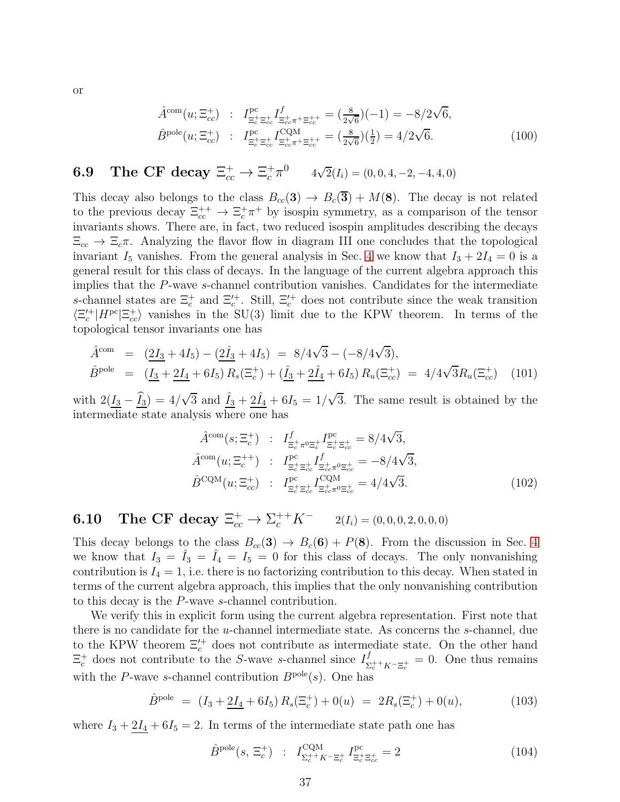$$
\hat{A}^{\text{com}}(u; \Xi_{cc}^{+}) : I_{\Xi_{c}^{+}\Xi_{cc}^{+}}^{\text{pc}} I_{\Xi_{c}^{+}\Xi_{cc}^{+}\pi^{+}\Xi_{cc}^{++}}^{f} = (\frac{8}{2\sqrt{6}})(-1) = -8/2\sqrt{6},
$$
\n
$$
\hat{B}^{\text{pole}}(u; \Xi_{cc}^{+}) : I_{\Xi_{c}^{+}\Xi_{cc}^{+}}^{\text{pc}} I_{\Xi_{cc}^{+}\pi^{+}\Xi_{cc}^{++}}^{CQM} = (\frac{8}{2\sqrt{6}})(\frac{1}{2}) = 4/2\sqrt{6}.
$$
\n(100)

# **6.9** The CF decay  $\Xi_{cc}^+ \to \Xi_c^+ \pi^0$   $4\sqrt{2}(I_i) = (0, 0, 4, -2, -4, 4, 0)$

This decay also belongs to the class  $B_{cc}(3) \rightarrow B_c(\overline{3}) + M(8)$ . The decay is not related to the previous decay  $\Xi_{cc}^{++} \to \Xi_c^+ \pi^+$  by isospin symmetry, as a comparison of the tensor invariants shows. There are, in fact, two reduced isospin amplitudes describing the decays  $\Xi_{cc} \rightarrow \Xi_c \pi$ . Analyzing the flavor flow in diagram III one concludes that the topological invariant  $I_5$  vanishes. From the general analysis in Sec. [4](#page-11-0) we know that  $I_3 + 2I_4 = 0$  is a general result for this class of decays. In the language of the current algebra approach this implies that the P-wave s-channel contribution vanishes. Candidates for the intermediate s-channel states are  $\Xi_c^+$  and  $\Xi_c^{\prime+}$ . Still,  $\Xi_c^{\prime+}$  does not contribute since the weak transition  $\langle \Xi_c^{\prime+} | H^{pc} | \Xi_{cc}^{\pm} \rangle$  vanishes in the SU(3) limit due to the KPW theorem. In terms of the topological tensor invariants one has

$$
\hat{A}^{\text{com}} = (\underline{2I_3} + 4I_5) - (\underline{2I_3} + 4I_5) = 8/4\sqrt{3} - (-8/4\sqrt{3}),
$$
\n
$$
\hat{B}^{\text{pole}} = (\underline{I_3} + \underline{2I_4} + 6I_5) R_s(\Xi_c^+) + (\underline{\hat{I}_3} + \underline{2I_4} + 6I_5) R_u(\Xi_c^+) = 4/4\sqrt{3}R_u(\Xi_c^+) \quad (101)
$$

with  $2(\underline{I_3} - \hat{I_3}) = 4/\sqrt{3}$  and  $\hat{I_3} + 2\hat{I_4} + 6I_5 = 1/\sqrt{3}$ . The same result is obtained by the intermediate state analysis where one has

$$
\hat{A}^{\text{com}}(s; \Xi_c^+) : I_{\Xi_c^+ \pi^0 \Xi_c^+}^f I_{\Xi_c^+ \Xi_c^+}^{\text{pc}} = 8/4\sqrt{3}, \n\hat{A}^{\text{com}}(u; \Xi_c^{++}) : I_{\Xi_c^+ \Xi_{cc}^+}^{\text{pc}} I_{\Xi_c^+ \Xi_{cc}^+ \pi^0 \Xi_{cc}^+}^f = -8/4\sqrt{3}, \n\hat{B}^{\text{CQM}}(u; \Xi_{cc}^+) : I_{\Xi_c^+ \Xi_{cc}^+}^{\text{pc}} I_{\Xi_{cc}^+ \pi^0 \Xi_{cc}^+}^{\text{CQM}} = 4/4\sqrt{3}.
$$
\n(102)

**6.10** The CF decay  $\Xi_{cc}^+ \to \Sigma_c^{++} K^ 2(I_i) = (0, 0, 0, 2, 0, 0, 0)$ 

This decay belongs to the class  $B_{cc}(3) \rightarrow B_c(6) + P(8)$ . From the discussion in Sec. [4](#page-11-0) we know that  $I_3 = \hat{I}_3 = \hat{I}_4 = I_5 = 0$  for this class of decays. The only nonvanishing contribution is  $I_4 = 1$ , i.e. there is no factorizing contribution to this decay. When stated in terms of the current algebra approach, this implies that the only nonvanishing contribution to this decay is the P-wave s-channel contribution.

We verify this in explicit form using the current algebra representation. First note that there is no candidate for the u-channel intermediate state. As concerns the s-channel, due to the KPW theorem  $\Xi_c^{\prime+}$  does not contribute as intermediate state. On the other hand  $\Xi_c^+$  does not contribute to the S-wave s-channel since  $I_{\Sigma}^f$  $\sum_{c}^{J}$  +  $K-\Xi_c^+$  = 0. One thus remains with the P-wave s-channel contribution  $B^{pole}(s)$ . One has

$$
\hat{B}^{\text{pole}} = (I_3 + 2I_4 + 6I_5) R_s(\Xi_c^+) + 0(u) = 2R_s(\Xi_c^+) + 0(u), \tag{103}
$$

where  $I_3 + 2I_4 + 6I_5 = 2$ . In terms of the intermediate state path one has

$$
\hat{B}^{\text{pole}}(s, \Xi_c^+) \; : \; I_{\Sigma_c^{++}K^-\Xi_c^+}^{\text{CQM}} I_{\Xi_c^+\Xi_{cc}^+}^{\text{pc}} = 2 \tag{104}
$$

or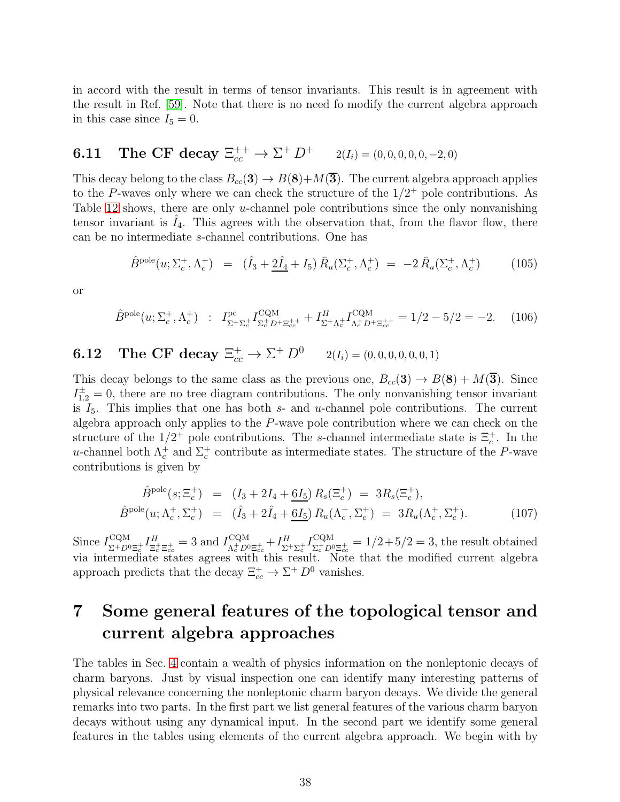in accord with the result in terms of tensor invariants. This result is in agreement with the result in Ref. [\[59\]](#page-62-10). Note that there is no need fo modify the current algebra approach in this case since  $I_5 = 0$ .

# **6.11** The CF decay  $\Xi_{cc}^{++} \to \Sigma^+ D^+$   $2(I_i) = (0, 0, 0, 0, 0, -2, 0)$

This decay belong to the class  $B_{cc}(3) \rightarrow B(8) + M(\overline{3})$ . The current algebra approach applies to the P-waves only where we can check the structure of the  $1/2^+$  pole contributions. As Table [12](#page-24-0) shows, there are only  $u$ -channel pole contributions since the only nonvanishing tensor invariant is  $I_4$ . This agrees with the observation that, from the flavor flow, there can be no intermediate s-channel contributions. One has

$$
\hat{B}^{\text{pole}}(u; \Sigma_c^+, \Lambda_c^+) = (\hat{I}_3 + 2\hat{I}_4 + I_5) \,\bar{R}_u(\Sigma_c^+, \Lambda_c^+) = -2 \,\bar{R}_u(\Sigma_c^+, \Lambda_c^+) \tag{105}
$$

or

$$
\hat{B}^{\text{pole}}(u; \Sigma_c^+, \Lambda_c^+) \; : \; I_{\Sigma^+\Sigma_c^+}^{\text{pc}} I_{\Sigma_c^+ D^+ \Xi_{cc}^{++}}^{\text{CQM}} + I_{\Sigma^+ \Lambda_c^+}^H I_{\Lambda_c^+ D^+ \Xi_{cc}^{++}}^{\text{CQM}} = 1/2 - 5/2 = -2. \tag{106}
$$

# **6.12** The CF decay  $\Xi_{cc}^+ \to \Sigma^+ D^0$   $2(I_i) = (0, 0, 0, 0, 0, 0, 1)$

This decay belongs to the same class as the previous one,  $B_{cc}(3) \rightarrow B(8) + M(\overline{3})$ . Since  $I_{1,2}^{\pm} = 0$ , there are no tree diagram contributions. The only nonvanishing tensor invariant is  $I_5$ . This implies that one has both  $s$ - and  $u$ -channel pole contributions. The current algebra approach only applies to the P-wave pole contribution where we can check on the structure of the  $1/2^+$  pole contributions. The s-channel intermediate state is  $\Xi_c^+$ . In the u-channel both  $\Lambda_c^+$  and  $\Sigma_c^+$  contribute as intermediate states. The structure of the P-wave contributions is given by

$$
\hat{B}^{\text{pole}}(s; \Xi_c^+) = (I_3 + 2I_4 + 6I_5) R_s(\Xi_c^+) = 3R_s(\Xi_c^+), \n\hat{B}^{\text{pole}}(u; \Lambda_c^+, \Sigma_c^+) = (\hat{I}_3 + 2\hat{I}_4 + 6I_5) R_u(\Lambda_c^+, \Sigma_c^+) = 3R_u(\Lambda_c^+, \Sigma_c^+).
$$
\n(107)

Since  $I_{\nabla^+ D}^{\text{CQM}}$  $\frac{\text{CQM}}{\Sigma^+ D^0 \Xi_c^+} I^H_{\Xi_c^-}$  $\frac{H}{\Xi_c^+\Xi_{cc}^+} = 3$  and  $I_{\Lambda_c^+ D^0}^{\text{CQM}}$  $\frac{1}{\Lambda_c^+}$   $D^0\Xi_{cc}^+$   $+$   $I^H_\Sigma$  $\frac{H}{\Sigma^+ \Sigma^+_c} I_{\Sigma^+_c D^0}^\text{CQM}$  $\sum_{c \in D^0 \Xi_{cc}^+}^{CQM} = 1/2+5/2 = 3$ , the result obtained via intermediate states agrees with this result. Note that the modified current algebra approach predicts that the decay  $\Xi_{cc}^+ \to \Sigma^+ D^0$  vanishes.

## <span id="page-38-0"></span>7 Some general features of the topological tensor and current algebra approaches

The tables in Sec. [4](#page-11-0) contain a wealth of physics information on the nonleptonic decays of charm baryons. Just by visual inspection one can identify many interesting patterns of physical relevance concerning the nonleptonic charm baryon decays. We divide the general remarks into two parts. In the first part we list general features of the various charm baryon decays without using any dynamical input. In the second part we identify some general features in the tables using elements of the current algebra approach. We begin with by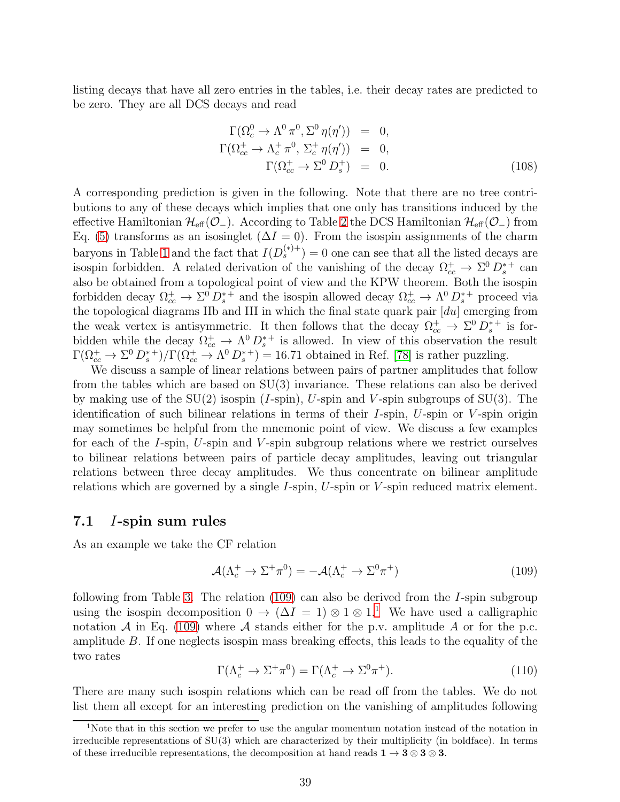listing decays that have all zero entries in the tables, i.e. their decay rates are predicted to be zero. They are all DCS decays and read

$$
\Gamma(\Omega_c^0 \to \Lambda^0 \pi^0, \Sigma^0 \eta(\eta')) = 0,
$$
  
\n
$$
\Gamma(\Omega_{cc}^+ \to \Lambda_c^+ \pi^0, \Sigma_c^+ \eta(\eta')) = 0,
$$
  
\n
$$
\Gamma(\Omega_{cc}^+ \to \Sigma^0 D_s^+) = 0.
$$
\n(108)

A corresponding prediction is given in the following. Note that there are no tree contributions to any of these decays which implies that one only has transitions induced by the effective Hamiltonian  $\mathcal{H}_{eff}(\mathcal{O}_-)$ . According to Table [2](#page-8-0) the DCS Hamiltonian  $\mathcal{H}_{eff}(\mathcal{O}_-)$  from Eq. [\(5\)](#page-4-2) transforms as an isosinglet  $(\Delta I = 0)$ . From the isospin assignments of the charm baryons in Table [1](#page-5-1) and the fact that  $I(D_s^{(*)+}) = 0$  one can see that all the listed decays are isospin forbidden. A related derivation of the vanishing of the decay  $\Omega_{cc}^+ \to \Sigma^0 D_s^{*+}$  can also be obtained from a topological point of view and the KPW theorem. Both the isospin forbidden decay  $\Omega_{cc}^+ \to \Sigma^0 D_s^{*+}$  and the isospin allowed decay  $\Omega_{cc}^+ \to \Lambda^0 D_s^{*+}$  proceed via the topological diagrams IIb and III in which the final state quark pair  $[du]$  emerging from the weak vertex is antisymmetric. It then follows that the decay  $\Omega_{cc}^+ \to \Sigma^0 D_s^{*+}$  is forbidden while the decay  $\Omega_{cc}^+ \to \Lambda^0 D_s^{*+}$  is allowed. In view of this observation the result  $\Gamma(\Omega_{cc}^+\to\Sigma^0 D_s^{*+})/\Gamma(\Omega_{cc}^+\to\Lambda^0 D_s^{*+})=16.71$  obtained in Ref. [\[78\]](#page-63-12) is rather puzzling.

We discuss a sample of linear relations between pairs of partner amplitudes that follow from the tables which are based on SU(3) invariance. These relations can also be derived by making use of the  $SU(2)$  isospin (*I*-spin), *U*-spin and *V*-spin subgroups of  $SU(3)$ . The identification of such bilinear relations in terms of their  $I$ -spin,  $U$ -spin or  $V$ -spin origin may sometimes be helpful from the mnemonic point of view. We discuss a few examples for each of the I-spin, U-spin and V-spin subgroup relations where we restrict ourselves to bilinear relations between pairs of particle decay amplitudes, leaving out triangular relations between three decay amplitudes. We thus concentrate on bilinear amplitude relations which are governed by a single  $I$ -spin,  $U$ -spin or  $V$ -spin reduced matrix element.

#### 7.1 I-spin sum rules

As an example we take the CF relation

<span id="page-39-0"></span>
$$
\mathcal{A}(\Lambda_c^+ \to \Sigma^+ \pi^0) = -\mathcal{A}(\Lambda_c^+ \to \Sigma^0 \pi^+) \tag{109}
$$

following from Table [3.](#page-12-0) The relation [\(109\)](#page-39-0) can also be derived from the I-spin subgroup using the isospin decomposition  $0 \to (\Delta I = 1) \otimes 1 \otimes 1$  $0 \to (\Delta I = 1) \otimes 1 \otimes 1$  $0 \to (\Delta I = 1) \otimes 1 \otimes 1$ .<sup>1</sup> We have used a calligraphic notation  $\mathcal A$  in Eq. [\(109\)](#page-39-0) where  $\mathcal A$  stands either for the p.v. amplitude  $\mathcal A$  or for the p.c. amplitude B. If one neglects isospin mass breaking effects, this leads to the equality of the two rates

$$
\Gamma(\Lambda_c^+ \to \Sigma^+ \pi^0) = \Gamma(\Lambda_c^+ \to \Sigma^0 \pi^+). \tag{110}
$$

There are many such isospin relations which can be read off from the tables. We do not list them all except for an interesting prediction on the vanishing of amplitudes following

<span id="page-39-1"></span><sup>1</sup>Note that in this section we prefer to use the angular momentum notation instead of the notation in irreducible representations of SU(3) which are characterized by their multiplicity (in boldface). In terms of these irreducible representations, the decomposition at hand reads  $1 \rightarrow 3 \otimes 3 \otimes 3$ .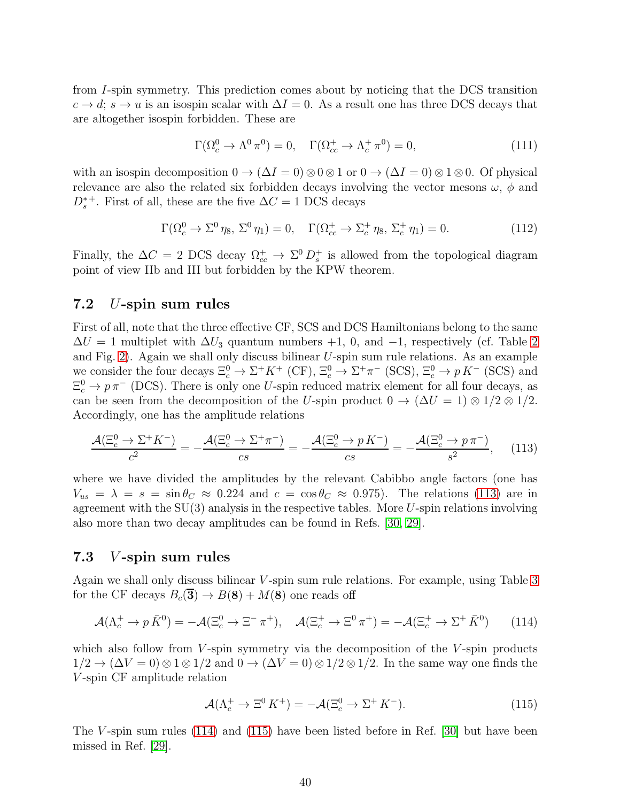from I-spin symmetry. This prediction comes about by noticing that the DCS transition  $c \to d$ ;  $s \to u$  is an isospin scalar with  $\Delta I = 0$ . As a result one has three DCS decays that are altogether isospin forbidden. These are

$$
\Gamma(\Omega_c^0 \to \Lambda^0 \pi^0) = 0, \quad \Gamma(\Omega_{cc}^+ \to \Lambda_c^+ \pi^0) = 0,
$$
\n(111)

with an isospin decomposition  $0 \to (\Delta I = 0) \otimes 0 \otimes 1$  or  $0 \to (\Delta I = 0) \otimes 1 \otimes 0$ . Of physical relevance are also the related six forbidden decays involving the vector mesons  $\omega$ ,  $\phi$  and  $D_s^{*+}$ . First of all, these are the five  $\Delta C = 1$  DCS decays

$$
\Gamma(\Omega_c^0 \to \Sigma^0 \eta_8, \Sigma^0 \eta_1) = 0, \quad \Gamma(\Omega_{cc}^+ \to \Sigma_c^+ \eta_8, \Sigma_c^+ \eta_1) = 0. \tag{112}
$$

Finally, the  $\Delta C = 2$  DCS decay  $\Omega_{cc}^+ \to \Sigma^0 D_s^+$  is allowed from the topological diagram point of view IIb and III but forbidden by the KPW theorem.

#### 7.2 U-spin sum rules

First of all, note that the three effective CF, SCS and DCS Hamiltonians belong to the same  $\Delta U = 1$  multiplet with  $\Delta U_3$  quantum numbers +1, 0, and -1, respectively (cf. Table [2](#page-8-0) and Fig. [2\)](#page-9-0). Again we shall only discuss bilinear U-spin sum rule relations. As an example we consider the four decays  $\Xi_c^0 \to \Sigma^+ K^+$  (CF),  $\Xi_c^0 \to \Sigma^+ \pi^-$  (SCS),  $\Xi_c^0 \to p K^-$  (SCS) and  $\Xi_c^0 \to p \pi^-$  (DCS). There is only one U-spin reduced matrix element for all four decays, as can be seen from the decomposition of the U-spin product  $0 \to (\Delta U = 1) \otimes 1/2 \otimes 1/2$ . Accordingly, one has the amplitude relations

<span id="page-40-0"></span>
$$
\frac{\mathcal{A}(\Xi_c^0 \to \Sigma^+ K^-)}{c^2} = -\frac{\mathcal{A}(\Xi_c^0 \to \Sigma^+ \pi^-)}{cs} = -\frac{\mathcal{A}(\Xi_c^0 \to p \, K^-)}{cs} = -\frac{\mathcal{A}(\Xi_c^0 \to p \, \pi^-)}{s^2},\tag{113}
$$

where we have divided the amplitudes by the relevant Cabibbo angle factors (one has  $V_{us} = \lambda = s = \sin \theta_C \approx 0.224$  and  $c = \cos \theta_C \approx 0.975$ . The relations [\(113\)](#page-40-0) are in agreement with the  $SU(3)$  analysis in the respective tables. More U-spin relations involving also more than two decay amplitudes can be found in Refs. [\[30,](#page-60-14) [29\]](#page-60-13).

#### 7.3 V -spin sum rules

Again we shall only discuss bilinear *V*-spin sum rule relations. For example, using Table [3](#page-12-0) for the CF decays  $B_c(\overline{3}) \rightarrow B(8) + M(8)$  one reads off

<span id="page-40-1"></span>
$$
\mathcal{A}(\Lambda_c^+ \to p\,\bar{K}^0) = -\mathcal{A}(\Xi_c^0 \to \Xi^- \,\pi^+), \quad \mathcal{A}(\Xi_c^+ \to \Xi^0 \,\pi^+) = -\mathcal{A}(\Xi_c^+ \to \Sigma^+ \,\bar{K}^0) \tag{114}
$$

which also follow from  $V$ -spin symmetry via the decomposition of the  $V$ -spin products  $1/2 \rightarrow (\Delta V = 0) \otimes 1 \otimes 1/2$  and  $0 \rightarrow (\Delta V = 0) \otimes 1/2 \otimes 1/2$ . In the same way one finds the V -spin CF amplitude relation

<span id="page-40-2"></span>
$$
\mathcal{A}(\Lambda_c^+ \to \Xi^0 K^+) = -\mathcal{A}(\Xi_c^0 \to \Sigma^+ K^-). \tag{115}
$$

The V-spin sum rules  $(114)$  and  $(115)$  have been listed before in Ref. [\[30\]](#page-60-14) but have been missed in Ref. [\[29\]](#page-60-13).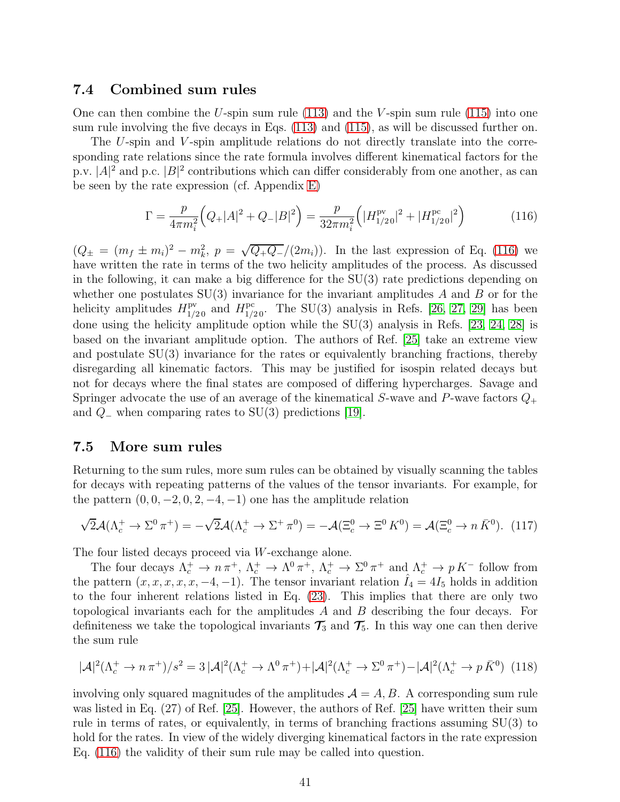#### 7.4 Combined sum rules

One can then combine the U-spin sum rule  $(113)$  and the V-spin sum rule  $(115)$  into one sum rule involving the five decays in Eqs. [\(113\)](#page-40-0) and [\(115\)](#page-40-2), as will be discussed further on.

The U-spin and V-spin amplitude relations do not directly translate into the corresponding rate relations since the rate formula involves different kinematical factors for the p.v.  $|A|^2$  and p.c.  $|B|^2$  contributions which can differ considerably from one another, as can be seen by the rate expression (cf. Appendix [E\)](#page-58-0)

<span id="page-41-0"></span>
$$
\Gamma = \frac{p}{4\pi m_i^2} \Big( Q_+ |A|^2 + Q_- |B|^2 \Big) = \frac{p}{32\pi m_i^2} \Big( |H_{1/20}^{\text{pv}}|^2 + |H_{1/20}^{\text{pc}}|^2 \Big) \tag{116}
$$

 $(Q_{\pm} = (m_f \pm m_i)^2 - m_k^2, p = \sqrt{Q_{+}Q_{-}}/(2m_i)).$  In the last expression of Eq. [\(116\)](#page-41-0) we have written the rate in terms of the two helicity amplitudes of the process. As discussed in the following, it can make a big difference for the SU(3) rate predictions depending on whether one postulates  $SU(3)$  invariance for the invariant amplitudes A and B or for the helicity amplitudes  $H_{1/20}^{\text{pv}}$  and  $H_{1/20}^{\text{pc}}$ . The SU(3) analysis in Refs. [\[26,](#page-60-10) [27,](#page-60-11) [29\]](#page-60-13) has been done using the helicity amplitude option while the SU(3) analysis in Refs. [\[23,](#page-60-7) [24,](#page-60-8) [28\]](#page-60-12) is based on the invariant amplitude option. The authors of Ref. [\[25\]](#page-60-9) take an extreme view and postulate SU(3) invariance for the rates or equivalently branching fractions, thereby disregarding all kinematic factors. This may be justified for isospin related decays but not for decays where the final states are composed of differing hypercharges. Savage and Springer advocate the use of an average of the kinematical S-wave and P-wave factors  $Q_+$ and  $Q_$  when comparing rates to SU(3) predictions [\[19\]](#page-60-3).

#### 7.5 More sum rules

Returning to the sum rules, more sum rules can be obtained by visually scanning the tables for decays with repeating patterns of the values of the tensor invariants. For example, for the pattern  $(0, 0, -2, 0, 2, -4, -1)$  one has the amplitude relation

$$
\sqrt{2}\mathcal{A}(\Lambda_c^+ \to \Sigma^0 \pi^+) = -\sqrt{2}\mathcal{A}(\Lambda_c^+ \to \Sigma^+ \pi^0) = -\mathcal{A}(\Xi_c^0 \to \Xi^0 K^0) = \mathcal{A}(\Xi_c^0 \to n\,\bar{K}^0). \tag{117}
$$

The four listed decays proceed via W-exchange alone.

The four decays  $\Lambda_c^+ \to n \pi^+$ ,  $\Lambda_c^+ \to \Lambda^0 \pi^+$ ,  $\Lambda_c^+ \to \Sigma^0 \pi^+$  and  $\Lambda_c^+ \to p K^-$  follow from the pattern  $(x, x, x, x, x, -4, -1)$ . The tensor invariant relation  $\hat{I}_4 = 4I_5$  holds in addition to the four inherent relations listed in Eq. [\(23\)](#page-11-1). This implies that there are only two topological invariants each for the amplitudes A and B describing the four decays. For definiteness we take the topological invariants  $\mathcal{T}_3$  and  $\mathcal{T}_5$ . In this way one can then derive the sum rule

$$
|\mathcal{A}|^2(\Lambda_c^+ \to n\,\pi^+)/s^2 = 3\,|\mathcal{A}|^2(\Lambda_c^+ \to \Lambda^0\,\pi^+) + |\mathcal{A}|^2(\Lambda_c^+ \to \Sigma^0\,\pi^+) - |\mathcal{A}|^2(\Lambda_c^+ \to p\,\bar{K}^0) \tag{118}
$$

involving only squared magnitudes of the amplitudes  $\mathcal{A} = A, B$ . A corresponding sum rule was listed in Eq. (27) of Ref. [\[25\]](#page-60-9). However, the authors of Ref. [25] have written their sum rule in terms of rates, or equivalently, in terms of branching fractions assuming SU(3) to hold for the rates. In view of the widely diverging kinematical factors in the rate expression Eq. [\(116\)](#page-41-0) the validity of their sum rule may be called into question.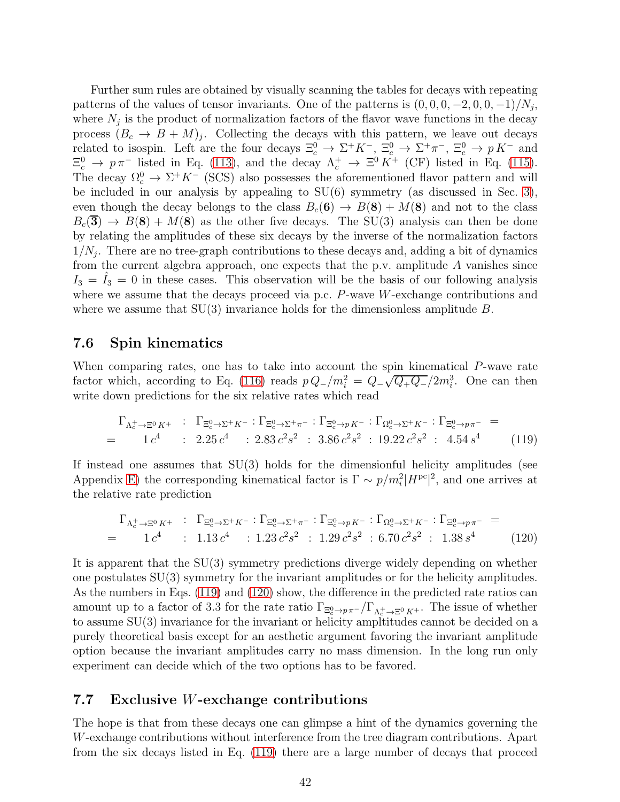Further sum rules are obtained by visually scanning the tables for decays with repeating patterns of the values of tensor invariants. One of the patterns is  $(0, 0, 0, -2, 0, 0, -1)/N_j$ , where  $N_j$  is the product of normalization factors of the flavor wave functions in the decay process  $(B_c \to B + M)_j$ . Collecting the decays with this pattern, we leave out decays related to isospin. Left are the four decays  $\Xi_c^0 \to \Sigma^+ K^-$ ,  $\Xi_c^0 \to \Sigma^+ \pi^-$ ,  $\Xi_c^0 \to p K^-$  and  $\Xi_c^0 \to p \pi^-$  listed in Eq. [\(113\)](#page-40-0), and the decay  $\Lambda_c^+ \to \Xi^0 K^+$  (CF) listed in Eq. [\(115\)](#page-40-2). The decay  $\Omega_c^0 \to \Sigma^+ K^-$  (SCS) also possesses the aforementioned flavor pattern and will be included in our analysis by appealing to SU(6) symmetry (as discussed in Sec. [3\)](#page-5-0), even though the decay belongs to the class  $B_c(6) \rightarrow B(8) + M(8)$  and not to the class  $B_c(3) \rightarrow B(8) + M(8)$  as the other five decays. The SU(3) analysis can then be done by relating the amplitudes of these six decays by the inverse of the normalization factors  $1/N_j$ . There are no tree-graph contributions to these decays and, adding a bit of dynamics from the current algebra approach, one expects that the p.v. amplitude  $A$  vanishes since  $I_3 = I_3 = 0$  in these cases. This observation will be the basis of our following analysis where we assume that the decays proceed via p.c. P-wave W-exchange contributions and where we assume that  $SU(3)$  invariance holds for the dimensionless amplitude B.

### 7.6 Spin kinematics

When comparing rates, one has to take into account the spin kinematical P-wave rate factor which, according to Eq. [\(116\)](#page-41-0) reads  $p Q_-/m_i^2 = Q_- \sqrt{Q_+ Q_-}/2m_i^3$ . One can then write down predictions for the six relative rates which read

<span id="page-42-0"></span>
$$
\Gamma_{\Lambda_c^+ \to \Xi^0 K^+} : \Gamma_{\Xi_c^0 \to \Sigma^+ K^-} : \Gamma_{\Xi_c^0 \to \Sigma^+ \pi^-} : \Gamma_{\Xi_c^0 \to p K^-} : \Gamma_{\Omega_c^0 \to \Sigma^+ K^-} : \Gamma_{\Xi_c^0 \to p \pi^-} =
$$
\n
$$
= 1 c^4 : 2.25 c^4 : 2.83 c^2 s^2 : 3.86 c^2 s^2 : 19.22 c^2 s^2 : 4.54 s^4 \tag{119}
$$

If instead one assumes that SU(3) holds for the dimensionful helicity amplitudes (see Appendix [E\)](#page-58-0) the corresponding kinematical factor is  $\Gamma \sim p/m_i^2 |H^{pc}|^2$ , and one arrives at the relative rate prediction

<span id="page-42-1"></span>
$$
\Gamma_{\Lambda_c^+\to\Xi^0 K^+} : \Gamma_{\Xi_c^0\to\Sigma^+ K^-} : \Gamma_{\Xi_c^0\to\Sigma^+\pi^-} : \Gamma_{\Xi_c^0\to p K^-} : \Gamma_{\Omega_c^0\to\Sigma^+ K^-} : \Gamma_{\Xi_c^0\to p\pi^-} =
$$
\n
$$
= 1 c^4 : 1.13 c^4 : 1.23 c^2 s^2 : 1.29 c^2 s^2 : 6.70 c^2 s^2 : 1.38 s^4
$$
\n(120)

It is apparent that the SU(3) symmetry predictions diverge widely depending on whether one postulates SU(3) symmetry for the invariant amplitudes or for the helicity amplitudes. As the numbers in Eqs. [\(119\)](#page-42-0) and [\(120\)](#page-42-1) show, the difference in the predicted rate ratios can amount up to a factor of 3.3 for the rate ratio  $\Gamma_{\Xi_c^0 \to p\pi^-}/\Gamma_{\Lambda_c^+\to \Xi^0 K^+}$ . The issue of whether to assume SU(3) invariance for the invariant or helicity ampltitudes cannot be decided on a purely theoretical basis except for an aesthetic argument favoring the invariant amplitude option because the invariant amplitudes carry no mass dimension. In the long run only experiment can decide which of the two options has to be favored.

### 7.7 Exclusive W-exchange contributions

The hope is that from these decays one can glimpse a hint of the dynamics governing the W-exchange contributions without interference from the tree diagram contributions. Apart from the six decays listed in Eq. [\(119\)](#page-42-0) there are a large number of decays that proceed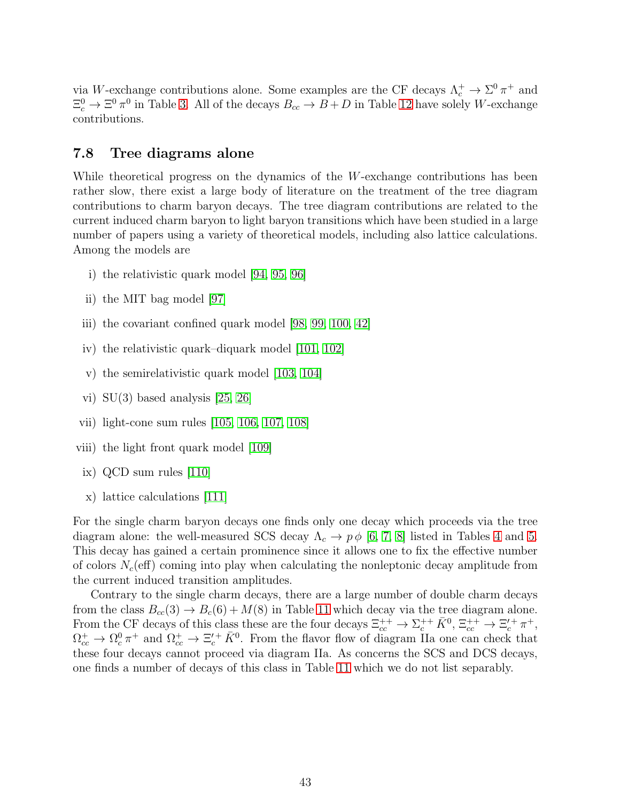via W-exchange contributions alone. Some examples are the CF decays  $\Lambda_c^+ \to \Sigma^0 \pi^+$  and  $\Xi_c^0 \to \Xi^0 \pi^0$  in Table [3.](#page-12-0) All of the decays  $B_{cc} \to B+D$  in Table [12](#page-24-0) have solely W-exchange contributions.

### 7.8 Tree diagrams alone

While theoretical progress on the dynamics of the W-exchange contributions has been rather slow, there exist a large body of literature on the treatment of the tree diagram contributions to charm baryon decays. The tree diagram contributions are related to the current induced charm baryon to light baryon transitions which have been studied in a large number of papers using a variety of theoretical models, including also lattice calculations. Among the models are

- i) the relativistic quark model [\[94,](#page-64-10) [95,](#page-64-11) [96\]](#page-64-12)
- ii) the MIT bag model [\[97\]](#page-64-13)
- iii) the covariant confined quark model [\[98,](#page-65-0) [99,](#page-65-1) [100,](#page-65-2) [42\]](#page-61-9)
- iv) the relativistic quark–diquark model [\[101,](#page-65-3) [102\]](#page-65-4)
- v) the semirelativistic quark model [\[103,](#page-65-5) [104\]](#page-65-6)
- vi) SU(3) based analysis [\[25,](#page-60-9) [26\]](#page-60-10)
- vii) light-cone sum rules [\[105,](#page-65-7) [106,](#page-65-8) [107,](#page-65-9) [108\]](#page-65-10)
- viii) the light front quark model [\[109\]](#page-65-11)
- ix) QCD sum rules [\[110\]](#page-65-12)
- x) lattice calculations [\[111\]](#page-65-13)

For the single charm baryon decays one finds only one decay which proceeds via the tree diagram alone: the well-measured SCS decay  $\Lambda_c \to p \phi$  [\[6,](#page-59-5) [7,](#page-59-6) [8\]](#page-59-7) listed in Tables [4](#page-13-0) and [5.](#page-14-0) This decay has gained a certain prominence since it allows one to fix the effective number of colors  $N_c$  (eff) coming into play when calculating the nonleptonic decay amplitude from the current induced transition amplitudes.

Contrary to the single charm decays, there are a large number of double charm decays from the class  $B_{cc}(3) \rightarrow B_c(6) + M(8)$  in Table [11](#page-22-0) which decay via the tree diagram alone. From the CF decays of this class these are the four decays  $\Xi_{cc}^{++} \to \Sigma_{c}^{++} \bar{K}^0$ ,  $\Xi_{cc}^{++} \to \Xi_c^{\prime +} \pi^+$ ,  $\Omega_{cc}^+ \to \Omega_c^0 \pi^+$  and  $\Omega_{cc}^+ \to \Xi_c^{\prime +} \bar{K}^0$ . From the flavor flow of diagram IIa one can check that these four decays cannot proceed via diagram IIa. As concerns the SCS and DCS decays, one finds a number of decays of this class in Table [11](#page-22-0) which we do not list separably.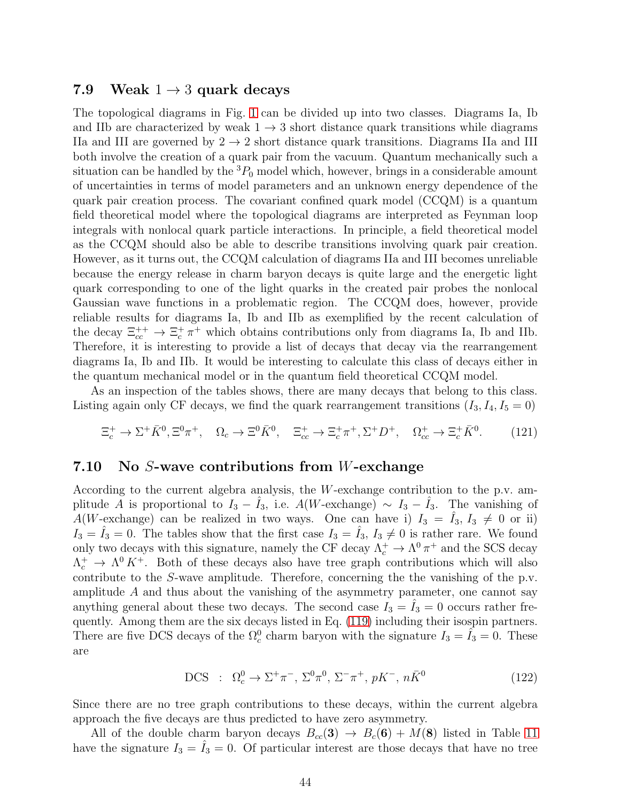### 7.9 Weak  $1 \rightarrow 3$  quark decays

The topological diagrams in Fig. [1](#page-2-0) can be divided up into two classes. Diagrams Ia, Ib and IIb are characterized by weak  $1 \rightarrow 3$  short distance quark transitions while diagrams IIa and III are governed by  $2 \rightarrow 2$  short distance quark transitions. Diagrams IIa and III both involve the creation of a quark pair from the vacuum. Quantum mechanically such a situation can be handled by the  ${}^{3}P_0$  model which, however, brings in a considerable amount of uncertainties in terms of model parameters and an unknown energy dependence of the quark pair creation process. The covariant confined quark model (CCQM) is a quantum field theoretical model where the topological diagrams are interpreted as Feynman loop integrals with nonlocal quark particle interactions. In principle, a field theoretical model as the CCQM should also be able to describe transitions involving quark pair creation. However, as it turns out, the CCQM calculation of diagrams IIa and III becomes unreliable because the energy release in charm baryon decays is quite large and the energetic light quark corresponding to one of the light quarks in the created pair probes the nonlocal Gaussian wave functions in a problematic region. The CCQM does, however, provide reliable results for diagrams Ia, Ib and IIb as exemplified by the recent calculation of the decay  $\Xi_{cc}^{++} \to \Xi_c^+ \pi^+$  which obtains contributions only from diagrams Ia, Ib and IIb. Therefore, it is interesting to provide a list of decays that decay via the rearrangement diagrams Ia, Ib and IIb. It would be interesting to calculate this class of decays either in the quantum mechanical model or in the quantum field theoretical CCQM model.

As an inspection of the tables shows, there are many decays that belong to this class. Listing again only CF decays, we find the quark rearrangement transitions  $(I_3, I_4, I_5 = 0)$ 

$$
\Xi_c^+ \to \Sigma^+ \bar{K}^0, \Xi^0 \pi^+, \quad \Omega_c \to \Xi^0 \bar{K}^0, \quad \Xi_{cc}^+ \to \Xi_c^+ \pi^+, \Sigma^+ D^+, \quad \Omega_{cc}^+ \to \Xi_c^+ \bar{K}^0. \tag{121}
$$

### 7.10 No S-wave contributions from W-exchange

According to the current algebra analysis, the W-exchange contribution to the p.v. amplitude A is proportional to  $I_3 - I_3$ , i.e.  $A(W\text{-exchange}) \sim I_3 - I_3$ . The vanishing of A(W-exchange) can be realized in two ways. One can have i)  $I_3 = \hat{I}_3$ ,  $I_3 \neq 0$  or ii)  $I_3 = \tilde{I}_3 = 0$ . The tables show that the first case  $I_3 = \tilde{I}_3$ ,  $I_3 \neq 0$  is rather rare. We found only two decays with this signature, namely the CF decay  $\Lambda_c^+ \to \Lambda^0 \pi^+$  and the SCS decay  $\Lambda_c^+$   $\to \Lambda^0 K^+$ . Both of these decays also have tree graph contributions which will also contribute to the S-wave amplitude. Therefore, concerning the the vanishing of the p.v. amplitude A and thus about the vanishing of the asymmetry parameter, one cannot say anything general about these two decays. The second case  $I_3 = I_3 = 0$  occurs rather frequently. Among them are the six decays listed in Eq. [\(119\)](#page-42-0) including their isospin partners. There are five DCS decays of the  $\Omega_c^0$  charm baryon with the signature  $I_3 = \hat{I}_3 = 0$ . These are

DCS : 
$$
\Omega_c^0 \to \Sigma^+ \pi^-
$$
,  $\Sigma^0 \pi^0$ ,  $\Sigma^- \pi^+$ ,  $pK^-$ ,  $n\bar{K}^0$  (122)

Since there are no tree graph contributions to these decays, within the current algebra approach the five decays are thus predicted to have zero asymmetry.

All of the double charm baryon decays  $B_{cc}(3) \rightarrow B_c(6) + M(8)$  listed in Table [11](#page-22-0) have the signature  $I_3 = \hat{I}_3 = 0$ . Of particular interest are those decays that have no tree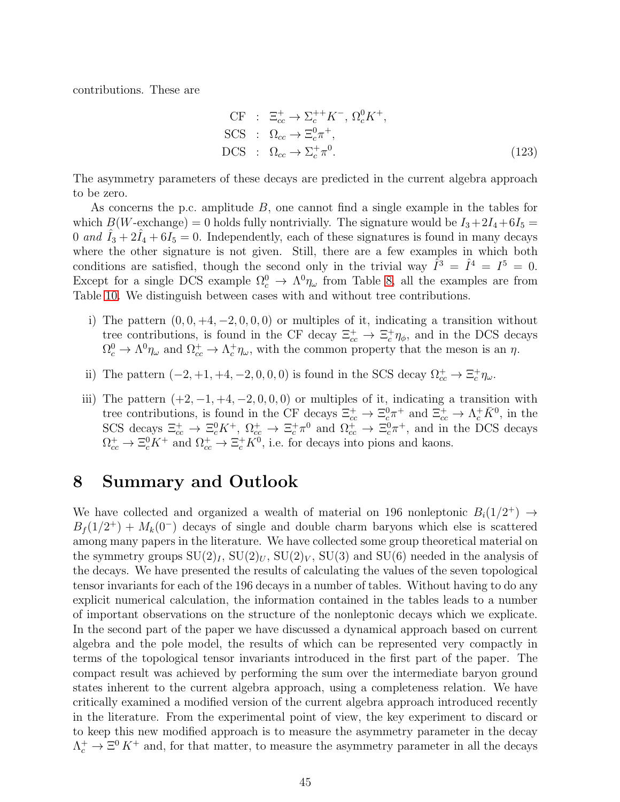contributions. These are

$$
CF : \Xi_{cc}^{+} \to \Sigma_{c}^{++} K^{-}, \Omega_{c}^{0} K^{+},
$$
  
\nSCS :  $\Omega_{cc} \to \Xi_{c}^{0} \pi^{+},$   
\nDCS :  $\Omega_{cc} \to \Sigma_{c}^{+} \pi^{0}.$  (123)

The asymmetry parameters of these decays are predicted in the current algebra approach to be zero.

As concerns the p.c. amplitude B, one cannot find a single example in the tables for which  $B(W\text{-exchange}) = 0$  holds fully nontrivially. The signature would be  $I_3 + 2I_4 + 6I_5 =$ 0 *and*  $\hat{I}_3 + 2\hat{I}_4 + 6I_5 = 0$ . Independently, each of these signatures is found in many decays where the other signature is not given. Still, there are a few examples in which both conditions are satisfied, though the second only in the trivial way  $\hat{I}^3 = \hat{I}^4 = I^5 = 0$ . Except for a single DCS example  $\Omega_c^0 \to \Lambda^0 \eta_\omega$  from Table [8,](#page-18-0) all the examples are from Table [10.](#page-21-0) We distinguish between cases with and without tree contributions.

- i) The pattern  $(0, 0, +4, -2, 0, 0, 0)$  or multiples of it, indicating a transition without tree contributions, is found in the CF decay  $\Xi_{cc}^+ \to \Xi_c^+ \eta_{\phi}$ , and in the DCS decays  $\Omega_c^0 \to \Lambda^0 \eta_\omega$  and  $\Omega_{cc}^+ \to \Lambda_c^+ \eta_\omega$ , with the common property that the meson is an  $\eta$ .
- ii) The pattern  $(-2, +1, +4, -2, 0, 0, 0)$  is found in the SCS decay  $\Omega_{cc}^+ \to \Xi_c^+ \eta_{\omega}$ .
- iii) The pattern  $(+2, -1, +4, -2, 0, 0, 0)$  or multiples of it, indicating a transition with tree contributions, is found in the CF decays  $\Xi_{cc}^+ \to \Xi_{cc}^0 \pi^+$  and  $\Xi_{cc}^+ \to \Lambda_c^+ \bar{K}^0$ , in the SCS decays  $\Xi_{cc}^+ \to \Xi_c^0 K^+$ ,  $\Omega_{cc}^+ \to \Xi_c^+ \pi^0$  and  $\Omega_{cc}^+ \to \Xi_c^0 \pi^+$ , and in the DCS decays  $\Omega_{cc}^+ \to \Xi_c^0 K^+$  and  $\Omega_{cc}^+ \to \Xi_c^+ K^0$ , i.e. for decays into pions and kaons.

## <span id="page-45-0"></span>8 Summary and Outlook

We have collected and organized a wealth of material on 196 nonleptonic  $B_i(1/2^+) \rightarrow$  $B_f(1/2^+) + M_k(0^-)$  decays of single and double charm baryons which else is scattered among many papers in the literature. We have collected some group theoretical material on the symmetry groups  $SU(2)_I$ ,  $SU(2)_U$ ,  $SU(2)_V$ ,  $SU(3)$  and  $SU(6)$  needed in the analysis of the decays. We have presented the results of calculating the values of the seven topological tensor invariants for each of the 196 decays in a number of tables. Without having to do any explicit numerical calculation, the information contained in the tables leads to a number of important observations on the structure of the nonleptonic decays which we explicate. In the second part of the paper we have discussed a dynamical approach based on current algebra and the pole model, the results of which can be represented very compactly in terms of the topological tensor invariants introduced in the first part of the paper. The compact result was achieved by performing the sum over the intermediate baryon ground states inherent to the current algebra approach, using a completeness relation. We have critically examined a modified version of the current algebra approach introduced recently in the literature. From the experimental point of view, the key experiment to discard or to keep this new modified approach is to measure the asymmetry parameter in the decay  $\Lambda_c^+ \to \Xi^0 K^+$  and, for that matter, to measure the asymmetry parameter in all the decays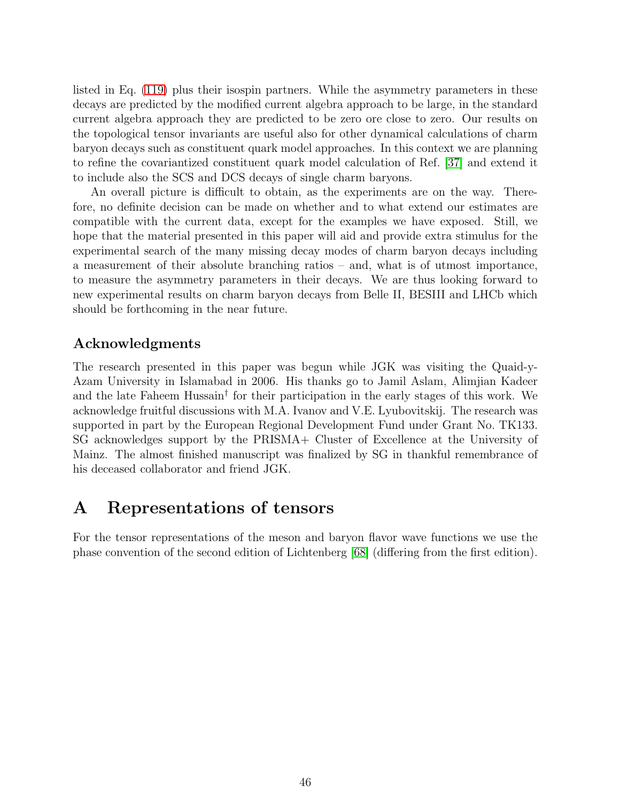listed in Eq. [\(119\)](#page-42-0) plus their isospin partners. While the asymmetry parameters in these decays are predicted by the modified current algebra approach to be large, in the standard current algebra approach they are predicted to be zero ore close to zero. Our results on the topological tensor invariants are useful also for other dynamical calculations of charm baryon decays such as constituent quark model approaches. In this context we are planning to refine the covariantized constituent quark model calculation of Ref. [\[37\]](#page-61-4) and extend it to include also the SCS and DCS decays of single charm baryons.

An overall picture is difficult to obtain, as the experiments are on the way. Therefore, no definite decision can be made on whether and to what extend our estimates are compatible with the current data, except for the examples we have exposed. Still, we hope that the material presented in this paper will aid and provide extra stimulus for the experimental search of the many missing decay modes of charm baryon decays including a measurement of their absolute branching ratios – and, what is of utmost importance, to measure the asymmetry parameters in their decays. We are thus looking forward to new experimental results on charm baryon decays from Belle II, BESIII and LHCb which should be forthcoming in the near future.

### Acknowledgments

The research presented in this paper was begun while JGK was visiting the Quaid-y-Azam University in Islamabad in 2006. His thanks go to Jamil Aslam, Alimjian Kadeer and the late Faheem Hussain† for their participation in the early stages of this work. We acknowledge fruitful discussions with M.A. Ivanov and V.E. Lyubovitskij. The research was supported in part by the European Regional Development Fund under Grant No. TK133. SG acknowledges support by the PRISMA+ Cluster of Excellence at the University of Mainz. The almost finished manuscript was finalized by SG in thankful remembrance of his deceased collaborator and friend JGK.

## <span id="page-46-0"></span>A Representations of tensors

For the tensor representations of the meson and baryon flavor wave functions we use the phase convention of the second edition of Lichtenberg [\[68\]](#page-63-2) (differing from the first edition).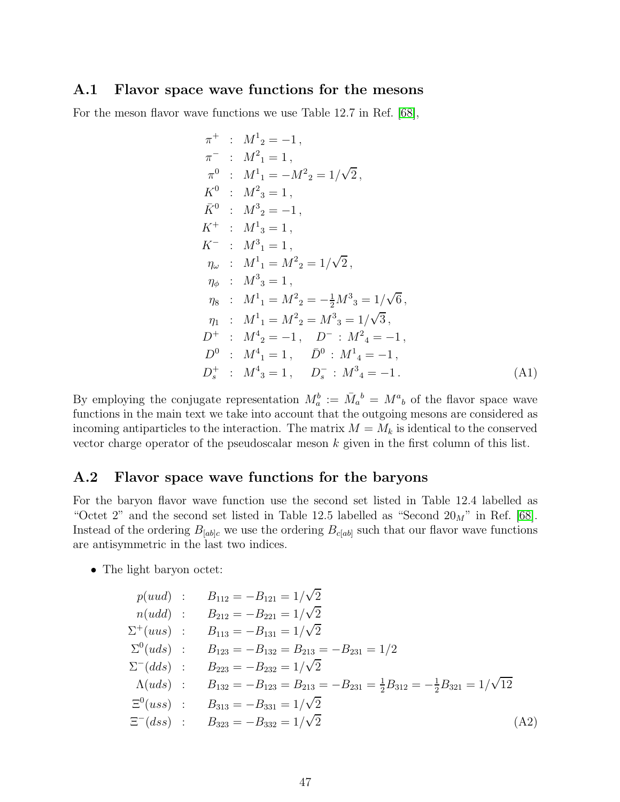### A.1 Flavor space wave functions for the mesons

For the meson flavor wave functions we use Table 12.7 in Ref. [\[68\]](#page-63-2),

$$
\pi^{+} : M^{1}_{2} = -1,
$$
\n
$$
\pi^{-} : M^{2}_{1} = 1,
$$
\n
$$
\pi^{0} : M^{1}_{1} = -M^{2}_{2} = 1/\sqrt{2},
$$
\n
$$
K^{0} : M^{2}_{3} = 1,
$$
\n
$$
\bar{K}^{0} : M^{3}_{2} = -1,
$$
\n
$$
K^{+} : M^{1}_{3} = 1,
$$
\n
$$
K^{-} : M^{3}_{1} = 1,
$$
\n
$$
\eta_{\omega} : M^{1}_{1} = M^{2}_{2} = 1/\sqrt{2},
$$
\n
$$
\eta_{\phi} : M^{3}_{3} = 1,
$$
\n
$$
\eta_{8} : M^{1}_{1} = M^{2}_{2} = -\frac{1}{2}M^{3}_{3} = 1/\sqrt{6},
$$
\n
$$
\eta_{1} : M^{1}_{1} = M^{2}_{2} = M^{3}_{3} = 1/\sqrt{3},
$$
\n
$$
D^{+} : M^{4}_{2} = -1, D^{-} : M^{2}_{4} = -1,
$$
\n
$$
D^{0} : M^{4}_{1} = 1, \bar{D}^{0} : M^{1}_{4} = -1,
$$
\n
$$
D^{+}_{s} : M^{4}_{3} = 1, D^{-}_{s} : M^{3}_{4} = -1.
$$
\n(A1)

By employing the conjugate representation  $M_a^b := \overline{M}_a{}^b = M^a{}_b$  of the flavor space wave functions in the main text we take into account that the outgoing mesons are considered as incoming antiparticles to the interaction. The matrix  $M = M_k$  is identical to the conserved vector charge operator of the pseudoscalar meson  $k$  given in the first column of this list.

### A.2 Flavor space wave functions for the baryons

For the baryon flavor wave function use the second set listed in Table 12.4 labelled as "Octet 2" and the second set listed in Table 12.5 labelled as "Second  $20_M$ " in Ref. [\[68\]](#page-63-2). Instead of the ordering  $B_{[ab]c}$  we use the ordering  $B_{c[ab]}$  such that our flavor wave functions are antisymmetric in the last two indices.

• The light baryon octet:

$$
p(uud) : B_{112} = -B_{121} = 1/\sqrt{2}
$$
  
\n
$$
n(udd) : B_{212} = -B_{221} = 1/\sqrt{2}
$$
  
\n
$$
\Sigma^{+}(uus) : B_{113} = -B_{131} = 1/\sqrt{2}
$$
  
\n
$$
\Sigma^{0}(uds) : B_{123} = -B_{132} = B_{213} = -B_{231} = 1/2
$$
  
\n
$$
\Sigma^{-}(dds) : B_{223} = -B_{232} = 1/\sqrt{2}
$$
  
\n
$$
\Lambda(uds) : B_{132} = -B_{123} = B_{213} = -B_{231} = \frac{1}{2}B_{312} = -\frac{1}{2}B_{321} = 1/\sqrt{12}
$$
  
\n
$$
\Xi^{0}(uss) : B_{313} = -B_{331} = 1/\sqrt{2}
$$
  
\n
$$
\Xi^{-}(dss) : B_{323} = -B_{332} = 1/\sqrt{2}
$$
 (A2)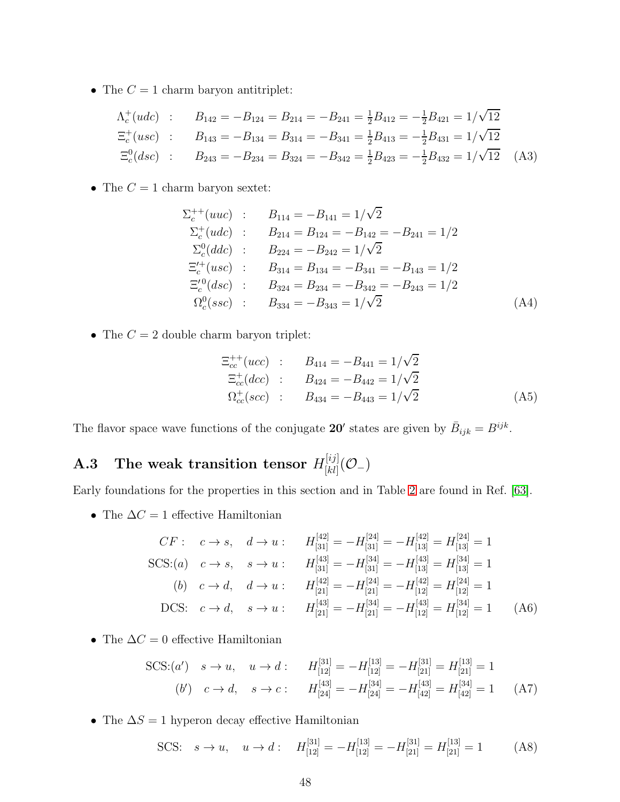• The  $C=1$  charm baryon antitriplet:

$$
\Lambda_c^+(udc) : B_{142} = -B_{124} = B_{214} = -B_{241} = \frac{1}{2}B_{412} = -\frac{1}{2}B_{421} = 1/\sqrt{12}
$$
  
\n
$$
\Xi_c^+(usc) : B_{143} = -B_{134} = B_{314} = -B_{341} = \frac{1}{2}B_{413} = -\frac{1}{2}B_{431} = 1/\sqrt{12}
$$
  
\n
$$
\Xi_c^0(dsc) : B_{243} = -B_{234} = B_{324} = -B_{342} = \frac{1}{2}B_{423} = -\frac{1}{2}B_{432} = 1/\sqrt{12}
$$
 (A3)

• The  $C = 1$  charm baryon sextet:

$$
\Sigma_c^{++}(uuc) : B_{114} = -B_{141} = 1/\sqrt{2}
$$
  
\n
$$
\Sigma_c^+(udc) : B_{214} = B_{124} = -B_{142} = -B_{241} = 1/2
$$
  
\n
$$
\Sigma_c^0(ddc) : B_{224} = -B_{242} = 1/\sqrt{2}
$$
  
\n
$$
\Xi_c^{'+}(usc) : B_{314} = B_{134} = -B_{341} = -B_{143} = 1/2
$$
  
\n
$$
\Xi_c^{'}(dsc) : B_{324} = B_{234} = -B_{342} = -B_{243} = 1/2
$$
  
\n
$$
\Omega_c^0(ssc) : B_{334} = -B_{343} = 1/\sqrt{2}
$$
 (A4)

• The  $C = 2$  double charm baryon triplet:

$$
\begin{aligned}\n\Xi_{cc}^{++}(ucc) & : B_{414} = -B_{441} = 1/\sqrt{2} \\
\Xi_{cc}^{+}(dec) & : B_{424} = -B_{442} = 1/\sqrt{2} \\
\Omega_{cc}^{+}(scc) & : B_{434} = -B_{443} = 1/\sqrt{2}\n\end{aligned} \tag{A5}
$$

The flavor space wave functions of the conjugate 20' states are given by  $\bar{B}_{ijk} = B^{ijk}$ .

#### A.3 The weak transition tensor  $H_{[kl]}^{[ij]}$  $\frac{[ij]}{[kl]}( \mathcal{O}_{-})$

Early foundations for the properties in this section and in Table [2](#page-8-0) are found in Ref. [\[63\]](#page-62-14).

• The  $\Delta C=1$  effective Hamiltonian

$$
CF: \quad c \to s, \quad d \to u: \qquad H_{[31]}^{[42]} = -H_{[31]}^{[24]} = -H_{[13]}^{[42]} = H_{[13]}^{[24]} = 1
$$
  
\nSCS:(a)  $c \to s, \quad s \to u: \qquad H_{[31]}^{[43]} = -H_{[31]}^{[34]} = -H_{[13]}^{[43]} = H_{[13]}^{[34]} = 1$   
\n(b)  $c \to d, \quad d \to u: \qquad H_{[21]}^{[42]} = -H_{[21]}^{[24]} = -H_{[12]}^{[42]} = H_{[12]}^{[24]} = 1$   
\nDCS:  $c \to d, \quad s \to u: \qquad H_{[21]}^{[43]} = -H_{[21]}^{[34]} = -H_{[12]}^{[43]} = H_{[12]}^{[34]} = 1 \qquad (A6)$ 

• The  $\Delta C = 0$  effective Hamiltonian

SCS: (a') 
$$
s \to u
$$
,  $u \to d$ :  $H_{[12]}^{[31]} = -H_{[12]}^{[13]} = -H_{[21]}^{[31]} = H_{[21]}^{[13]} = 1$   
\n(b')  $c \to d$ ,  $s \to c$ :  $H_{[24]}^{[43]} = -H_{[24]}^{[34]} = -H_{[42]}^{[43]} = H_{[42]}^{[34]} = 1$  (A7)

• The  $\Delta S=1$  hyperon decay effective Hamiltonian

SCS: 
$$
s \to u
$$
,  $u \to d$ :  $H_{[12]}^{[31]} = -H_{[12]}^{[13]} = -H_{[21]}^{[31]} = H_{[21]}^{[13]} = 1$  (A8)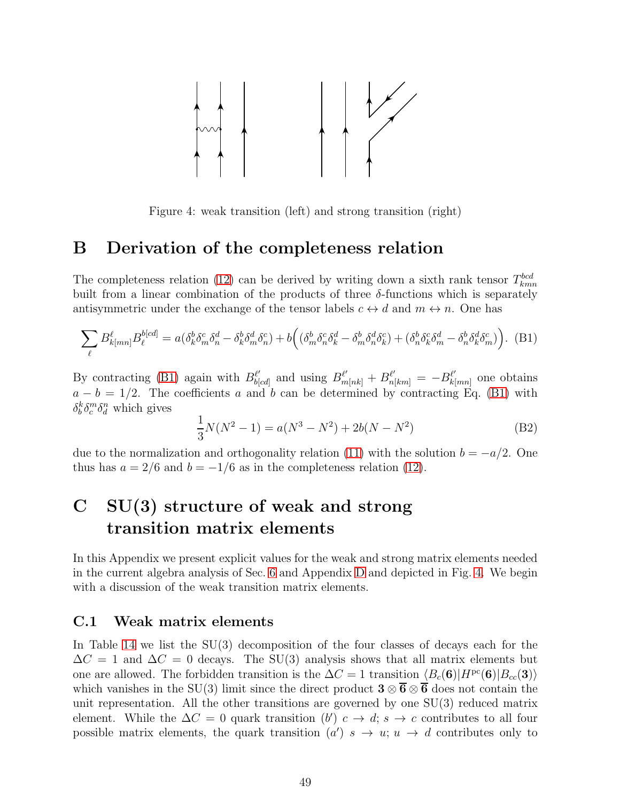

<span id="page-49-3"></span>Figure 4: weak transition (left) and strong transition (right)

## <span id="page-49-0"></span>B Derivation of the completeness relation

The completeness relation [\(12\)](#page-6-0) can be derived by writing down a sixth rank tensor  $T_{kmn}^{bcd}$ built from a linear combination of the products of three  $\delta$ -functions which is separately antisymmetric under the exchange of the tensor labels  $c \leftrightarrow d$  and  $m \leftrightarrow n$ . One has

<span id="page-49-2"></span>
$$
\sum_{\ell} B^{\ell}_{k[mn]} B^{\delta[cd]}_{\ell} = a(\delta^b_k \delta^c_m \delta^d_n - \delta^b_k \delta^d_m \delta^c_n) + b\Big( (\delta^b_m \delta^c_n \delta^d_k - \delta^b_m \delta^d_n \delta^c_k) + (\delta^b_n \delta^c_k \delta^d_m - \delta^b_n \delta^d_k \delta^c_m) \Big). \tag{B1}
$$

By contracting [\(B1\)](#page-49-2) again with  $B_{b}^{\ell'}$  $\frac{\ell'}{b[cd]}$  and using  $B^{\ell'}_{m[nk]} + B^{\ell'}_{n[km]} = -B^{\ell'}_{k}$  $\frac{\ell'}{k[mn]}$  one obtains  $a - b = 1/2$ . The coefficients a and b can be determined by contracting Eq. [\(B1\)](#page-49-2) with  $\delta_b^k \delta_c^m \delta_d^n$  which gives

$$
\frac{1}{3}N(N^2 - 1) = a(N^3 - N^2) + 2b(N - N^2)
$$
 (B2)

due to the normalization and orthogonality relation [\(11\)](#page-6-2) with the solution  $b = -a/2$ . One thus has  $a = 2/6$  and  $b = -1/6$  as in the completeness relation [\(12\)](#page-6-0).

## <span id="page-49-1"></span>C SU(3) structure of weak and strong transition matrix elements

In this Appendix we present explicit values for the weak and strong matrix elements needed in the current algebra analysis of Sec. [6](#page-31-0) and Appendix [D](#page-55-0) and depicted in Fig. [4.](#page-49-3) We begin with a discussion of the weak transition matrix elements.

#### C.1 Weak matrix elements

In Table [14](#page-50-0) we list the  $SU(3)$  decomposition of the four classes of decays each for the  $\Delta C = 1$  and  $\Delta C = 0$  decays. The SU(3) analysis shows that all matrix elements but one are allowed. The forbidden transition is the  $\Delta C = 1$  transition  $\langle B_c(\mathbf{6})|H^{pc}(\mathbf{6})|B_{cc}(\mathbf{3})\rangle$ which vanishes in the SU(3) limit since the direct product  $3 \otimes \overline{6} \otimes \overline{6}$  does not contain the unit representation. All the other transitions are governed by one SU(3) reduced matrix element. While the  $\Delta C = 0$  quark transition  $(b')$   $c \to d$ ;  $s \to c$  contributes to all four possible matrix elements, the quark transition  $(a')$   $s \rightarrow u; u \rightarrow d$  contributes only to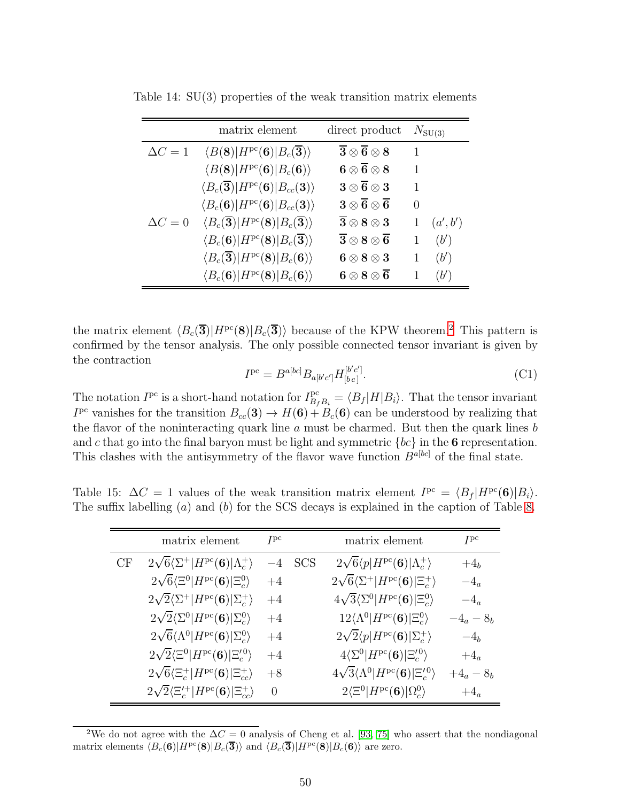<span id="page-50-0"></span>

|                | matrix element                                                                 | direct product                                                                    |              | $N_{\text{SU(3)}}$ |
|----------------|--------------------------------------------------------------------------------|-----------------------------------------------------------------------------------|--------------|--------------------|
| $\Delta C = 1$ | $\langle B(8) H^{pc}(6) B_c(\overline{3})\rangle$                              | $\overline{\mathbf{3}}\otimes\overline{\mathbf{6}}\otimes\mathbf{8}$              | $\mathbf{1}$ |                    |
|                | $\langle B(8) H^{pc}(6) B_c(6)\rangle$                                         | ${\bf 6}\otimes {\bf \overline 6} \otimes {\bf 8}$                                | 1            |                    |
|                | $\langle B_c(\overline{\bf 3}) H^{\rm pc}({\bf 6}) B_{cc}({\bf 3})\rangle$     | $\boldsymbol{3} \otimes \boldsymbol{\overline{6}} \otimes \boldsymbol{3}$         | 1            |                    |
|                | $\langle B_c(\mathbf{6}) H^{\rm pc}(\mathbf{6}) B_{cc}(\mathbf{3})\rangle$     | $\overline{\mathbf{3}\otimes \mathbf{\overline{6}}\otimes \mathbf{\overline{6}}}$ | $\Omega$     |                    |
| $\Delta C = 0$ | $\langle B_c(\overline{\bf 3}) H^{pc}({\bf 8}) B_c(\overline{\bf 3})\rangle$   | $\overline{\mathbf{3}} \otimes \mathbf{8} \otimes \mathbf{3}$                     | 1            | (a',b')            |
|                | $\langle B_c(\mathbf{6}) H^{pc}(\mathbf{8}) B_c(\overline{\mathbf{3}})\rangle$ | $\overline{\mathbf{3}}\otimes \mathbf{8}\otimes \overline{\mathbf{6}}$            | $\mathbf{1}$ | $(b^{\prime})$     |
|                | $\langle B_c(\overline{\bf 3}) H^{\rm pc}({\bf 8}) B_c({\bf 6})\rangle$        | $6\otimes 8\otimes 3$                                                             | 1            | $(b^{\prime})$     |
|                | $\langle B_c(\mathbf{6}) H^{pc}(\mathbf{8}) B_c(\mathbf{6})\rangle$            | $6\otimes 8\otimes \overline{6}$                                                  | 1            | $(b^{\prime})$     |

Table 14: SU(3) properties of the weak transition matrix elements

the matrix element  $\langle B_c(\overline{\mathbf{3}})|H^{pc}(\mathbf{8})|B_c(\overline{\mathbf{3}})\rangle$  because of the KPW theorem.<sup>[2](#page-50-1)</sup> This pattern is confirmed by the tensor analysis. The only possible connected tensor invariant is given by the contraction ′ ′

<span id="page-50-3"></span>
$$
I^{pc} = B^{a[bc]} B_{a[b'c']} H_{[bc]}^{[b'c']}. \tag{C1}
$$

The notation  $I^{pc}$  is a short-hand notation for  $I_{B_f B_i}^{pc} = \langle B_f | H | B_i \rangle$ . That the tensor invariant  $I^{\text{pc}}$  vanishes for the transition  $B_{cc}(3) \rightarrow H(6) + B_c(6)$  can be understood by realizing that the flavor of the noninteracting quark line  $a$  must be charmed. But then the quark lines  $b$ and c that go into the final baryon must be light and symmetric  ${bc}$  in the 6 representation. This clashes with the antisymmetry of the flavor wave function  $B^{a[bc]}$  of the final state.

Table 15:  $\Delta C = 1$  values of the weak transition matrix element  $I^{\text{pc}} = \langle B_f | H^{\text{pc}}(\mathbf{6}) | B_i \rangle$ . The suffix labelling (a) and (b) for the SCS decays is explained in the caption of Table [8.](#page-18-0)

<span id="page-50-2"></span>

|    | matrix element                                                            | I <sup>pc</sup> |     | matrix element                                                          | I <sup>pc</sup> |
|----|---------------------------------------------------------------------------|-----------------|-----|-------------------------------------------------------------------------|-----------------|
| CF | $2\sqrt{6}\langle\Sigma^+ H^{\rm pc}(6) \Lambda_c^+\rangle$               | $-4$            | SCS | $2\sqrt{6}\langle p H^{\rm pc}(\mathbf{6}) \Lambda_c^+\rangle$          | $+4_h$          |
|    | $2\sqrt{6}\langle \Xi^0 H^{\rm pc}(\mathbf{6}) \Xi_c^0\rangle$            | $+4$            |     | $2\sqrt{6}\langle\Sigma^+ H^{\rm pc}(\mathbf{6}) \Xi_c^+\rangle$        | $-4_a$          |
|    | $2\sqrt{2}\langle\Sigma^+ H^{\rm pc}(6) \Sigma_c^+\rangle$                | $+4$            |     | $4\sqrt{3}\langle\Sigma^0 H^{\rm pc}(\mathbf{6}) \Xi_c^0\rangle$        | $-4_a$          |
|    | $2\sqrt{2}\langle\Sigma^0 H^{\rm pc}(\mathbf{6}) \Sigma_c^0\rangle$       | $+4$            |     | $12\langle \Lambda^0 H^{pc}(\mathbf{6}) \Xi_c^0\rangle$                 | $-4_a - 8_b$    |
|    | $2\sqrt{6}\langle \Lambda^0 H^{pc}(\mathbf{6}) \Sigma_c^0\rangle$         | $+4$            |     | $2\sqrt{2} \langle p H^{\rm pc}(\mathbf{6}) \Sigma_c^+\rangle$          | $-4b$           |
|    | $2\sqrt{2}\langle \Xi^0 H^{pc}(\mathbf{6}) \Xi_c^{\prime\,0}\rangle$      | $+4$            |     | $4\langle \Sigma^0 H^{pc}(\mathbf{6}) \Xi^{\prime\,0}_c\rangle$         | $+4_a$          |
|    | $2\sqrt{6}\langle \Xi_c^+ H^{\rm pc}(6) \Xi_{cc}^+\rangle$                | $+8$            |     | $4\sqrt{3}\langle\Lambda^0 H^{pc}(\mathbf{6}) \Xi_c^{\prime\,0}\rangle$ | $+4_a - 8_b$    |
|    | $2\sqrt{2}\langle \Xi_c^{\prime+} H^{pc}(\mathbf{6}) \Xi_{cc}^{+}\rangle$ | $\theta$        |     | $2\langle \Xi^0 H^{\rm pc}(\mathbf{6}) \Omega_c^0\rangle$               | $+4_a$          |

<span id="page-50-1"></span><sup>2</sup>We do not agree with the  $\Delta C = 0$  analysis of Cheng et al. [\[93,](#page-64-9) [75\]](#page-63-9) who assert that the nondiagonal matrix elements  $\langle B_c(\mathbf{6})|H^{pc}(\mathbf{8})|B_c(\overline{\mathbf{3}})\rangle$  and  $\langle B_c(\overline{\mathbf{3}})|H^{pc}(\mathbf{8})|B_c(\mathbf{6})\rangle$  are zero.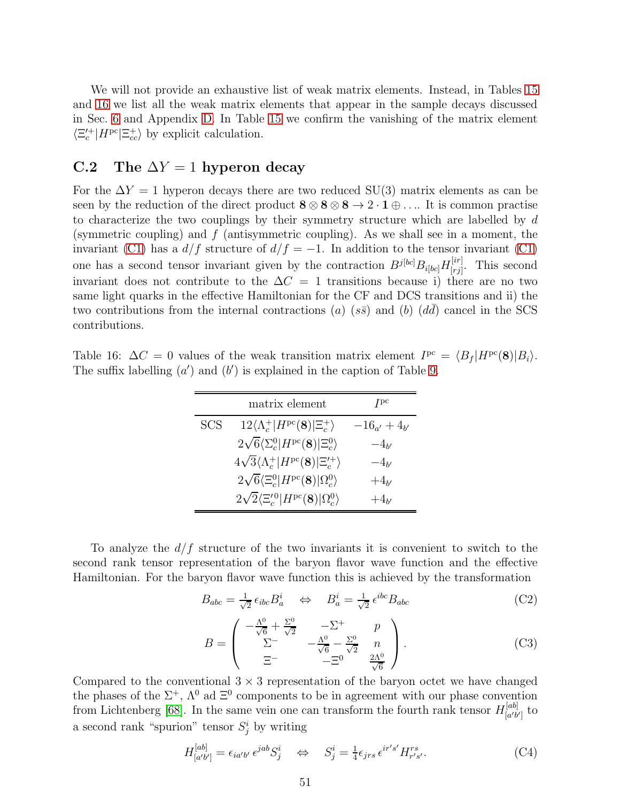We will not provide an exhaustive list of weak matrix elements. Instead, in Tables [15](#page-50-2) and [16](#page-51-0) we list all the weak matrix elements that appear in the sample decays discussed in Sec. [6](#page-31-0) and Appendix [D.](#page-55-0) In Table [15](#page-50-2) we confirm the vanishing of the matrix element  $\langle \Xi_c^{\prime+} | H^{pc} | \Xi_{cc}^{+} \rangle$  by explicit calculation.

### C.2 The  $\Delta Y = 1$  hyperon decay

For the  $\Delta Y = 1$  hyperon decays there are two reduced SU(3) matrix elements as can be seen by the reduction of the direct product  $8 \otimes 8 \otimes 8 \to 2 \cdot 1 \oplus \ldots$  It is common practise to characterize the two couplings by their symmetry structure which are labelled by  $d$ (symmetric coupling) and  $f$  (antisymmetric coupling). As we shall see in a moment, the invariant [\(C1\)](#page-50-3) has a  $d/f$  structure of  $d/f = -1$ . In addition to the tensor invariant (C1) one has a second tensor invariant given by the contraction  $B^{j[bc]}B_{i[bc]}H_{[ri]}^{[ir]}$  $\begin{bmatrix} [tr] \ [rj] \end{bmatrix}$ . This second invariant does not contribute to the  $\Delta C = 1$  transitions because i) there are no two same light quarks in the effective Hamiltonian for the CF and DCS transitions and ii) the two contributions from the internal contractions (a) (ss) and (b)  $(d\bar{d})$  cancel in the SCS contributions.

<span id="page-51-0"></span>Table 16:  $\Delta C = 0$  values of the weak transition matrix element  $I^{pc} = \langle B_f | H^{pc}(\mathbf{8}) | B_i \rangle$ . The suffix labelling  $(a')$  and  $(b')$  is explained in the caption of Table [9.](#page-19-0)

|            | matrix element                                                       | I <sub>bc</sub>     |
|------------|----------------------------------------------------------------------|---------------------|
| <b>SCS</b> | $12\langle \Lambda_c^+ H^{pc}(8) \Xi_c^+\rangle$                     | $-16_{a'} + 4_{b'}$ |
|            | $2\sqrt{6}\langle\Sigma_c^0 H^{\rm pc}(8) \Xi_c^0\rangle$            | $-4_{b}$            |
|            | $4\sqrt{3}\langle \Lambda_c^+ H^{pc}(8) \Xi_c^{\prime+}\rangle$      | $-4_{b}$            |
|            | $2\sqrt{6} \langle \Xi_c^0   H^{pc} (8)   \Omega_c^0 \rangle$        | $+4_{b'}$           |
|            | $2\sqrt{2}\langle \Xi_c^{\prime\,0} H^{\rm pc}(8) \Omega_c^0\rangle$ | $+4_{b'}$           |

To analyze the  $d/f$  structure of the two invariants it is convenient to switch to the second rank tensor representation of the baryon flavor wave function and the effective Hamiltonian. For the baryon flavor wave function this is achieved by the transformation

$$
B_{abc} = \frac{1}{\sqrt{2}} \epsilon_{ibc} B_a^i \quad \Leftrightarrow \quad B_a^i = \frac{1}{\sqrt{2}} \epsilon^{ibc} B_{abc} \tag{C2}
$$

$$
B = \begin{pmatrix} -\frac{\Lambda^0}{\sqrt{6}} + \frac{\Sigma^0}{\sqrt{2}} & -\Sigma^+ & p \\ \Sigma^- & -\frac{\Lambda^0}{\sqrt{6}} - \frac{\Sigma^0}{\sqrt{2}} & n \\ \Xi^- & -\Xi^0 & \frac{2\Lambda^0}{\sqrt{6}} \end{pmatrix}.
$$
 (C3)

Compared to the conventional  $3 \times 3$  representation of the baryon octet we have changed the phases of the  $\Sigma^+$ ,  $\Lambda^0$  ad  $\Xi^0$  components to be in agreement with our phase convention from Lichtenberg [\[68\]](#page-63-2). In the same vein one can transform the fourth rank tensor  $H_{\lceil a'b \rceil}^{[ab]}$  $\begin{bmatrix} a'b' \\ a'b' \end{bmatrix}$  to a second rank "spurion" tensor  $S_j^i$  by writing

$$
H_{[a'b']}^{[ab]} = \epsilon_{ia'b'} \epsilon^{jab} S_j^i \quad \Leftrightarrow \quad S_j^i = \frac{1}{4} \epsilon_{jrs} \epsilon^{ir's'} H_{r's'}^{rs}.
$$
 (C4)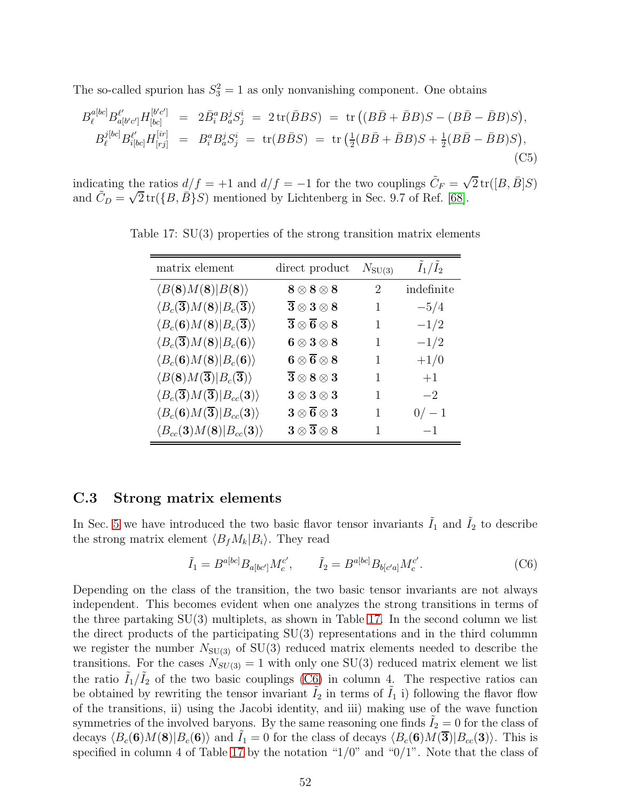The so-called spurion has  $S_3^2 = 1$  as only nonvanishing component. One obtains

<span id="page-52-2"></span>
$$
B_{\ell}^{a[bc]} B_{a[b'c']}^{\ell'} H_{[bc]}^{[b'c']} = 2\bar{B}_{i}^{a} B_{a}^{j} S_{j}^{i} = 2 \operatorname{tr}(\bar{B} B S) = \operatorname{tr}((B\bar{B} + \bar{B}B)S - (B\bar{B} - \bar{B}B)S),
$$
  
\n
$$
B_{\ell}^{j[bc]} B_{i[bc]}^{\ell'} H_{[rj]}^{[ir]} = B_{i}^{a} B_{a}^{j} S_{j}^{i} = \operatorname{tr}(B\bar{B} S) = \operatorname{tr}(\frac{1}{2}(B\bar{B} + \bar{B}B)S + \frac{1}{2}(B\bar{B} - \bar{B}B)S),
$$
\n(C5)

indicating the ratios  $d/f = +1$  and  $d/f = -1$  for the two couplings  $\tilde{C}_F = \sqrt{2} \text{tr}([B, \bar{B}]S)$ and  $\tilde{C}_D = \sqrt{2} \operatorname{tr}(\{B, \bar{B}\} S)$  mentioned by Lichtenberg in Sec. 9.7 of Ref. [\[68\]](#page-63-2).

<span id="page-52-0"></span>

| matrix element                                                              | direct product                                                            | $N_{\rm SU(3)}$ | $I_1/I_2$  |
|-----------------------------------------------------------------------------|---------------------------------------------------------------------------|-----------------|------------|
| $\langle B(8)M(8) B(8)\rangle$                                              | $\mathbf{8} \otimes \mathbf{8} \otimes \mathbf{8}$                        | 2               | indefinite |
| $\langle B_c(\overline{\bf 3})M({\bf 8}) B_c(\overline{\bf 3})\rangle$      | $\overline{\mathbf{3}} \otimes \mathbf{3} \otimes \mathbf{8}$             | 1               | $-5/4$     |
| $\langle B_c(\mathbf{6})M(\mathbf{8}) B_c(\overline{\mathbf{3}})\rangle$    | ${\bf \overline 3 \otimes \overline 6 \otimes 8}$                         | 1               | $-1/2$     |
| $\langle B_c(\overline{\bf 3})M({\bf 8}) B_c({\bf 6})\rangle$               | $\textbf{6}\otimes\textbf{3}\otimes\textbf{8}$                            | 1               | $-1/2$     |
| $\langle B_c(\mathbf{6})M(\mathbf{8}) B_c(\mathbf{6})\rangle$               | ${\bf 6}\otimes {\bf \overline 6} \otimes {\bf 8}$                        | 1               | $+1/0$     |
| $\langle B(8)M(\overline{\bf 3}) B_c(\overline{\bf 3})\rangle$              | ${\bf \overline 3} \otimes {\bf 8} \otimes {\bf 3}$                       | 1               | $+1$       |
| $\langle B_c(\overline{\bf 3})M(\overline{\bf 3}) B_{cc}({\bf 3})\rangle$   | $\boldsymbol{3} \otimes \boldsymbol{3} \otimes \boldsymbol{3}$            | 1               | $-2$       |
| $\langle B_c(\mathbf{6})M(\overline{\mathbf{3}}) B_{cc}(\mathbf{3})\rangle$ | $\boldsymbol{3} \otimes \boldsymbol{\overline{6}} \otimes \boldsymbol{3}$ |                 | $0/-1$     |
| $\langle B_{cc}(\mathbf{3})M(\mathbf{8}) B_{cc}(\mathbf{3})\rangle$         | $\boldsymbol{3} \otimes \boldsymbol{\overline{3}} \otimes \boldsymbol{8}$ | 1               | $-1$       |

Table 17: SU(3) properties of the strong transition matrix elements

### C.3 Strong matrix elements

In Sec. [5](#page-26-0) we have introduced the two basic flavor tensor invariants  $I_1$  and  $I_2$  to describe the strong matrix element  $\langle B_f M_k | B_i \rangle$ . They read

<span id="page-52-1"></span>
$$
\tilde{I}_1 = B^{a[bc]} B_{a[bc']} M_c^{c'}, \qquad \tilde{I}_2 = B^{a[bc]} B_{b[c'a]} M_c^{c'}.
$$
\n(C6)

Depending on the class of the transition, the two basic tensor invariants are not always independent. This becomes evident when one analyzes the strong transitions in terms of the three partaking  $SU(3)$  multiplets, as shown in Table [17.](#page-52-0) In the second column we list the direct products of the participating SU(3) representations and in the third colummn we register the number  $N_{SU(3)}$  of  $SU(3)$  reduced matrix elements needed to describe the transitions. For the cases  $N_{SU(3)} = 1$  with only one SU(3) reduced matrix element we list the ratio  $\tilde{I}_1/\tilde{I}_2$  of the two basic couplings [\(C6\)](#page-52-1) in column 4. The respective ratios can be obtained by rewriting the tensor invariant  $I_2$  in terms of  $I_1$  i) following the flavor flow of the transitions, ii) using the Jacobi identity, and iii) making use of the wave function symmetries of the involved baryons. By the same reasoning one finds  $\tilde{I}_2 = 0$  for the class of decays  $\langle B_c(\mathbf{6})M(\mathbf{8})|B_c(\mathbf{6})\rangle$  and  $I_1 = 0$  for the class of decays  $\langle B_c(\mathbf{6})M(\mathbf{3})|B_{cc}(\mathbf{3})\rangle$ . This is specified in column 4 of Table [17](#page-52-0) by the notation " $1/0$ " and " $0/1$ ". Note that the class of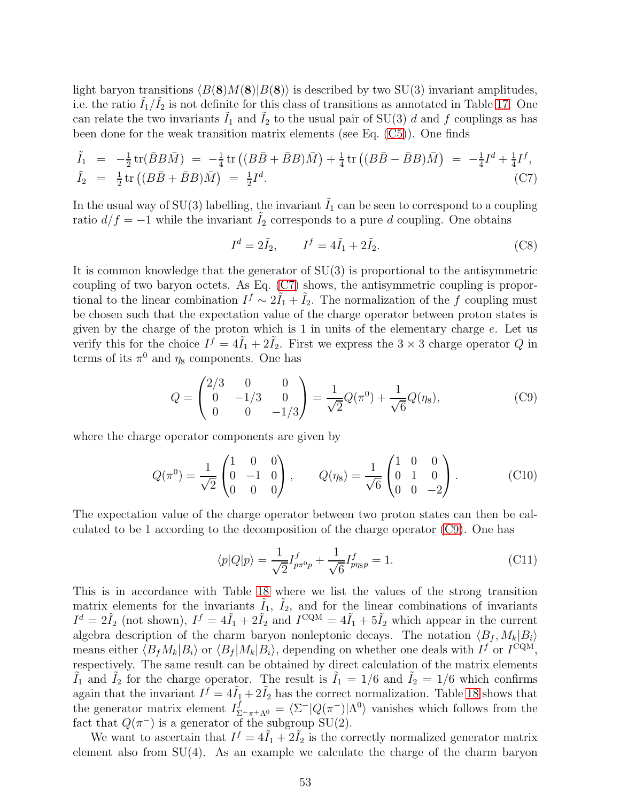light baryon transitions  $\langle B(8)M(8)|B(8)\rangle$  is described by two SU(3) invariant amplitudes, i.e. the ratio  $\tilde{I}_1/\tilde{I}_2$  is not definite for this class of transitions as annotated in Table [17.](#page-52-0) One can relate the two invariants  $\tilde{I}_1$  and  $\tilde{I}_2$  to the usual pair of SU(3) d and f couplings as has been done for the weak transition matrix elements (see Eq. [\(C5\)](#page-52-2)). One finds

<span id="page-53-0"></span>
$$
\tilde{I}_1 = -\frac{1}{2} \text{tr}(\bar{B}B\bar{M}) = -\frac{1}{4} \text{tr}((B\bar{B} + \bar{B}B)\bar{M}) + \frac{1}{4} \text{tr}((B\bar{B} - \bar{B}B)\bar{M}) = -\frac{1}{4}I^d + \frac{1}{4}I^f,
$$
\n
$$
\tilde{I}_2 = \frac{1}{2} \text{tr}((B\bar{B} + \bar{B}B)\bar{M}) = \frac{1}{2}I^d.
$$
\n(C7)

In the usual way of  $SU(3)$  labelling, the invariant  $\tilde{I}_1$  can be seen to correspond to a coupling ratio  $d/f = -1$  while the invariant  $I_2$  corresponds to a pure d coupling. One obtains

$$
I^d = 2\tilde{I}_2, \qquad I^f = 4\tilde{I}_1 + 2\tilde{I}_2. \tag{C8}
$$

It is common knowledge that the generator of SU(3) is proportional to the antisymmetric coupling of two baryon octets. As Eq. [\(C7\)](#page-53-0) shows, the antisymmetric coupling is proportional to the linear combination  $I^f \sim 2I_1 + I_2$ . The normalization of the f coupling must be chosen such that the expectation value of the charge operator between proton states is given by the charge of the proton which is 1 in units of the elementary charge e. Let us verify this for the choice  $I^f = 4\tilde{I}_1 + 2\tilde{I}_2$ . First we express the  $3 \times 3$  charge operator Q in terms of its  $\pi^0$  and  $\eta_8$  components. One has

<span id="page-53-1"></span>
$$
Q = \begin{pmatrix} 2/3 & 0 & 0 \\ 0 & -1/3 & 0 \\ 0 & 0 & -1/3 \end{pmatrix} = \frac{1}{\sqrt{2}} Q(\pi^0) + \frac{1}{\sqrt{6}} Q(\eta_8), \tag{C9}
$$

where the charge operator components are given by

$$
Q(\pi^{0}) = \frac{1}{\sqrt{2}} \begin{pmatrix} 1 & 0 & 0 \\ 0 & -1 & 0 \\ 0 & 0 & 0 \end{pmatrix}, \qquad Q(\eta_{8}) = \frac{1}{\sqrt{6}} \begin{pmatrix} 1 & 0 & 0 \\ 0 & 1 & 0 \\ 0 & 0 & -2 \end{pmatrix}.
$$
 (C10)

The expectation value of the charge operator between two proton states can then be calculated to be 1 according to the decomposition of the charge operator [\(C9\)](#page-53-1). One has

$$
\langle p|Q|p\rangle = \frac{1}{\sqrt{2}} I_{p\pi^0 p}^f + \frac{1}{\sqrt{6}} I_{p\eta_{\rm SP}}^f = 1.
$$
\n(C11)

This is in accordance with Table [18](#page-66-0) where we list the values of the strong transition matrix elements for the invariants  $\tilde{I}_1$ ,  $\tilde{I}_2$ , and for the linear combinations of invariants  $I^d = 2\tilde{I}_2$  (not shown),  $I^f = 4\tilde{I}_1 + 2\tilde{I}_2$  and  $I^{CQM} = 4\tilde{I}_1 + 5\tilde{I}_2$  which appear in the current algebra description of the charm baryon nonleptonic decays. The notation  $\langle B_f, M_k|B_i\rangle$ means either  $\langle B_f M_k | B_i \rangle$  or  $\langle B_f | M_k | B_i \rangle$ , depending on whether one deals with  $I^f$  or  $I^{\text{CQM}}$ , respectively. The same result can be obtained by direct calculation of the matrix elements  $\tilde{I}_1$  and  $\tilde{I}_2$  for the charge operator. The result is  $\tilde{I}_1 = 1/6$  and  $\tilde{I}_2 = 1/6$  which confirms again that the invariant  $I^f = 4\tilde{I}_1 + 2\tilde{I}_2$  has the correct normalization. Table [18](#page-66-0) shows that the generator matrix element  $I_{\Sigma^-\pi^+\Lambda^0}^f = \langle \Sigma^-|Q(\pi^-)|\Lambda^0\rangle$  vanishes which follows from the fact that  $Q(\pi^-)$  is a generator of the subgroup SU(2).

We want to ascertain that  $I^f = 4I_1 + 2I_2$  is the correctly normalized generator matrix element also from  $SU(4)$ . As an example we calculate the charge of the charm baryon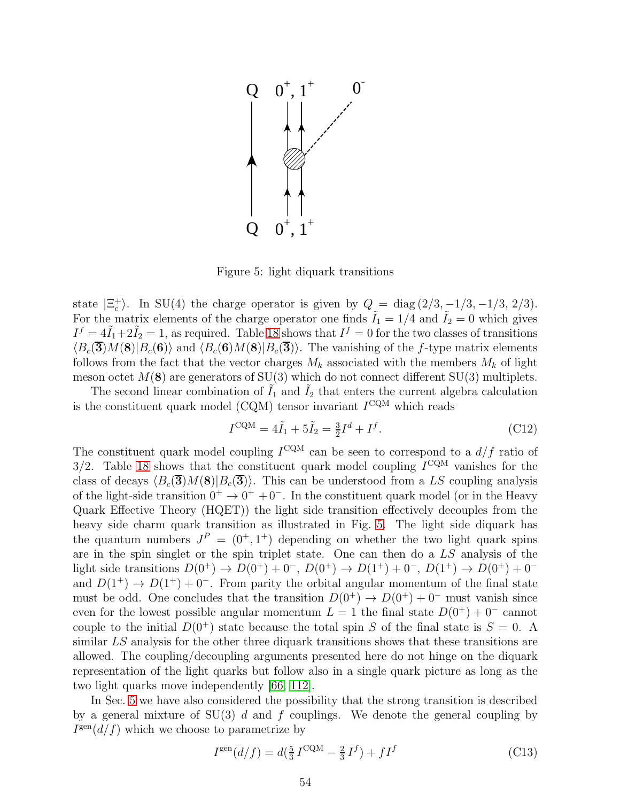

<span id="page-54-0"></span>Figure 5: light diquark transitions

state  $|\Xi_c^+\rangle$ . In SU(4) the charge operator is given by  $Q = \text{diag}(2/3, -1/3, -1/3, 2/3)$ . For the matrix elements of the charge operator one finds  $\tilde{I}_1 = 1/4$  and  $\tilde{I}_2 = 0$  which gives  $I^f = 4\tilde{I}_1 + 2\tilde{I}_2 = 1$ , as required. Table [18](#page-66-0) shows that  $I^f = 0$  for the two classes of transitions  $\langle B_c(\overline{\bf{3}})M({\bf{8}})|B_c({\bf{6}})\rangle$  and  $\langle B_c({\bf{6}})M({\bf{8}})|B_c(\overline{\bf{3}})\rangle$ . The vanishing of the f-type matrix elements follows from the fact that the vector charges  $M_k$  associated with the members  $M_k$  of light meson octet  $M(8)$  are generators of SU(3) which do not connect different SU(3) multiplets.

The second linear combination of  $\tilde{I}_1$  and  $\tilde{I}_2$  that enters the current algebra calculation is the constituent quark model (CQM) tensor invariant  $I^{\text{CQM}}$  which reads

$$
I^{\text{CQM}} = 4\tilde{I}_1 + 5\tilde{I}_2 = \frac{3}{2}I^d + I^f. \tag{C12}
$$

The constituent quark model coupling  $I^{\text{CQM}}$  can be seen to correspond to a  $d/f$  ratio of  $3/2$ . Table [18](#page-66-0) shows that the constituent quark model coupling  $I^{\text{CQM}}$  vanishes for the class of decays  $\langle B_c(\overline{\mathbf{3}})M(\mathbf{8})|B_c(\overline{\mathbf{3}})\rangle$ . This can be understood from a LS coupling analysis of the light-side transition  $0^+ \rightarrow 0^+ + 0^-$ . In the constituent quark model (or in the Heavy Quark Effective Theory (HQET)) the light side transition effectively decouples from the heavy side charm quark transition as illustrated in Fig. [5.](#page-54-0) The light side diquark has the quantum numbers  $J^P = (0^+, 1^+)$  depending on whether the two light quark spins are in the spin singlet or the spin triplet state. One can then do a LS analysis of the light side transitions  $D(0^+) \to D(0^+) + 0^-$ ,  $D(0^+) \to D(1^+) + 0^-$ ,  $D(1^+) \to D(0^+) + 0^$ and  $D(1^+) \rightarrow D(1^+) + 0^-$ . From parity the orbital angular momentum of the final state must be odd. One concludes that the transition  $D(0^+) \rightarrow D(0^+) + 0^-$  must vanish since even for the lowest possible angular momentum  $L = 1$  the final state  $D(0^+) + 0^-$  cannot couple to the initial  $D(0^+)$  state because the total spin S of the final state is  $S = 0$ . A similar LS analysis for the other three diquark transitions shows that these transitions are allowed. The coupling/decoupling arguments presented here do not hinge on the diquark representation of the light quarks but follow also in a single quark picture as long as the two light quarks move independently [\[66,](#page-63-0) [112\]](#page-65-14).

In Sec. [5](#page-26-0) we have also considered the possibility that the strong transition is described by a general mixture of  $SU(3)$  d and f couplings. We denote the general coupling by  $I<sup>gen</sup>(d/f)$  which we choose to parametrize by

<span id="page-54-1"></span>
$$
I^{\rm gen}(d/f) = d(\frac{5}{3}I^{\rm CQM} - \frac{2}{3}I^f) + fI^f \tag{C13}
$$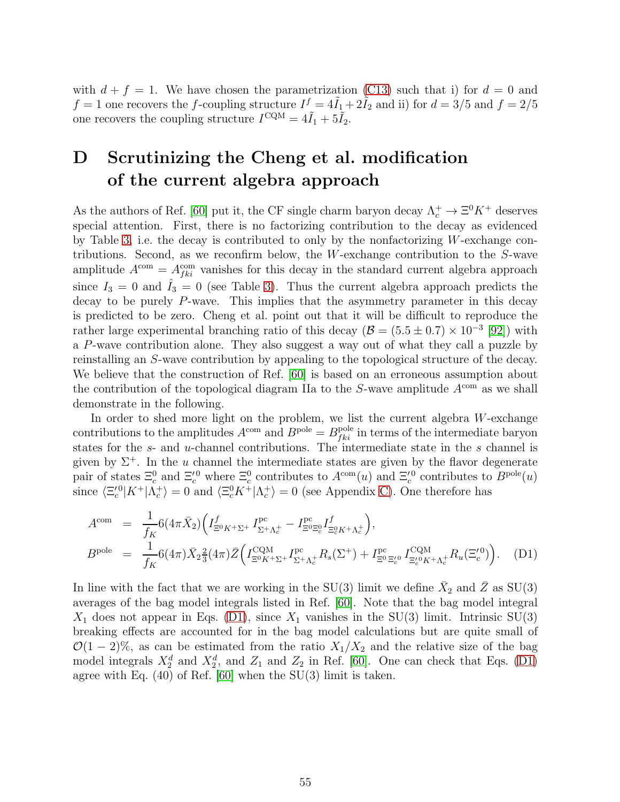with  $d + f = 1$ . We have chosen the parametrization [\(C13\)](#page-54-1) such that i) for  $d = 0$  and  $f = 1$  one recovers the f-coupling structure  $I^f = 4\tilde{I}_1 + 2\tilde{I}_2$  and ii) for  $d = 3/5$  and  $f = 2/5$ one recovers the coupling structure  $I^{\text{CQM}} = 4\tilde{I}_1 + 5\tilde{I}_2$ .

## <span id="page-55-0"></span>D Scrutinizing the Cheng et al. modification of the current algebra approach

As the authors of Ref. [\[60\]](#page-62-11) put it, the CF single charm baryon decay  $\Lambda_c^+ \to \Xi^0 K^+$  deserves special attention. First, there is no factorizing contribution to the decay as evidenced by Table [3,](#page-12-0) i.e. the decay is contributed to only by the nonfactorizing W-exchange contributions. Second, as we reconfirm below, the W-exchange contribution to the S-wave amplitude  $A^{\text{com}} = A_{fki}^{\text{com}}$  vanishes for this decay in the standard current algebra approach since  $I_3 = 0$  and  $\hat{I}_3 = 0$  (see Table [3\)](#page-12-0). Thus the current algebra approach predicts the decay to be purely P-wave. This implies that the asymmetry parameter in this decay is predicted to be zero. Cheng et al. point out that it will be difficult to reproduce the rather large experimental branching ratio of this decay  $(B = (5.5 \pm 0.7) \times 10^{-3} [92])$  $(B = (5.5 \pm 0.7) \times 10^{-3} [92])$  $(B = (5.5 \pm 0.7) \times 10^{-3} [92])$  with a P-wave contribution alone. They also suggest a way out of what they call a puzzle by reinstalling an S-wave contribution by appealing to the topological structure of the decay. We believe that the construction of Ref. [\[60\]](#page-62-11) is based on an erroneous assumption about the contribution of the topological diagram IIa to the  $S$ -wave amplitude  $A^{\text{com}}$  as we shall demonstrate in the following.

In order to shed more light on the problem, we list the current algebra  $W$ -exchange contributions to the amplitudes  $A^{\text{com}}$  and  $B^{\text{pole}} = B^{\text{pole}}_{fki}$  in terms of the intermediate baryon states for the s- and u-channel contributions. The intermediate state in the s channel is given by  $\Sigma^+$ . In the u channel the intermediate states are given by the flavor degenerate pair of states  $\Xi_c^0$  and  $\Xi_c^{'0}$  where  $\Xi_c^0$  contributes to  $A^{\text{com}}(u)$  and  $\Xi_c^{'0}$  contributes to  $B^{\text{pole}}(u)$ since  $\langle \Xi_c^{\prime 0} | K^+ | \Lambda_c^+ \rangle = 0$  and  $\langle \Xi_c^0 K^+ | \Lambda_c^+ \rangle = 0$  (see Appendix [C\)](#page-49-1). One therefore has

<span id="page-55-1"></span>
$$
A^{\text{com}} = \frac{1}{f_K} 6(4\pi \bar{X}_2) \Big( I_{\Xi^0 K^+ \Sigma^+}^{\text{pc}} I_{\Sigma^+ \Lambda_c^+}^{\text{pc}} - I_{\Xi^0 \Xi_c^0}^{\text{pc}} I_{\Xi_c^0 K^+ \Lambda_c^+}^{\text{f}} \Big),
$$
  
\n
$$
B^{\text{pole}} = \frac{1}{f_K} 6(4\pi) \bar{X}_2 \frac{2}{3} (4\pi) \bar{Z} \Big( I_{\Xi^0 K^+ \Sigma^+}^{\text{CQM}} I_{\Sigma^+ \Lambda_c^+}^{\text{pc}} R_s (\Sigma^+) + I_{\Xi^0 \Xi_c^{\prime 0}}^{\text{pc}} I_{\Xi_c^{\prime 0} K^+ \Lambda_c^+}^{\text{CQM}} R_u (\Xi_c^{\prime 0}) \Big). \quad (D1)
$$

In line with the fact that we are working in the SU(3) limit we define  $\bar{X}_2$  and  $\bar{Z}$  as SU(3) averages of the bag model integrals listed in Ref. [\[60\]](#page-62-11). Note that the bag model integral  $X_1$  does not appear in Eqs. [\(D1\)](#page-55-1), since  $X_1$  vanishes in the SU(3) limit. Intrinsic SU(3) breaking effects are accounted for in the bag model calculations but are quite small of  $\mathcal{O}(1-2)\%$ , as can be estimated from the ratio  $X_1/X_2$  and the relative size of the bag model integrals  $X_2^d$  and  $X_2^d$ , and  $Z_1$  and  $Z_2$  in Ref. [\[60\]](#page-62-11). One can check that Eqs. [\(D1\)](#page-55-1) agree with Eq.  $(40)$  of Ref. [\[60\]](#page-62-11) when the SU(3) limit is taken.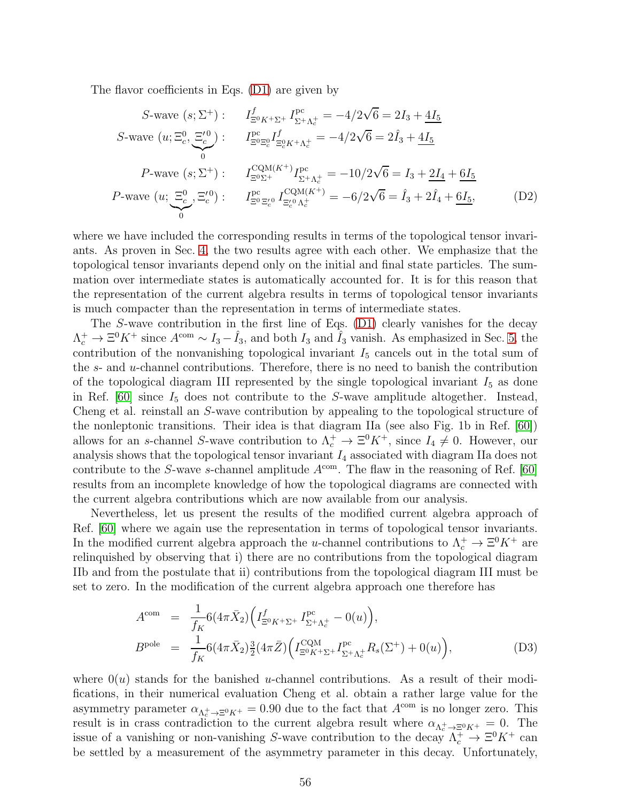The flavor coefficients in Eqs. [\(D1\)](#page-55-1) are given by

$$
S\text{-wave } (s; \Sigma^+) : \qquad I_{\Xi^0 K^+ \Sigma^+}^f I_{\Sigma^+ \Lambda_c^+}^{\text{pc}} = -4/2\sqrt{6} = 2I_3 + \frac{4I_5}{4I_5}
$$
\n
$$
S\text{-wave } (u; \Xi_c^0, \Xi_c'^0) : \qquad I_{\Xi^0 \Xi_c^0}^{\text{pc}} I_{\Xi_c^0 K^+ \Lambda_c^+}^f = -4/2\sqrt{6} = 2\hat{I}_3 + \frac{4I_5}{4I_5}
$$
\n
$$
P\text{-wave } (s; \Sigma^+) : \qquad I_{\Xi^0 \Sigma^+}^{\text{CQM}(K^+)} I_{\Sigma^+ \Lambda_c^+}^{\text{pc}} = -10/2\sqrt{6} = I_3 + \frac{2I_4}{4} + \frac{6I_5}{4I_5}
$$
\n
$$
P\text{-wave } (u; \Xi_c^0, \Xi_c'^0) : \qquad I_{\Xi^0 \Xi_c'^0}^{\text{pc}} I_{\Xi_c'^0 \Lambda_c^+}^{\text{CQM}(K^+)} = -6/2\sqrt{6} = \hat{I}_3 + 2\hat{I}_4 + \frac{6I_5}{4I_5}, \tag{D2}
$$

where we have included the corresponding results in terms of the topological tensor invariants. As proven in Sec. [4,](#page-11-0) the two results agree with each other. We emphasize that the topological tensor invariants depend only on the initial and final state particles. The summation over intermediate states is automatically accounted for. It is for this reason that the representation of the current algebra results in terms of topological tensor invariants is much compacter than the representation in terms of intermediate states.

The S-wave contribution in the first line of Eqs. [\(D1\)](#page-55-1) clearly vanishes for the decay  $\Lambda_c^+ \to \Xi^0 K^+$  since  $A^{\text{com}} \sim I_3 - \hat{I}_3$ , and both  $I_3$  and  $\hat{I}_3$  vanish. As emphasized in Sec. [5,](#page-26-0) the contribution of the nonvanishing topological invariant  $I_5$  cancels out in the total sum of the s- and u-channel contributions. Therefore, there is no need to banish the contribution of the topological diagram III represented by the single topological invariant  $I_5$  as done in Ref.  $[60]$  since  $I_5$  does not contribute to the S-wave amplitude altogether. Instead, Cheng et al. reinstall an S-wave contribution by appealing to the topological structure of the nonleptonic transitions. Their idea is that diagram IIa (see also Fig. 1b in Ref. [\[60\]](#page-62-11)) allows for an s-channel S-wave contribution to  $\Lambda_c^+ \to \Xi^0 K^+$ , since  $I_4 \neq 0$ . However, our analysis shows that the topological tensor invariant  $I_4$  associated with diagram IIa does not contribute to the S-wave s-channel amplitude  $A^{\text{com}}$ . The flaw in the reasoning of Ref. [\[60\]](#page-62-11) results from an incomplete knowledge of how the topological diagrams are connected with the current algebra contributions which are now available from our analysis.

Nevertheless, let us present the results of the modified current algebra approach of Ref. [\[60\]](#page-62-11) where we again use the representation in terms of topological tensor invariants. In the modified current algebra approach the u-channel contributions to  $\Lambda_c^+ \to \Xi^0 K^+$  are relinquished by observing that i) there are no contributions from the topological diagram IIb and from the postulate that ii) contributions from the topological diagram III must be set to zero. In the modification of the current algebra approach one therefore has

$$
A^{\text{com}} = \frac{1}{f_K} 6(4\pi \bar{X}_2) \Big( I_{\Xi^0 K^+ \Sigma^+}^f I_{\Sigma^+ \Lambda_c^+}^{\text{pc}} - 0(u) \Big),
$$
  
\n
$$
B^{\text{pole}} = \frac{1}{f_K} 6(4\pi \bar{X}_2) \frac{3}{2} (4\pi \bar{Z}) \Big( I_{\Xi^0 K^+ \Sigma^+}^{\text{OQM}} I_{\Sigma^+ \Lambda_c^+}^{\text{pc}} R_s(\Sigma^+) + 0(u) \Big), \tag{D3}
$$

where  $0(u)$  stands for the banished *u*-channel contributions. As a result of their modifications, in their numerical evaluation Cheng et al. obtain a rather large value for the asymmetry parameter  $\alpha_{\Lambda_c^+\to\Xi^0 K^+} = 0.90$  due to the fact that  $A^{\text{com}}$  is no longer zero. This result is in crass contradiction to the current algebra result where  $\alpha_{\Lambda_c^+ \to \Xi^0 K^+} = 0$ . The issue of a vanishing or non-vanishing S-wave contribution to the decay  $\Lambda_c^+ \to \Xi^0 K^+$  can be settled by a measurement of the asymmetry parameter in this decay. Unfortunately,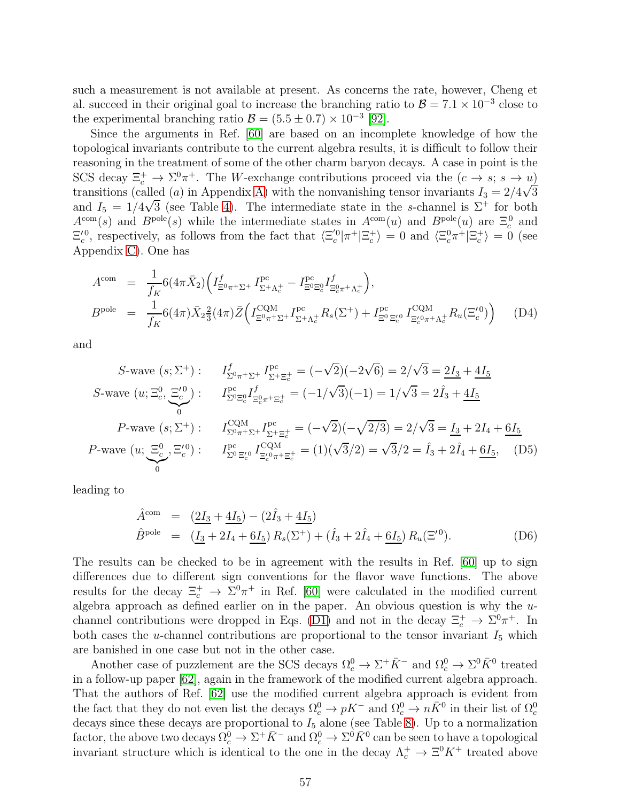such a measurement is not available at present. As concerns the rate, however, Cheng et al. succeed in their original goal to increase the branching ratio to  $\mathcal{B} = 7.1 \times 10^{-3}$  close to the experimental branching ratio  $\mathcal{B} = (5.5 \pm 0.7) \times 10^{-3}$  [\[92\]](#page-64-14).

Since the arguments in Ref. [\[60\]](#page-62-11) are based on an incomplete knowledge of how the topological invariants contribute to the current algebra results, it is difficult to follow their reasoning in the treatment of some of the other charm baryon decays. A case in point is the SCS decay  $\Xi_c^+ \to \Sigma^0 \pi^+$ . The W-exchange contributions proceed via the  $(c \to s; s \to u)$ transitions (called (a) in Appendix [A\)](#page-46-0) with the nonvanishing tensor invariants  $I_3 = 2/4\sqrt{3}$ and  $I_5 = 1/4\sqrt{3}$  (see Table [4\)](#page-13-0). The intermediate state in the s-channel is  $\Sigma^+$  for both  $A^{\text{com}}(s)$  and  $B^{\text{pole}}(s)$  while the intermediate states in  $A^{\text{com}}(u)$  and  $B^{\text{pole}}(u)$  are  $\Xi_c^0$  and  $\Xi_c^{\prime 0}$ , respectively, as follows from the fact that  $\langle \Xi_c^{\prime 0} | \pi^+ | \Xi_c^+ \rangle = 0$  and  $\langle \Xi_c^0 \pi^+ | \Xi_c^+ \rangle = 0$  (see Appendix [C\)](#page-49-1). One has

$$
A^{\text{com}} = \frac{1}{f_K} 6(4\pi \bar{X}_2) \Big( I_{\Xi^0 \pi^+ \Sigma^+}^f I_{\Sigma^+ \Lambda_c^+}^{\text{pc}} - I_{\Xi^0 \Xi_c^0}^{\text{pc}} I_{\Xi_c^0 \pi^+ \Lambda_c^+}^f \Big),
$$
  
\n
$$
B^{\text{pole}} = \frac{1}{f_K} 6(4\pi) \bar{X}_2 \frac{2}{3} (4\pi) \bar{Z} \Big( I_{\Xi^0 \pi^+ \Sigma^+}^{\text{CQM}} I_{\Sigma^+ \Lambda_c^+}^{\text{pc}} R_s(\Sigma^+) + I_{\Xi^0 \Xi_c^{\prime 0}}^{\text{pc}} I_{\Xi_c^{\prime 0} \pi^+ \Lambda_c^+}^{\text{CQM}} R_u(\Xi_c^{\prime 0}) \Big) \tag{D4}
$$

and

$$
S\text{-wave } (s; \Sigma^+): \qquad I_{\Sigma^0 \pi^+ \Sigma^+}^f I_{\Sigma^+ \Xi_c^+}^{\text{pc}} = (-\sqrt{2})(-2\sqrt{6}) = 2/\sqrt{3} = 2I_3 + 4I_5
$$
\n
$$
S\text{-wave } (u; \Xi_c^0, \Xi_c'^0): \qquad I_{\Sigma^0 \Xi_c^0}^{\text{pc}} I_{\Xi_c'^0 \pi^+ \Xi_c^+}^f = (-1/\sqrt{3})(-1) = 1/\sqrt{3} = 2\hat{I}_3 + 4I_5
$$
\n
$$
P\text{-wave } (s; \Sigma^+): \qquad I_{\Sigma^0 \pi^+ \Sigma^+}^{\text{CQM}} I_{\Sigma^+ \Xi_c^+}^{\text{pc}} = (-\sqrt{2})(-\sqrt{2/3}) = 2/\sqrt{3} = \underline{I}_3 + 2I_4 + 6I_5
$$
\n
$$
P\text{-wave } (u; \Xi_c^0, \Xi_c'^0): \qquad I_{\Sigma^0 \Xi_c'^0}^{\text{pc}} I_{\Xi_c'^0 \pi^+ \Xi_c^+}^{\text{CQM}} = (1)(\sqrt{3}/2) = \sqrt{3}/2 = \hat{I}_3 + 2\hat{I}_4 + \underline{6I}_5, \qquad (D5)
$$

leading to

$$
\hat{A}^{\text{com}} = (\underline{2I_3} + \underline{4I_5}) - (2\hat{I}_3 + \underline{4I_5})
$$
\n
$$
\hat{B}^{\text{pole}} = (\underline{I_3} + 2I_4 + \underline{6I_5}) R_s(\Sigma^+) + (\hat{I}_3 + 2\hat{I}_4 + \underline{6I_5}) R_u(\Xi'^0). \tag{D6}
$$

The results can be checked to be in agreement with the results in Ref. [\[60\]](#page-62-11) up to sign differences due to different sign conventions for the flavor wave functions. The above results for the decay  $\Xi_c^+$   $\to \Sigma^0 \pi^+$  in Ref. [\[60\]](#page-62-11) were calculated in the modified current algebra approach as defined earlier on in the paper. An obvious question is why the  $u$ -channel contributions were dropped in Eqs. [\(D1\)](#page-55-1) and not in the decay  $\Xi_c^+ \to \Sigma^0 \pi^+$ . In both cases the *u*-channel contributions are proportional to the tensor invariant  $I_5$  which are banished in one case but not in the other case.

Another case of puzzlement are the SCS decays  $\Omega_c^0 \to \Sigma^+ \bar{K}^-$  and  $\Omega_c^0 \to \Sigma^0 \bar{K}^0$  treated in a follow-up paper [\[62\]](#page-62-13), again in the framework of the modified current algebra approach. That the authors of Ref. [\[62\]](#page-62-13) use the modified current algebra approach is evident from the fact that they do not even list the decays  $\Omega_c^0 \to pK^-$  and  $\Omega_c^0 \to n\bar{K}^0$  in their list of  $\Omega_c^0$ decays since these decays are proportional to  $I_5$  alone (see Table [8\)](#page-18-0). Up to a normalization factor, the above two decays  $\Omega_c^0 \to \Sigma^+ \bar{K}^-$  and  $\Omega_c^0 \to \Sigma^0 \bar{K}^0$  can be seen to have a topological invariant structure which is identical to the one in the decay  $\Lambda_c^+ \to \Xi^0 K^+$  treated above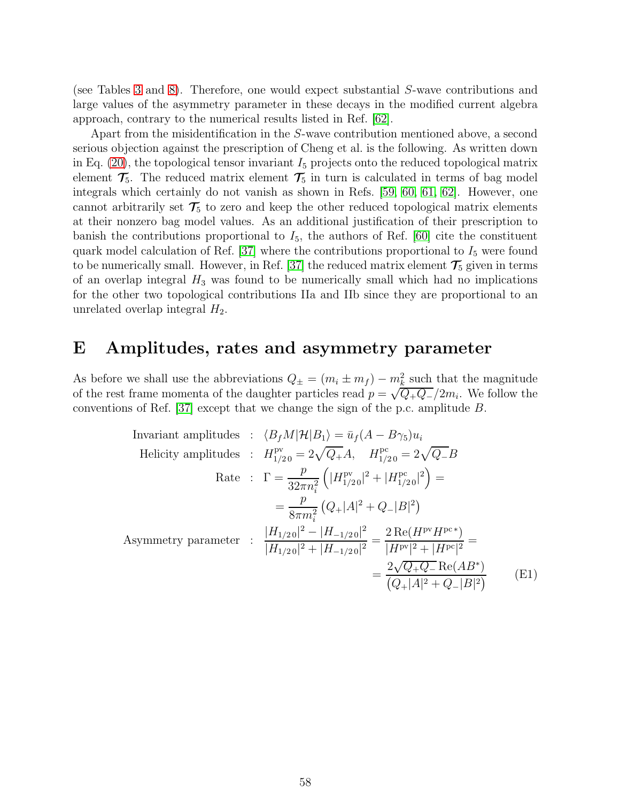(see Tables [3](#page-12-0) and [8\)](#page-18-0). Therefore, one would expect substantial S-wave contributions and large values of the asymmetry parameter in these decays in the modified current algebra approach, contrary to the numerical results listed in Ref. [\[62\]](#page-62-13).

Apart from the misidentification in the S-wave contribution mentioned above, a second serious objection against the prescription of Cheng et al. is the following. As written down in Eq. [\(20\)](#page-10-0), the topological tensor invariant  $I_5$  projects onto the reduced topological matrix element  $\mathcal{T}_5$ . The reduced matrix element  $\mathcal{T}_5$  in turn is calculated in terms of bag model integrals which certainly do not vanish as shown in Refs. [\[59,](#page-62-10) [60,](#page-62-11) [61,](#page-62-12) [62\]](#page-62-13). However, one cannot arbitrarily set  $\mathcal{T}_5$  to zero and keep the other reduced topological matrix elements at their nonzero bag model values. As an additional justification of their prescription to banish the contributions proportional to  $I_5$ , the authors of Ref. [\[60\]](#page-62-11) cite the constituent quark model calculation of Ref. [\[37\]](#page-61-4) where the contributions proportional to  $I_5$  were found to be numerically small. However, in Ref. [\[37\]](#page-61-4) the reduced matrix element  $\mathcal{T}_5$  given in terms of an overlap integral  $H_3$  was found to be numerically small which had no implications for the other two topological contributions IIa and IIb since they are proportional to an unrelated overlap integral  $H_2$ .

## <span id="page-58-0"></span>E Amplitudes, rates and asymmetry parameter

As before we shall use the abbreviations  $Q_{\pm} = (m_i \pm m_f) - m_k^2$  such that the magnitude of the rest frame momenta of the daughter particles read  $p = \sqrt{Q_{+}Q_{-}}/2m_i$ . We follow the conventions of Ref. [\[37\]](#page-61-4) except that we change the sign of the p.c. amplitude B.

Invariant amplitudes: 
$$
\langle B_f M | \mathcal{H} | B_1 \rangle = \bar{u}_f (A - B \gamma_5) u_i
$$

\nHelicity amplitudes: 
$$
H_{1/20}^{pv} = 2\sqrt{Q_+} A, \quad H_{1/20}^{pc} = 2\sqrt{Q_-} B
$$

\nRate: 
$$
\Gamma = \frac{p}{32\pi n_i^2} \left( |H_{1/20}^{pv}|^2 + |H_{1/20}^{pc}|^2 \right) =
$$

\n
$$
= \frac{p}{8\pi m_i^2} \left( Q_+ |A|^2 + Q_- |B|^2 \right)
$$
\nAsymmetry parameter: 
$$
\frac{|H_{1/20}|^2 - |H_{-1/20}|^2}{|H_{1/20}|^2 + |H_{-1/20}|^2} = \frac{2 \operatorname{Re}(H^{pv} H^{pc*})}{|H^{pv}|^2 + |H^{pc}|^2} =
$$

\n
$$
= \frac{2\sqrt{Q_+ Q_-} \operatorname{Re}(AB^*)}{(Q_+ |A|^2 + Q_- |B|^2)} \tag{E1}
$$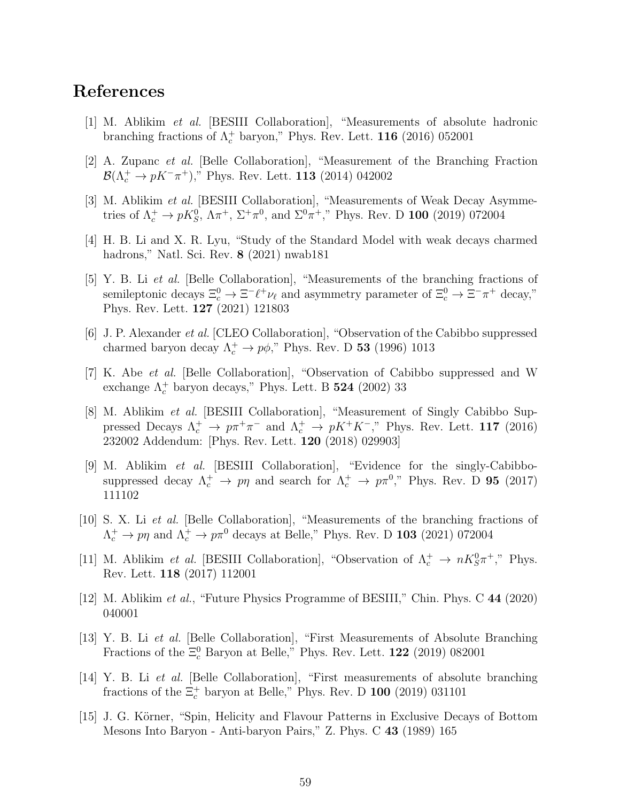### <span id="page-59-0"></span>References

- <span id="page-59-1"></span>[1] M. Ablikim *et al.* [BESIII Collaboration], "Measurements of absolute hadronic branching fractions of  $\Lambda_c^+$  baryon," Phys. Rev. Lett. **116** (2016) 052001
- <span id="page-59-2"></span>[2] A. Zupanc *et al.* [Belle Collaboration], "Measurement of the Branching Fraction  $\mathcal{B}(\Lambda_c^+ \to pK^-\pi^+),$ " Phys. Rev. Lett. **113** (2014) 042002
- <span id="page-59-3"></span>[3] M. Ablikim *et al.* [BESIII Collaboration], "Measurements of Weak Decay Asymmetries of  $\Lambda_c^+ \to pK_S^0$ ,  $\Lambda \pi^+$ ,  $\Sigma^+ \pi^0$ , and  $\Sigma^0 \pi^+$ ," Phys. Rev. D **100** (2019) 072004
- <span id="page-59-4"></span>[4] H. B. Li and X. R. Lyu, "Study of the Standard Model with weak decays charmed hadrons," Natl. Sci. Rev. 8 (2021) nwab181
- [5] Y. B. Li *et al.* [Belle Collaboration], "Measurements of the branching fractions of semileptonic decays  $\Xi_c^0 \to \Xi^- \ell^+ \nu_\ell$  and asymmetry parameter of  $\Xi_c^0 \to \Xi^- \pi^+$  decay," Phys. Rev. Lett. 127 (2021) 121803
- <span id="page-59-5"></span>[6] J. P. Alexander *et al.* [CLEO Collaboration], "Observation of the Cabibbo suppressed charmed baryon decay  $\Lambda_c^+ \to p\phi$ ," Phys. Rev. D **53** (1996) 1013
- <span id="page-59-6"></span>[7] K. Abe *et al.* [Belle Collaboration], "Observation of Cabibbo suppressed and W exchange  $\Lambda_c^+$  baryon decays," Phys. Lett. B **524** (2002) 33
- <span id="page-59-7"></span>[8] M. Ablikim *et al.* [BESIII Collaboration], "Measurement of Singly Cabibbo Suppressed Decays  $\Lambda_c^+ \to p \pi^+ \pi^-$  and  $\Lambda_c^+ \to p K^+ K^-$ ," Phys. Rev. Lett. 117 (2016) 232002 Addendum: [Phys. Rev. Lett. 120 (2018) 029903]
- <span id="page-59-8"></span>[9] M. Ablikim *et al.* [BESIII Collaboration], "Evidence for the singly-Cabibbosuppressed decay  $\Lambda_c^+ \to p\eta$  and search for  $\Lambda_c^+ \to p\pi^0$ ," Phys. Rev. D **95** (2017) 111102
- <span id="page-59-9"></span>[10] S. X. Li *et al.* [Belle Collaboration], "Measurements of the branching fractions of  $\Lambda_c^+ \to p\eta$  and  $\Lambda_c^+ \to p\pi^0$  decays at Belle," Phys. Rev. D **103** (2021) 072004
- <span id="page-59-10"></span>[11] M. Ablikim *et al.* [BESIII Collaboration], "Observation of  $\Lambda_c^+ \to nK_S^0\pi^+$ ," Phys. Rev. Lett. 118 (2017) 112001
- <span id="page-59-12"></span><span id="page-59-11"></span>[12] M. Ablikim *et al.*, "Future Physics Programme of BESIII," Chin. Phys. C 44 (2020) 040001
- [13] Y. B. Li *et al.* [Belle Collaboration], "First Measurements of Absolute Branching Fractions of the  $\Xi_c^0$  Baryon at Belle," Phys. Rev. Lett. **122** (2019) 082001
- <span id="page-59-13"></span>[14] Y. B. Li *et al.* [Belle Collaboration], "First measurements of absolute branching fractions of the  $\Xi_c^+$  baryon at Belle," Phys. Rev. D **100** (2019) 031101
- <span id="page-59-14"></span>[15] J. G. Körner, "Spin, Helicity and Flavour Patterns in Exclusive Decays of Bottom Mesons Into Baryon - Anti-baryon Pairs," Z. Phys. C 43 (1989) 165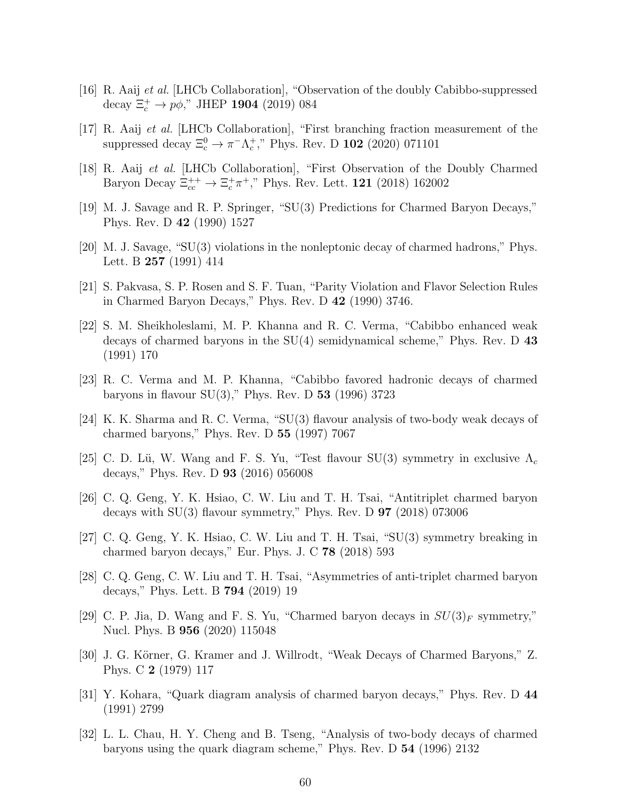- <span id="page-60-1"></span><span id="page-60-0"></span>[16] R. Aaij *et al.* [LHCb Collaboration], "Observation of the doubly Cabibbo-suppressed decay  $\Xi_c^+ \to p\phi$ ," JHEP **1904** (2019) 084
- <span id="page-60-2"></span>[17] R. Aaij *et al.* [LHCb Collaboration], "First branching fraction measurement of the suppressed decay  $\Xi_c^0 \to \pi^- \Lambda_c^+$ ," Phys. Rev. D **102** (2020) 071101
- <span id="page-60-3"></span>[18] R. Aaij *et al.* [LHCb Collaboration], "First Observation of the Doubly Charmed Baryon Decay  $\Xi_{cc}^{++} \to \Xi_c^+ \pi^+$ ," Phys. Rev. Lett. **121** (2018) 162002
- <span id="page-60-4"></span>[19] M. J. Savage and R. P. Springer, "SU(3) Predictions for Charmed Baryon Decays," Phys. Rev. D 42 (1990) 1527
- <span id="page-60-5"></span>[20] M. J. Savage, "SU(3) violations in the nonleptonic decay of charmed hadrons," Phys. Lett. B 257 (1991) 414
- <span id="page-60-6"></span>[21] S. Pakvasa, S. P. Rosen and S. F. Tuan, "Parity Violation and Flavor Selection Rules in Charmed Baryon Decays," Phys. Rev. D 42 (1990) 3746.
- [22] S. M. Sheikholeslami, M. P. Khanna and R. C. Verma, "Cabibbo enhanced weak decays of charmed baryons in the SU(4) semidynamical scheme," Phys. Rev. D 43 (1991) 170
- <span id="page-60-7"></span>[23] R. C. Verma and M. P. Khanna, "Cabibbo favored hadronic decays of charmed baryons in flavour  $SU(3)$ ," Phys. Rev. D 53 (1996) 3723
- <span id="page-60-9"></span><span id="page-60-8"></span>[24] K. K. Sharma and R. C. Verma, "SU(3) flavour analysis of two-body weak decays of charmed baryons," Phys. Rev. D 55 (1997) 7067
- <span id="page-60-10"></span>[25] C. D. Lü, W. Wang and F. S. Yu, "Test flavour  $SU(3)$  symmetry in exclusive  $\Lambda_c$ decays," Phys. Rev. D 93 (2016) 056008
- [26] C. Q. Geng, Y. K. Hsiao, C. W. Liu and T. H. Tsai, "Antitriplet charmed baryon decays with  $SU(3)$  flavour symmetry," Phys. Rev. D  $97$  (2018) 073006
- <span id="page-60-11"></span>[27] C. Q. Geng, Y. K. Hsiao, C. W. Liu and T. H. Tsai, "SU(3) symmetry breaking in charmed baryon decays," Eur. Phys. J. C 78 (2018) 593
- <span id="page-60-12"></span>[28] C. Q. Geng, C. W. Liu and T. H. Tsai, "Asymmetries of anti-triplet charmed baryon decays," Phys. Lett. B 794 (2019) 19
- <span id="page-60-13"></span>[29] C. P. Jia, D. Wang and F. S. Yu, "Charmed baryon decays in  $SU(3)_F$  symmetry," Nucl. Phys. B 956 (2020) 115048
- <span id="page-60-14"></span>[30] J. G. Körner, G. Kramer and J. Willrodt, "Weak Decays of Charmed Baryons," Z. Phys. C 2 (1979) 117
- <span id="page-60-15"></span>[31] Y. Kohara, "Quark diagram analysis of charmed baryon decays," Phys. Rev. D 44 (1991) 2799
- <span id="page-60-16"></span>[32] L. L. Chau, H. Y. Cheng and B. Tseng, "Analysis of two-body decays of charmed baryons using the quark diagram scheme," Phys. Rev. D 54 (1996) 2132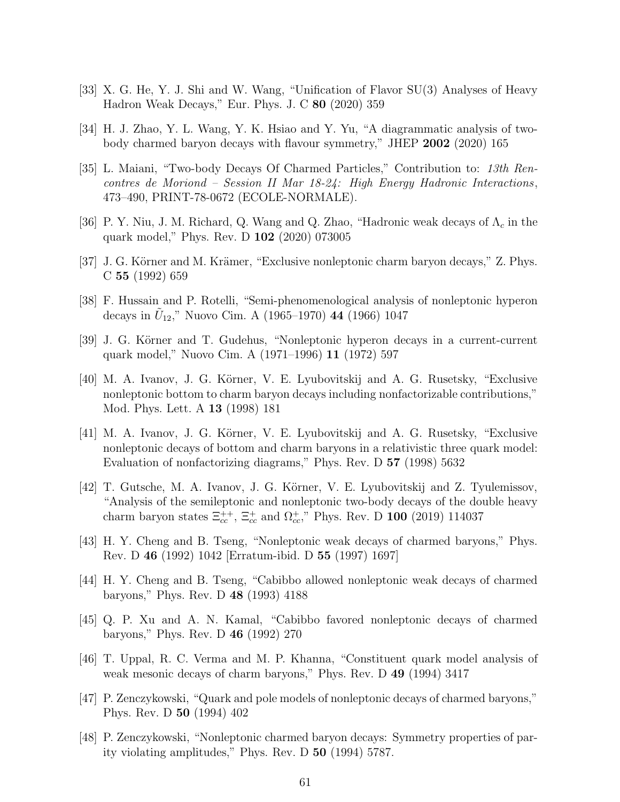- <span id="page-61-1"></span><span id="page-61-0"></span>[33] X. G. He, Y. J. Shi and W. Wang, "Unification of Flavor SU(3) Analyses of Heavy Hadron Weak Decays," Eur. Phys. J. C 80 (2020) 359
- <span id="page-61-2"></span>[34] H. J. Zhao, Y. L. Wang, Y. K. Hsiao and Y. Yu, "A diagrammatic analysis of twobody charmed baryon decays with flavour symmetry," JHEP 2002 (2020) 165
- [35] L. Maiani, "Two-body Decays Of Charmed Particles," Contribution to: *13th Rencontres de Moriond – Session II Mar 18-24: High Energy Hadronic Interactions*, 473–490, PRINT-78-0672 (ECOLE-NORMALE).
- <span id="page-61-4"></span><span id="page-61-3"></span>[36] P. Y. Niu, J. M. Richard, Q. Wang and Q. Zhao, "Hadronic weak decays of  $\Lambda_c$  in the quark model," Phys. Rev. D 102 (2020) 073005
- [37] J. G. Körner and M. Krämer, "Exclusive nonleptonic charm baryon decays," Z. Phys. C 55 (1992) 659
- <span id="page-61-5"></span>[38] F. Hussain and P. Rotelli, "Semi-phenomenological analysis of nonleptonic hyperon decays in  $\tilde{U}_{12}$ ," Nuovo Cim. A (1965–1970) 44 (1966) 1047
- <span id="page-61-6"></span>[39] J. G. Körner and T. Gudehus, "Nonleptonic hyperon decays in a current-current quark model," Nuovo Cim. A (1971–1996) 11 (1972) 597
- <span id="page-61-7"></span>[40] M. A. Ivanov, J. G. Körner, V. E. Lyubovitskij and A. G. Rusetsky, "Exclusive nonleptonic bottom to charm baryon decays including nonfactorizable contributions," Mod. Phys. Lett. A 13 (1998) 181
- <span id="page-61-8"></span>[41] M. A. Ivanov, J. G. Körner, V. E. Lyubovitskij and A. G. Rusetsky, "Exclusive nonleptonic decays of bottom and charm baryons in a relativistic three quark model: Evaluation of nonfactorizing diagrams," Phys. Rev. D 57 (1998) 5632
- <span id="page-61-9"></span>[42] T. Gutsche, M. A. Ivanov, J. G. Körner, V. E. Lyubovitskij and Z. Tyulemissov, "Analysis of the semileptonic and nonleptonic two-body decays of the double heavy charm baryon states  $\Xi_{cc}^{++}$ ,  $\Xi_{cc}^+$  and  $\Omega_{cc}^+$ ," Phys. Rev. D 100 (2019) 114037
- <span id="page-61-10"></span>[43] H. Y. Cheng and B. Tseng, "Nonleptonic weak decays of charmed baryons," Phys. Rev. D 46 (1992) 1042 [Erratum-ibid. D 55 (1997) 1697]
- <span id="page-61-11"></span>[44] H. Y. Cheng and B. Tseng, "Cabibbo allowed nonleptonic weak decays of charmed baryons," Phys. Rev. D 48 (1993) 4188
- <span id="page-61-12"></span>[45] Q. P. Xu and A. N. Kamal, "Cabibbo favored nonleptonic decays of charmed baryons," Phys. Rev. D 46 (1992) 270
- <span id="page-61-13"></span>[46] T. Uppal, R. C. Verma and M. P. Khanna, "Constituent quark model analysis of weak mesonic decays of charm baryons," Phys. Rev. D 49 (1994) 3417
- <span id="page-61-14"></span>[47] P. Zenczykowski, "Quark and pole models of nonleptonic decays of charmed baryons," Phys. Rev. D 50 (1994) 402
- <span id="page-61-15"></span>[48] P. Zenczykowski, "Nonleptonic charmed baryon decays: Symmetry properties of parity violating amplitudes," Phys. Rev. D 50 (1994) 5787.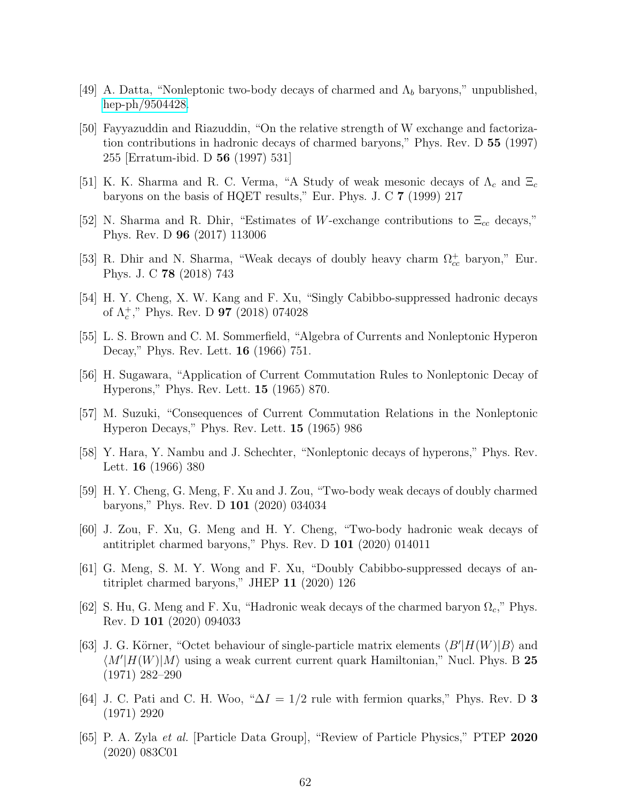- <span id="page-62-1"></span><span id="page-62-0"></span>[49] A. Datta, "Nonleptonic two-body decays of charmed and  $\Lambda_b$  baryons," unpublished, [hep-ph/9504428.](http://arxiv.org/abs/hep-ph/9504428)
- [50] Fayyazuddin and Riazuddin, "On the relative strength of W exchange and factorization contributions in hadronic decays of charmed baryons," Phys. Rev. D 55 (1997) 255 [Erratum-ibid. D 56 (1997) 531]
- <span id="page-62-3"></span><span id="page-62-2"></span>[51] K. K. Sharma and R. C. Verma, "A Study of weak mesonic decays of  $\Lambda_c$  and  $\Xi_c$ baryons on the basis of HQET results," Eur. Phys. J. C 7 (1999) 217
- [52] N. Sharma and R. Dhir, "Estimates of W-exchange contributions to  $\Xi_{cc}$  decays," Phys. Rev. D 96 (2017) 113006
- <span id="page-62-4"></span>[53] R. Dhir and N. Sharma, "Weak decays of doubly heavy charm  $\Omega_{cc}^+$  baryon," Eur. Phys. J. C 78 (2018) 743
- <span id="page-62-6"></span><span id="page-62-5"></span>[54] H. Y. Cheng, X. W. Kang and F. Xu, "Singly Cabibbo-suppressed hadronic decays of  $\Lambda_c^+$ ," Phys. Rev. D **97** (2018) 074028
- <span id="page-62-7"></span>[55] L. S. Brown and C. M. Sommerfield, "Algebra of Currents and Nonleptonic Hyperon Decay," Phys. Rev. Lett. 16 (1966) 751.
- <span id="page-62-8"></span>[56] H. Sugawara, "Application of Current Commutation Rules to Nonleptonic Decay of Hyperons," Phys. Rev. Lett. 15 (1965) 870.
- <span id="page-62-9"></span>[57] M. Suzuki, "Consequences of Current Commutation Relations in the Nonleptonic Hyperon Decays," Phys. Rev. Lett. 15 (1965) 986
- [58] Y. Hara, Y. Nambu and J. Schechter, "Nonleptonic decays of hyperons," Phys. Rev. Lett. 16 (1966) 380
- <span id="page-62-10"></span>[59] H. Y. Cheng, G. Meng, F. Xu and J. Zou, "Two-body weak decays of doubly charmed baryons," Phys. Rev. D 101 (2020) 034034
- <span id="page-62-11"></span>[60] J. Zou, F. Xu, G. Meng and H. Y. Cheng, "Two-body hadronic weak decays of antitriplet charmed baryons," Phys. Rev. D 101 (2020) 014011
- <span id="page-62-12"></span>[61] G. Meng, S. M. Y. Wong and F. Xu, "Doubly Cabibbo-suppressed decays of antitriplet charmed baryons," JHEP 11 (2020) 126
- <span id="page-62-13"></span>[62] S. Hu, G. Meng and F. Xu, "Hadronic weak decays of the charmed baryon  $\Omega_c$ ," Phys. Rev. D 101 (2020) 094033
- <span id="page-62-14"></span>[63] J. G. Körner, "Octet behaviour of single-particle matrix elements  $\langle B'|H(W)|B\rangle$  and  $\langle M'|H(W)|M\rangle$  using a weak current current quark Hamiltonian," Nucl. Phys. B 25 (1971) 282–290
- <span id="page-62-15"></span>[64] J. C. Pati and C. H. Woo, " $\Delta I = 1/2$  rule with fermion quarks," Phys. Rev. D 3 (1971) 2920
- <span id="page-62-16"></span>[65] P. A. Zyla *et al.* [Particle Data Group], "Review of Particle Physics," PTEP 2020 (2020) 083C01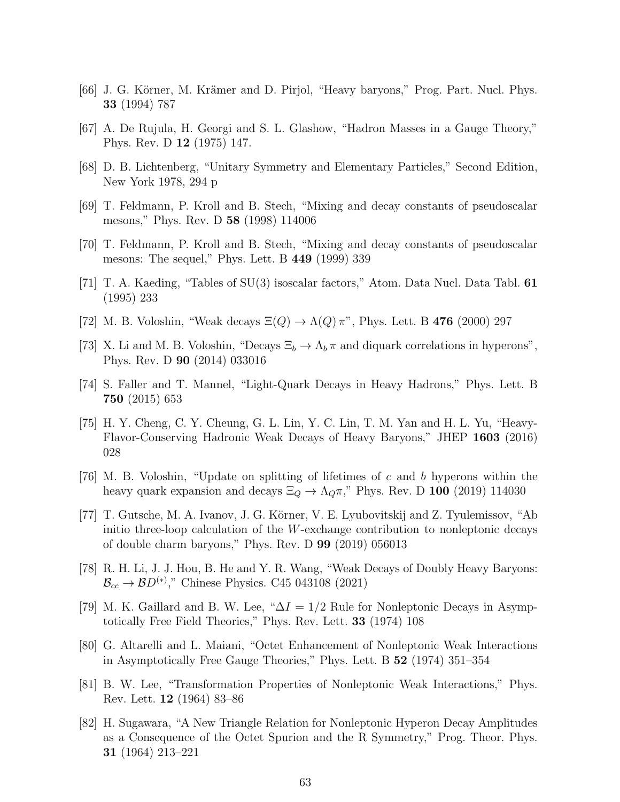- <span id="page-63-1"></span><span id="page-63-0"></span>[66] J. G. Körner, M. Krämer and D. Pirjol, "Heavy baryons," Prog. Part. Nucl. Phys. 33 (1994) 787
- <span id="page-63-2"></span>[67] A. De Rujula, H. Georgi and S. L. Glashow, "Hadron Masses in a Gauge Theory," Phys. Rev. D 12 (1975) 147.
- <span id="page-63-4"></span>[68] D. B. Lichtenberg, "Unitary Symmetry and Elementary Particles," Second Edition, New York 1978, 294 p
- <span id="page-63-5"></span>[69] T. Feldmann, P. Kroll and B. Stech, "Mixing and decay constants of pseudoscalar mesons," Phys. Rev. D 58 (1998) 114006
- <span id="page-63-3"></span>[70] T. Feldmann, P. Kroll and B. Stech, "Mixing and decay constants of pseudoscalar mesons: The sequel," Phys. Lett. B 449 (1999) 339
- <span id="page-63-6"></span>[71] T. A. Kaeding, "Tables of SU(3) isoscalar factors," Atom. Data Nucl. Data Tabl. 61 (1995) 233
- <span id="page-63-7"></span>[72] M. B. Voloshin, "Weak decays  $\Xi(Q) \to \Lambda(Q) \pi$ ", Phys. Lett. B 476 (2000) 297
- <span id="page-63-8"></span>[73] X. Li and M. B. Voloshin, "Decays  $\Xi_b \to \Lambda_b \pi$  and diquark correlations in hyperons", Phys. Rev. D 90 (2014) 033016
- <span id="page-63-9"></span>[74] S. Faller and T. Mannel, "Light-Quark Decays in Heavy Hadrons," Phys. Lett. B 750 (2015) 653
- [75] H. Y. Cheng, C. Y. Cheung, G. L. Lin, Y. C. Lin, T. M. Yan and H. L. Yu, "Heavy-Flavor-Conserving Hadronic Weak Decays of Heavy Baryons," JHEP 1603 (2016) 028
- <span id="page-63-10"></span>[76] M. B. Voloshin, "Update on splitting of lifetimes of c and b hyperons within the heavy quark expansion and decays  $\Xi_Q \rightarrow \Lambda_Q \pi$ ," Phys. Rev. D 100 (2019) 114030
- <span id="page-63-11"></span>[77] T. Gutsche, M. A. Ivanov, J. G. K¨orner, V. E. Lyubovitskij and Z. Tyulemissov, "Ab initio three-loop calculation of the W-exchange contribution to nonleptonic decays of double charm baryons," Phys. Rev. D 99 (2019) 056013
- <span id="page-63-12"></span>[78] R. H. Li, J. J. Hou, B. He and Y. R. Wang, "Weak Decays of Doubly Heavy Baryons:  $\mathcal{B}_{cc} \to \mathcal{B}D^{(*)}$ ," Chinese Physics. C45 043108 (2021)
- <span id="page-63-13"></span>[79] M. K. Gaillard and B. W. Lee, " $\Delta I = 1/2$  Rule for Nonleptonic Decays in Asymptotically Free Field Theories," Phys. Rev. Lett. 33 (1974) 108
- <span id="page-63-14"></span>[80] G. Altarelli and L. Maiani, "Octet Enhancement of Nonleptonic Weak Interactions in Asymptotically Free Gauge Theories," Phys. Lett. B 52 (1974) 351–354
- <span id="page-63-15"></span>[81] B. W. Lee, "Transformation Properties of Nonleptonic Weak Interactions," Phys. Rev. Lett. 12 (1964) 83–86
- <span id="page-63-16"></span>[82] H. Sugawara, "A New Triangle Relation for Nonleptonic Hyperon Decay Amplitudes as a Consequence of the Octet Spurion and the R Symmetry," Prog. Theor. Phys. 31 (1964) 213–221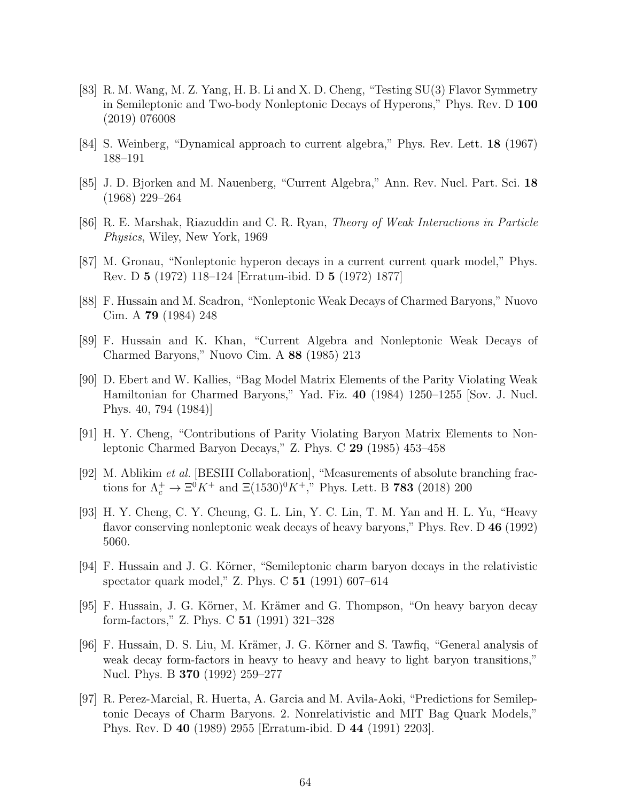- <span id="page-64-0"></span>[83] R. M. Wang, M. Z. Yang, H. B. Li and X. D. Cheng, "Testing SU(3) Flavor Symmetry in Semileptonic and Two-body Nonleptonic Decays of Hyperons," Phys. Rev. D 100 (2019) 076008
- <span id="page-64-2"></span><span id="page-64-1"></span>[84] S. Weinberg, "Dynamical approach to current algebra," Phys. Rev. Lett. 18 (1967) 188–191
- <span id="page-64-3"></span>[85] J. D. Bjorken and M. Nauenberg, "Current Algebra," Ann. Rev. Nucl. Part. Sci. 18 (1968) 229–264
- <span id="page-64-4"></span>[86] R. E. Marshak, Riazuddin and C. R. Ryan, *Theory of Weak Interactions in Particle Physics*, Wiley, New York, 1969
- <span id="page-64-5"></span>[87] M. Gronau, "Nonleptonic hyperon decays in a current current quark model," Phys. Rev. D 5 (1972) 118–124 [Erratum-ibid. D 5 (1972) 1877]
- <span id="page-64-6"></span>[88] F. Hussain and M. Scadron, "Nonleptonic Weak Decays of Charmed Baryons," Nuovo Cim. A 79 (1984) 248
- <span id="page-64-7"></span>[89] F. Hussain and K. Khan, "Current Algebra and Nonleptonic Weak Decays of Charmed Baryons," Nuovo Cim. A 88 (1985) 213
- [90] D. Ebert and W. Kallies, "Bag Model Matrix Elements of the Parity Violating Weak Hamiltonian for Charmed Baryons," Yad. Fiz. 40 (1984) 1250–1255 [Sov. J. Nucl. Phys. 40, 794 (1984)]
- <span id="page-64-8"></span>[91] H. Y. Cheng, "Contributions of Parity Violating Baryon Matrix Elements to Nonleptonic Charmed Baryon Decays," Z. Phys. C 29 (1985) 453–458
- <span id="page-64-14"></span>[92] M. Ablikim *et al.* [BESIII Collaboration], "Measurements of absolute branching fractions for  $\Lambda_c^+ \to \Xi^0 K^+$  and  $\Xi(1530)^0 K^+$ ," Phys. Lett. B **783** (2018) 200
- <span id="page-64-9"></span>[93] H. Y. Cheng, C. Y. Cheung, G. L. Lin, Y. C. Lin, T. M. Yan and H. L. Yu, "Heavy flavor conserving nonleptonic weak decays of heavy baryons," Phys. Rev. D 46 (1992) 5060.
- <span id="page-64-10"></span>[94] F. Hussain and J. G. Körner, "Semileptonic charm baryon decays in the relativistic spectator quark model," Z. Phys. C 51 (1991) 607–614
- <span id="page-64-11"></span>[95] F. Hussain, J. G. Körner, M. Krämer and G. Thompson, "On heavy baryon decay form-factors," Z. Phys. C 51 (1991) 321–328
- <span id="page-64-12"></span>[96] F. Hussain, D. S. Liu, M. Krämer, J. G. Körner and S. Tawfiq, "General analysis of weak decay form-factors in heavy to heavy and heavy to light baryon transitions," Nucl. Phys. B 370 (1992) 259–277
- <span id="page-64-13"></span>[97] R. Perez-Marcial, R. Huerta, A. Garcia and M. Avila-Aoki, "Predictions for Semileptonic Decays of Charm Baryons. 2. Nonrelativistic and MIT Bag Quark Models," Phys. Rev. D 40 (1989) 2955 [Erratum-ibid. D 44 (1991) 2203].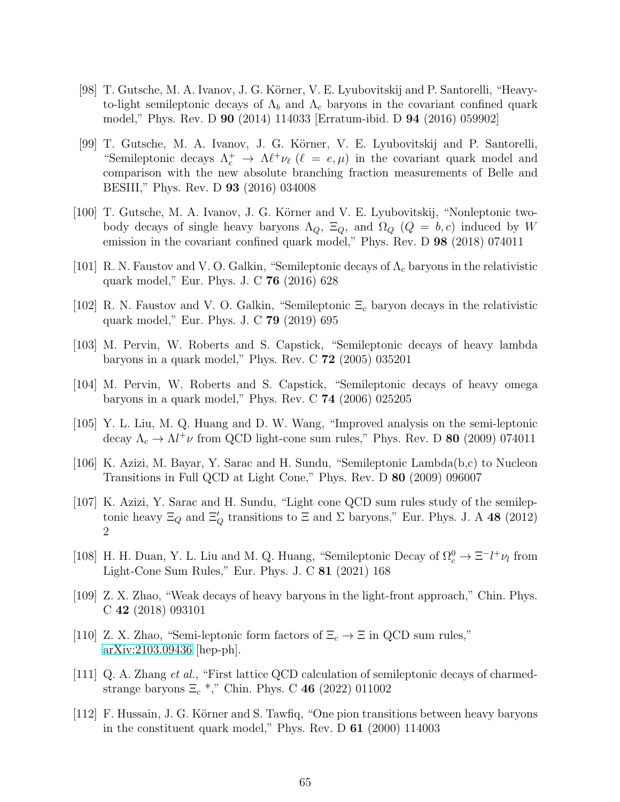- <span id="page-65-0"></span>[98] T. Gutsche, M. A. Ivanov, J. G. Körner, V. E. Lyubovitskij and P. Santorelli, "Heavyto-light semileptonic decays of  $\Lambda_b$  and  $\Lambda_c$  baryons in the covariant confined quark model," Phys. Rev. D 90 (2014) 114033 [Erratum-ibid. D 94 (2016) 059902]
- <span id="page-65-1"></span>[99] T. Gutsche, M. A. Ivanov, J. G. Körner, V. E. Lyubovitskij and P. Santorelli, "Semileptonic decays  $\Lambda_c^+ \to \Lambda \ell^+ \nu_\ell$  ( $\ell = e, \mu$ ) in the covariant quark model and comparison with the new absolute branching fraction measurements of Belle and BESIII," Phys. Rev. D 93 (2016) 034008
- <span id="page-65-2"></span>[100] T. Gutsche, M. A. Ivanov, J. G. Körner and V. E. Lyubovitskij, "Nonleptonic twobody decays of single heavy baryons  $\Lambda_Q$ ,  $\Xi_Q$ , and  $\Omega_Q$  ( $Q = b, c$ ) induced by W emission in the covariant confined quark model," Phys. Rev. D 98 (2018) 074011
- <span id="page-65-4"></span><span id="page-65-3"></span>[101] R. N. Faustov and V. O. Galkin, "Semileptonic decays of  $\Lambda_c$  baryons in the relativistic quark model," Eur. Phys. J. C 76 (2016) 628
- <span id="page-65-5"></span>[102] R. N. Faustov and V. O. Galkin, "Semileptonic  $\Xi_c$  baryon decays in the relativistic quark model," Eur. Phys. J. C 79 (2019) 695
- [103] M. Pervin, W. Roberts and S. Capstick, "Semileptonic decays of heavy lambda baryons in a quark model," Phys. Rev. C 72 (2005) 035201
- <span id="page-65-6"></span>[104] M. Pervin, W. Roberts and S. Capstick, "Semileptonic decays of heavy omega baryons in a quark model," Phys. Rev. C 74 (2006) 025205
- <span id="page-65-8"></span><span id="page-65-7"></span>[105] Y. L. Liu, M. Q. Huang and D. W. Wang, "Improved analysis on the semi-leptonic decay  $\Lambda_c \to \Lambda l^+ \nu$  from QCD light-cone sum rules," Phys. Rev. D **80** (2009) 074011
- [106] K. Azizi, M. Bayar, Y. Sarac and H. Sundu, "Semileptonic Lambda(b,c) to Nucleon Transitions in Full QCD at Light Cone," Phys. Rev. D 80 (2009) 096007
- <span id="page-65-9"></span>[107] K. Azizi, Y. Sarac and H. Sundu, "Light cone QCD sum rules study of the semileptonic heavy  $\Xi_Q$  and  $\Xi_Q'$  transitions to  $\Xi$  and  $\Sigma$  baryons," Eur. Phys. J. A 48 (2012) 2
- <span id="page-65-10"></span>[108] H. H. Duan, Y. L. Liu and M. Q. Huang, "Semileptonic Decay of  $\Omega_c^0 \to \Xi^- l^+ \nu_l$  from Light-Cone Sum Rules," Eur. Phys. J. C 81 (2021) 168
- <span id="page-65-11"></span>[109] Z. X. Zhao, "Weak decays of heavy baryons in the light-front approach," Chin. Phys. C 42 (2018) 093101
- <span id="page-65-12"></span>[110] Z. X. Zhao, "Semi-leptonic form factors of  $\Xi_c \to \Xi$  in QCD sum rules," [arXiv:2103.09436](http://arxiv.org/abs/2103.09436) [hep-ph].
- <span id="page-65-13"></span>[111] Q. A. Zhang *et al.*, "First lattice QCD calculation of semileptonic decays of charmedstrange baryons  $\Xi_c$ <sup>\*</sup>," Chin. Phys. C 46 (2022) 011002
- <span id="page-65-14"></span>[112] F. Hussain, J. G. Körner and S. Tawfiq, "One pion transitions between heavy baryons in the constituent quark model," Phys. Rev. D 61 (2000) 114003